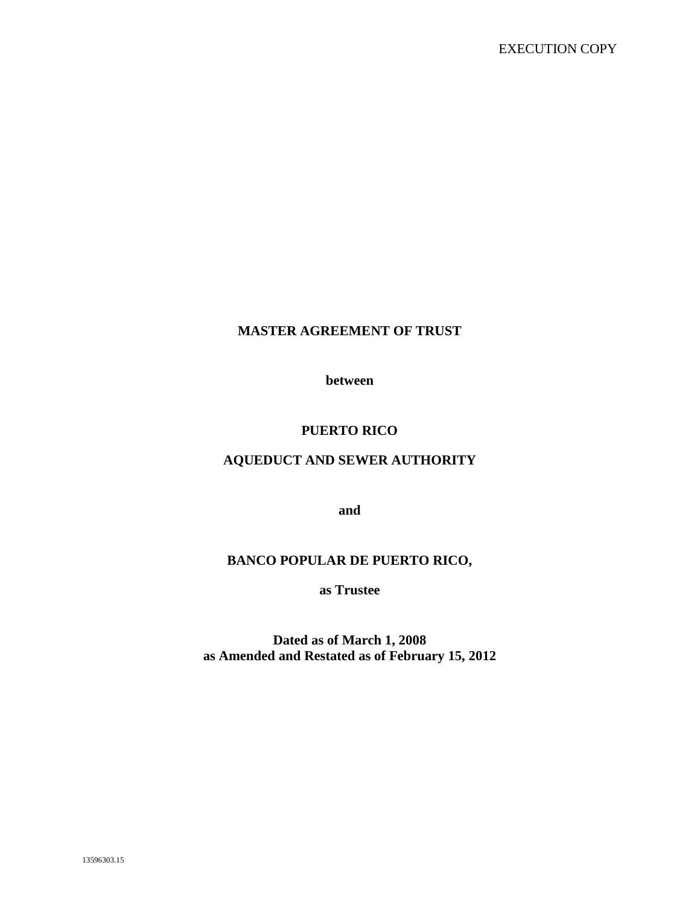## **MASTER AGREEMENT OF TRUST**

**between**

## **PUERTO RICO**

## **AQUEDUCT AND SEWER AUTHORITY**

**and**

### **BANCO POPULAR DE PUERTO RICO,**

**as Trustee**

**Dated as of March 1, 2008 as Amended and Restated as of February 15, 2012**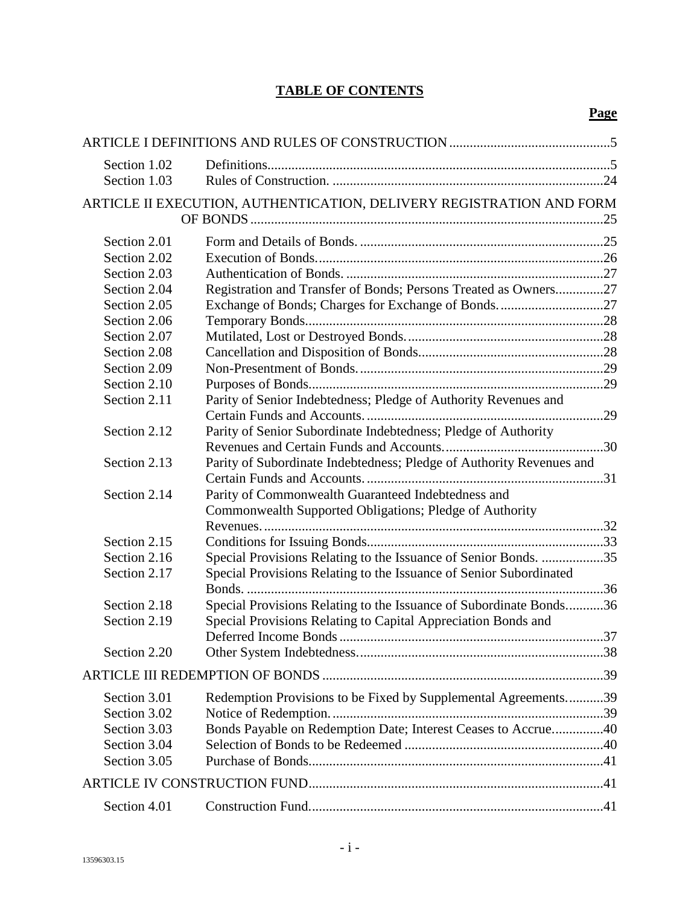# **TABLE OF CONTENTS**

| Section 1.02<br>Section 1.03 |                                                                                                               |  |
|------------------------------|---------------------------------------------------------------------------------------------------------------|--|
|                              | ARTICLE II EXECUTION, AUTHENTICATION, DELIVERY REGISTRATION AND FORM                                          |  |
| Section 2.01                 |                                                                                                               |  |
| Section 2.02                 |                                                                                                               |  |
| Section 2.03                 |                                                                                                               |  |
| Section 2.04                 | Registration and Transfer of Bonds; Persons Treated as Owners27                                               |  |
| Section 2.05                 |                                                                                                               |  |
| Section 2.06                 |                                                                                                               |  |
| Section 2.07                 |                                                                                                               |  |
| Section 2.08                 |                                                                                                               |  |
| Section 2.09                 |                                                                                                               |  |
| Section 2.10                 |                                                                                                               |  |
| Section 2.11                 | Parity of Senior Indebtedness; Pledge of Authority Revenues and                                               |  |
| Section 2.12                 | Parity of Senior Subordinate Indebtedness; Pledge of Authority                                                |  |
| Section 2.13                 | Parity of Subordinate Indebtedness; Pledge of Authority Revenues and                                          |  |
| Section 2.14                 | Parity of Commonwealth Guaranteed Indebtedness and<br>Commonwealth Supported Obligations; Pledge of Authority |  |
|                              |                                                                                                               |  |
| Section 2.15                 |                                                                                                               |  |
| Section 2.16                 | Special Provisions Relating to the Issuance of Senior Bonds. 35                                               |  |
| Section 2.17                 | Special Provisions Relating to the Issuance of Senior Subordinated                                            |  |
| Section 2.18                 | Special Provisions Relating to the Issuance of Subordinate Bonds36                                            |  |
| Section 2.19                 | Special Provisions Relating to Capital Appreciation Bonds and                                                 |  |
| Section 2.20                 |                                                                                                               |  |
|                              |                                                                                                               |  |
| Section 3.01                 | Redemption Provisions to be Fixed by Supplemental Agreements39                                                |  |
| Section 3.02                 |                                                                                                               |  |
| Section 3.03                 | Bonds Payable on Redemption Date; Interest Ceases to Accrue40                                                 |  |
| Section 3.04                 |                                                                                                               |  |
| Section 3.05                 |                                                                                                               |  |
|                              |                                                                                                               |  |
| Section 4.01                 |                                                                                                               |  |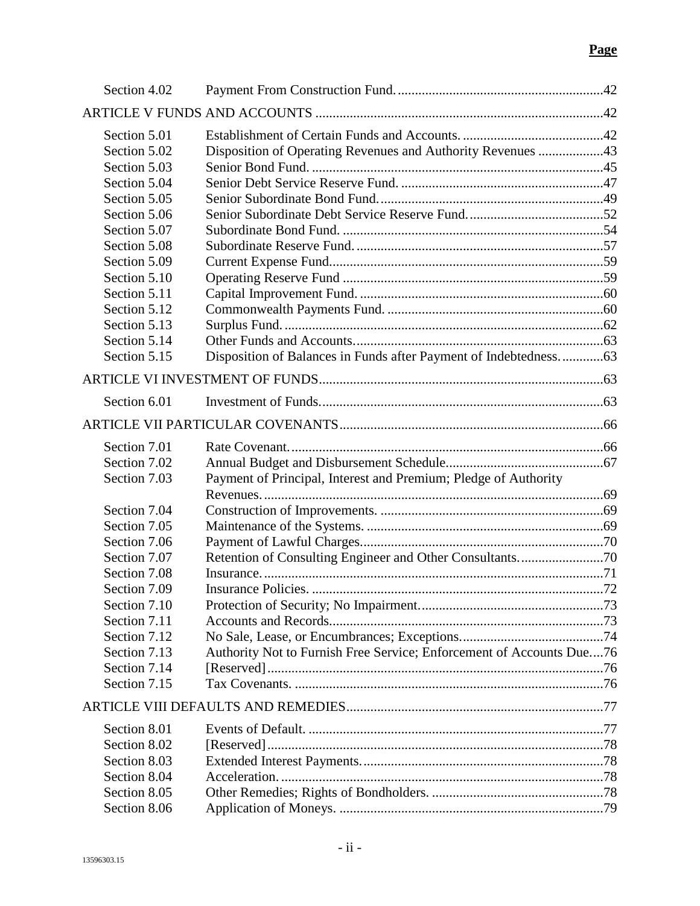| Section 4.02 |                                                                      |     |
|--------------|----------------------------------------------------------------------|-----|
|              |                                                                      |     |
| Section 5.01 |                                                                      |     |
| Section 5.02 | Disposition of Operating Revenues and Authority Revenues 43          |     |
| Section 5.03 |                                                                      |     |
| Section 5.04 |                                                                      |     |
| Section 5.05 |                                                                      |     |
| Section 5.06 |                                                                      |     |
| Section 5.07 |                                                                      |     |
| Section 5.08 |                                                                      |     |
| Section 5.09 |                                                                      |     |
| Section 5.10 |                                                                      |     |
| Section 5.11 |                                                                      |     |
| Section 5.12 |                                                                      |     |
| Section 5.13 |                                                                      |     |
| Section 5.14 |                                                                      |     |
| Section 5.15 |                                                                      |     |
|              |                                                                      |     |
| Section 6.01 |                                                                      |     |
|              |                                                                      |     |
| Section 7.01 |                                                                      |     |
| Section 7.02 |                                                                      |     |
| Section 7.03 | Payment of Principal, Interest and Premium; Pledge of Authority      |     |
|              |                                                                      |     |
| Section 7.04 |                                                                      |     |
| Section 7.05 |                                                                      |     |
| Section 7.06 |                                                                      |     |
| Section 7.07 | Retention of Consulting Engineer and Other Consultants70             |     |
| Section 7.08 |                                                                      |     |
| Section 7.09 | Insurance Policies                                                   | .72 |
| Section 7.10 |                                                                      |     |
| Section 7.11 |                                                                      |     |
| Section 7.12 |                                                                      |     |
| Section 7.13 | Authority Not to Furnish Free Service; Enforcement of Accounts Due76 |     |
| Section 7.14 |                                                                      |     |
| Section 7.15 |                                                                      |     |
|              |                                                                      |     |
| Section 8.01 |                                                                      |     |
| Section 8.02 |                                                                      |     |
| Section 8.03 |                                                                      |     |
| Section 8.04 |                                                                      |     |
| Section 8.05 |                                                                      |     |
| Section 8.06 |                                                                      |     |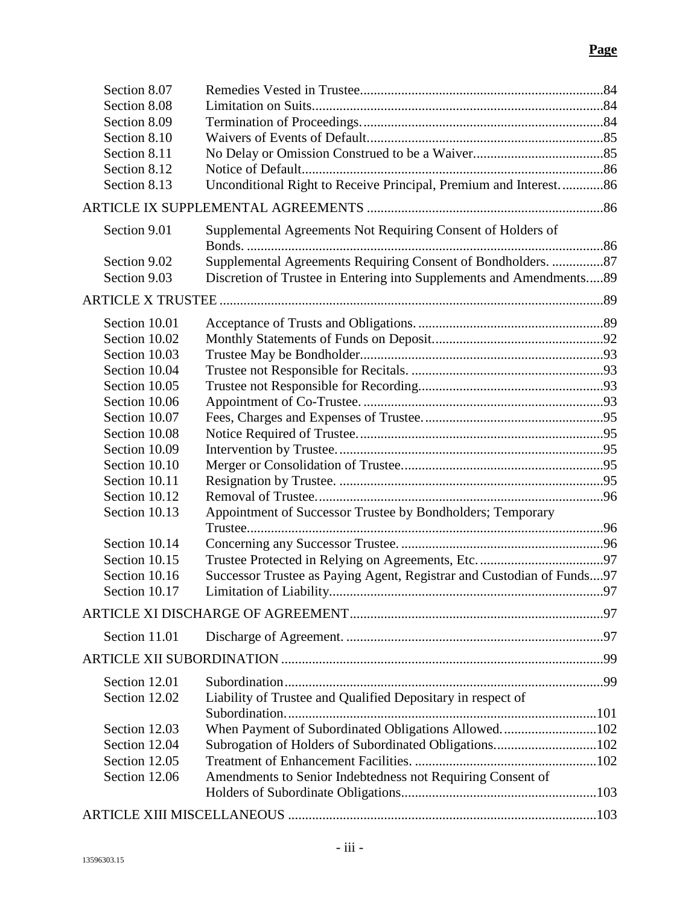| Section 8.09<br>Section 8.10<br>Section 8.11<br>Section 8.12<br>Unconditional Right to Receive Principal, Premium and Interest 86<br>Section 8.13<br>Supplemental Agreements Not Requiring Consent of Holders of<br>Section 9.01<br>Supplemental Agreements Requiring Consent of Bondholders. 87<br>Section 9.02<br>Discretion of Trustee in Entering into Supplements and Amendments89<br>Section 9.03<br>Section 10.01<br>Section 10.02<br>Section 10.03<br>Section 10.04<br>Section 10.05<br>Section 10.06<br>Section 10.07<br>Section 10.08<br>Section 10.09<br>Section 10.10<br>Section 10.11<br>Section 10.12<br>Section 10.13<br>Appointment of Successor Trustee by Bondholders; Temporary<br>Section 10.14<br>Section 10.15<br>Successor Trustee as Paying Agent, Registrar and Custodian of Funds97<br>Section 10.16<br>Section 10.17<br>Section 11.01<br>Section 12.01<br>Liability of Trustee and Qualified Depositary in respect of<br>Section 12.02<br>When Payment of Subordinated Obligations Allowed102<br>Section 12.03<br>Subrogation of Holders of Subordinated Obligations102<br>Section 12.04<br>Section 12.05<br>Amendments to Senior Indebtedness not Requiring Consent of<br>Section 12.06 | Section 8.07 |  |
|---------------------------------------------------------------------------------------------------------------------------------------------------------------------------------------------------------------------------------------------------------------------------------------------------------------------------------------------------------------------------------------------------------------------------------------------------------------------------------------------------------------------------------------------------------------------------------------------------------------------------------------------------------------------------------------------------------------------------------------------------------------------------------------------------------------------------------------------------------------------------------------------------------------------------------------------------------------------------------------------------------------------------------------------------------------------------------------------------------------------------------------------------------------------------------------------------------------------|--------------|--|
|                                                                                                                                                                                                                                                                                                                                                                                                                                                                                                                                                                                                                                                                                                                                                                                                                                                                                                                                                                                                                                                                                                                                                                                                                     | Section 8.08 |  |
|                                                                                                                                                                                                                                                                                                                                                                                                                                                                                                                                                                                                                                                                                                                                                                                                                                                                                                                                                                                                                                                                                                                                                                                                                     |              |  |
|                                                                                                                                                                                                                                                                                                                                                                                                                                                                                                                                                                                                                                                                                                                                                                                                                                                                                                                                                                                                                                                                                                                                                                                                                     |              |  |
|                                                                                                                                                                                                                                                                                                                                                                                                                                                                                                                                                                                                                                                                                                                                                                                                                                                                                                                                                                                                                                                                                                                                                                                                                     |              |  |
|                                                                                                                                                                                                                                                                                                                                                                                                                                                                                                                                                                                                                                                                                                                                                                                                                                                                                                                                                                                                                                                                                                                                                                                                                     |              |  |
|                                                                                                                                                                                                                                                                                                                                                                                                                                                                                                                                                                                                                                                                                                                                                                                                                                                                                                                                                                                                                                                                                                                                                                                                                     |              |  |
|                                                                                                                                                                                                                                                                                                                                                                                                                                                                                                                                                                                                                                                                                                                                                                                                                                                                                                                                                                                                                                                                                                                                                                                                                     |              |  |
|                                                                                                                                                                                                                                                                                                                                                                                                                                                                                                                                                                                                                                                                                                                                                                                                                                                                                                                                                                                                                                                                                                                                                                                                                     |              |  |
|                                                                                                                                                                                                                                                                                                                                                                                                                                                                                                                                                                                                                                                                                                                                                                                                                                                                                                                                                                                                                                                                                                                                                                                                                     |              |  |
|                                                                                                                                                                                                                                                                                                                                                                                                                                                                                                                                                                                                                                                                                                                                                                                                                                                                                                                                                                                                                                                                                                                                                                                                                     |              |  |
|                                                                                                                                                                                                                                                                                                                                                                                                                                                                                                                                                                                                                                                                                                                                                                                                                                                                                                                                                                                                                                                                                                                                                                                                                     |              |  |
|                                                                                                                                                                                                                                                                                                                                                                                                                                                                                                                                                                                                                                                                                                                                                                                                                                                                                                                                                                                                                                                                                                                                                                                                                     |              |  |
|                                                                                                                                                                                                                                                                                                                                                                                                                                                                                                                                                                                                                                                                                                                                                                                                                                                                                                                                                                                                                                                                                                                                                                                                                     |              |  |
|                                                                                                                                                                                                                                                                                                                                                                                                                                                                                                                                                                                                                                                                                                                                                                                                                                                                                                                                                                                                                                                                                                                                                                                                                     |              |  |
|                                                                                                                                                                                                                                                                                                                                                                                                                                                                                                                                                                                                                                                                                                                                                                                                                                                                                                                                                                                                                                                                                                                                                                                                                     |              |  |
|                                                                                                                                                                                                                                                                                                                                                                                                                                                                                                                                                                                                                                                                                                                                                                                                                                                                                                                                                                                                                                                                                                                                                                                                                     |              |  |
|                                                                                                                                                                                                                                                                                                                                                                                                                                                                                                                                                                                                                                                                                                                                                                                                                                                                                                                                                                                                                                                                                                                                                                                                                     |              |  |
|                                                                                                                                                                                                                                                                                                                                                                                                                                                                                                                                                                                                                                                                                                                                                                                                                                                                                                                                                                                                                                                                                                                                                                                                                     |              |  |
|                                                                                                                                                                                                                                                                                                                                                                                                                                                                                                                                                                                                                                                                                                                                                                                                                                                                                                                                                                                                                                                                                                                                                                                                                     |              |  |
|                                                                                                                                                                                                                                                                                                                                                                                                                                                                                                                                                                                                                                                                                                                                                                                                                                                                                                                                                                                                                                                                                                                                                                                                                     |              |  |
|                                                                                                                                                                                                                                                                                                                                                                                                                                                                                                                                                                                                                                                                                                                                                                                                                                                                                                                                                                                                                                                                                                                                                                                                                     |              |  |
|                                                                                                                                                                                                                                                                                                                                                                                                                                                                                                                                                                                                                                                                                                                                                                                                                                                                                                                                                                                                                                                                                                                                                                                                                     |              |  |
|                                                                                                                                                                                                                                                                                                                                                                                                                                                                                                                                                                                                                                                                                                                                                                                                                                                                                                                                                                                                                                                                                                                                                                                                                     |              |  |
|                                                                                                                                                                                                                                                                                                                                                                                                                                                                                                                                                                                                                                                                                                                                                                                                                                                                                                                                                                                                                                                                                                                                                                                                                     |              |  |
|                                                                                                                                                                                                                                                                                                                                                                                                                                                                                                                                                                                                                                                                                                                                                                                                                                                                                                                                                                                                                                                                                                                                                                                                                     |              |  |
|                                                                                                                                                                                                                                                                                                                                                                                                                                                                                                                                                                                                                                                                                                                                                                                                                                                                                                                                                                                                                                                                                                                                                                                                                     |              |  |
|                                                                                                                                                                                                                                                                                                                                                                                                                                                                                                                                                                                                                                                                                                                                                                                                                                                                                                                                                                                                                                                                                                                                                                                                                     |              |  |
|                                                                                                                                                                                                                                                                                                                                                                                                                                                                                                                                                                                                                                                                                                                                                                                                                                                                                                                                                                                                                                                                                                                                                                                                                     |              |  |
|                                                                                                                                                                                                                                                                                                                                                                                                                                                                                                                                                                                                                                                                                                                                                                                                                                                                                                                                                                                                                                                                                                                                                                                                                     |              |  |
|                                                                                                                                                                                                                                                                                                                                                                                                                                                                                                                                                                                                                                                                                                                                                                                                                                                                                                                                                                                                                                                                                                                                                                                                                     |              |  |
|                                                                                                                                                                                                                                                                                                                                                                                                                                                                                                                                                                                                                                                                                                                                                                                                                                                                                                                                                                                                                                                                                                                                                                                                                     |              |  |
|                                                                                                                                                                                                                                                                                                                                                                                                                                                                                                                                                                                                                                                                                                                                                                                                                                                                                                                                                                                                                                                                                                                                                                                                                     |              |  |
|                                                                                                                                                                                                                                                                                                                                                                                                                                                                                                                                                                                                                                                                                                                                                                                                                                                                                                                                                                                                                                                                                                                                                                                                                     |              |  |
|                                                                                                                                                                                                                                                                                                                                                                                                                                                                                                                                                                                                                                                                                                                                                                                                                                                                                                                                                                                                                                                                                                                                                                                                                     |              |  |
|                                                                                                                                                                                                                                                                                                                                                                                                                                                                                                                                                                                                                                                                                                                                                                                                                                                                                                                                                                                                                                                                                                                                                                                                                     |              |  |
|                                                                                                                                                                                                                                                                                                                                                                                                                                                                                                                                                                                                                                                                                                                                                                                                                                                                                                                                                                                                                                                                                                                                                                                                                     |              |  |
|                                                                                                                                                                                                                                                                                                                                                                                                                                                                                                                                                                                                                                                                                                                                                                                                                                                                                                                                                                                                                                                                                                                                                                                                                     |              |  |
|                                                                                                                                                                                                                                                                                                                                                                                                                                                                                                                                                                                                                                                                                                                                                                                                                                                                                                                                                                                                                                                                                                                                                                                                                     |              |  |
|                                                                                                                                                                                                                                                                                                                                                                                                                                                                                                                                                                                                                                                                                                                                                                                                                                                                                                                                                                                                                                                                                                                                                                                                                     |              |  |
|                                                                                                                                                                                                                                                                                                                                                                                                                                                                                                                                                                                                                                                                                                                                                                                                                                                                                                                                                                                                                                                                                                                                                                                                                     |              |  |
|                                                                                                                                                                                                                                                                                                                                                                                                                                                                                                                                                                                                                                                                                                                                                                                                                                                                                                                                                                                                                                                                                                                                                                                                                     |              |  |
|                                                                                                                                                                                                                                                                                                                                                                                                                                                                                                                                                                                                                                                                                                                                                                                                                                                                                                                                                                                                                                                                                                                                                                                                                     |              |  |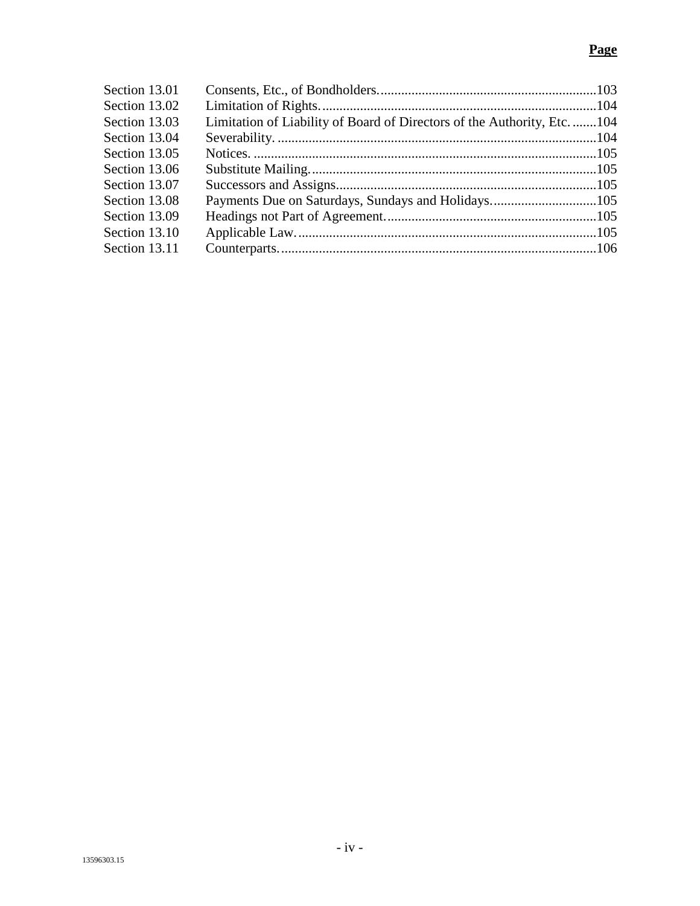| Section 13.01 |                                                                          |  |
|---------------|--------------------------------------------------------------------------|--|
| Section 13.02 |                                                                          |  |
| Section 13.03 | Limitation of Liability of Board of Directors of the Authority, Etc. 104 |  |
| Section 13.04 |                                                                          |  |
| Section 13.05 |                                                                          |  |
| Section 13.06 |                                                                          |  |
| Section 13.07 |                                                                          |  |
| Section 13.08 |                                                                          |  |
| Section 13.09 |                                                                          |  |
| Section 13.10 |                                                                          |  |
| Section 13.11 |                                                                          |  |
|               |                                                                          |  |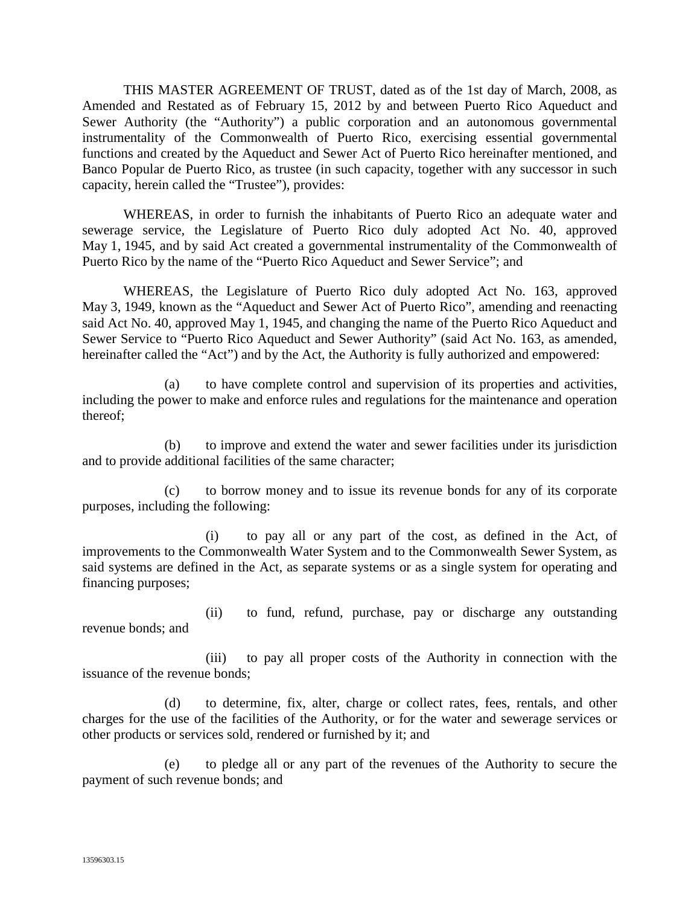THIS MASTER AGREEMENT OF TRUST, dated as of the 1st day of March, 2008, as Amended and Restated as of February 15, 2012 by and between Puerto Rico Aqueduct and Sewer Authority (the "Authority") a public corporation and an autonomous governmental instrumentality of the Commonwealth of Puerto Rico, exercising essential governmental functions and created by the Aqueduct and Sewer Act of Puerto Rico hereinafter mentioned, and Banco Popular de Puerto Rico, as trustee (in such capacity, together with any successor in such capacity, herein called the "Trustee"), provides:

WHEREAS, in order to furnish the inhabitants of Puerto Rico an adequate water and sewerage service, the Legislature of Puerto Rico duly adopted Act No. 40, approved May 1, 1945, and by said Act created a governmental instrumentality of the Commonwealth of Puerto Rico by the name of the "Puerto Rico Aqueduct and Sewer Service"; and

WHEREAS, the Legislature of Puerto Rico duly adopted Act No. 163, approved May 3, 1949, known as the "Aqueduct and Sewer Act of Puerto Rico", amending and reenacting said Act No. 40, approved May 1, 1945, and changing the name of the Puerto Rico Aqueduct and Sewer Service to "Puerto Rico Aqueduct and Sewer Authority" (said Act No. 163, as amended, hereinafter called the "Act") and by the Act, the Authority is fully authorized and empowered:

(a) to have complete control and supervision of its properties and activities, including the power to make and enforce rules and regulations for the maintenance and operation thereof;

(b) to improve and extend the water and sewer facilities under its jurisdiction and to provide additional facilities of the same character;

(c) to borrow money and to issue its revenue bonds for any of its corporate purposes, including the following:

(i) to pay all or any part of the cost, as defined in the Act, of improvements to the Commonwealth Water System and to the Commonwealth Sewer System, as said systems are defined in the Act, as separate systems or as a single system for operating and financing purposes;

(ii) to fund, refund, purchase, pay or discharge any outstanding revenue bonds; and

(iii) to pay all proper costs of the Authority in connection with the issuance of the revenue bonds;

(d) to determine, fix, alter, charge or collect rates, fees, rentals, and other charges for the use of the facilities of the Authority, or for the water and sewerage services or other products or services sold, rendered or furnished by it; and

(e) to pledge all or any part of the revenues of the Authority to secure the payment of such revenue bonds; and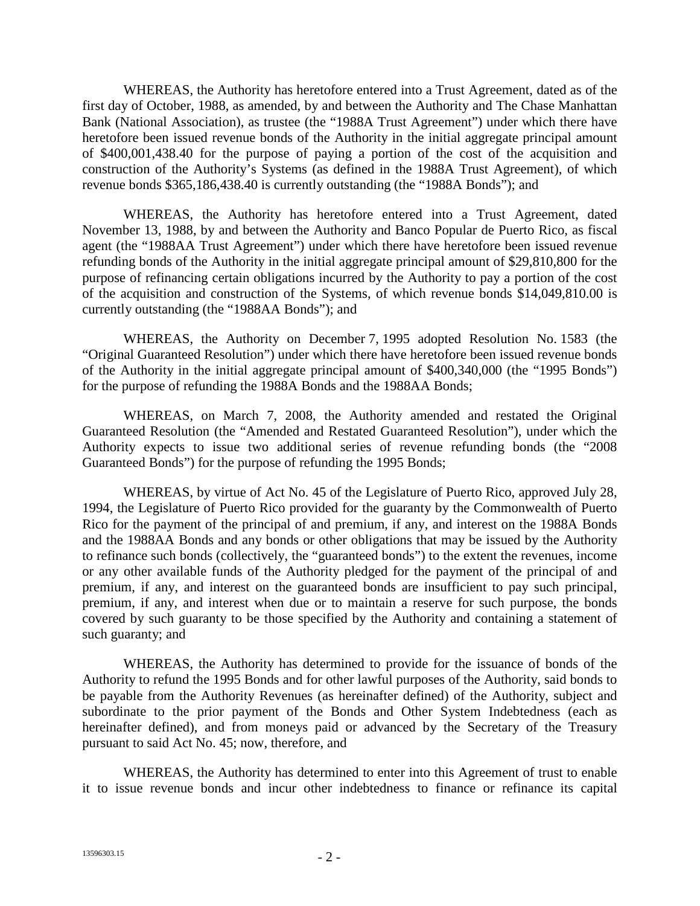WHEREAS, the Authority has heretofore entered into a Trust Agreement, dated as of the first day of October, 1988, as amended, by and between the Authority and The Chase Manhattan Bank (National Association), as trustee (the "1988A Trust Agreement") under which there have heretofore been issued revenue bonds of the Authority in the initial aggregate principal amount of \$400,001,438.40 for the purpose of paying a portion of the cost of the acquisition and construction of the Authority's Systems (as defined in the 1988A Trust Agreement), of which revenue bonds \$365,186,438.40 is currently outstanding (the "1988A Bonds"); and

WHEREAS, the Authority has heretofore entered into a Trust Agreement, dated November 13, 1988, by and between the Authority and Banco Popular de Puerto Rico, as fiscal agent (the "1988AA Trust Agreement") under which there have heretofore been issued revenue refunding bonds of the Authority in the initial aggregate principal amount of \$29,810,800 for the purpose of refinancing certain obligations incurred by the Authority to pay a portion of the cost of the acquisition and construction of the Systems, of which revenue bonds \$14,049,810.00 is currently outstanding (the "1988AA Bonds"); and

WHEREAS, the Authority on December 7, 1995 adopted Resolution No. 1583 (the "Original Guaranteed Resolution") under which there have heretofore been issued revenue bonds of the Authority in the initial aggregate principal amount of \$400,340,000 (the "1995 Bonds") for the purpose of refunding the 1988A Bonds and the 1988AA Bonds;

WHEREAS, on March 7, 2008, the Authority amended and restated the Original Guaranteed Resolution (the "Amended and Restated Guaranteed Resolution"), under which the Authority expects to issue two additional series of revenue refunding bonds (the "2008 Guaranteed Bonds") for the purpose of refunding the 1995 Bonds;

WHEREAS, by virtue of Act No. 45 of the Legislature of Puerto Rico, approved July 28, 1994, the Legislature of Puerto Rico provided for the guaranty by the Commonwealth of Puerto Rico for the payment of the principal of and premium, if any, and interest on the 1988A Bonds and the 1988AA Bonds and any bonds or other obligations that may be issued by the Authority to refinance such bonds (collectively, the "guaranteed bonds") to the extent the revenues, income or any other available funds of the Authority pledged for the payment of the principal of and premium, if any, and interest on the guaranteed bonds are insufficient to pay such principal, premium, if any, and interest when due or to maintain a reserve for such purpose, the bonds covered by such guaranty to be those specified by the Authority and containing a statement of such guaranty; and

WHEREAS, the Authority has determined to provide for the issuance of bonds of the Authority to refund the 1995 Bonds and for other lawful purposes of the Authority, said bonds to be payable from the Authority Revenues (as hereinafter defined) of the Authority, subject and subordinate to the prior payment of the Bonds and Other System Indebtedness (each as hereinafter defined), and from moneys paid or advanced by the Secretary of the Treasury pursuant to said Act No. 45; now, therefore, and

WHEREAS, the Authority has determined to enter into this Agreement of trust to enable it to issue revenue bonds and incur other indebtedness to finance or refinance its capital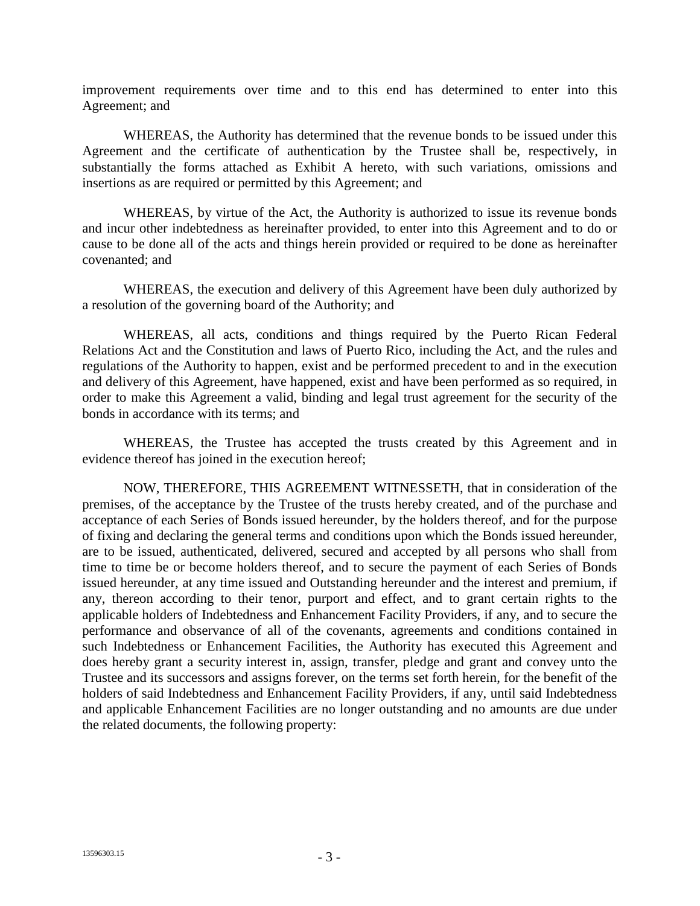improvement requirements over time and to this end has determined to enter into this Agreement; and

WHEREAS, the Authority has determined that the revenue bonds to be issued under this Agreement and the certificate of authentication by the Trustee shall be, respectively, in substantially the forms attached as Exhibit A hereto, with such variations, omissions and insertions as are required or permitted by this Agreement; and

WHEREAS, by virtue of the Act, the Authority is authorized to issue its revenue bonds and incur other indebtedness as hereinafter provided, to enter into this Agreement and to do or cause to be done all of the acts and things herein provided or required to be done as hereinafter covenanted; and

WHEREAS, the execution and delivery of this Agreement have been duly authorized by a resolution of the governing board of the Authority; and

WHEREAS, all acts, conditions and things required by the Puerto Rican Federal Relations Act and the Constitution and laws of Puerto Rico, including the Act, and the rules and regulations of the Authority to happen, exist and be performed precedent to and in the execution and delivery of this Agreement, have happened, exist and have been performed as so required, in order to make this Agreement a valid, binding and legal trust agreement for the security of the bonds in accordance with its terms; and

WHEREAS, the Trustee has accepted the trusts created by this Agreement and in evidence thereof has joined in the execution hereof;

NOW, THEREFORE, THIS AGREEMENT WITNESSETH, that in consideration of the premises, of the acceptance by the Trustee of the trusts hereby created, and of the purchase and acceptance of each Series of Bonds issued hereunder, by the holders thereof, and for the purpose of fixing and declaring the general terms and conditions upon which the Bonds issued hereunder, are to be issued, authenticated, delivered, secured and accepted by all persons who shall from time to time be or become holders thereof, and to secure the payment of each Series of Bonds issued hereunder, at any time issued and Outstanding hereunder and the interest and premium, if any, thereon according to their tenor, purport and effect, and to grant certain rights to the applicable holders of Indebtedness and Enhancement Facility Providers, if any, and to secure the performance and observance of all of the covenants, agreements and conditions contained in such Indebtedness or Enhancement Facilities, the Authority has executed this Agreement and does hereby grant a security interest in, assign, transfer, pledge and grant and convey unto the Trustee and its successors and assigns forever, on the terms set forth herein, for the benefit of the holders of said Indebtedness and Enhancement Facility Providers, if any, until said Indebtedness and applicable Enhancement Facilities are no longer outstanding and no amounts are due under the related documents, the following property: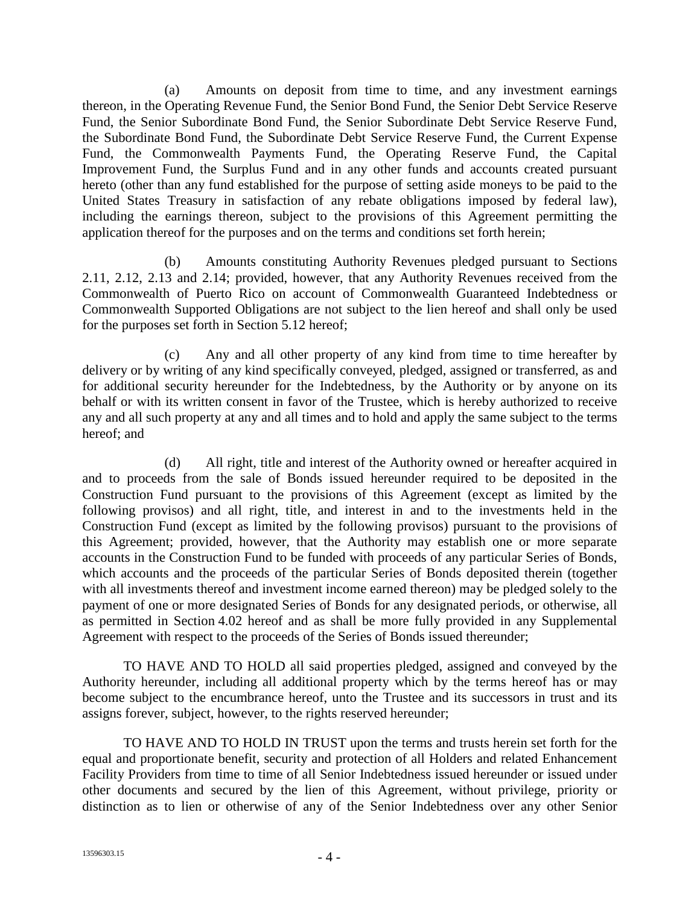(a) Amounts on deposit from time to time, and any investment earnings thereon, in the Operating Revenue Fund, the Senior Bond Fund, the Senior Debt Service Reserve Fund, the Senior Subordinate Bond Fund, the Senior Subordinate Debt Service Reserve Fund, the Subordinate Bond Fund, the Subordinate Debt Service Reserve Fund, the Current Expense Fund, the Commonwealth Payments Fund, the Operating Reserve Fund, the Capital Improvement Fund, the Surplus Fund and in any other funds and accounts created pursuant hereto (other than any fund established for the purpose of setting aside moneys to be paid to the United States Treasury in satisfaction of any rebate obligations imposed by federal law), including the earnings thereon, subject to the provisions of this Agreement permitting the application thereof for the purposes and on the terms and conditions set forth herein;

(b) Amounts constituting Authority Revenues pledged pursuant to Sections 2.11, 2.12, 2.13 and 2.14; provided, however, that any Authority Revenues received from the Commonwealth of Puerto Rico on account of Commonwealth Guaranteed Indebtedness or Commonwealth Supported Obligations are not subject to the lien hereof and shall only be used for the purposes set forth in Section 5.12 hereof;

(c) Any and all other property of any kind from time to time hereafter by delivery or by writing of any kind specifically conveyed, pledged, assigned or transferred, as and for additional security hereunder for the Indebtedness, by the Authority or by anyone on its behalf or with its written consent in favor of the Trustee, which is hereby authorized to receive any and all such property at any and all times and to hold and apply the same subject to the terms hereof; and

(d) All right, title and interest of the Authority owned or hereafter acquired in and to proceeds from the sale of Bonds issued hereunder required to be deposited in the Construction Fund pursuant to the provisions of this Agreement (except as limited by the following provisos) and all right, title, and interest in and to the investments held in the Construction Fund (except as limited by the following provisos) pursuant to the provisions of this Agreement; provided, however, that the Authority may establish one or more separate accounts in the Construction Fund to be funded with proceeds of any particular Series of Bonds, which accounts and the proceeds of the particular Series of Bonds deposited therein (together with all investments thereof and investment income earned thereon) may be pledged solely to the payment of one or more designated Series of Bonds for any designated periods, or otherwise, all as permitted in Section 4.02 hereof and as shall be more fully provided in any Supplemental Agreement with respect to the proceeds of the Series of Bonds issued thereunder;

TO HAVE AND TO HOLD all said properties pledged, assigned and conveyed by the Authority hereunder, including all additional property which by the terms hereof has or may become subject to the encumbrance hereof, unto the Trustee and its successors in trust and its assigns forever, subject, however, to the rights reserved hereunder;

TO HAVE AND TO HOLD IN TRUST upon the terms and trusts herein set forth for the equal and proportionate benefit, security and protection of all Holders and related Enhancement Facility Providers from time to time of all Senior Indebtedness issued hereunder or issued under other documents and secured by the lien of this Agreement, without privilege, priority or distinction as to lien or otherwise of any of the Senior Indebtedness over any other Senior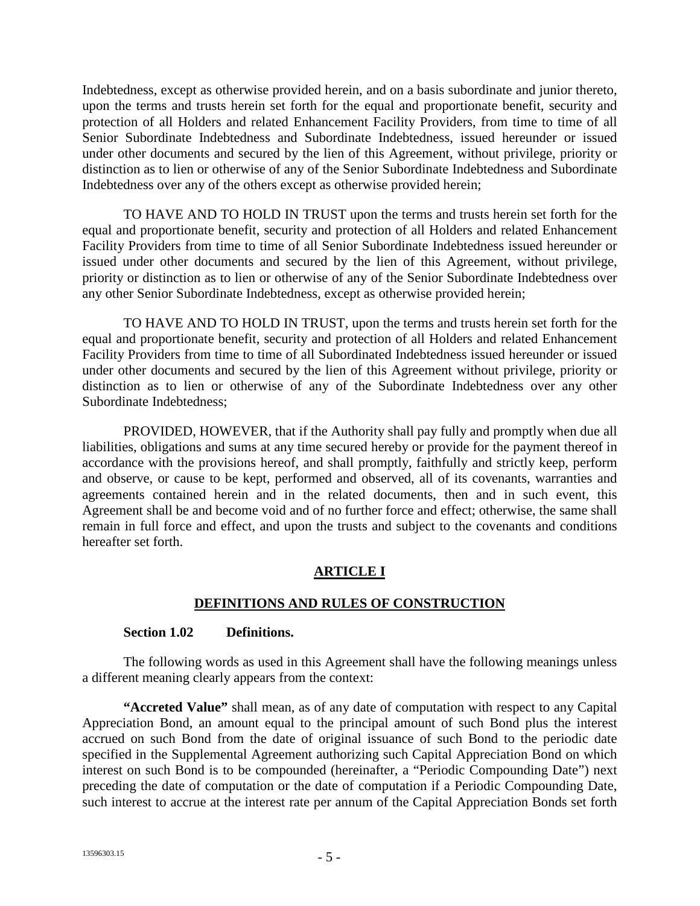Indebtedness, except as otherwise provided herein, and on a basis subordinate and junior thereto, upon the terms and trusts herein set forth for the equal and proportionate benefit, security and protection of all Holders and related Enhancement Facility Providers, from time to time of all Senior Subordinate Indebtedness and Subordinate Indebtedness, issued hereunder or issued under other documents and secured by the lien of this Agreement, without privilege, priority or distinction as to lien or otherwise of any of the Senior Subordinate Indebtedness and Subordinate Indebtedness over any of the others except as otherwise provided herein;

TO HAVE AND TO HOLD IN TRUST upon the terms and trusts herein set forth for the equal and proportionate benefit, security and protection of all Holders and related Enhancement Facility Providers from time to time of all Senior Subordinate Indebtedness issued hereunder or issued under other documents and secured by the lien of this Agreement, without privilege, priority or distinction as to lien or otherwise of any of the Senior Subordinate Indebtedness over any other Senior Subordinate Indebtedness, except as otherwise provided herein;

TO HAVE AND TO HOLD IN TRUST, upon the terms and trusts herein set forth for the equal and proportionate benefit, security and protection of all Holders and related Enhancement Facility Providers from time to time of all Subordinated Indebtedness issued hereunder or issued under other documents and secured by the lien of this Agreement without privilege, priority or distinction as to lien or otherwise of any of the Subordinate Indebtedness over any other Subordinate Indebtedness;

PROVIDED, HOWEVER, that if the Authority shall pay fully and promptly when due all liabilities, obligations and sums at any time secured hereby or provide for the payment thereof in accordance with the provisions hereof, and shall promptly, faithfully and strictly keep, perform and observe, or cause to be kept, performed and observed, all of its covenants, warranties and agreements contained herein and in the related documents, then and in such event, this Agreement shall be and become void and of no further force and effect; otherwise, the same shall remain in full force and effect, and upon the trusts and subject to the covenants and conditions hereafter set forth.

## **ARTICLE I**

## **DEFINITIONS AND RULES OF CONSTRUCTION**

#### **Section 1.02 Definitions.**

The following words as used in this Agreement shall have the following meanings unless a different meaning clearly appears from the context:

**"Accreted Value"** shall mean, as of any date of computation with respect to any Capital Appreciation Bond, an amount equal to the principal amount of such Bond plus the interest accrued on such Bond from the date of original issuance of such Bond to the periodic date specified in the Supplemental Agreement authorizing such Capital Appreciation Bond on which interest on such Bond is to be compounded (hereinafter, a "Periodic Compounding Date") next preceding the date of computation or the date of computation if a Periodic Compounding Date, such interest to accrue at the interest rate per annum of the Capital Appreciation Bonds set forth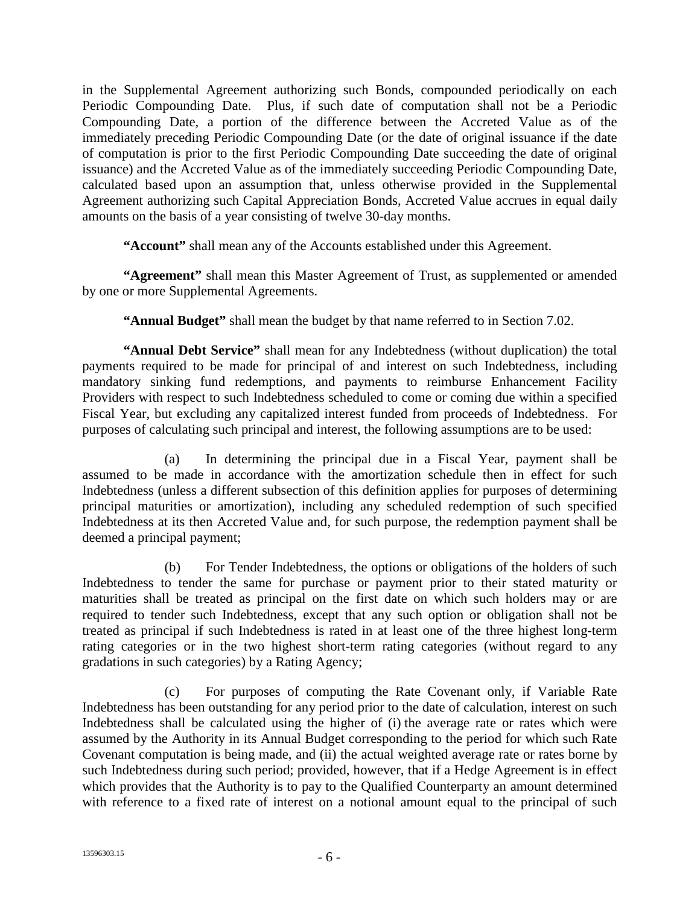in the Supplemental Agreement authorizing such Bonds, compounded periodically on each Periodic Compounding Date. Plus, if such date of computation shall not be a Periodic Compounding Date, a portion of the difference between the Accreted Value as of the immediately preceding Periodic Compounding Date (or the date of original issuance if the date of computation is prior to the first Periodic Compounding Date succeeding the date of original issuance) and the Accreted Value as of the immediately succeeding Periodic Compounding Date, calculated based upon an assumption that, unless otherwise provided in the Supplemental Agreement authorizing such Capital Appreciation Bonds, Accreted Value accrues in equal daily amounts on the basis of a year consisting of twelve 30-day months.

**"Account"** shall mean any of the Accounts established under this Agreement.

**"Agreement"** shall mean this Master Agreement of Trust, as supplemented or amended by one or more Supplemental Agreements.

**"Annual Budget"** shall mean the budget by that name referred to in Section 7.02.

**"Annual Debt Service"** shall mean for any Indebtedness (without duplication) the total payments required to be made for principal of and interest on such Indebtedness, including mandatory sinking fund redemptions, and payments to reimburse Enhancement Facility Providers with respect to such Indebtedness scheduled to come or coming due within a specified Fiscal Year, but excluding any capitalized interest funded from proceeds of Indebtedness. For purposes of calculating such principal and interest, the following assumptions are to be used:

(a) In determining the principal due in a Fiscal Year, payment shall be assumed to be made in accordance with the amortization schedule then in effect for such Indebtedness (unless a different subsection of this definition applies for purposes of determining principal maturities or amortization), including any scheduled redemption of such specified Indebtedness at its then Accreted Value and, for such purpose, the redemption payment shall be deemed a principal payment;

(b) For Tender Indebtedness, the options or obligations of the holders of such Indebtedness to tender the same for purchase or payment prior to their stated maturity or maturities shall be treated as principal on the first date on which such holders may or are required to tender such Indebtedness, except that any such option or obligation shall not be treated as principal if such Indebtedness is rated in at least one of the three highest long-term rating categories or in the two highest short-term rating categories (without regard to any gradations in such categories) by a Rating Agency;

(c) For purposes of computing the Rate Covenant only, if Variable Rate Indebtedness has been outstanding for any period prior to the date of calculation, interest on such Indebtedness shall be calculated using the higher of (i) the average rate or rates which were assumed by the Authority in its Annual Budget corresponding to the period for which such Rate Covenant computation is being made, and (ii) the actual weighted average rate or rates borne by such Indebtedness during such period; provided, however, that if a Hedge Agreement is in effect which provides that the Authority is to pay to the Qualified Counterparty an amount determined with reference to a fixed rate of interest on a notional amount equal to the principal of such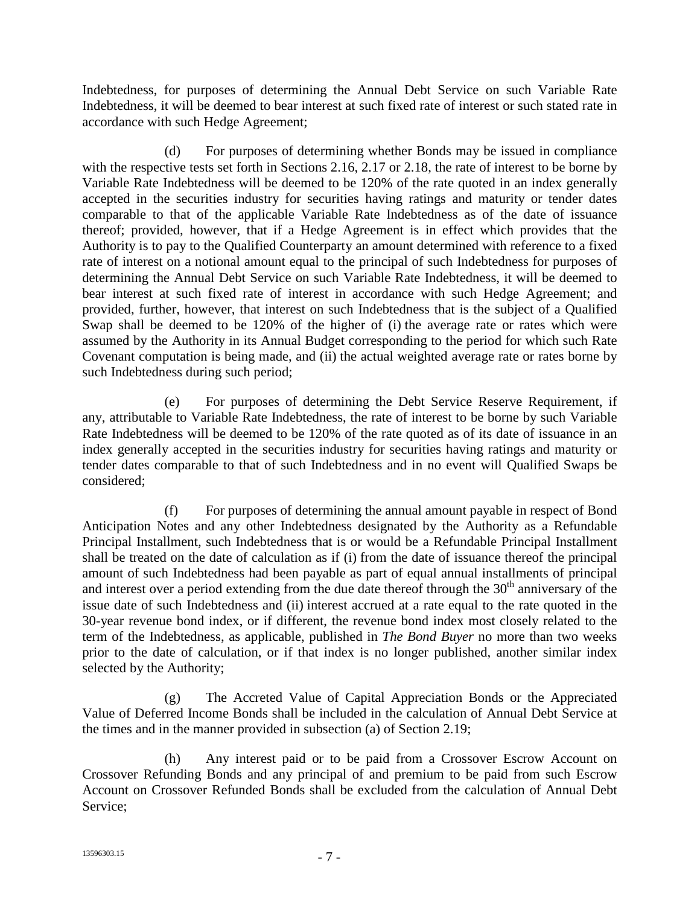Indebtedness, for purposes of determining the Annual Debt Service on such Variable Rate Indebtedness, it will be deemed to bear interest at such fixed rate of interest or such stated rate in accordance with such Hedge Agreement;

(d) For purposes of determining whether Bonds may be issued in compliance with the respective tests set forth in Sections 2.16, 2.17 or 2.18, the rate of interest to be borne by Variable Rate Indebtedness will be deemed to be 120% of the rate quoted in an index generally accepted in the securities industry for securities having ratings and maturity or tender dates comparable to that of the applicable Variable Rate Indebtedness as of the date of issuance thereof; provided, however, that if a Hedge Agreement is in effect which provides that the Authority is to pay to the Qualified Counterparty an amount determined with reference to a fixed rate of interest on a notional amount equal to the principal of such Indebtedness for purposes of determining the Annual Debt Service on such Variable Rate Indebtedness, it will be deemed to bear interest at such fixed rate of interest in accordance with such Hedge Agreement; and provided, further, however, that interest on such Indebtedness that is the subject of a Qualified Swap shall be deemed to be 120% of the higher of (i) the average rate or rates which were assumed by the Authority in its Annual Budget corresponding to the period for which such Rate Covenant computation is being made, and (ii) the actual weighted average rate or rates borne by such Indebtedness during such period;

(e) For purposes of determining the Debt Service Reserve Requirement, if any, attributable to Variable Rate Indebtedness, the rate of interest to be borne by such Variable Rate Indebtedness will be deemed to be 120% of the rate quoted as of its date of issuance in an index generally accepted in the securities industry for securities having ratings and maturity or tender dates comparable to that of such Indebtedness and in no event will Qualified Swaps be considered;

(f) For purposes of determining the annual amount payable in respect of Bond Anticipation Notes and any other Indebtedness designated by the Authority as a Refundable Principal Installment, such Indebtedness that is or would be a Refundable Principal Installment shall be treated on the date of calculation as if (i) from the date of issuance thereof the principal amount of such Indebtedness had been payable as part of equal annual installments of principal and interest over a period extending from the due date thereof through the  $30<sup>th</sup>$  anniversary of the issue date of such Indebtedness and (ii) interest accrued at a rate equal to the rate quoted in the 30-year revenue bond index, or if different, the revenue bond index most closely related to the term of the Indebtedness, as applicable, published in *The Bond Buyer* no more than two weeks prior to the date of calculation, or if that index is no longer published, another similar index selected by the Authority;

(g) The Accreted Value of Capital Appreciation Bonds or the Appreciated Value of Deferred Income Bonds shall be included in the calculation of Annual Debt Service at the times and in the manner provided in subsection (a) of Section 2.19;

(h) Any interest paid or to be paid from a Crossover Escrow Account on Crossover Refunding Bonds and any principal of and premium to be paid from such Escrow Account on Crossover Refunded Bonds shall be excluded from the calculation of Annual Debt Service;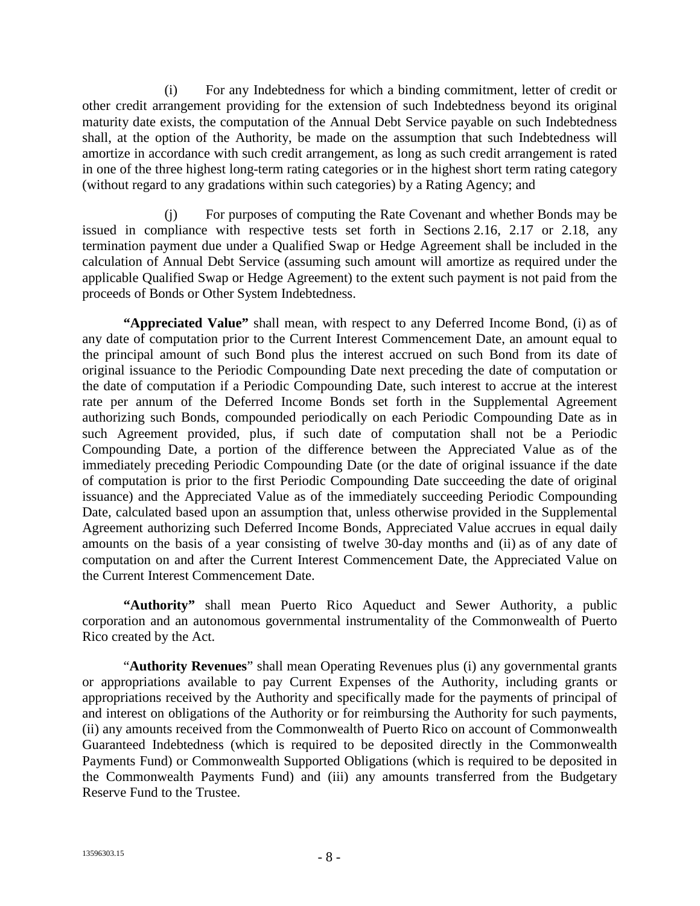(i) For any Indebtedness for which a binding commitment, letter of credit or other credit arrangement providing for the extension of such Indebtedness beyond its original maturity date exists, the computation of the Annual Debt Service payable on such Indebtedness shall, at the option of the Authority, be made on the assumption that such Indebtedness will amortize in accordance with such credit arrangement, as long as such credit arrangement is rated in one of the three highest long-term rating categories or in the highest short term rating category (without regard to any gradations within such categories) by a Rating Agency; and

(j) For purposes of computing the Rate Covenant and whether Bonds may be issued in compliance with respective tests set forth in Sections 2.16, 2.17 or 2.18, any termination payment due under a Qualified Swap or Hedge Agreement shall be included in the calculation of Annual Debt Service (assuming such amount will amortize as required under the applicable Qualified Swap or Hedge Agreement) to the extent such payment is not paid from the proceeds of Bonds or Other System Indebtedness.

**"Appreciated Value"** shall mean, with respect to any Deferred Income Bond, (i) as of any date of computation prior to the Current Interest Commencement Date, an amount equal to the principal amount of such Bond plus the interest accrued on such Bond from its date of original issuance to the Periodic Compounding Date next preceding the date of computation or the date of computation if a Periodic Compounding Date, such interest to accrue at the interest rate per annum of the Deferred Income Bonds set forth in the Supplemental Agreement authorizing such Bonds, compounded periodically on each Periodic Compounding Date as in such Agreement provided, plus, if such date of computation shall not be a Periodic Compounding Date, a portion of the difference between the Appreciated Value as of the immediately preceding Periodic Compounding Date (or the date of original issuance if the date of computation is prior to the first Periodic Compounding Date succeeding the date of original issuance) and the Appreciated Value as of the immediately succeeding Periodic Compounding Date, calculated based upon an assumption that, unless otherwise provided in the Supplemental Agreement authorizing such Deferred Income Bonds, Appreciated Value accrues in equal daily amounts on the basis of a year consisting of twelve 30-day months and (ii) as of any date of computation on and after the Current Interest Commencement Date, the Appreciated Value on the Current Interest Commencement Date.

**"Authority"** shall mean Puerto Rico Aqueduct and Sewer Authority, a public corporation and an autonomous governmental instrumentality of the Commonwealth of Puerto Rico created by the Act.

"**Authority Revenues**" shall mean Operating Revenues plus (i) any governmental grants or appropriations available to pay Current Expenses of the Authority, including grants or appropriations received by the Authority and specifically made for the payments of principal of and interest on obligations of the Authority or for reimbursing the Authority for such payments, (ii) any amounts received from the Commonwealth of Puerto Rico on account of Commonwealth Guaranteed Indebtedness (which is required to be deposited directly in the Commonwealth Payments Fund) or Commonwealth Supported Obligations (which is required to be deposited in the Commonwealth Payments Fund) and (iii) any amounts transferred from the Budgetary Reserve Fund to the Trustee.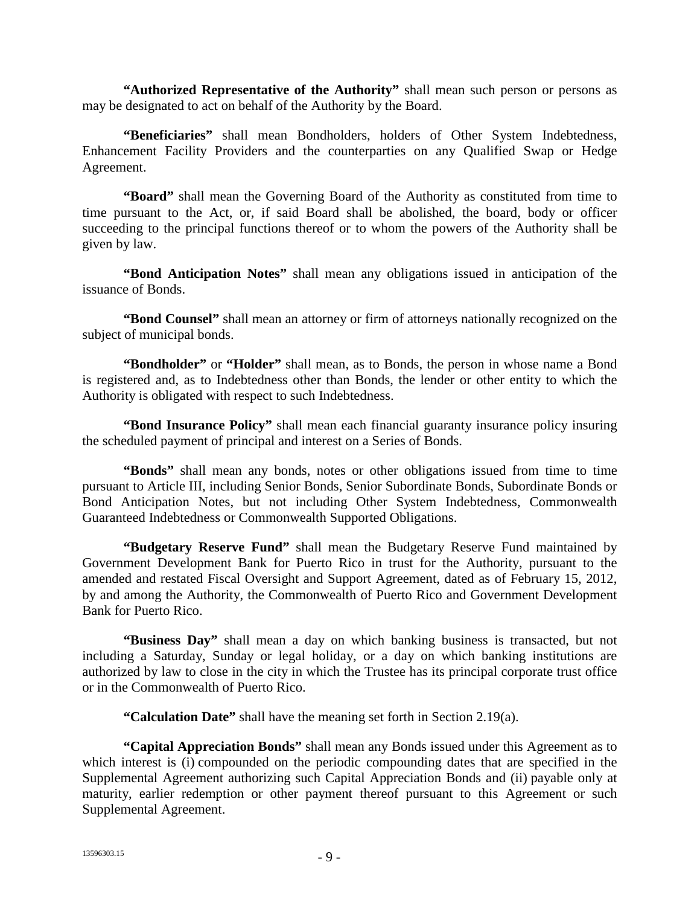**"Authorized Representative of the Authority"** shall mean such person or persons as may be designated to act on behalf of the Authority by the Board.

**"Beneficiaries"** shall mean Bondholders, holders of Other System Indebtedness, Enhancement Facility Providers and the counterparties on any Qualified Swap or Hedge Agreement.

**"Board"** shall mean the Governing Board of the Authority as constituted from time to time pursuant to the Act, or, if said Board shall be abolished, the board, body or officer succeeding to the principal functions thereof or to whom the powers of the Authority shall be given by law.

**"Bond Anticipation Notes"** shall mean any obligations issued in anticipation of the issuance of Bonds.

**"Bond Counsel"** shall mean an attorney or firm of attorneys nationally recognized on the subject of municipal bonds.

**"Bondholder"** or **"Holder"** shall mean, as to Bonds, the person in whose name a Bond is registered and, as to Indebtedness other than Bonds, the lender or other entity to which the Authority is obligated with respect to such Indebtedness.

**"Bond Insurance Policy"** shall mean each financial guaranty insurance policy insuring the scheduled payment of principal and interest on a Series of Bonds.

**"Bonds"** shall mean any bonds, notes or other obligations issued from time to time pursuant to Article III, including Senior Bonds, Senior Subordinate Bonds, Subordinate Bonds or Bond Anticipation Notes, but not including Other System Indebtedness, Commonwealth Guaranteed Indebtedness or Commonwealth Supported Obligations.

**"Budgetary Reserve Fund"** shall mean the Budgetary Reserve Fund maintained by Government Development Bank for Puerto Rico in trust for the Authority, pursuant to the amended and restated Fiscal Oversight and Support Agreement, dated as of February 15, 2012, by and among the Authority, the Commonwealth of Puerto Rico and Government Development Bank for Puerto Rico.

**"Business Day"** shall mean a day on which banking business is transacted, but not including a Saturday, Sunday or legal holiday, or a day on which banking institutions are authorized by law to close in the city in which the Trustee has its principal corporate trust office or in the Commonwealth of Puerto Rico.

**"Calculation Date"** shall have the meaning set forth in Section 2.19(a).

**"Capital Appreciation Bonds"** shall mean any Bonds issued under this Agreement as to which interest is (i) compounded on the periodic compounding dates that are specified in the Supplemental Agreement authorizing such Capital Appreciation Bonds and (ii) payable only at maturity, earlier redemption or other payment thereof pursuant to this Agreement or such Supplemental Agreement.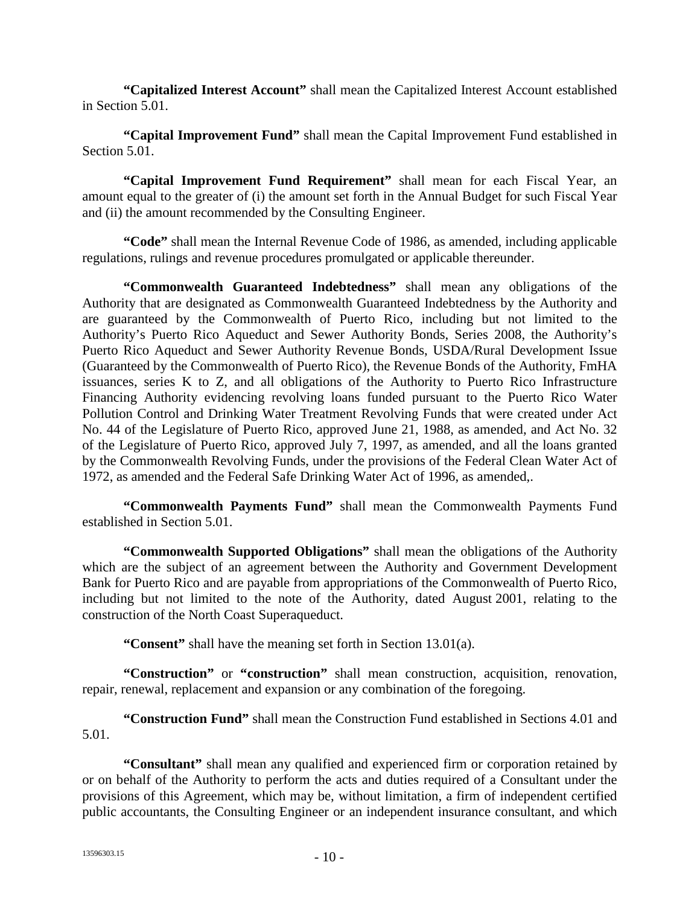**"Capitalized Interest Account"** shall mean the Capitalized Interest Account established in Section 5.01.

**"Capital Improvement Fund"** shall mean the Capital Improvement Fund established in Section 5.01.

**"Capital Improvement Fund Requirement"** shall mean for each Fiscal Year, an amount equal to the greater of (i) the amount set forth in the Annual Budget for such Fiscal Year and (ii) the amount recommended by the Consulting Engineer.

**"Code"** shall mean the Internal Revenue Code of 1986, as amended, including applicable regulations, rulings and revenue procedures promulgated or applicable thereunder.

**"Commonwealth Guaranteed Indebtedness"** shall mean any obligations of the Authority that are designated as Commonwealth Guaranteed Indebtedness by the Authority and are guaranteed by the Commonwealth of Puerto Rico, including but not limited to the Authority's Puerto Rico Aqueduct and Sewer Authority Bonds, Series 2008, the Authority's Puerto Rico Aqueduct and Sewer Authority Revenue Bonds, USDA/Rural Development Issue (Guaranteed by the Commonwealth of Puerto Rico), the Revenue Bonds of the Authority, FmHA issuances, series K to Z, and all obligations of the Authority to Puerto Rico Infrastructure Financing Authority evidencing revolving loans funded pursuant to the Puerto Rico Water Pollution Control and Drinking Water Treatment Revolving Funds that were created under Act No. 44 of the Legislature of Puerto Rico, approved June 21, 1988, as amended, and Act No. 32 of the Legislature of Puerto Rico, approved July 7, 1997, as amended, and all the loans granted by the Commonwealth Revolving Funds, under the provisions of the Federal Clean Water Act of 1972, as amended and the Federal Safe Drinking Water Act of 1996, as amended,.

**"Commonwealth Payments Fund"** shall mean the Commonwealth Payments Fund established in Section 5.01.

**"Commonwealth Supported Obligations"** shall mean the obligations of the Authority which are the subject of an agreement between the Authority and Government Development Bank for Puerto Rico and are payable from appropriations of the Commonwealth of Puerto Rico, including but not limited to the note of the Authority, dated August 2001, relating to the construction of the North Coast Superaqueduct.

**"Consent"** shall have the meaning set forth in Section 13.01(a).

**"Construction"** or **"construction"** shall mean construction, acquisition, renovation, repair, renewal, replacement and expansion or any combination of the foregoing.

**"Construction Fund"** shall mean the Construction Fund established in Sections 4.01 and 5.01.

**"Consultant"** shall mean any qualified and experienced firm or corporation retained by or on behalf of the Authority to perform the acts and duties required of a Consultant under the provisions of this Agreement, which may be, without limitation, a firm of independent certified public accountants, the Consulting Engineer or an independent insurance consultant, and which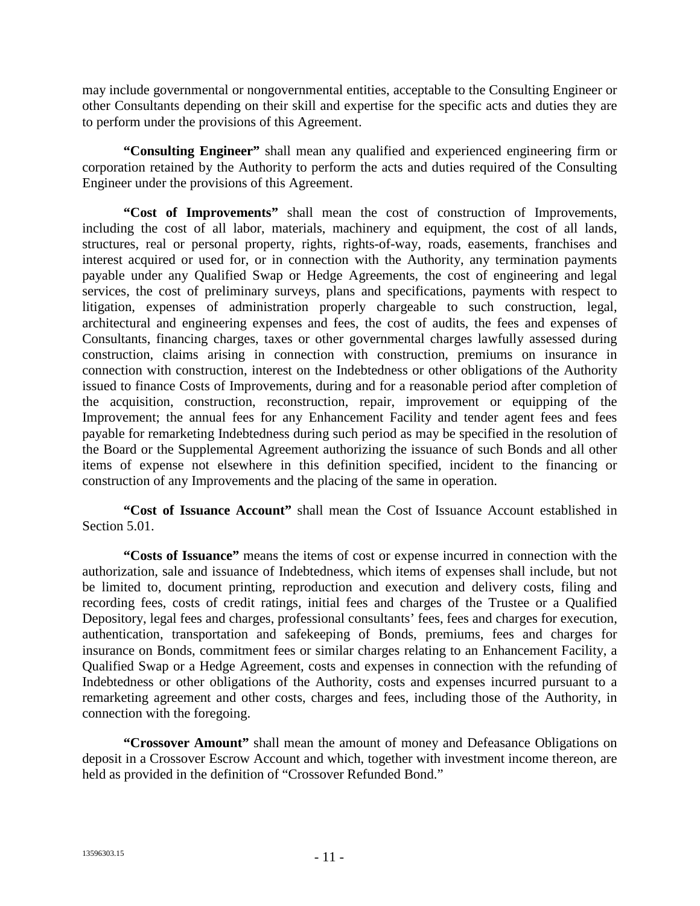may include governmental or nongovernmental entities, acceptable to the Consulting Engineer or other Consultants depending on their skill and expertise for the specific acts and duties they are to perform under the provisions of this Agreement.

**"Consulting Engineer"** shall mean any qualified and experienced engineering firm or corporation retained by the Authority to perform the acts and duties required of the Consulting Engineer under the provisions of this Agreement.

**"Cost of Improvements"** shall mean the cost of construction of Improvements, including the cost of all labor, materials, machinery and equipment, the cost of all lands, structures, real or personal property, rights, rights-of-way, roads, easements, franchises and interest acquired or used for, or in connection with the Authority, any termination payments payable under any Qualified Swap or Hedge Agreements, the cost of engineering and legal services, the cost of preliminary surveys, plans and specifications, payments with respect to litigation, expenses of administration properly chargeable to such construction, legal, architectural and engineering expenses and fees, the cost of audits, the fees and expenses of Consultants, financing charges, taxes or other governmental charges lawfully assessed during construction, claims arising in connection with construction, premiums on insurance in connection with construction, interest on the Indebtedness or other obligations of the Authority issued to finance Costs of Improvements, during and for a reasonable period after completion of the acquisition, construction, reconstruction, repair, improvement or equipping of the Improvement; the annual fees for any Enhancement Facility and tender agent fees and fees payable for remarketing Indebtedness during such period as may be specified in the resolution of the Board or the Supplemental Agreement authorizing the issuance of such Bonds and all other items of expense not elsewhere in this definition specified, incident to the financing or construction of any Improvements and the placing of the same in operation.

**"Cost of Issuance Account"** shall mean the Cost of Issuance Account established in Section 5.01.

**"Costs of Issuance"** means the items of cost or expense incurred in connection with the authorization, sale and issuance of Indebtedness, which items of expenses shall include, but not be limited to, document printing, reproduction and execution and delivery costs, filing and recording fees, costs of credit ratings, initial fees and charges of the Trustee or a Qualified Depository, legal fees and charges, professional consultants' fees, fees and charges for execution, authentication, transportation and safekeeping of Bonds, premiums, fees and charges for insurance on Bonds, commitment fees or similar charges relating to an Enhancement Facility, a Qualified Swap or a Hedge Agreement, costs and expenses in connection with the refunding of Indebtedness or other obligations of the Authority, costs and expenses incurred pursuant to a remarketing agreement and other costs, charges and fees, including those of the Authority, in connection with the foregoing.

**"Crossover Amount"** shall mean the amount of money and Defeasance Obligations on deposit in a Crossover Escrow Account and which, together with investment income thereon, are held as provided in the definition of "Crossover Refunded Bond."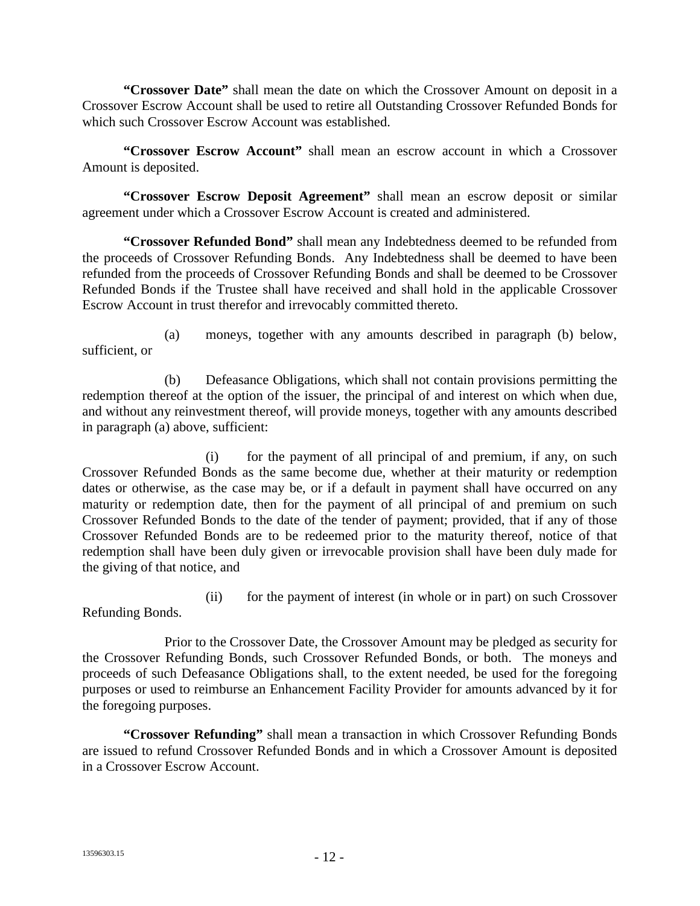**"Crossover Date"** shall mean the date on which the Crossover Amount on deposit in a Crossover Escrow Account shall be used to retire all Outstanding Crossover Refunded Bonds for which such Crossover Escrow Account was established.

**"Crossover Escrow Account"** shall mean an escrow account in which a Crossover Amount is deposited.

**"Crossover Escrow Deposit Agreement"** shall mean an escrow deposit or similar agreement under which a Crossover Escrow Account is created and administered.

**"Crossover Refunded Bond"** shall mean any Indebtedness deemed to be refunded from the proceeds of Crossover Refunding Bonds. Any Indebtedness shall be deemed to have been refunded from the proceeds of Crossover Refunding Bonds and shall be deemed to be Crossover Refunded Bonds if the Trustee shall have received and shall hold in the applicable Crossover Escrow Account in trust therefor and irrevocably committed thereto.

(a) moneys, together with any amounts described in paragraph (b) below, sufficient, or

(b) Defeasance Obligations, which shall not contain provisions permitting the redemption thereof at the option of the issuer, the principal of and interest on which when due, and without any reinvestment thereof, will provide moneys, together with any amounts described in paragraph (a) above, sufficient:

(i) for the payment of all principal of and premium, if any, on such Crossover Refunded Bonds as the same become due, whether at their maturity or redemption dates or otherwise, as the case may be, or if a default in payment shall have occurred on any maturity or redemption date, then for the payment of all principal of and premium on such Crossover Refunded Bonds to the date of the tender of payment; provided, that if any of those Crossover Refunded Bonds are to be redeemed prior to the maturity thereof, notice of that redemption shall have been duly given or irrevocable provision shall have been duly made for the giving of that notice, and

(ii) for the payment of interest (in whole or in part) on such Crossover Refunding Bonds.

Prior to the Crossover Date, the Crossover Amount may be pledged as security for the Crossover Refunding Bonds, such Crossover Refunded Bonds, or both. The moneys and proceeds of such Defeasance Obligations shall, to the extent needed, be used for the foregoing purposes or used to reimburse an Enhancement Facility Provider for amounts advanced by it for the foregoing purposes.

**"Crossover Refunding"** shall mean a transaction in which Crossover Refunding Bonds are issued to refund Crossover Refunded Bonds and in which a Crossover Amount is deposited in a Crossover Escrow Account.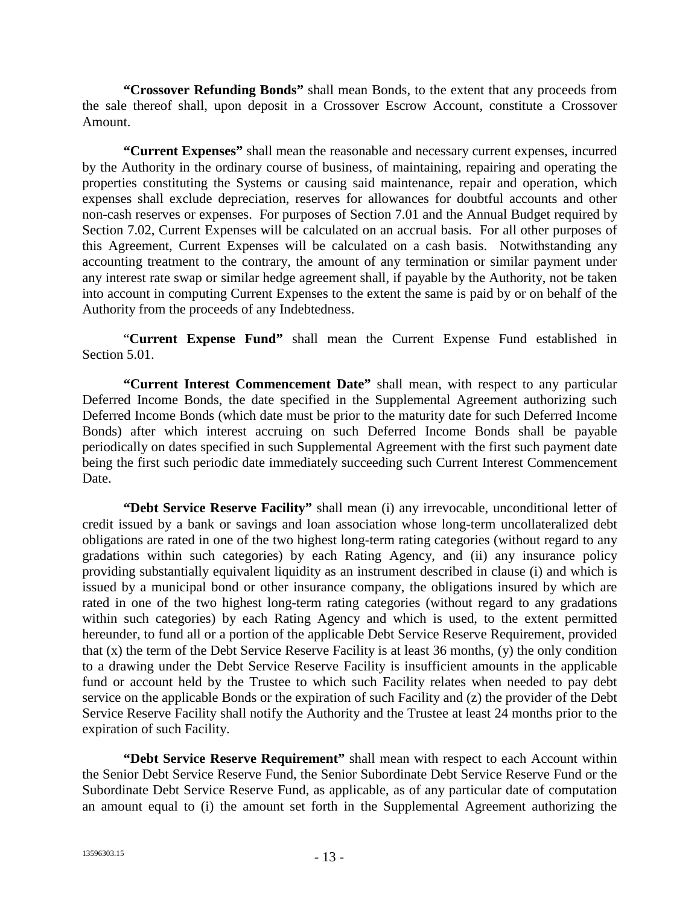**"Crossover Refunding Bonds"** shall mean Bonds, to the extent that any proceeds from the sale thereof shall, upon deposit in a Crossover Escrow Account, constitute a Crossover Amount.

**"Current Expenses"** shall mean the reasonable and necessary current expenses, incurred by the Authority in the ordinary course of business, of maintaining, repairing and operating the properties constituting the Systems or causing said maintenance, repair and operation, which expenses shall exclude depreciation, reserves for allowances for doubtful accounts and other non-cash reserves or expenses. For purposes of Section 7.01 and the Annual Budget required by Section 7.02, Current Expenses will be calculated on an accrual basis. For all other purposes of this Agreement, Current Expenses will be calculated on a cash basis. Notwithstanding any accounting treatment to the contrary, the amount of any termination or similar payment under any interest rate swap or similar hedge agreement shall, if payable by the Authority, not be taken into account in computing Current Expenses to the extent the same is paid by or on behalf of the Authority from the proceeds of any Indebtedness.

"**Current Expense Fund"** shall mean the Current Expense Fund established in Section 5.01.

**"Current Interest Commencement Date"** shall mean, with respect to any particular Deferred Income Bonds, the date specified in the Supplemental Agreement authorizing such Deferred Income Bonds (which date must be prior to the maturity date for such Deferred Income Bonds) after which interest accruing on such Deferred Income Bonds shall be payable periodically on dates specified in such Supplemental Agreement with the first such payment date being the first such periodic date immediately succeeding such Current Interest Commencement Date.

**"Debt Service Reserve Facility"** shall mean (i) any irrevocable, unconditional letter of credit issued by a bank or savings and loan association whose long-term uncollateralized debt obligations are rated in one of the two highest long-term rating categories (without regard to any gradations within such categories) by each Rating Agency, and (ii) any insurance policy providing substantially equivalent liquidity as an instrument described in clause (i) and which is issued by a municipal bond or other insurance company, the obligations insured by which are rated in one of the two highest long-term rating categories (without regard to any gradations within such categories) by each Rating Agency and which is used, to the extent permitted hereunder, to fund all or a portion of the applicable Debt Service Reserve Requirement, provided that (x) the term of the Debt Service Reserve Facility is at least 36 months, (y) the only condition to a drawing under the Debt Service Reserve Facility is insufficient amounts in the applicable fund or account held by the Trustee to which such Facility relates when needed to pay debt service on the applicable Bonds or the expiration of such Facility and (z) the provider of the Debt Service Reserve Facility shall notify the Authority and the Trustee at least 24 months prior to the expiration of such Facility.

**"Debt Service Reserve Requirement"** shall mean with respect to each Account within the Senior Debt Service Reserve Fund, the Senior Subordinate Debt Service Reserve Fund or the Subordinate Debt Service Reserve Fund, as applicable, as of any particular date of computation an amount equal to (i) the amount set forth in the Supplemental Agreement authorizing the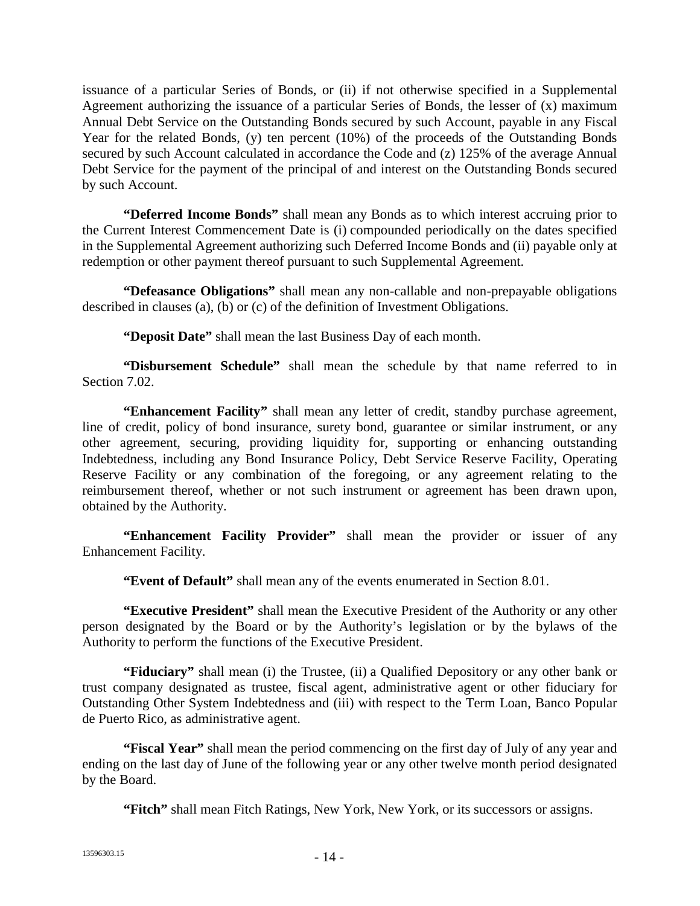issuance of a particular Series of Bonds, or (ii) if not otherwise specified in a Supplemental Agreement authorizing the issuance of a particular Series of Bonds, the lesser of (x) maximum Annual Debt Service on the Outstanding Bonds secured by such Account, payable in any Fiscal Year for the related Bonds, (y) ten percent (10%) of the proceeds of the Outstanding Bonds secured by such Account calculated in accordance the Code and (z) 125% of the average Annual Debt Service for the payment of the principal of and interest on the Outstanding Bonds secured by such Account.

**"Deferred Income Bonds"** shall mean any Bonds as to which interest accruing prior to the Current Interest Commencement Date is (i) compounded periodically on the dates specified in the Supplemental Agreement authorizing such Deferred Income Bonds and (ii) payable only at redemption or other payment thereof pursuant to such Supplemental Agreement.

**"Defeasance Obligations"** shall mean any non-callable and non-prepayable obligations described in clauses (a), (b) or (c) of the definition of Investment Obligations.

**"Deposit Date"** shall mean the last Business Day of each month.

**"Disbursement Schedule"** shall mean the schedule by that name referred to in Section 7.02.

**"Enhancement Facility"** shall mean any letter of credit, standby purchase agreement, line of credit, policy of bond insurance, surety bond, guarantee or similar instrument, or any other agreement, securing, providing liquidity for, supporting or enhancing outstanding Indebtedness, including any Bond Insurance Policy, Debt Service Reserve Facility, Operating Reserve Facility or any combination of the foregoing, or any agreement relating to the reimbursement thereof, whether or not such instrument or agreement has been drawn upon, obtained by the Authority.

**"Enhancement Facility Provider"** shall mean the provider or issuer of any Enhancement Facility.

**"Event of Default"** shall mean any of the events enumerated in Section 8.01.

**"Executive President"** shall mean the Executive President of the Authority or any other person designated by the Board or by the Authority's legislation or by the bylaws of the Authority to perform the functions of the Executive President.

**"Fiduciary"** shall mean (i) the Trustee, (ii) a Qualified Depository or any other bank or trust company designated as trustee, fiscal agent, administrative agent or other fiduciary for Outstanding Other System Indebtedness and (iii) with respect to the Term Loan, Banco Popular de Puerto Rico, as administrative agent.

**"Fiscal Year"** shall mean the period commencing on the first day of July of any year and ending on the last day of June of the following year or any other twelve month period designated by the Board.

**"Fitch"** shall mean Fitch Ratings, New York, New York, or its successors or assigns.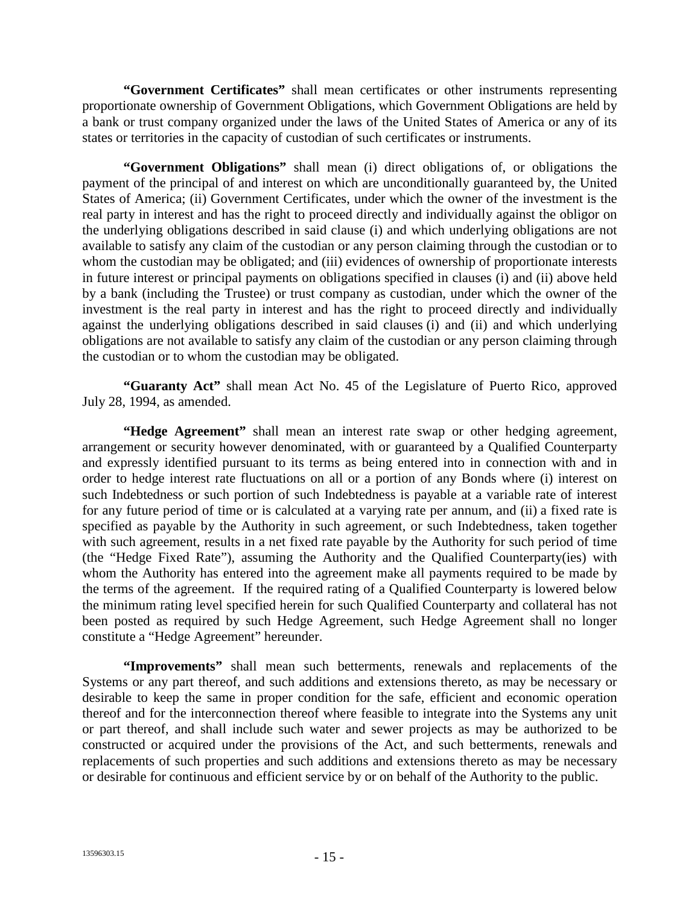**"Government Certificates"** shall mean certificates or other instruments representing proportionate ownership of Government Obligations, which Government Obligations are held by a bank or trust company organized under the laws of the United States of America or any of its states or territories in the capacity of custodian of such certificates or instruments.

**"Government Obligations"** shall mean (i) direct obligations of, or obligations the payment of the principal of and interest on which are unconditionally guaranteed by, the United States of America; (ii) Government Certificates, under which the owner of the investment is the real party in interest and has the right to proceed directly and individually against the obligor on the underlying obligations described in said clause (i) and which underlying obligations are not available to satisfy any claim of the custodian or any person claiming through the custodian or to whom the custodian may be obligated; and (iii) evidences of ownership of proportionate interests in future interest or principal payments on obligations specified in clauses (i) and (ii) above held by a bank (including the Trustee) or trust company as custodian, under which the owner of the investment is the real party in interest and has the right to proceed directly and individually against the underlying obligations described in said clauses (i) and (ii) and which underlying obligations are not available to satisfy any claim of the custodian or any person claiming through the custodian or to whom the custodian may be obligated.

**"Guaranty Act"** shall mean Act No. 45 of the Legislature of Puerto Rico, approved July 28, 1994, as amended.

**"Hedge Agreement"** shall mean an interest rate swap or other hedging agreement, arrangement or security however denominated, with or guaranteed by a Qualified Counterparty and expressly identified pursuant to its terms as being entered into in connection with and in order to hedge interest rate fluctuations on all or a portion of any Bonds where (i) interest on such Indebtedness or such portion of such Indebtedness is payable at a variable rate of interest for any future period of time or is calculated at a varying rate per annum, and (ii) a fixed rate is specified as payable by the Authority in such agreement, or such Indebtedness, taken together with such agreement, results in a net fixed rate payable by the Authority for such period of time (the "Hedge Fixed Rate"), assuming the Authority and the Qualified Counterparty(ies) with whom the Authority has entered into the agreement make all payments required to be made by the terms of the agreement. If the required rating of a Qualified Counterparty is lowered below the minimum rating level specified herein for such Qualified Counterparty and collateral has not been posted as required by such Hedge Agreement, such Hedge Agreement shall no longer constitute a "Hedge Agreement" hereunder.

**"Improvements"** shall mean such betterments, renewals and replacements of the Systems or any part thereof, and such additions and extensions thereto, as may be necessary or desirable to keep the same in proper condition for the safe, efficient and economic operation thereof and for the interconnection thereof where feasible to integrate into the Systems any unit or part thereof, and shall include such water and sewer projects as may be authorized to be constructed or acquired under the provisions of the Act, and such betterments, renewals and replacements of such properties and such additions and extensions thereto as may be necessary or desirable for continuous and efficient service by or on behalf of the Authority to the public.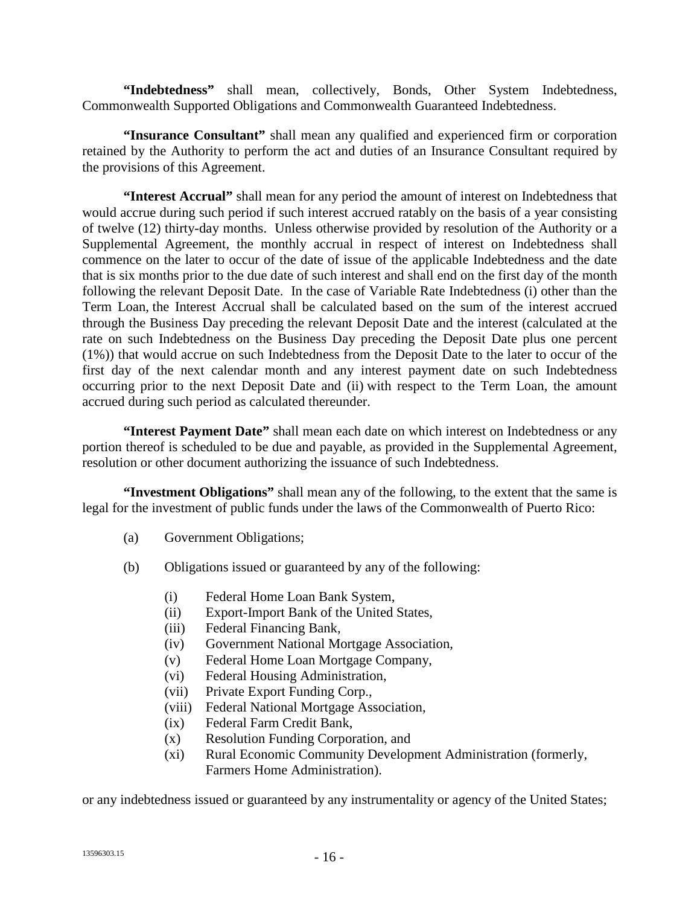**"Indebtedness"** shall mean, collectively, Bonds, Other System Indebtedness, Commonwealth Supported Obligations and Commonwealth Guaranteed Indebtedness.

**"Insurance Consultant"** shall mean any qualified and experienced firm or corporation retained by the Authority to perform the act and duties of an Insurance Consultant required by the provisions of this Agreement.

**"Interest Accrual"** shall mean for any period the amount of interest on Indebtedness that would accrue during such period if such interest accrued ratably on the basis of a year consisting of twelve (12) thirty-day months. Unless otherwise provided by resolution of the Authority or a Supplemental Agreement, the monthly accrual in respect of interest on Indebtedness shall commence on the later to occur of the date of issue of the applicable Indebtedness and the date that is six months prior to the due date of such interest and shall end on the first day of the month following the relevant Deposit Date. In the case of Variable Rate Indebtedness (i) other than the Term Loan, the Interest Accrual shall be calculated based on the sum of the interest accrued through the Business Day preceding the relevant Deposit Date and the interest (calculated at the rate on such Indebtedness on the Business Day preceding the Deposit Date plus one percent (1%)) that would accrue on such Indebtedness from the Deposit Date to the later to occur of the first day of the next calendar month and any interest payment date on such Indebtedness occurring prior to the next Deposit Date and (ii) with respect to the Term Loan, the amount accrued during such period as calculated thereunder.

**"Interest Payment Date"** shall mean each date on which interest on Indebtedness or any portion thereof is scheduled to be due and payable, as provided in the Supplemental Agreement, resolution or other document authorizing the issuance of such Indebtedness.

**"Investment Obligations"** shall mean any of the following, to the extent that the same is legal for the investment of public funds under the laws of the Commonwealth of Puerto Rico:

- (a) Government Obligations;
- (b) Obligations issued or guaranteed by any of the following:
	- (i) Federal Home Loan Bank System,
	- (ii) Export-Import Bank of the United States,
	- (iii) Federal Financing Bank,
	- (iv) Government National Mortgage Association,
	- (v) Federal Home Loan Mortgage Company,
	- (vi) Federal Housing Administration,
	- (vii) Private Export Funding Corp.,
	- (viii) Federal National Mortgage Association,
	- (ix) Federal Farm Credit Bank,
	- (x) Resolution Funding Corporation, and
	- (xi) Rural Economic Community Development Administration (formerly, Farmers Home Administration).

or any indebtedness issued or guaranteed by any instrumentality or agency of the United States;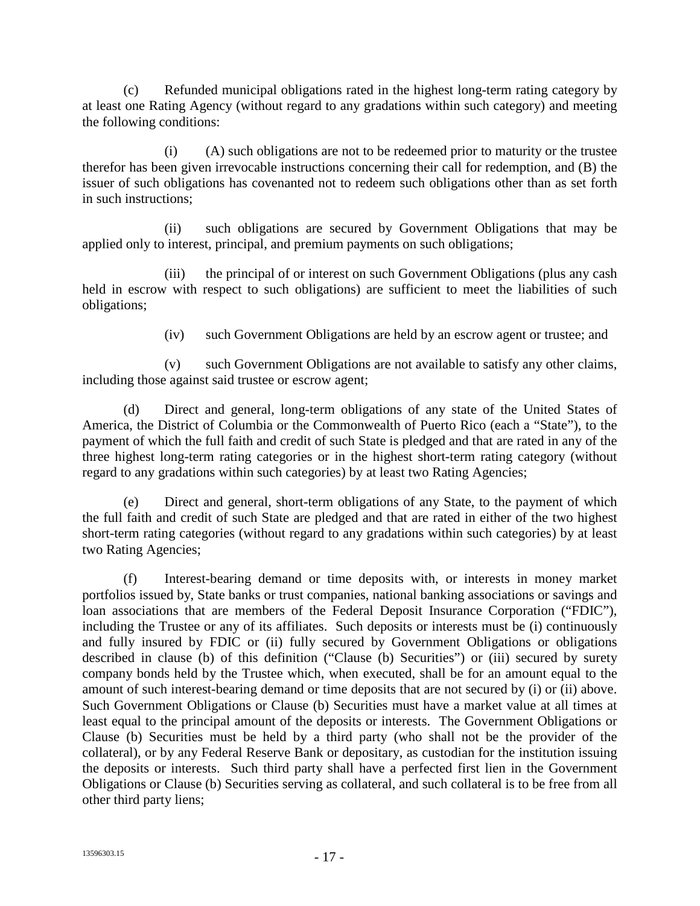(c) Refunded municipal obligations rated in the highest long-term rating category by at least one Rating Agency (without regard to any gradations within such category) and meeting the following conditions:

(i) (A) such obligations are not to be redeemed prior to maturity or the trustee therefor has been given irrevocable instructions concerning their call for redemption, and (B) the issuer of such obligations has covenanted not to redeem such obligations other than as set forth in such instructions;

(ii) such obligations are secured by Government Obligations that may be applied only to interest, principal, and premium payments on such obligations;

(iii) the principal of or interest on such Government Obligations (plus any cash held in escrow with respect to such obligations) are sufficient to meet the liabilities of such obligations;

(iv) such Government Obligations are held by an escrow agent or trustee; and

(v) such Government Obligations are not available to satisfy any other claims, including those against said trustee or escrow agent;

(d) Direct and general, long-term obligations of any state of the United States of America, the District of Columbia or the Commonwealth of Puerto Rico (each a "State"), to the payment of which the full faith and credit of such State is pledged and that are rated in any of the three highest long-term rating categories or in the highest short-term rating category (without regard to any gradations within such categories) by at least two Rating Agencies;

(e) Direct and general, short-term obligations of any State, to the payment of which the full faith and credit of such State are pledged and that are rated in either of the two highest short-term rating categories (without regard to any gradations within such categories) by at least two Rating Agencies;

(f) Interest-bearing demand or time deposits with, or interests in money market portfolios issued by, State banks or trust companies, national banking associations or savings and loan associations that are members of the Federal Deposit Insurance Corporation ("FDIC"), including the Trustee or any of its affiliates. Such deposits or interests must be (i) continuously and fully insured by FDIC or (ii) fully secured by Government Obligations or obligations described in clause (b) of this definition ("Clause (b) Securities") or (iii) secured by surety company bonds held by the Trustee which, when executed, shall be for an amount equal to the amount of such interest-bearing demand or time deposits that are not secured by (i) or (ii) above. Such Government Obligations or Clause (b) Securities must have a market value at all times at least equal to the principal amount of the deposits or interests. The Government Obligations or Clause (b) Securities must be held by a third party (who shall not be the provider of the collateral), or by any Federal Reserve Bank or depositary, as custodian for the institution issuing the deposits or interests. Such third party shall have a perfected first lien in the Government Obligations or Clause (b) Securities serving as collateral, and such collateral is to be free from all other third party liens;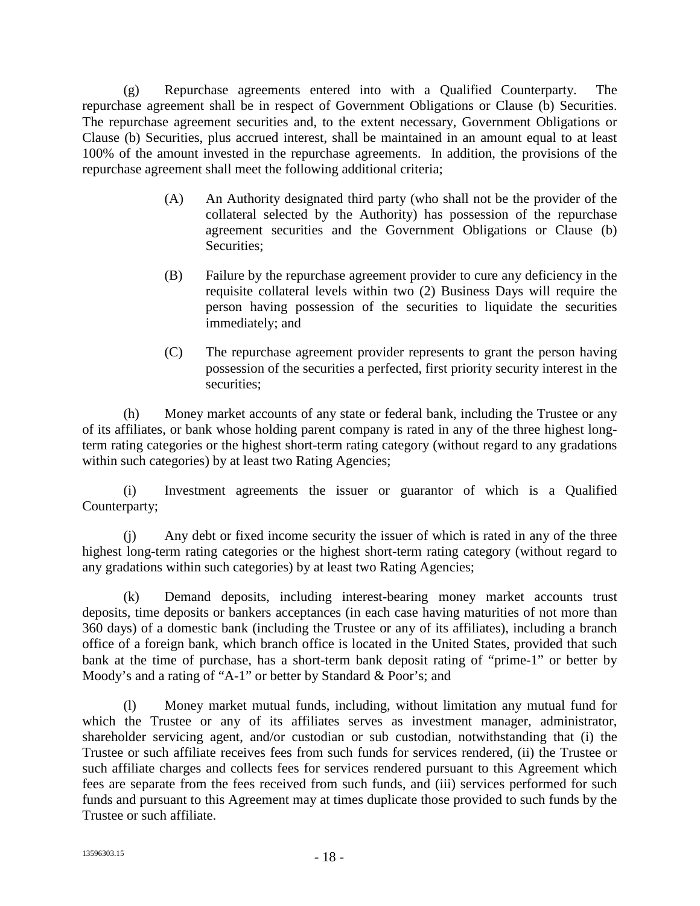(g) Repurchase agreements entered into with a Qualified Counterparty. The repurchase agreement shall be in respect of Government Obligations or Clause (b) Securities. The repurchase agreement securities and, to the extent necessary, Government Obligations or Clause (b) Securities, plus accrued interest, shall be maintained in an amount equal to at least 100% of the amount invested in the repurchase agreements. In addition, the provisions of the repurchase agreement shall meet the following additional criteria;

- (A) An Authority designated third party (who shall not be the provider of the collateral selected by the Authority) has possession of the repurchase agreement securities and the Government Obligations or Clause (b) Securities;
- (B) Failure by the repurchase agreement provider to cure any deficiency in the requisite collateral levels within two (2) Business Days will require the person having possession of the securities to liquidate the securities immediately; and
- (C) The repurchase agreement provider represents to grant the person having possession of the securities a perfected, first priority security interest in the securities;

(h) Money market accounts of any state or federal bank, including the Trustee or any of its affiliates, or bank whose holding parent company is rated in any of the three highest longterm rating categories or the highest short-term rating category (without regard to any gradations within such categories) by at least two Rating Agencies;

(i) Investment agreements the issuer or guarantor of which is a Qualified Counterparty;

(j) Any debt or fixed income security the issuer of which is rated in any of the three highest long-term rating categories or the highest short-term rating category (without regard to any gradations within such categories) by at least two Rating Agencies;

(k) Demand deposits, including interest-bearing money market accounts trust deposits, time deposits or bankers acceptances (in each case having maturities of not more than 360 days) of a domestic bank (including the Trustee or any of its affiliates), including a branch office of a foreign bank, which branch office is located in the United States, provided that such bank at the time of purchase, has a short-term bank deposit rating of "prime-1" or better by Moody's and a rating of "A-1" or better by Standard & Poor's; and

(l) Money market mutual funds, including, without limitation any mutual fund for which the Trustee or any of its affiliates serves as investment manager, administrator, shareholder servicing agent, and/or custodian or sub custodian, notwithstanding that (i) the Trustee or such affiliate receives fees from such funds for services rendered, (ii) the Trustee or such affiliate charges and collects fees for services rendered pursuant to this Agreement which fees are separate from the fees received from such funds, and (iii) services performed for such funds and pursuant to this Agreement may at times duplicate those provided to such funds by the Trustee or such affiliate.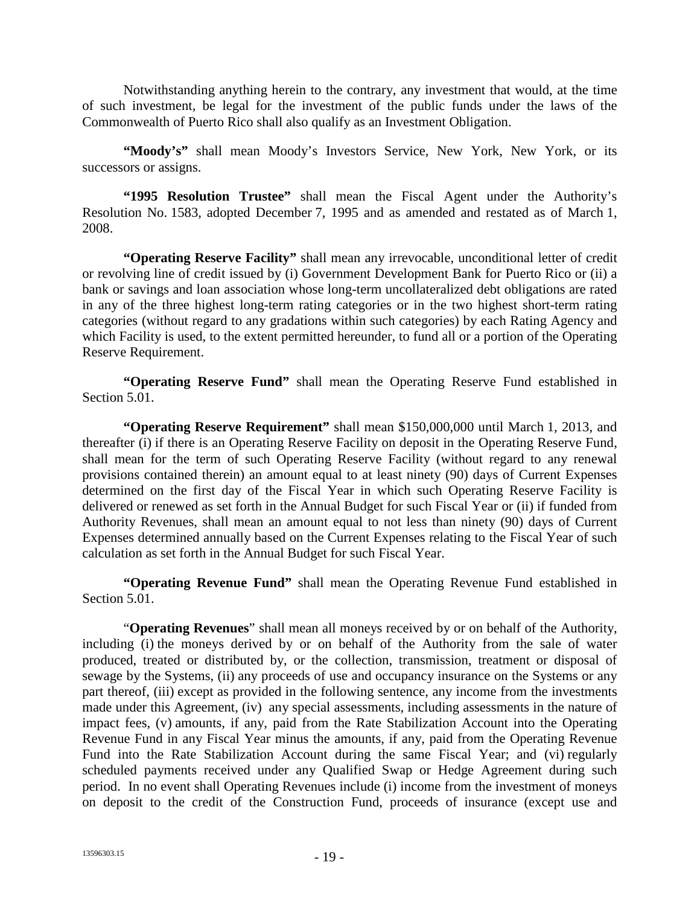Notwithstanding anything herein to the contrary, any investment that would, at the time of such investment, be legal for the investment of the public funds under the laws of the Commonwealth of Puerto Rico shall also qualify as an Investment Obligation.

"Moody's" shall mean Moody's Investors Service, New York, New York, or its successors or assigns.

**"1995 Resolution Trustee"** shall mean the Fiscal Agent under the Authority's Resolution No. 1583, adopted December 7, 1995 and as amended and restated as of March 1, 2008.

**"Operating Reserve Facility"** shall mean any irrevocable, unconditional letter of credit or revolving line of credit issued by (i) Government Development Bank for Puerto Rico or (ii) a bank or savings and loan association whose long-term uncollateralized debt obligations are rated in any of the three highest long-term rating categories or in the two highest short-term rating categories (without regard to any gradations within such categories) by each Rating Agency and which Facility is used, to the extent permitted hereunder, to fund all or a portion of the Operating Reserve Requirement.

**"Operating Reserve Fund"** shall mean the Operating Reserve Fund established in Section 5.01.

**"Operating Reserve Requirement"** shall mean \$150,000,000 until March 1, 2013, and thereafter (i) if there is an Operating Reserve Facility on deposit in the Operating Reserve Fund, shall mean for the term of such Operating Reserve Facility (without regard to any renewal provisions contained therein) an amount equal to at least ninety (90) days of Current Expenses determined on the first day of the Fiscal Year in which such Operating Reserve Facility is delivered or renewed as set forth in the Annual Budget for such Fiscal Year or (ii) if funded from Authority Revenues, shall mean an amount equal to not less than ninety (90) days of Current Expenses determined annually based on the Current Expenses relating to the Fiscal Year of such calculation as set forth in the Annual Budget for such Fiscal Year.

**"Operating Revenue Fund"** shall mean the Operating Revenue Fund established in Section 5.01.

"**Operating Revenues**" shall mean all moneys received by or on behalf of the Authority, including (i) the moneys derived by or on behalf of the Authority from the sale of water produced, treated or distributed by, or the collection, transmission, treatment or disposal of sewage by the Systems, (ii) any proceeds of use and occupancy insurance on the Systems or any part thereof, (iii) except as provided in the following sentence, any income from the investments made under this Agreement, (iv) any special assessments, including assessments in the nature of impact fees, (v) amounts, if any, paid from the Rate Stabilization Account into the Operating Revenue Fund in any Fiscal Year minus the amounts, if any, paid from the Operating Revenue Fund into the Rate Stabilization Account during the same Fiscal Year; and (vi) regularly scheduled payments received under any Qualified Swap or Hedge Agreement during such period. In no event shall Operating Revenues include (i) income from the investment of moneys on deposit to the credit of the Construction Fund, proceeds of insurance (except use and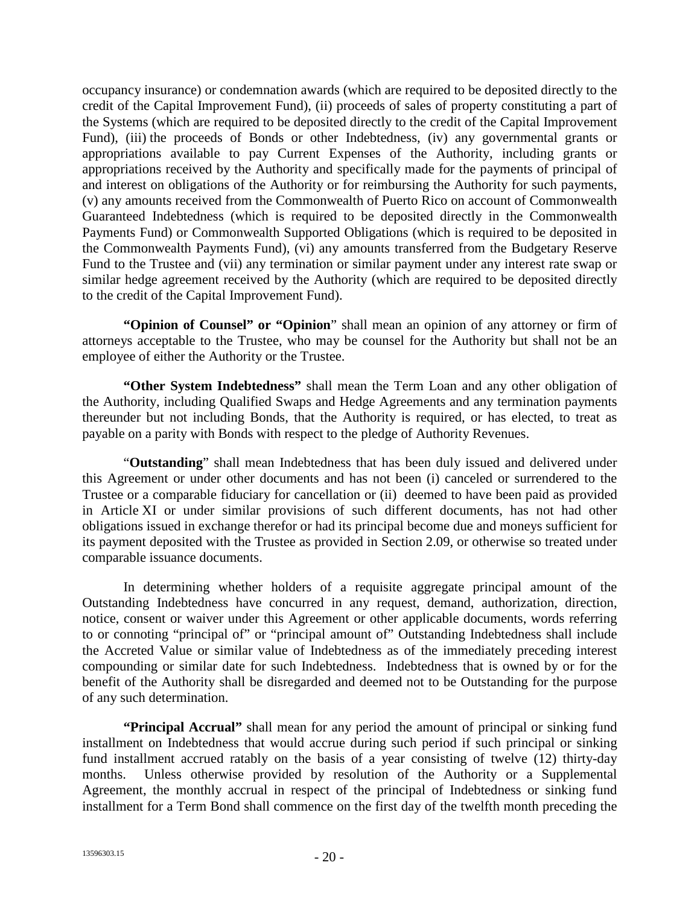occupancy insurance) or condemnation awards (which are required to be deposited directly to the credit of the Capital Improvement Fund), (ii) proceeds of sales of property constituting a part of the Systems (which are required to be deposited directly to the credit of the Capital Improvement Fund), (iii) the proceeds of Bonds or other Indebtedness, (iv) any governmental grants or appropriations available to pay Current Expenses of the Authority, including grants or appropriations received by the Authority and specifically made for the payments of principal of and interest on obligations of the Authority or for reimbursing the Authority for such payments, (v) any amounts received from the Commonwealth of Puerto Rico on account of Commonwealth Guaranteed Indebtedness (which is required to be deposited directly in the Commonwealth Payments Fund) or Commonwealth Supported Obligations (which is required to be deposited in the Commonwealth Payments Fund), (vi) any amounts transferred from the Budgetary Reserve Fund to the Trustee and (vii) any termination or similar payment under any interest rate swap or similar hedge agreement received by the Authority (which are required to be deposited directly to the credit of the Capital Improvement Fund).

**"Opinion of Counsel" or "Opinion**" shall mean an opinion of any attorney or firm of attorneys acceptable to the Trustee, who may be counsel for the Authority but shall not be an employee of either the Authority or the Trustee.

**"Other System Indebtedness"** shall mean the Term Loan and any other obligation of the Authority, including Qualified Swaps and Hedge Agreements and any termination payments thereunder but not including Bonds, that the Authority is required, or has elected, to treat as payable on a parity with Bonds with respect to the pledge of Authority Revenues.

"**Outstanding**" shall mean Indebtedness that has been duly issued and delivered under this Agreement or under other documents and has not been (i) canceled or surrendered to the Trustee or a comparable fiduciary for cancellation or (ii) deemed to have been paid as provided in Article XI or under similar provisions of such different documents, has not had other obligations issued in exchange therefor or had its principal become due and moneys sufficient for its payment deposited with the Trustee as provided in Section 2.09, or otherwise so treated under comparable issuance documents.

In determining whether holders of a requisite aggregate principal amount of the Outstanding Indebtedness have concurred in any request, demand, authorization, direction, notice, consent or waiver under this Agreement or other applicable documents, words referring to or connoting "principal of" or "principal amount of" Outstanding Indebtedness shall include the Accreted Value or similar value of Indebtedness as of the immediately preceding interest compounding or similar date for such Indebtedness. Indebtedness that is owned by or for the benefit of the Authority shall be disregarded and deemed not to be Outstanding for the purpose of any such determination.

**"Principal Accrual"** shall mean for any period the amount of principal or sinking fund installment on Indebtedness that would accrue during such period if such principal or sinking fund installment accrued ratably on the basis of a year consisting of twelve (12) thirty-day months. Unless otherwise provided by resolution of the Authority or a Supplemental Agreement, the monthly accrual in respect of the principal of Indebtedness or sinking fund installment for a Term Bond shall commence on the first day of the twelfth month preceding the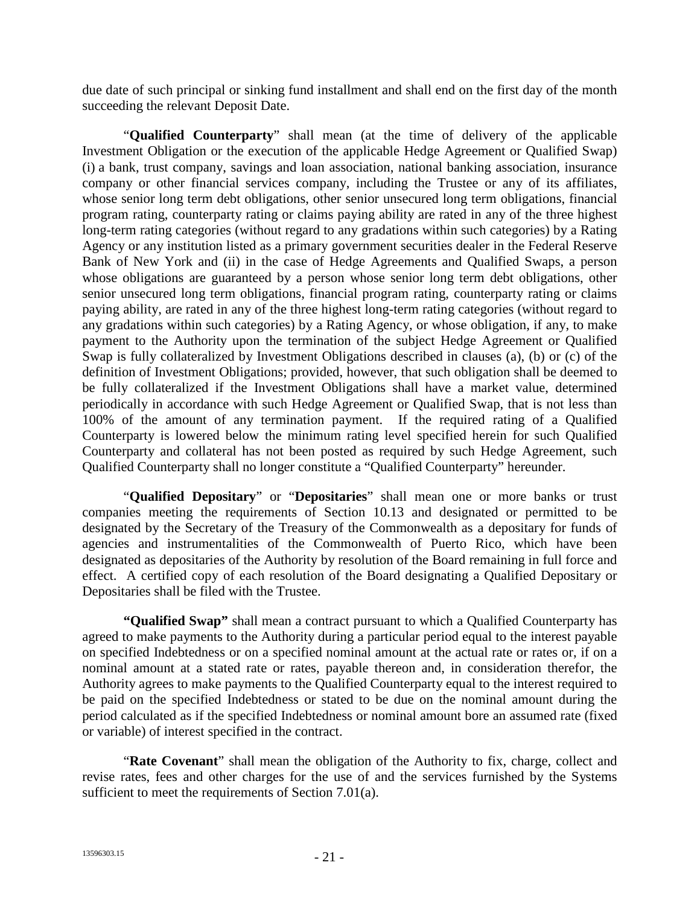due date of such principal or sinking fund installment and shall end on the first day of the month succeeding the relevant Deposit Date.

"**Qualified Counterparty**" shall mean (at the time of delivery of the applicable Investment Obligation or the execution of the applicable Hedge Agreement or Qualified Swap) (i) a bank, trust company, savings and loan association, national banking association, insurance company or other financial services company, including the Trustee or any of its affiliates, whose senior long term debt obligations, other senior unsecured long term obligations, financial program rating, counterparty rating or claims paying ability are rated in any of the three highest long-term rating categories (without regard to any gradations within such categories) by a Rating Agency or any institution listed as a primary government securities dealer in the Federal Reserve Bank of New York and (ii) in the case of Hedge Agreements and Qualified Swaps, a person whose obligations are guaranteed by a person whose senior long term debt obligations, other senior unsecured long term obligations, financial program rating, counterparty rating or claims paying ability, are rated in any of the three highest long-term rating categories (without regard to any gradations within such categories) by a Rating Agency, or whose obligation, if any, to make payment to the Authority upon the termination of the subject Hedge Agreement or Qualified Swap is fully collateralized by Investment Obligations described in clauses (a), (b) or (c) of the definition of Investment Obligations; provided, however, that such obligation shall be deemed to be fully collateralized if the Investment Obligations shall have a market value, determined periodically in accordance with such Hedge Agreement or Qualified Swap, that is not less than 100% of the amount of any termination payment. If the required rating of a Qualified Counterparty is lowered below the minimum rating level specified herein for such Qualified Counterparty and collateral has not been posted as required by such Hedge Agreement, such Qualified Counterparty shall no longer constitute a "Qualified Counterparty" hereunder.

"**Qualified Depositary**" or "**Depositaries**" shall mean one or more banks or trust companies meeting the requirements of Section 10.13 and designated or permitted to be designated by the Secretary of the Treasury of the Commonwealth as a depositary for funds of agencies and instrumentalities of the Commonwealth of Puerto Rico, which have been designated as depositaries of the Authority by resolution of the Board remaining in full force and effect. A certified copy of each resolution of the Board designating a Qualified Depositary or Depositaries shall be filed with the Trustee.

**"Qualified Swap"** shall mean a contract pursuant to which a Qualified Counterparty has agreed to make payments to the Authority during a particular period equal to the interest payable on specified Indebtedness or on a specified nominal amount at the actual rate or rates or, if on a nominal amount at a stated rate or rates, payable thereon and, in consideration therefor, the Authority agrees to make payments to the Qualified Counterparty equal to the interest required to be paid on the specified Indebtedness or stated to be due on the nominal amount during the period calculated as if the specified Indebtedness or nominal amount bore an assumed rate (fixed or variable) of interest specified in the contract.

"**Rate Covenant**" shall mean the obligation of the Authority to fix, charge, collect and revise rates, fees and other charges for the use of and the services furnished by the Systems sufficient to meet the requirements of Section 7.01(a).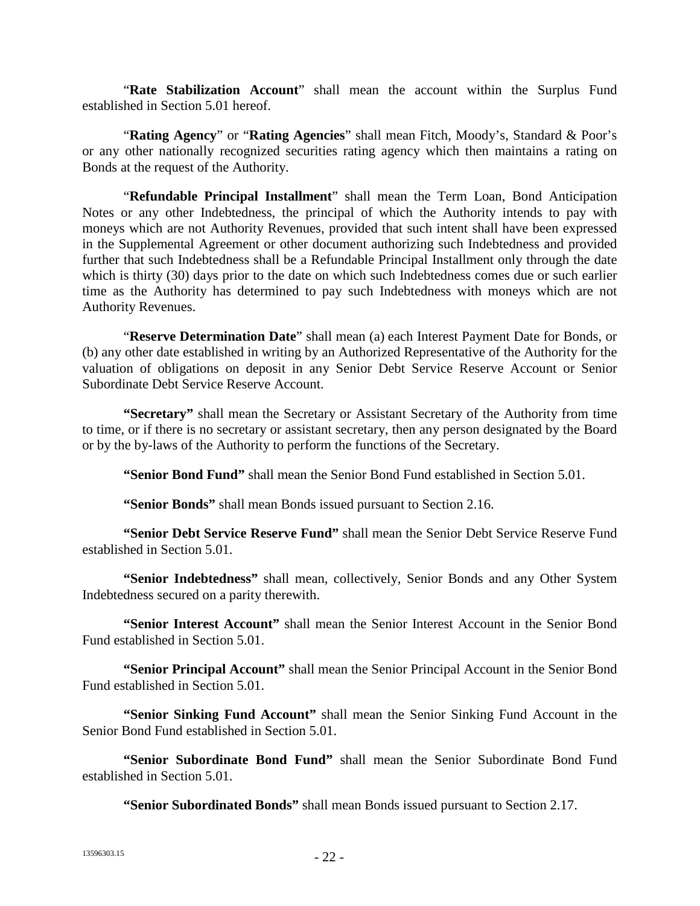"**Rate Stabilization Account**" shall mean the account within the Surplus Fund established in Section 5.01 hereof.

"**Rating Agency**" or "**Rating Agencies**" shall mean Fitch, Moody's, Standard & Poor's or any other nationally recognized securities rating agency which then maintains a rating on Bonds at the request of the Authority.

"**Refundable Principal Installment**" shall mean the Term Loan, Bond Anticipation Notes or any other Indebtedness, the principal of which the Authority intends to pay with moneys which are not Authority Revenues, provided that such intent shall have been expressed in the Supplemental Agreement or other document authorizing such Indebtedness and provided further that such Indebtedness shall be a Refundable Principal Installment only through the date which is thirty (30) days prior to the date on which such Indebtedness comes due or such earlier time as the Authority has determined to pay such Indebtedness with moneys which are not Authority Revenues.

"**Reserve Determination Date**" shall mean (a) each Interest Payment Date for Bonds, or (b) any other date established in writing by an Authorized Representative of the Authority for the valuation of obligations on deposit in any Senior Debt Service Reserve Account or Senior Subordinate Debt Service Reserve Account.

**"Secretary"** shall mean the Secretary or Assistant Secretary of the Authority from time to time, or if there is no secretary or assistant secretary, then any person designated by the Board or by the by-laws of the Authority to perform the functions of the Secretary.

**"Senior Bond Fund"** shall mean the Senior Bond Fund established in Section 5.01.

**"Senior Bonds"** shall mean Bonds issued pursuant to Section 2.16.

**"Senior Debt Service Reserve Fund"** shall mean the Senior Debt Service Reserve Fund established in Section 5.01.

**"Senior Indebtedness"** shall mean, collectively, Senior Bonds and any Other System Indebtedness secured on a parity therewith.

**"Senior Interest Account"** shall mean the Senior Interest Account in the Senior Bond Fund established in Section 5.01.

**"Senior Principal Account"** shall mean the Senior Principal Account in the Senior Bond Fund established in Section 5.01.

**"Senior Sinking Fund Account"** shall mean the Senior Sinking Fund Account in the Senior Bond Fund established in Section 5.01.

**"Senior Subordinate Bond Fund"** shall mean the Senior Subordinate Bond Fund established in Section 5.01.

**"Senior Subordinated Bonds"** shall mean Bonds issued pursuant to Section 2.17.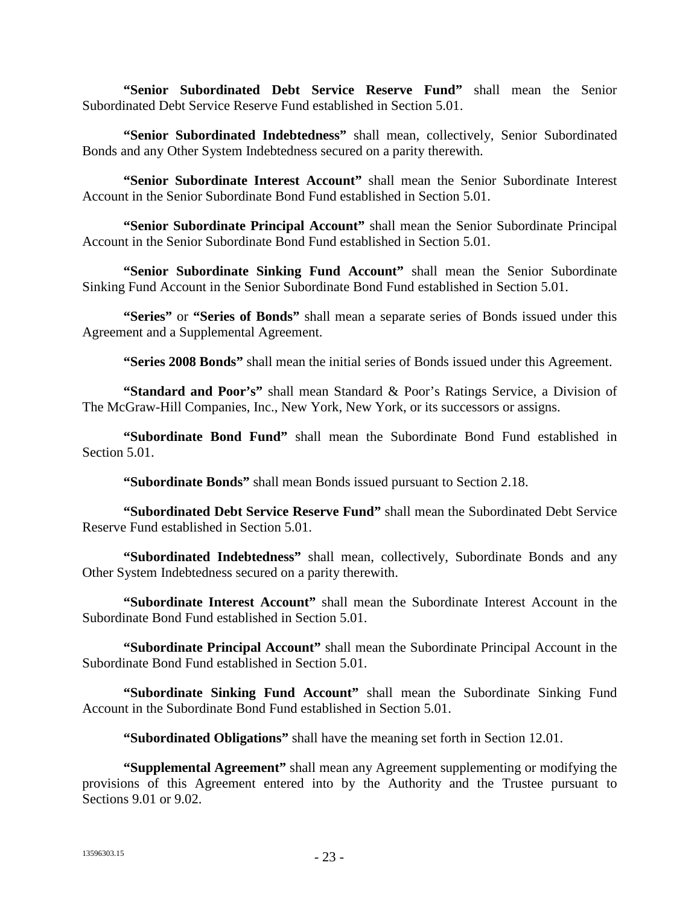**"Senior Subordinated Debt Service Reserve Fund"** shall mean the Senior Subordinated Debt Service Reserve Fund established in Section 5.01.

**"Senior Subordinated Indebtedness"** shall mean, collectively, Senior Subordinated Bonds and any Other System Indebtedness secured on a parity therewith.

**"Senior Subordinate Interest Account"** shall mean the Senior Subordinate Interest Account in the Senior Subordinate Bond Fund established in Section 5.01.

**"Senior Subordinate Principal Account"** shall mean the Senior Subordinate Principal Account in the Senior Subordinate Bond Fund established in Section 5.01.

**"Senior Subordinate Sinking Fund Account"** shall mean the Senior Subordinate Sinking Fund Account in the Senior Subordinate Bond Fund established in Section 5.01.

**"Series"** or **"Series of Bonds"** shall mean a separate series of Bonds issued under this Agreement and a Supplemental Agreement.

**"Series 2008 Bonds"** shall mean the initial series of Bonds issued under this Agreement.

**"Standard and Poor's"** shall mean Standard & Poor's Ratings Service, a Division of The McGraw-Hill Companies, Inc., New York, New York, or its successors or assigns.

**"Subordinate Bond Fund"** shall mean the Subordinate Bond Fund established in Section 5.01.

**"Subordinate Bonds"** shall mean Bonds issued pursuant to Section 2.18.

**"Subordinated Debt Service Reserve Fund"** shall mean the Subordinated Debt Service Reserve Fund established in Section 5.01.

**"Subordinated Indebtedness"** shall mean, collectively, Subordinate Bonds and any Other System Indebtedness secured on a parity therewith.

**"Subordinate Interest Account"** shall mean the Subordinate Interest Account in the Subordinate Bond Fund established in Section 5.01.

**"Subordinate Principal Account"** shall mean the Subordinate Principal Account in the Subordinate Bond Fund established in Section 5.01.

**"Subordinate Sinking Fund Account"** shall mean the Subordinate Sinking Fund Account in the Subordinate Bond Fund established in Section 5.01.

**"Subordinated Obligations"** shall have the meaning set forth in Section 12.01.

**"Supplemental Agreement"** shall mean any Agreement supplementing or modifying the provisions of this Agreement entered into by the Authority and the Trustee pursuant to Sections 9.01 or 9.02.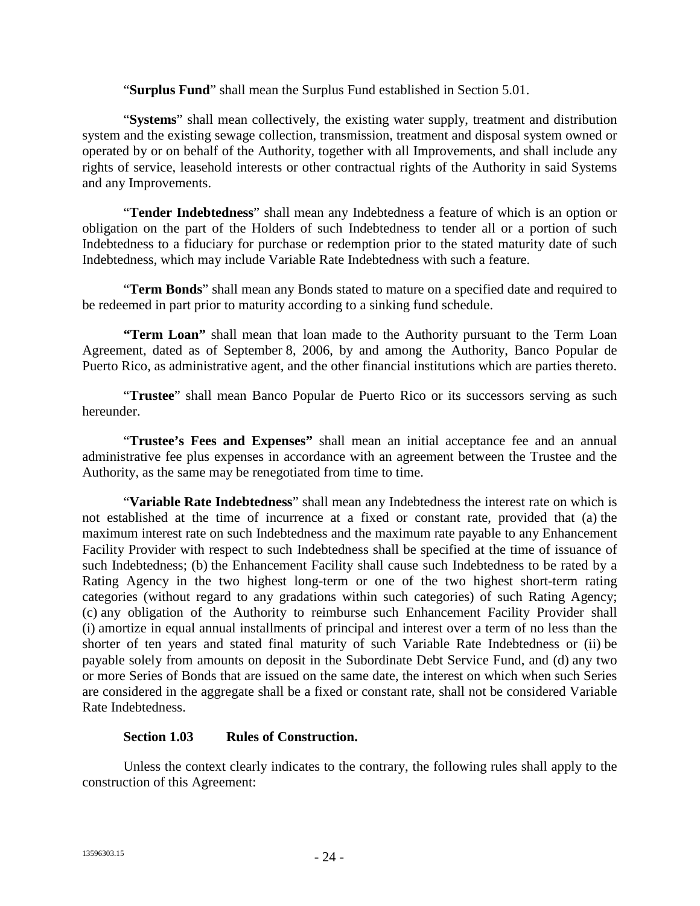"**Surplus Fund**" shall mean the Surplus Fund established in Section 5.01.

"**Systems**" shall mean collectively, the existing water supply, treatment and distribution system and the existing sewage collection, transmission, treatment and disposal system owned or operated by or on behalf of the Authority, together with all Improvements, and shall include any rights of service, leasehold interests or other contractual rights of the Authority in said Systems and any Improvements.

"**Tender Indebtedness**" shall mean any Indebtedness a feature of which is an option or obligation on the part of the Holders of such Indebtedness to tender all or a portion of such Indebtedness to a fiduciary for purchase or redemption prior to the stated maturity date of such Indebtedness, which may include Variable Rate Indebtedness with such a feature.

"**Term Bonds**" shall mean any Bonds stated to mature on a specified date and required to be redeemed in part prior to maturity according to a sinking fund schedule.

**"Term Loan"** shall mean that loan made to the Authority pursuant to the Term Loan Agreement, dated as of September 8, 2006, by and among the Authority, Banco Popular de Puerto Rico, as administrative agent, and the other financial institutions which are parties thereto.

"**Trustee**" shall mean Banco Popular de Puerto Rico or its successors serving as such hereunder.

"**Trustee's Fees and Expenses"** shall mean an initial acceptance fee and an annual administrative fee plus expenses in accordance with an agreement between the Trustee and the Authority, as the same may be renegotiated from time to time.

"**Variable Rate Indebtedness**" shall mean any Indebtedness the interest rate on which is not established at the time of incurrence at a fixed or constant rate, provided that (a) the maximum interest rate on such Indebtedness and the maximum rate payable to any Enhancement Facility Provider with respect to such Indebtedness shall be specified at the time of issuance of such Indebtedness; (b) the Enhancement Facility shall cause such Indebtedness to be rated by a Rating Agency in the two highest long-term or one of the two highest short-term rating categories (without regard to any gradations within such categories) of such Rating Agency; (c) any obligation of the Authority to reimburse such Enhancement Facility Provider shall (i) amortize in equal annual installments of principal and interest over a term of no less than the shorter of ten years and stated final maturity of such Variable Rate Indebtedness or (ii) be payable solely from amounts on deposit in the Subordinate Debt Service Fund, and (d) any two or more Series of Bonds that are issued on the same date, the interest on which when such Series are considered in the aggregate shall be a fixed or constant rate, shall not be considered Variable Rate Indebtedness.

## **Section 1.03 Rules of Construction.**

Unless the context clearly indicates to the contrary, the following rules shall apply to the construction of this Agreement: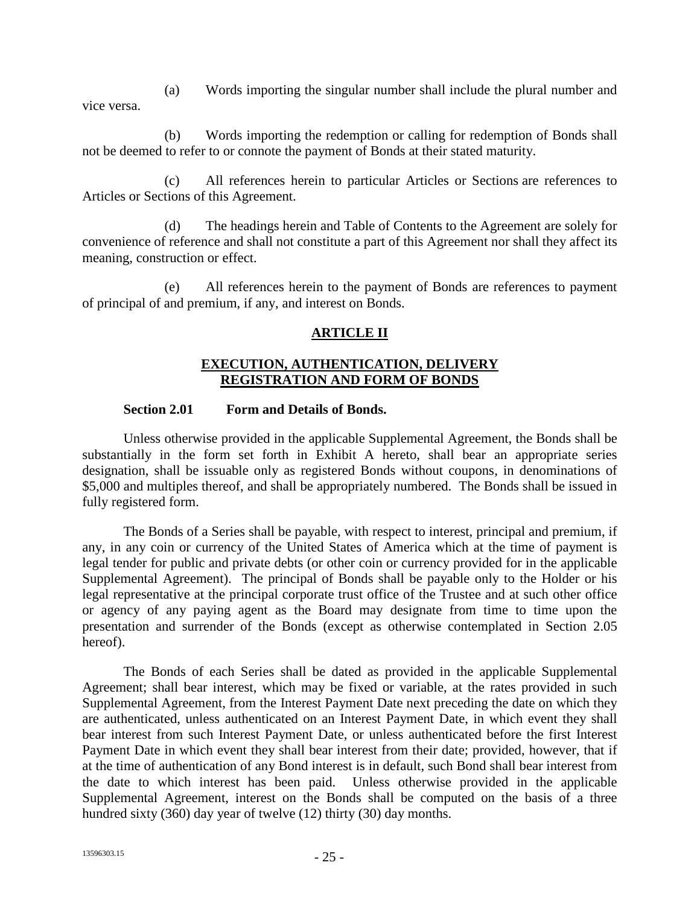(a) Words importing the singular number shall include the plural number and vice versa.

(b) Words importing the redemption or calling for redemption of Bonds shall not be deemed to refer to or connote the payment of Bonds at their stated maturity.

(c) All references herein to particular Articles or Sections are references to Articles or Sections of this Agreement.

(d) The headings herein and Table of Contents to the Agreement are solely for convenience of reference and shall not constitute a part of this Agreement nor shall they affect its meaning, construction or effect.

(e) All references herein to the payment of Bonds are references to payment of principal of and premium, if any, and interest on Bonds.

## **ARTICLE II**

#### **EXECUTION, AUTHENTICATION, DELIVERY REGISTRATION AND FORM OF BONDS**

#### **Section 2.01 Form and Details of Bonds.**

Unless otherwise provided in the applicable Supplemental Agreement, the Bonds shall be substantially in the form set forth in Exhibit A hereto, shall bear an appropriate series designation, shall be issuable only as registered Bonds without coupons, in denominations of \$5,000 and multiples thereof, and shall be appropriately numbered. The Bonds shall be issued in fully registered form.

The Bonds of a Series shall be payable, with respect to interest, principal and premium, if any, in any coin or currency of the United States of America which at the time of payment is legal tender for public and private debts (or other coin or currency provided for in the applicable Supplemental Agreement). The principal of Bonds shall be payable only to the Holder or his legal representative at the principal corporate trust office of the Trustee and at such other office or agency of any paying agent as the Board may designate from time to time upon the presentation and surrender of the Bonds (except as otherwise contemplated in Section 2.05 hereof).

The Bonds of each Series shall be dated as provided in the applicable Supplemental Agreement; shall bear interest, which may be fixed or variable, at the rates provided in such Supplemental Agreement, from the Interest Payment Date next preceding the date on which they are authenticated, unless authenticated on an Interest Payment Date, in which event they shall bear interest from such Interest Payment Date, or unless authenticated before the first Interest Payment Date in which event they shall bear interest from their date; provided, however, that if at the time of authentication of any Bond interest is in default, such Bond shall bear interest from the date to which interest has been paid. Unless otherwise provided in the applicable Supplemental Agreement, interest on the Bonds shall be computed on the basis of a three hundred sixty (360) day year of twelve (12) thirty (30) day months.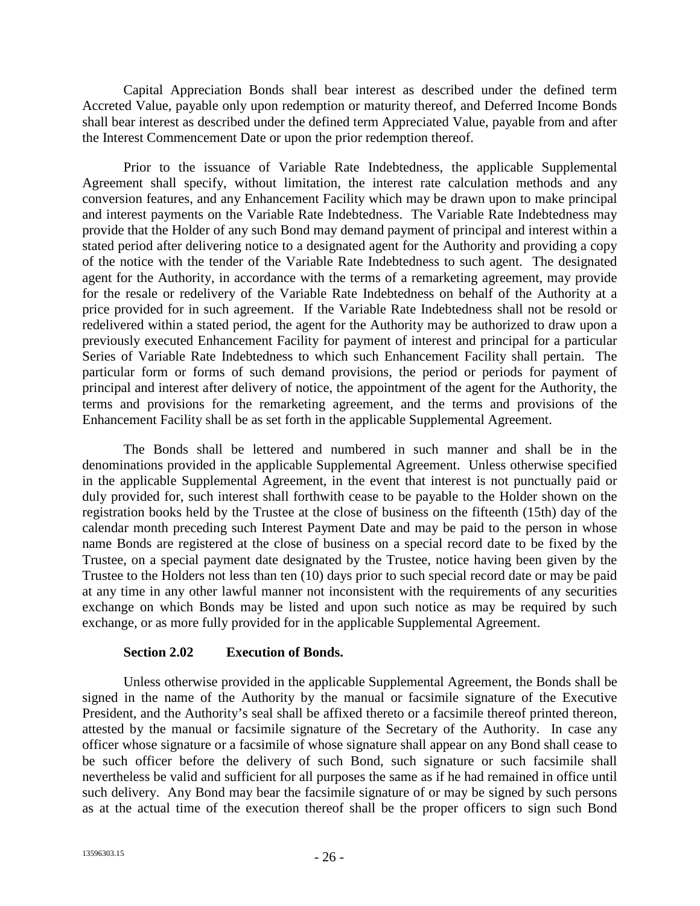Capital Appreciation Bonds shall bear interest as described under the defined term Accreted Value, payable only upon redemption or maturity thereof, and Deferred Income Bonds shall bear interest as described under the defined term Appreciated Value, payable from and after the Interest Commencement Date or upon the prior redemption thereof.

Prior to the issuance of Variable Rate Indebtedness, the applicable Supplemental Agreement shall specify, without limitation, the interest rate calculation methods and any conversion features, and any Enhancement Facility which may be drawn upon to make principal and interest payments on the Variable Rate Indebtedness. The Variable Rate Indebtedness may provide that the Holder of any such Bond may demand payment of principal and interest within a stated period after delivering notice to a designated agent for the Authority and providing a copy of the notice with the tender of the Variable Rate Indebtedness to such agent. The designated agent for the Authority, in accordance with the terms of a remarketing agreement, may provide for the resale or redelivery of the Variable Rate Indebtedness on behalf of the Authority at a price provided for in such agreement. If the Variable Rate Indebtedness shall not be resold or redelivered within a stated period, the agent for the Authority may be authorized to draw upon a previously executed Enhancement Facility for payment of interest and principal for a particular Series of Variable Rate Indebtedness to which such Enhancement Facility shall pertain. The particular form or forms of such demand provisions, the period or periods for payment of principal and interest after delivery of notice, the appointment of the agent for the Authority, the terms and provisions for the remarketing agreement, and the terms and provisions of the Enhancement Facility shall be as set forth in the applicable Supplemental Agreement.

The Bonds shall be lettered and numbered in such manner and shall be in the denominations provided in the applicable Supplemental Agreement. Unless otherwise specified in the applicable Supplemental Agreement, in the event that interest is not punctually paid or duly provided for, such interest shall forthwith cease to be payable to the Holder shown on the registration books held by the Trustee at the close of business on the fifteenth (15th) day of the calendar month preceding such Interest Payment Date and may be paid to the person in whose name Bonds are registered at the close of business on a special record date to be fixed by the Trustee, on a special payment date designated by the Trustee, notice having been given by the Trustee to the Holders not less than ten (10) days prior to such special record date or may be paid at any time in any other lawful manner not inconsistent with the requirements of any securities exchange on which Bonds may be listed and upon such notice as may be required by such exchange, or as more fully provided for in the applicable Supplemental Agreement.

#### **Section 2.02 Execution of Bonds.**

Unless otherwise provided in the applicable Supplemental Agreement, the Bonds shall be signed in the name of the Authority by the manual or facsimile signature of the Executive President, and the Authority's seal shall be affixed thereto or a facsimile thereof printed thereon, attested by the manual or facsimile signature of the Secretary of the Authority. In case any officer whose signature or a facsimile of whose signature shall appear on any Bond shall cease to be such officer before the delivery of such Bond, such signature or such facsimile shall nevertheless be valid and sufficient for all purposes the same as if he had remained in office until such delivery. Any Bond may bear the facsimile signature of or may be signed by such persons as at the actual time of the execution thereof shall be the proper officers to sign such Bond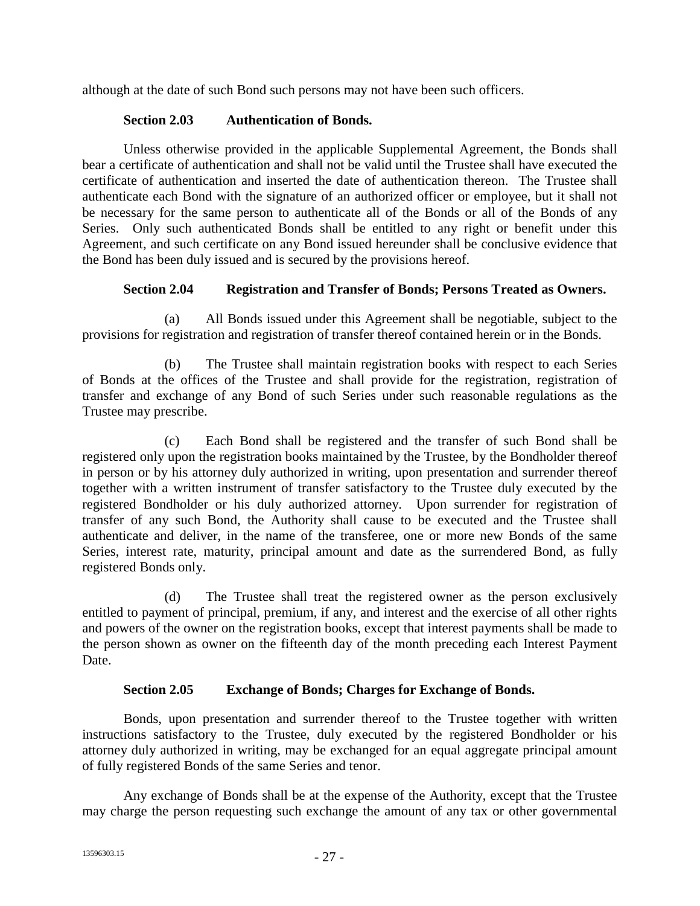although at the date of such Bond such persons may not have been such officers.

### **Section 2.03 Authentication of Bonds.**

Unless otherwise provided in the applicable Supplemental Agreement, the Bonds shall bear a certificate of authentication and shall not be valid until the Trustee shall have executed the certificate of authentication and inserted the date of authentication thereon. The Trustee shall authenticate each Bond with the signature of an authorized officer or employee, but it shall not be necessary for the same person to authenticate all of the Bonds or all of the Bonds of any Series. Only such authenticated Bonds shall be entitled to any right or benefit under this Agreement, and such certificate on any Bond issued hereunder shall be conclusive evidence that the Bond has been duly issued and is secured by the provisions hereof.

#### **Section 2.04 Registration and Transfer of Bonds; Persons Treated as Owners.**

(a) All Bonds issued under this Agreement shall be negotiable, subject to the provisions for registration and registration of transfer thereof contained herein or in the Bonds.

(b) The Trustee shall maintain registration books with respect to each Series of Bonds at the offices of the Trustee and shall provide for the registration, registration of transfer and exchange of any Bond of such Series under such reasonable regulations as the Trustee may prescribe.

(c) Each Bond shall be registered and the transfer of such Bond shall be registered only upon the registration books maintained by the Trustee, by the Bondholder thereof in person or by his attorney duly authorized in writing, upon presentation and surrender thereof together with a written instrument of transfer satisfactory to the Trustee duly executed by the registered Bondholder or his duly authorized attorney. Upon surrender for registration of transfer of any such Bond, the Authority shall cause to be executed and the Trustee shall authenticate and deliver, in the name of the transferee, one or more new Bonds of the same Series, interest rate, maturity, principal amount and date as the surrendered Bond, as fully registered Bonds only.

(d) The Trustee shall treat the registered owner as the person exclusively entitled to payment of principal, premium, if any, and interest and the exercise of all other rights and powers of the owner on the registration books, except that interest payments shall be made to the person shown as owner on the fifteenth day of the month preceding each Interest Payment Date.

## **Section 2.05 Exchange of Bonds; Charges for Exchange of Bonds.**

Bonds, upon presentation and surrender thereof to the Trustee together with written instructions satisfactory to the Trustee, duly executed by the registered Bondholder or his attorney duly authorized in writing, may be exchanged for an equal aggregate principal amount of fully registered Bonds of the same Series and tenor.

Any exchange of Bonds shall be at the expense of the Authority, except that the Trustee may charge the person requesting such exchange the amount of any tax or other governmental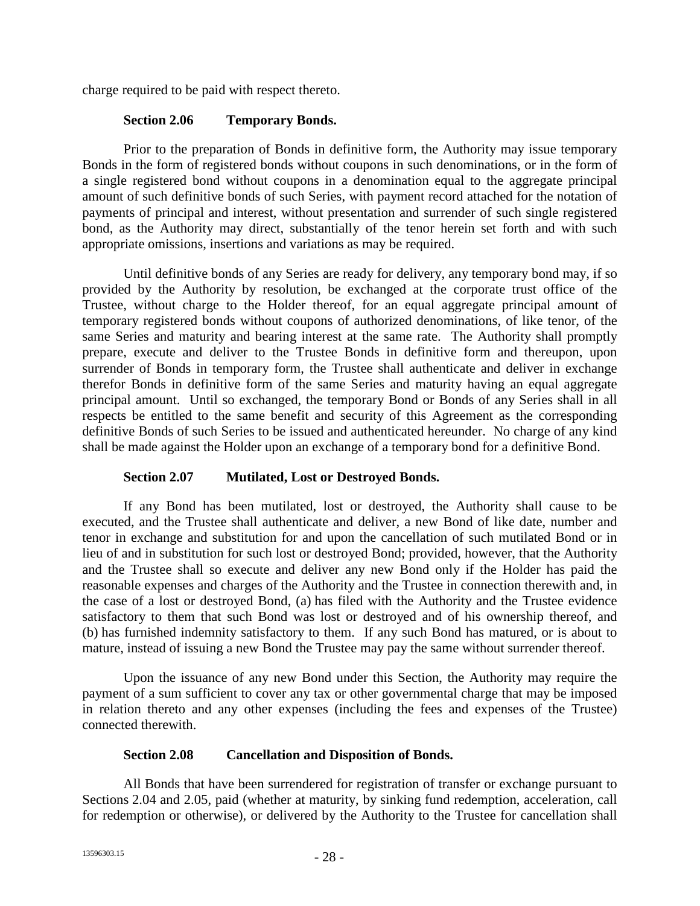charge required to be paid with respect thereto.

#### **Section 2.06 Temporary Bonds.**

Prior to the preparation of Bonds in definitive form, the Authority may issue temporary Bonds in the form of registered bonds without coupons in such denominations, or in the form of a single registered bond without coupons in a denomination equal to the aggregate principal amount of such definitive bonds of such Series, with payment record attached for the notation of payments of principal and interest, without presentation and surrender of such single registered bond, as the Authority may direct, substantially of the tenor herein set forth and with such appropriate omissions, insertions and variations as may be required.

Until definitive bonds of any Series are ready for delivery, any temporary bond may, if so provided by the Authority by resolution, be exchanged at the corporate trust office of the Trustee, without charge to the Holder thereof, for an equal aggregate principal amount of temporary registered bonds without coupons of authorized denominations, of like tenor, of the same Series and maturity and bearing interest at the same rate. The Authority shall promptly prepare, execute and deliver to the Trustee Bonds in definitive form and thereupon, upon surrender of Bonds in temporary form, the Trustee shall authenticate and deliver in exchange therefor Bonds in definitive form of the same Series and maturity having an equal aggregate principal amount. Until so exchanged, the temporary Bond or Bonds of any Series shall in all respects be entitled to the same benefit and security of this Agreement as the corresponding definitive Bonds of such Series to be issued and authenticated hereunder. No charge of any kind shall be made against the Holder upon an exchange of a temporary bond for a definitive Bond.

#### **Section 2.07 Mutilated, Lost or Destroyed Bonds.**

If any Bond has been mutilated, lost or destroyed, the Authority shall cause to be executed, and the Trustee shall authenticate and deliver, a new Bond of like date, number and tenor in exchange and substitution for and upon the cancellation of such mutilated Bond or in lieu of and in substitution for such lost or destroyed Bond; provided, however, that the Authority and the Trustee shall so execute and deliver any new Bond only if the Holder has paid the reasonable expenses and charges of the Authority and the Trustee in connection therewith and, in the case of a lost or destroyed Bond, (a) has filed with the Authority and the Trustee evidence satisfactory to them that such Bond was lost or destroyed and of his ownership thereof, and (b) has furnished indemnity satisfactory to them. If any such Bond has matured, or is about to mature, instead of issuing a new Bond the Trustee may pay the same without surrender thereof.

Upon the issuance of any new Bond under this Section, the Authority may require the payment of a sum sufficient to cover any tax or other governmental charge that may be imposed in relation thereto and any other expenses (including the fees and expenses of the Trustee) connected therewith.

#### **Section 2.08 Cancellation and Disposition of Bonds.**

All Bonds that have been surrendered for registration of transfer or exchange pursuant to Sections 2.04 and 2.05, paid (whether at maturity, by sinking fund redemption, acceleration, call for redemption or otherwise), or delivered by the Authority to the Trustee for cancellation shall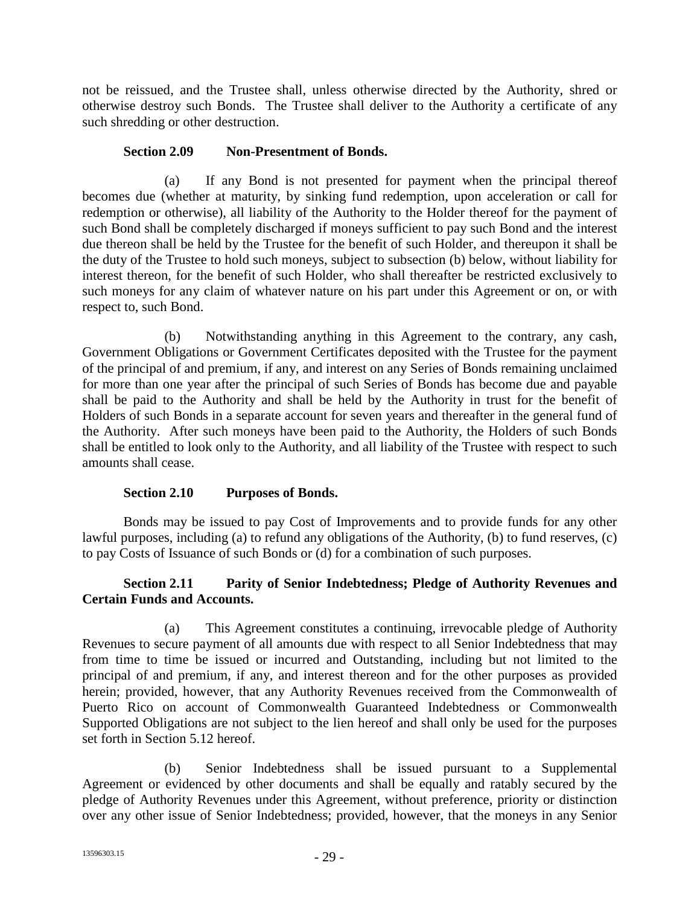not be reissued, and the Trustee shall, unless otherwise directed by the Authority, shred or otherwise destroy such Bonds. The Trustee shall deliver to the Authority a certificate of any such shredding or other destruction.

#### **Section 2.09 Non-Presentment of Bonds.**

(a) If any Bond is not presented for payment when the principal thereof becomes due (whether at maturity, by sinking fund redemption, upon acceleration or call for redemption or otherwise), all liability of the Authority to the Holder thereof for the payment of such Bond shall be completely discharged if moneys sufficient to pay such Bond and the interest due thereon shall be held by the Trustee for the benefit of such Holder, and thereupon it shall be the duty of the Trustee to hold such moneys, subject to subsection (b) below, without liability for interest thereon, for the benefit of such Holder, who shall thereafter be restricted exclusively to such moneys for any claim of whatever nature on his part under this Agreement or on, or with respect to, such Bond.

(b) Notwithstanding anything in this Agreement to the contrary, any cash, Government Obligations or Government Certificates deposited with the Trustee for the payment of the principal of and premium, if any, and interest on any Series of Bonds remaining unclaimed for more than one year after the principal of such Series of Bonds has become due and payable shall be paid to the Authority and shall be held by the Authority in trust for the benefit of Holders of such Bonds in a separate account for seven years and thereafter in the general fund of the Authority. After such moneys have been paid to the Authority, the Holders of such Bonds shall be entitled to look only to the Authority, and all liability of the Trustee with respect to such amounts shall cease.

## **Section 2.10 Purposes of Bonds.**

Bonds may be issued to pay Cost of Improvements and to provide funds for any other lawful purposes, including (a) to refund any obligations of the Authority, (b) to fund reserves, (c) to pay Costs of Issuance of such Bonds or (d) for a combination of such purposes.

## **Section 2.11 Parity of Senior Indebtedness; Pledge of Authority Revenues and Certain Funds and Accounts.**

(a) This Agreement constitutes a continuing, irrevocable pledge of Authority Revenues to secure payment of all amounts due with respect to all Senior Indebtedness that may from time to time be issued or incurred and Outstanding, including but not limited to the principal of and premium, if any, and interest thereon and for the other purposes as provided herein; provided, however, that any Authority Revenues received from the Commonwealth of Puerto Rico on account of Commonwealth Guaranteed Indebtedness or Commonwealth Supported Obligations are not subject to the lien hereof and shall only be used for the purposes set forth in Section 5.12 hereof.

(b) Senior Indebtedness shall be issued pursuant to a Supplemental Agreement or evidenced by other documents and shall be equally and ratably secured by the pledge of Authority Revenues under this Agreement, without preference, priority or distinction over any other issue of Senior Indebtedness; provided, however, that the moneys in any Senior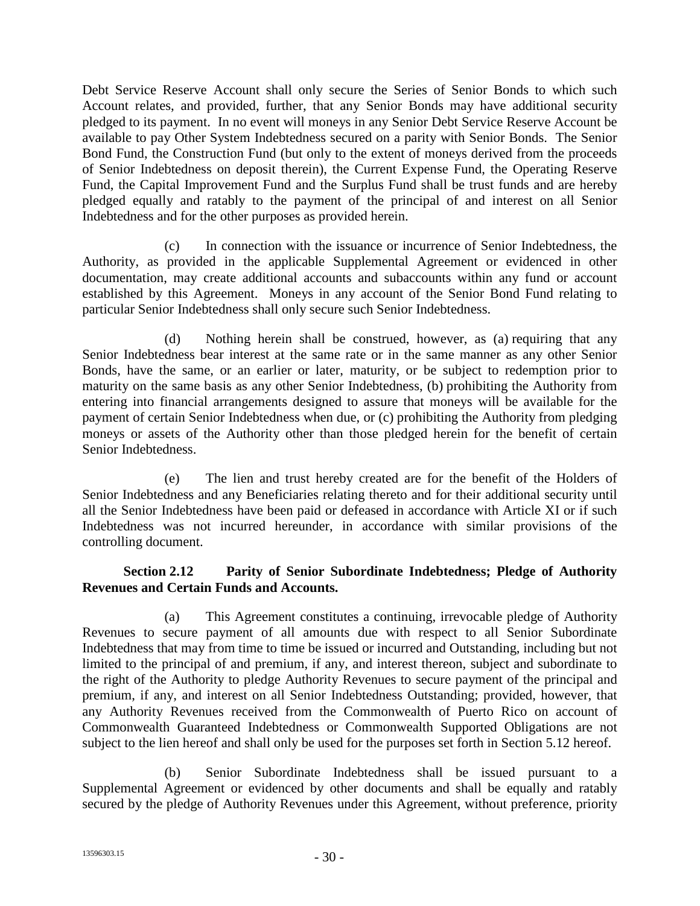Debt Service Reserve Account shall only secure the Series of Senior Bonds to which such Account relates, and provided, further, that any Senior Bonds may have additional security pledged to its payment. In no event will moneys in any Senior Debt Service Reserve Account be available to pay Other System Indebtedness secured on a parity with Senior Bonds. The Senior Bond Fund, the Construction Fund (but only to the extent of moneys derived from the proceeds of Senior Indebtedness on deposit therein), the Current Expense Fund, the Operating Reserve Fund, the Capital Improvement Fund and the Surplus Fund shall be trust funds and are hereby pledged equally and ratably to the payment of the principal of and interest on all Senior Indebtedness and for the other purposes as provided herein.

(c) In connection with the issuance or incurrence of Senior Indebtedness, the Authority, as provided in the applicable Supplemental Agreement or evidenced in other documentation, may create additional accounts and subaccounts within any fund or account established by this Agreement. Moneys in any account of the Senior Bond Fund relating to particular Senior Indebtedness shall only secure such Senior Indebtedness.

(d) Nothing herein shall be construed, however, as (a) requiring that any Senior Indebtedness bear interest at the same rate or in the same manner as any other Senior Bonds, have the same, or an earlier or later, maturity, or be subject to redemption prior to maturity on the same basis as any other Senior Indebtedness, (b) prohibiting the Authority from entering into financial arrangements designed to assure that moneys will be available for the payment of certain Senior Indebtedness when due, or (c) prohibiting the Authority from pledging moneys or assets of the Authority other than those pledged herein for the benefit of certain Senior Indebtedness.

(e) The lien and trust hereby created are for the benefit of the Holders of Senior Indebtedness and any Beneficiaries relating thereto and for their additional security until all the Senior Indebtedness have been paid or defeased in accordance with Article XI or if such Indebtedness was not incurred hereunder, in accordance with similar provisions of the controlling document.

## **Section 2.12 Parity of Senior Subordinate Indebtedness; Pledge of Authority Revenues and Certain Funds and Accounts.**

(a) This Agreement constitutes a continuing, irrevocable pledge of Authority Revenues to secure payment of all amounts due with respect to all Senior Subordinate Indebtedness that may from time to time be issued or incurred and Outstanding, including but not limited to the principal of and premium, if any, and interest thereon, subject and subordinate to the right of the Authority to pledge Authority Revenues to secure payment of the principal and premium, if any, and interest on all Senior Indebtedness Outstanding; provided, however, that any Authority Revenues received from the Commonwealth of Puerto Rico on account of Commonwealth Guaranteed Indebtedness or Commonwealth Supported Obligations are not subject to the lien hereof and shall only be used for the purposes set forth in Section 5.12 hereof.

(b) Senior Subordinate Indebtedness shall be issued pursuant to a Supplemental Agreement or evidenced by other documents and shall be equally and ratably secured by the pledge of Authority Revenues under this Agreement, without preference, priority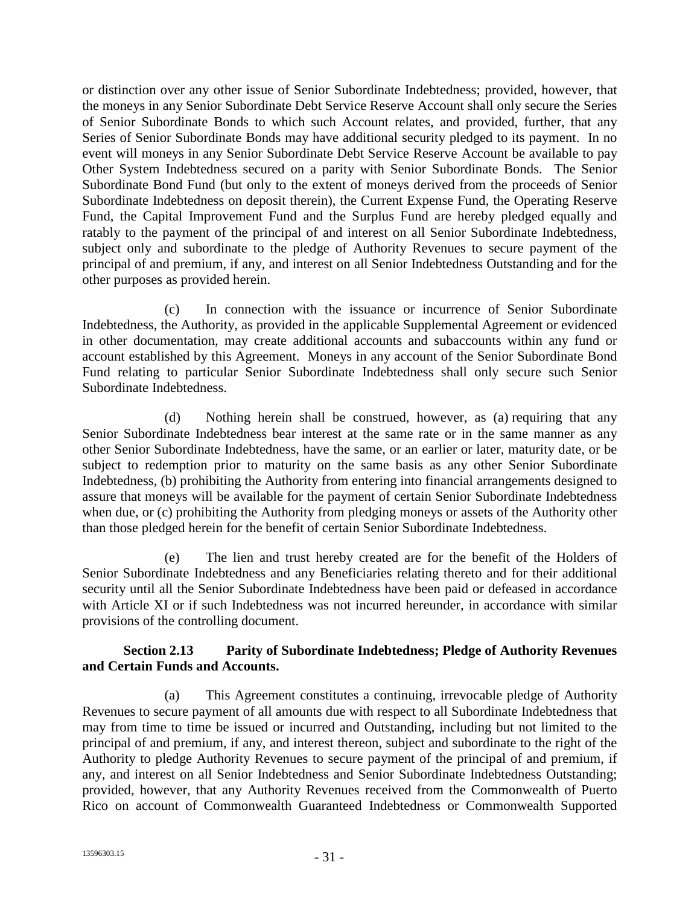or distinction over any other issue of Senior Subordinate Indebtedness; provided, however, that the moneys in any Senior Subordinate Debt Service Reserve Account shall only secure the Series of Senior Subordinate Bonds to which such Account relates, and provided, further, that any Series of Senior Subordinate Bonds may have additional security pledged to its payment. In no event will moneys in any Senior Subordinate Debt Service Reserve Account be available to pay Other System Indebtedness secured on a parity with Senior Subordinate Bonds. The Senior Subordinate Bond Fund (but only to the extent of moneys derived from the proceeds of Senior Subordinate Indebtedness on deposit therein), the Current Expense Fund, the Operating Reserve Fund, the Capital Improvement Fund and the Surplus Fund are hereby pledged equally and ratably to the payment of the principal of and interest on all Senior Subordinate Indebtedness, subject only and subordinate to the pledge of Authority Revenues to secure payment of the principal of and premium, if any, and interest on all Senior Indebtedness Outstanding and for the other purposes as provided herein.

(c) In connection with the issuance or incurrence of Senior Subordinate Indebtedness, the Authority, as provided in the applicable Supplemental Agreement or evidenced in other documentation, may create additional accounts and subaccounts within any fund or account established by this Agreement. Moneys in any account of the Senior Subordinate Bond Fund relating to particular Senior Subordinate Indebtedness shall only secure such Senior Subordinate Indebtedness.

(d) Nothing herein shall be construed, however, as (a) requiring that any Senior Subordinate Indebtedness bear interest at the same rate or in the same manner as any other Senior Subordinate Indebtedness, have the same, or an earlier or later, maturity date, or be subject to redemption prior to maturity on the same basis as any other Senior Subordinate Indebtedness, (b) prohibiting the Authority from entering into financial arrangements designed to assure that moneys will be available for the payment of certain Senior Subordinate Indebtedness when due, or (c) prohibiting the Authority from pledging moneys or assets of the Authority other than those pledged herein for the benefit of certain Senior Subordinate Indebtedness.

(e) The lien and trust hereby created are for the benefit of the Holders of Senior Subordinate Indebtedness and any Beneficiaries relating thereto and for their additional security until all the Senior Subordinate Indebtedness have been paid or defeased in accordance with Article XI or if such Indebtedness was not incurred hereunder, in accordance with similar provisions of the controlling document.

## **Section 2.13 Parity of Subordinate Indebtedness; Pledge of Authority Revenues and Certain Funds and Accounts.**

(a) This Agreement constitutes a continuing, irrevocable pledge of Authority Revenues to secure payment of all amounts due with respect to all Subordinate Indebtedness that may from time to time be issued or incurred and Outstanding, including but not limited to the principal of and premium, if any, and interest thereon, subject and subordinate to the right of the Authority to pledge Authority Revenues to secure payment of the principal of and premium, if any, and interest on all Senior Indebtedness and Senior Subordinate Indebtedness Outstanding; provided, however, that any Authority Revenues received from the Commonwealth of Puerto Rico on account of Commonwealth Guaranteed Indebtedness or Commonwealth Supported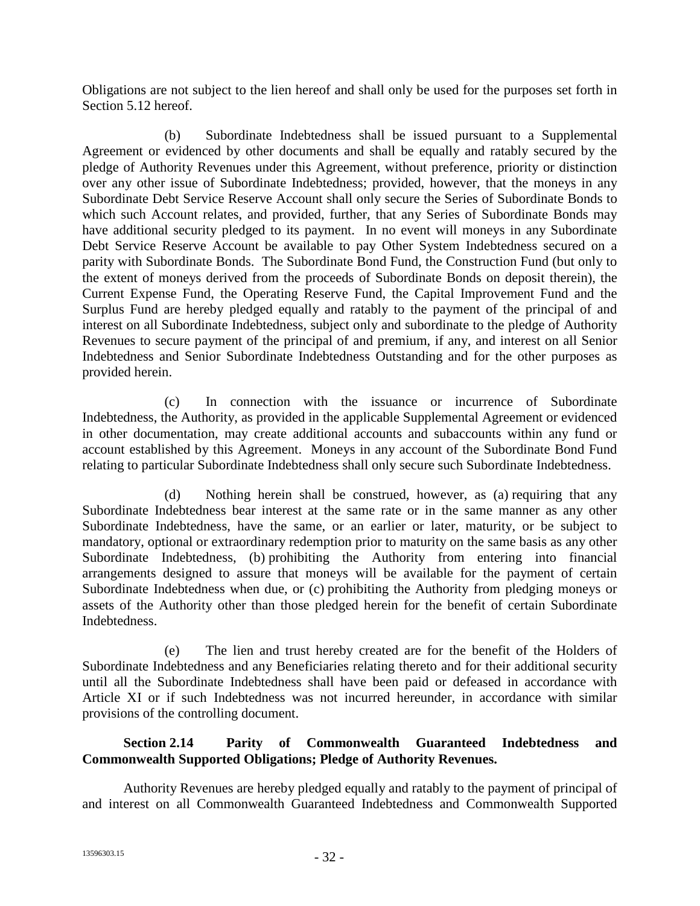Obligations are not subject to the lien hereof and shall only be used for the purposes set forth in Section 5.12 hereof.

(b) Subordinate Indebtedness shall be issued pursuant to a Supplemental Agreement or evidenced by other documents and shall be equally and ratably secured by the pledge of Authority Revenues under this Agreement, without preference, priority or distinction over any other issue of Subordinate Indebtedness; provided, however, that the moneys in any Subordinate Debt Service Reserve Account shall only secure the Series of Subordinate Bonds to which such Account relates, and provided, further, that any Series of Subordinate Bonds may have additional security pledged to its payment. In no event will moneys in any Subordinate Debt Service Reserve Account be available to pay Other System Indebtedness secured on a parity with Subordinate Bonds. The Subordinate Bond Fund, the Construction Fund (but only to the extent of moneys derived from the proceeds of Subordinate Bonds on deposit therein), the Current Expense Fund, the Operating Reserve Fund, the Capital Improvement Fund and the Surplus Fund are hereby pledged equally and ratably to the payment of the principal of and interest on all Subordinate Indebtedness, subject only and subordinate to the pledge of Authority Revenues to secure payment of the principal of and premium, if any, and interest on all Senior Indebtedness and Senior Subordinate Indebtedness Outstanding and for the other purposes as provided herein.

(c) In connection with the issuance or incurrence of Subordinate Indebtedness, the Authority, as provided in the applicable Supplemental Agreement or evidenced in other documentation, may create additional accounts and subaccounts within any fund or account established by this Agreement. Moneys in any account of the Subordinate Bond Fund relating to particular Subordinate Indebtedness shall only secure such Subordinate Indebtedness.

(d) Nothing herein shall be construed, however, as (a) requiring that any Subordinate Indebtedness bear interest at the same rate or in the same manner as any other Subordinate Indebtedness, have the same, or an earlier or later, maturity, or be subject to mandatory, optional or extraordinary redemption prior to maturity on the same basis as any other Subordinate Indebtedness, (b) prohibiting the Authority from entering into financial arrangements designed to assure that moneys will be available for the payment of certain Subordinate Indebtedness when due, or (c) prohibiting the Authority from pledging moneys or assets of the Authority other than those pledged herein for the benefit of certain Subordinate Indebtedness.

(e) The lien and trust hereby created are for the benefit of the Holders of Subordinate Indebtedness and any Beneficiaries relating thereto and for their additional security until all the Subordinate Indebtedness shall have been paid or defeased in accordance with Article XI or if such Indebtedness was not incurred hereunder, in accordance with similar provisions of the controlling document.

## **Section 2.14 Parity of Commonwealth Guaranteed Indebtedness and Commonwealth Supported Obligations; Pledge of Authority Revenues.**

Authority Revenues are hereby pledged equally and ratably to the payment of principal of and interest on all Commonwealth Guaranteed Indebtedness and Commonwealth Supported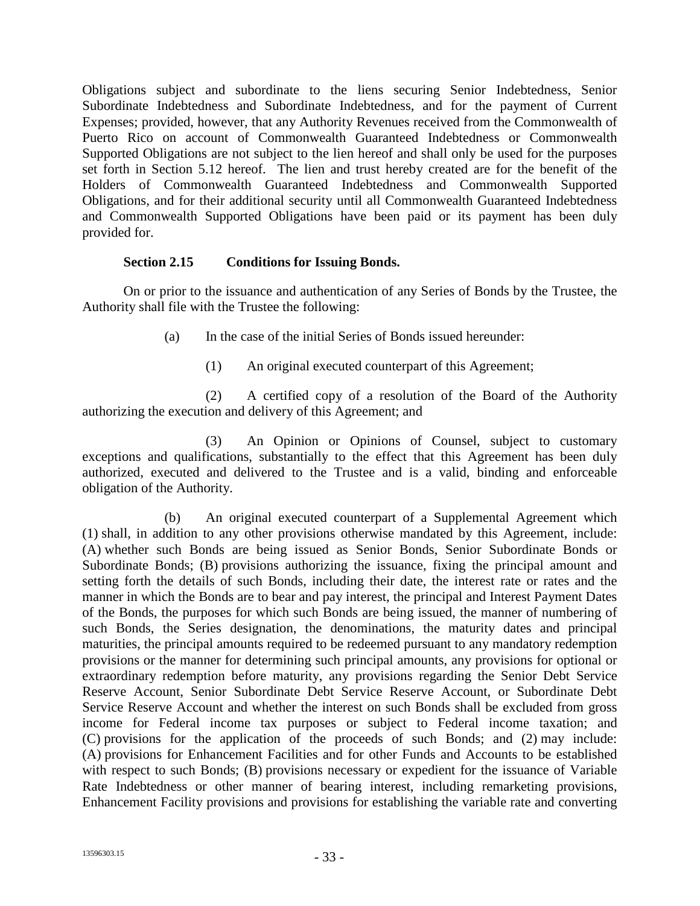Obligations subject and subordinate to the liens securing Senior Indebtedness, Senior Subordinate Indebtedness and Subordinate Indebtedness, and for the payment of Current Expenses; provided, however, that any Authority Revenues received from the Commonwealth of Puerto Rico on account of Commonwealth Guaranteed Indebtedness or Commonwealth Supported Obligations are not subject to the lien hereof and shall only be used for the purposes set forth in Section 5.12 hereof. The lien and trust hereby created are for the benefit of the Holders of Commonwealth Guaranteed Indebtedness and Commonwealth Supported Obligations, and for their additional security until all Commonwealth Guaranteed Indebtedness and Commonwealth Supported Obligations have been paid or its payment has been duly provided for.

### **Section 2.15 Conditions for Issuing Bonds.**

On or prior to the issuance and authentication of any Series of Bonds by the Trustee, the Authority shall file with the Trustee the following:

- (a) In the case of the initial Series of Bonds issued hereunder:
	- (1) An original executed counterpart of this Agreement;

(2) A certified copy of a resolution of the Board of the Authority authorizing the execution and delivery of this Agreement; and

(3) An Opinion or Opinions of Counsel, subject to customary exceptions and qualifications, substantially to the effect that this Agreement has been duly authorized, executed and delivered to the Trustee and is a valid, binding and enforceable obligation of the Authority.

(b) An original executed counterpart of a Supplemental Agreement which (1) shall, in addition to any other provisions otherwise mandated by this Agreement, include: (A) whether such Bonds are being issued as Senior Bonds, Senior Subordinate Bonds or Subordinate Bonds; (B) provisions authorizing the issuance, fixing the principal amount and setting forth the details of such Bonds, including their date, the interest rate or rates and the manner in which the Bonds are to bear and pay interest, the principal and Interest Payment Dates of the Bonds, the purposes for which such Bonds are being issued, the manner of numbering of such Bonds, the Series designation, the denominations, the maturity dates and principal maturities, the principal amounts required to be redeemed pursuant to any mandatory redemption provisions or the manner for determining such principal amounts, any provisions for optional or extraordinary redemption before maturity, any provisions regarding the Senior Debt Service Reserve Account, Senior Subordinate Debt Service Reserve Account, or Subordinate Debt Service Reserve Account and whether the interest on such Bonds shall be excluded from gross income for Federal income tax purposes or subject to Federal income taxation; and (C) provisions for the application of the proceeds of such Bonds; and (2) may include: (A) provisions for Enhancement Facilities and for other Funds and Accounts to be established with respect to such Bonds; (B) provisions necessary or expedient for the issuance of Variable Rate Indebtedness or other manner of bearing interest, including remarketing provisions, Enhancement Facility provisions and provisions for establishing the variable rate and converting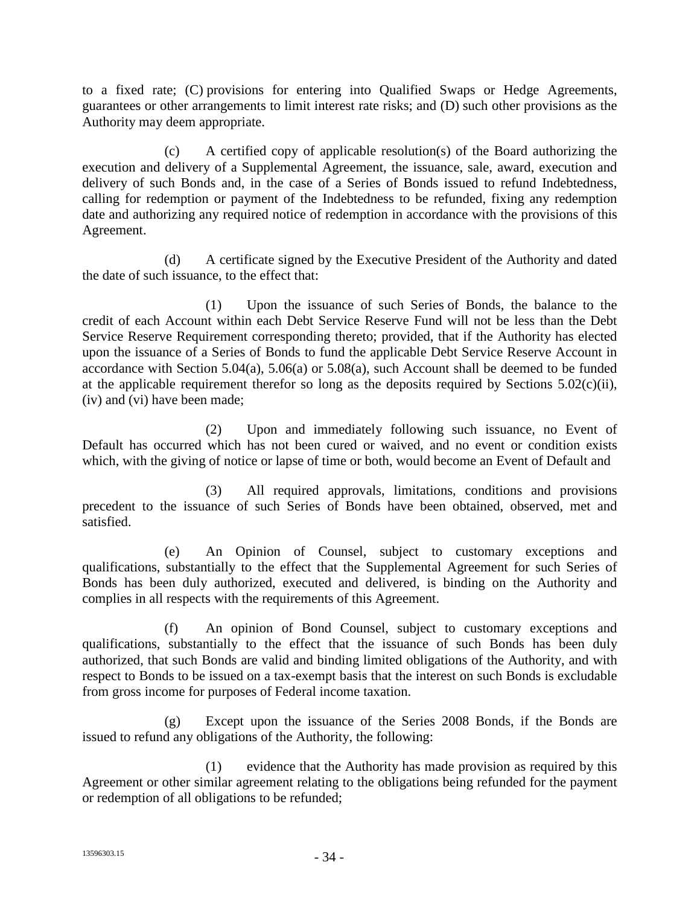to a fixed rate; (C) provisions for entering into Qualified Swaps or Hedge Agreements, guarantees or other arrangements to limit interest rate risks; and (D) such other provisions as the Authority may deem appropriate.

(c) A certified copy of applicable resolution(s) of the Board authorizing the execution and delivery of a Supplemental Agreement, the issuance, sale, award, execution and delivery of such Bonds and, in the case of a Series of Bonds issued to refund Indebtedness, calling for redemption or payment of the Indebtedness to be refunded, fixing any redemption date and authorizing any required notice of redemption in accordance with the provisions of this Agreement.

(d) A certificate signed by the Executive President of the Authority and dated the date of such issuance, to the effect that:

(1) Upon the issuance of such Series of Bonds, the balance to the credit of each Account within each Debt Service Reserve Fund will not be less than the Debt Service Reserve Requirement corresponding thereto; provided, that if the Authority has elected upon the issuance of a Series of Bonds to fund the applicable Debt Service Reserve Account in accordance with Section 5.04(a), 5.06(a) or 5.08(a), such Account shall be deemed to be funded at the applicable requirement therefor so long as the deposits required by Sections  $5.02(c)(ii)$ , (iv) and (vi) have been made;

(2) Upon and immediately following such issuance, no Event of Default has occurred which has not been cured or waived, and no event or condition exists which, with the giving of notice or lapse of time or both, would become an Event of Default and

(3) All required approvals, limitations, conditions and provisions precedent to the issuance of such Series of Bonds have been obtained, observed, met and satisfied.

(e) An Opinion of Counsel, subject to customary exceptions and qualifications, substantially to the effect that the Supplemental Agreement for such Series of Bonds has been duly authorized, executed and delivered, is binding on the Authority and complies in all respects with the requirements of this Agreement.

(f) An opinion of Bond Counsel, subject to customary exceptions and qualifications, substantially to the effect that the issuance of such Bonds has been duly authorized, that such Bonds are valid and binding limited obligations of the Authority, and with respect to Bonds to be issued on a tax-exempt basis that the interest on such Bonds is excludable from gross income for purposes of Federal income taxation.

(g) Except upon the issuance of the Series 2008 Bonds, if the Bonds are issued to refund any obligations of the Authority, the following:

(1) evidence that the Authority has made provision as required by this Agreement or other similar agreement relating to the obligations being refunded for the payment or redemption of all obligations to be refunded;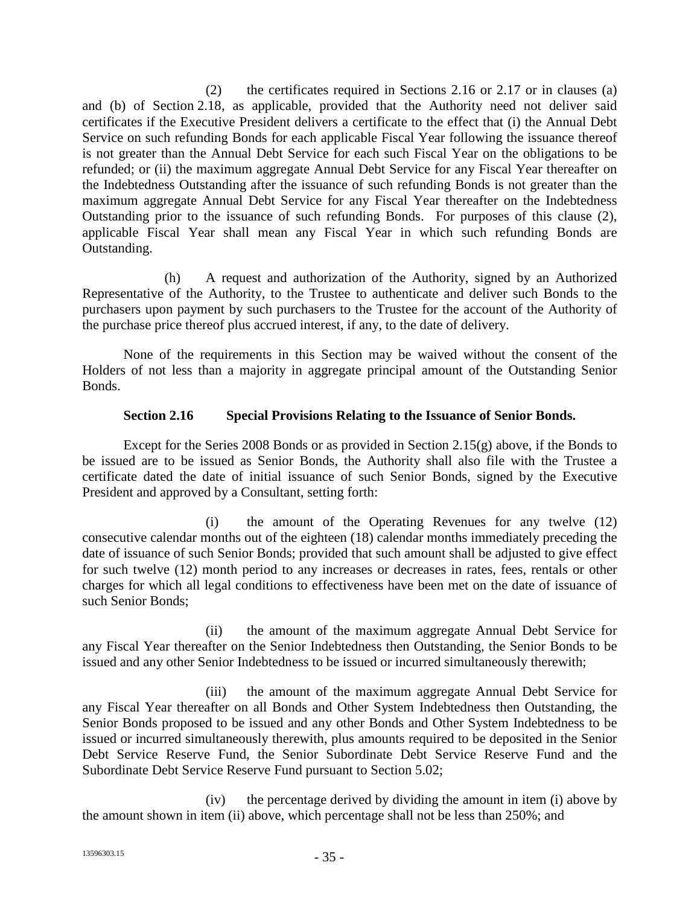(2) the certificates required in Sections 2.16 or 2.17 or in clauses (a) and (b) of Section 2.18, as applicable, provided that the Authority need not deliver said certificates if the Executive President delivers a certificate to the effect that (i) the Annual Debt Service on such refunding Bonds for each applicable Fiscal Year following the issuance thereof is not greater than the Annual Debt Service for each such Fiscal Year on the obligations to be refunded; or (ii) the maximum aggregate Annual Debt Service for any Fiscal Year thereafter on the Indebtedness Outstanding after the issuance of such refunding Bonds is not greater than the maximum aggregate Annual Debt Service for any Fiscal Year thereafter on the Indebtedness Outstanding prior to the issuance of such refunding Bonds. For purposes of this clause (2), applicable Fiscal Year shall mean any Fiscal Year in which such refunding Bonds are Outstanding.

(h) A request and authorization of the Authority, signed by an Authorized Representative of the Authority, to the Trustee to authenticate and deliver such Bonds to the purchasers upon payment by such purchasers to the Trustee for the account of the Authority of the purchase price thereof plus accrued interest, if any, to the date of delivery.

None of the requirements in this Section may be waived without the consent of the Holders of not less than a majority in aggregate principal amount of the Outstanding Senior Bonds.

## **Section 2.16 Special Provisions Relating to the Issuance of Senior Bonds.**

Except for the Series 2008 Bonds or as provided in Section 2.15(g) above, if the Bonds to be issued are to be issued as Senior Bonds, the Authority shall also file with the Trustee a certificate dated the date of initial issuance of such Senior Bonds, signed by the Executive President and approved by a Consultant, setting forth:

(i) the amount of the Operating Revenues for any twelve (12) consecutive calendar months out of the eighteen (18) calendar months immediately preceding the date of issuance of such Senior Bonds; provided that such amount shall be adjusted to give effect for such twelve (12) month period to any increases or decreases in rates, fees, rentals or other charges for which all legal conditions to effectiveness have been met on the date of issuance of such Senior Bonds;

(ii) the amount of the maximum aggregate Annual Debt Service for any Fiscal Year thereafter on the Senior Indebtedness then Outstanding, the Senior Bonds to be issued and any other Senior Indebtedness to be issued or incurred simultaneously therewith;

(iii) the amount of the maximum aggregate Annual Debt Service for any Fiscal Year thereafter on all Bonds and Other System Indebtedness then Outstanding, the Senior Bonds proposed to be issued and any other Bonds and Other System Indebtedness to be issued or incurred simultaneously therewith, plus amounts required to be deposited in the Senior Debt Service Reserve Fund, the Senior Subordinate Debt Service Reserve Fund and the Subordinate Debt Service Reserve Fund pursuant to Section 5.02;

(iv) the percentage derived by dividing the amount in item (i) above by the amount shown in item (ii) above, which percentage shall not be less than 250%; and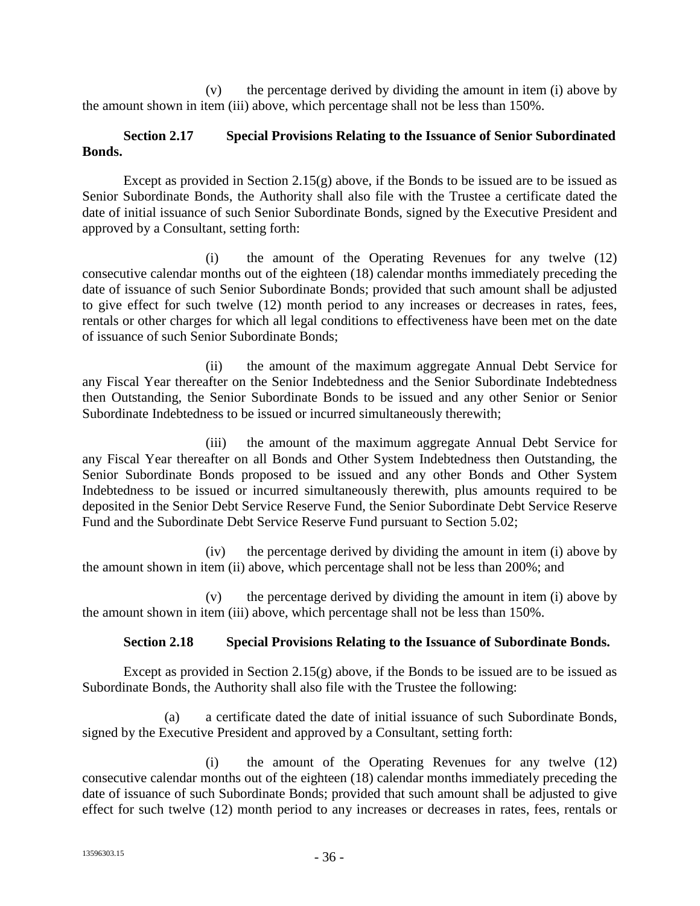(v) the percentage derived by dividing the amount in item (i) above by the amount shown in item (iii) above, which percentage shall not be less than 150%.

## **Section 2.17 Special Provisions Relating to the Issuance of Senior Subordinated Bonds.**

Except as provided in Section 2.15 $(g)$  above, if the Bonds to be issued are to be issued as Senior Subordinate Bonds, the Authority shall also file with the Trustee a certificate dated the date of initial issuance of such Senior Subordinate Bonds, signed by the Executive President and approved by a Consultant, setting forth:

(i) the amount of the Operating Revenues for any twelve (12) consecutive calendar months out of the eighteen (18) calendar months immediately preceding the date of issuance of such Senior Subordinate Bonds; provided that such amount shall be adjusted to give effect for such twelve (12) month period to any increases or decreases in rates, fees, rentals or other charges for which all legal conditions to effectiveness have been met on the date of issuance of such Senior Subordinate Bonds;

(ii) the amount of the maximum aggregate Annual Debt Service for any Fiscal Year thereafter on the Senior Indebtedness and the Senior Subordinate Indebtedness then Outstanding, the Senior Subordinate Bonds to be issued and any other Senior or Senior Subordinate Indebtedness to be issued or incurred simultaneously therewith;

(iii) the amount of the maximum aggregate Annual Debt Service for any Fiscal Year thereafter on all Bonds and Other System Indebtedness then Outstanding, the Senior Subordinate Bonds proposed to be issued and any other Bonds and Other System Indebtedness to be issued or incurred simultaneously therewith, plus amounts required to be deposited in the Senior Debt Service Reserve Fund, the Senior Subordinate Debt Service Reserve Fund and the Subordinate Debt Service Reserve Fund pursuant to Section 5.02;

(iv) the percentage derived by dividing the amount in item (i) above by the amount shown in item (ii) above, which percentage shall not be less than 200%; and

(v) the percentage derived by dividing the amount in item (i) above by the amount shown in item (iii) above, which percentage shall not be less than 150%.

### **Section 2.18 Special Provisions Relating to the Issuance of Subordinate Bonds.**

Except as provided in Section 2.15 $(g)$  above, if the Bonds to be issued are to be issued as Subordinate Bonds, the Authority shall also file with the Trustee the following:

(a) a certificate dated the date of initial issuance of such Subordinate Bonds, signed by the Executive President and approved by a Consultant, setting forth:

(i) the amount of the Operating Revenues for any twelve (12) consecutive calendar months out of the eighteen (18) calendar months immediately preceding the date of issuance of such Subordinate Bonds; provided that such amount shall be adjusted to give effect for such twelve (12) month period to any increases or decreases in rates, fees, rentals or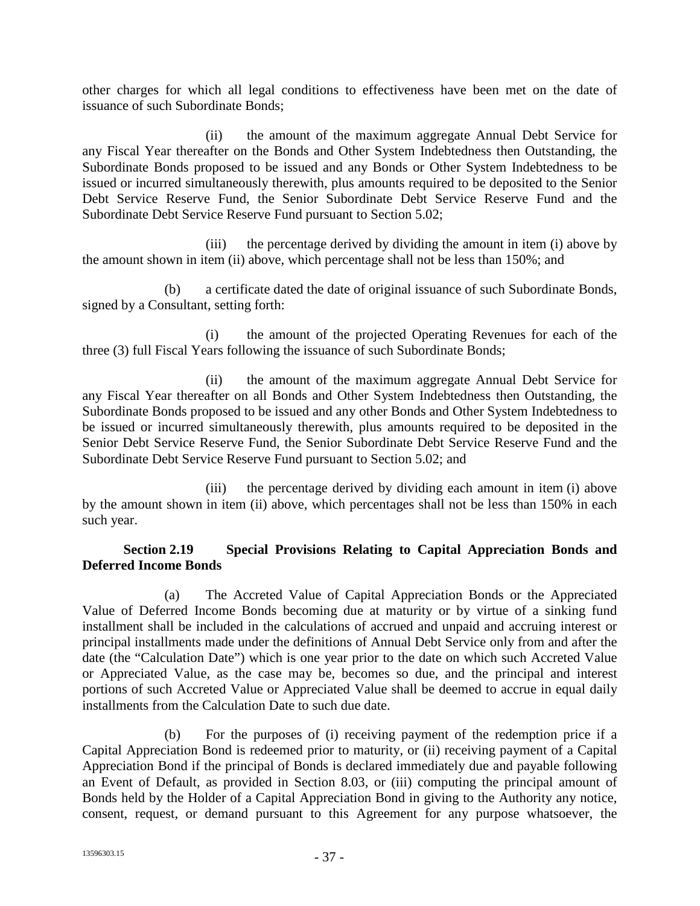other charges for which all legal conditions to effectiveness have been met on the date of issuance of such Subordinate Bonds;

(ii) the amount of the maximum aggregate Annual Debt Service for any Fiscal Year thereafter on the Bonds and Other System Indebtedness then Outstanding, the Subordinate Bonds proposed to be issued and any Bonds or Other System Indebtedness to be issued or incurred simultaneously therewith, plus amounts required to be deposited to the Senior Debt Service Reserve Fund, the Senior Subordinate Debt Service Reserve Fund and the Subordinate Debt Service Reserve Fund pursuant to Section 5.02;

(iii) the percentage derived by dividing the amount in item (i) above by the amount shown in item (ii) above, which percentage shall not be less than 150%; and

(b) a certificate dated the date of original issuance of such Subordinate Bonds, signed by a Consultant, setting forth:

(i) the amount of the projected Operating Revenues for each of the three (3) full Fiscal Years following the issuance of such Subordinate Bonds;

(ii) the amount of the maximum aggregate Annual Debt Service for any Fiscal Year thereafter on all Bonds and Other System Indebtedness then Outstanding, the Subordinate Bonds proposed to be issued and any other Bonds and Other System Indebtedness to be issued or incurred simultaneously therewith, plus amounts required to be deposited in the Senior Debt Service Reserve Fund, the Senior Subordinate Debt Service Reserve Fund and the Subordinate Debt Service Reserve Fund pursuant to Section 5.02; and

(iii) the percentage derived by dividing each amount in item (i) above by the amount shown in item (ii) above, which percentages shall not be less than 150% in each such year.

## **Section 2.19 Special Provisions Relating to Capital Appreciation Bonds and Deferred Income Bonds**

(a) The Accreted Value of Capital Appreciation Bonds or the Appreciated Value of Deferred Income Bonds becoming due at maturity or by virtue of a sinking fund installment shall be included in the calculations of accrued and unpaid and accruing interest or principal installments made under the definitions of Annual Debt Service only from and after the date (the "Calculation Date") which is one year prior to the date on which such Accreted Value or Appreciated Value, as the case may be, becomes so due, and the principal and interest portions of such Accreted Value or Appreciated Value shall be deemed to accrue in equal daily installments from the Calculation Date to such due date.

(b) For the purposes of (i) receiving payment of the redemption price if a Capital Appreciation Bond is redeemed prior to maturity, or (ii) receiving payment of a Capital Appreciation Bond if the principal of Bonds is declared immediately due and payable following an Event of Default, as provided in Section 8.03, or (iii) computing the principal amount of Bonds held by the Holder of a Capital Appreciation Bond in giving to the Authority any notice, consent, request, or demand pursuant to this Agreement for any purpose whatsoever, the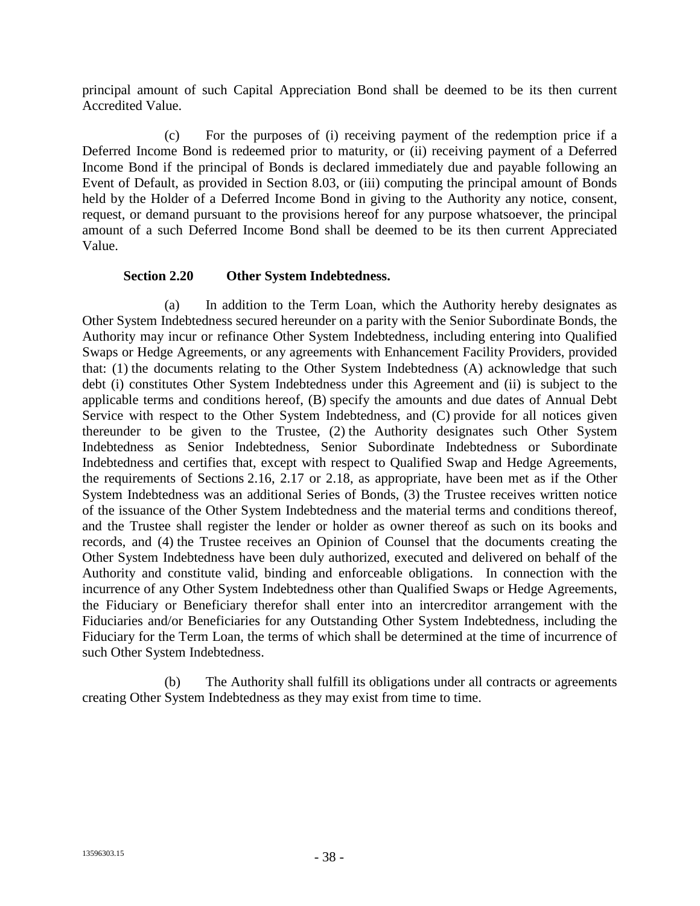principal amount of such Capital Appreciation Bond shall be deemed to be its then current Accredited Value.

(c) For the purposes of (i) receiving payment of the redemption price if a Deferred Income Bond is redeemed prior to maturity, or (ii) receiving payment of a Deferred Income Bond if the principal of Bonds is declared immediately due and payable following an Event of Default, as provided in Section 8.03, or (iii) computing the principal amount of Bonds held by the Holder of a Deferred Income Bond in giving to the Authority any notice, consent, request, or demand pursuant to the provisions hereof for any purpose whatsoever, the principal amount of a such Deferred Income Bond shall be deemed to be its then current Appreciated Value.

### **Section 2.20 Other System Indebtedness.**

(a) In addition to the Term Loan, which the Authority hereby designates as Other System Indebtedness secured hereunder on a parity with the Senior Subordinate Bonds, the Authority may incur or refinance Other System Indebtedness, including entering into Qualified Swaps or Hedge Agreements, or any agreements with Enhancement Facility Providers, provided that: (1) the documents relating to the Other System Indebtedness (A) acknowledge that such debt (i) constitutes Other System Indebtedness under this Agreement and (ii) is subject to the applicable terms and conditions hereof, (B) specify the amounts and due dates of Annual Debt Service with respect to the Other System Indebtedness, and (C) provide for all notices given thereunder to be given to the Trustee, (2) the Authority designates such Other System Indebtedness as Senior Indebtedness, Senior Subordinate Indebtedness or Subordinate Indebtedness and certifies that, except with respect to Qualified Swap and Hedge Agreements, the requirements of Sections 2.16, 2.17 or 2.18, as appropriate, have been met as if the Other System Indebtedness was an additional Series of Bonds, (3) the Trustee receives written notice of the issuance of the Other System Indebtedness and the material terms and conditions thereof, and the Trustee shall register the lender or holder as owner thereof as such on its books and records, and (4) the Trustee receives an Opinion of Counsel that the documents creating the Other System Indebtedness have been duly authorized, executed and delivered on behalf of the Authority and constitute valid, binding and enforceable obligations. In connection with the incurrence of any Other System Indebtedness other than Qualified Swaps or Hedge Agreements, the Fiduciary or Beneficiary therefor shall enter into an intercreditor arrangement with the Fiduciaries and/or Beneficiaries for any Outstanding Other System Indebtedness, including the Fiduciary for the Term Loan, the terms of which shall be determined at the time of incurrence of such Other System Indebtedness.

(b) The Authority shall fulfill its obligations under all contracts or agreements creating Other System Indebtedness as they may exist from time to time.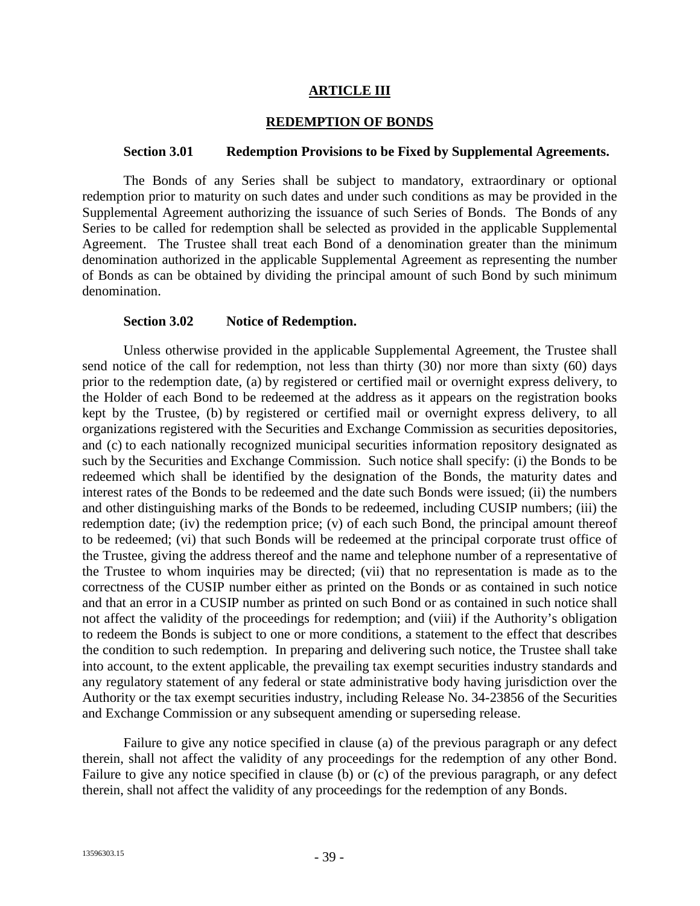#### **ARTICLE III**

#### **REDEMPTION OF BONDS**

#### **Section 3.01 Redemption Provisions to be Fixed by Supplemental Agreements.**

The Bonds of any Series shall be subject to mandatory, extraordinary or optional redemption prior to maturity on such dates and under such conditions as may be provided in the Supplemental Agreement authorizing the issuance of such Series of Bonds. The Bonds of any Series to be called for redemption shall be selected as provided in the applicable Supplemental Agreement. The Trustee shall treat each Bond of a denomination greater than the minimum denomination authorized in the applicable Supplemental Agreement as representing the number of Bonds as can be obtained by dividing the principal amount of such Bond by such minimum denomination.

#### **Section 3.02 Notice of Redemption.**

Unless otherwise provided in the applicable Supplemental Agreement, the Trustee shall send notice of the call for redemption, not less than thirty (30) nor more than sixty (60) days prior to the redemption date, (a) by registered or certified mail or overnight express delivery, to the Holder of each Bond to be redeemed at the address as it appears on the registration books kept by the Trustee, (b) by registered or certified mail or overnight express delivery, to all organizations registered with the Securities and Exchange Commission as securities depositories, and (c) to each nationally recognized municipal securities information repository designated as such by the Securities and Exchange Commission. Such notice shall specify: (i) the Bonds to be redeemed which shall be identified by the designation of the Bonds, the maturity dates and interest rates of the Bonds to be redeemed and the date such Bonds were issued; (ii) the numbers and other distinguishing marks of the Bonds to be redeemed, including CUSIP numbers; (iii) the redemption date; (iv) the redemption price; (v) of each such Bond, the principal amount thereof to be redeemed; (vi) that such Bonds will be redeemed at the principal corporate trust office of the Trustee, giving the address thereof and the name and telephone number of a representative of the Trustee to whom inquiries may be directed; (vii) that no representation is made as to the correctness of the CUSIP number either as printed on the Bonds or as contained in such notice and that an error in a CUSIP number as printed on such Bond or as contained in such notice shall not affect the validity of the proceedings for redemption; and (viii) if the Authority's obligation to redeem the Bonds is subject to one or more conditions, a statement to the effect that describes the condition to such redemption. In preparing and delivering such notice, the Trustee shall take into account, to the extent applicable, the prevailing tax exempt securities industry standards and any regulatory statement of any federal or state administrative body having jurisdiction over the Authority or the tax exempt securities industry, including Release No. 34-23856 of the Securities and Exchange Commission or any subsequent amending or superseding release.

Failure to give any notice specified in clause (a) of the previous paragraph or any defect therein, shall not affect the validity of any proceedings for the redemption of any other Bond. Failure to give any notice specified in clause (b) or (c) of the previous paragraph, or any defect therein, shall not affect the validity of any proceedings for the redemption of any Bonds.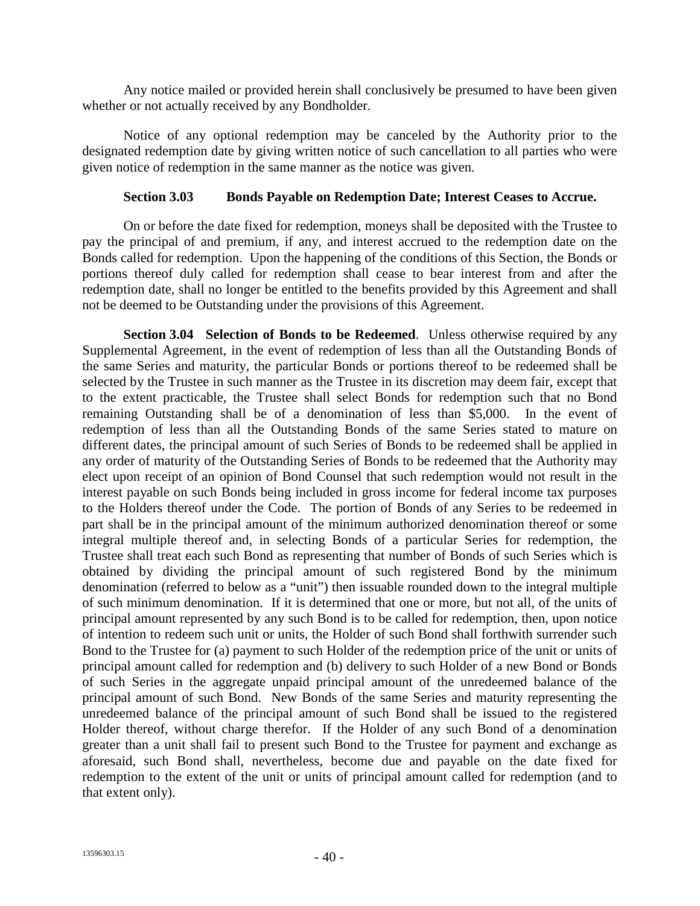Any notice mailed or provided herein shall conclusively be presumed to have been given whether or not actually received by any Bondholder.

Notice of any optional redemption may be canceled by the Authority prior to the designated redemption date by giving written notice of such cancellation to all parties who were given notice of redemption in the same manner as the notice was given.

#### **Section 3.03 Bonds Payable on Redemption Date; Interest Ceases to Accrue.**

On or before the date fixed for redemption, moneys shall be deposited with the Trustee to pay the principal of and premium, if any, and interest accrued to the redemption date on the Bonds called for redemption. Upon the happening of the conditions of this Section, the Bonds or portions thereof duly called for redemption shall cease to bear interest from and after the redemption date, shall no longer be entitled to the benefits provided by this Agreement and shall not be deemed to be Outstanding under the provisions of this Agreement.

**Section 3.04 Selection of Bonds to be Redeemed**. Unless otherwise required by any Supplemental Agreement, in the event of redemption of less than all the Outstanding Bonds of the same Series and maturity, the particular Bonds or portions thereof to be redeemed shall be selected by the Trustee in such manner as the Trustee in its discretion may deem fair, except that to the extent practicable, the Trustee shall select Bonds for redemption such that no Bond remaining Outstanding shall be of a denomination of less than \$5,000. In the event of redemption of less than all the Outstanding Bonds of the same Series stated to mature on different dates, the principal amount of such Series of Bonds to be redeemed shall be applied in any order of maturity of the Outstanding Series of Bonds to be redeemed that the Authority may elect upon receipt of an opinion of Bond Counsel that such redemption would not result in the interest payable on such Bonds being included in gross income for federal income tax purposes to the Holders thereof under the Code. The portion of Bonds of any Series to be redeemed in part shall be in the principal amount of the minimum authorized denomination thereof or some integral multiple thereof and, in selecting Bonds of a particular Series for redemption, the Trustee shall treat each such Bond as representing that number of Bonds of such Series which is obtained by dividing the principal amount of such registered Bond by the minimum denomination (referred to below as a "unit") then issuable rounded down to the integral multiple of such minimum denomination. If it is determined that one or more, but not all, of the units of principal amount represented by any such Bond is to be called for redemption, then, upon notice of intention to redeem such unit or units, the Holder of such Bond shall forthwith surrender such Bond to the Trustee for (a) payment to such Holder of the redemption price of the unit or units of principal amount called for redemption and (b) delivery to such Holder of a new Bond or Bonds of such Series in the aggregate unpaid principal amount of the unredeemed balance of the principal amount of such Bond. New Bonds of the same Series and maturity representing the unredeemed balance of the principal amount of such Bond shall be issued to the registered Holder thereof, without charge therefor. If the Holder of any such Bond of a denomination greater than a unit shall fail to present such Bond to the Trustee for payment and exchange as aforesaid, such Bond shall, nevertheless, become due and payable on the date fixed for redemption to the extent of the unit or units of principal amount called for redemption (and to that extent only).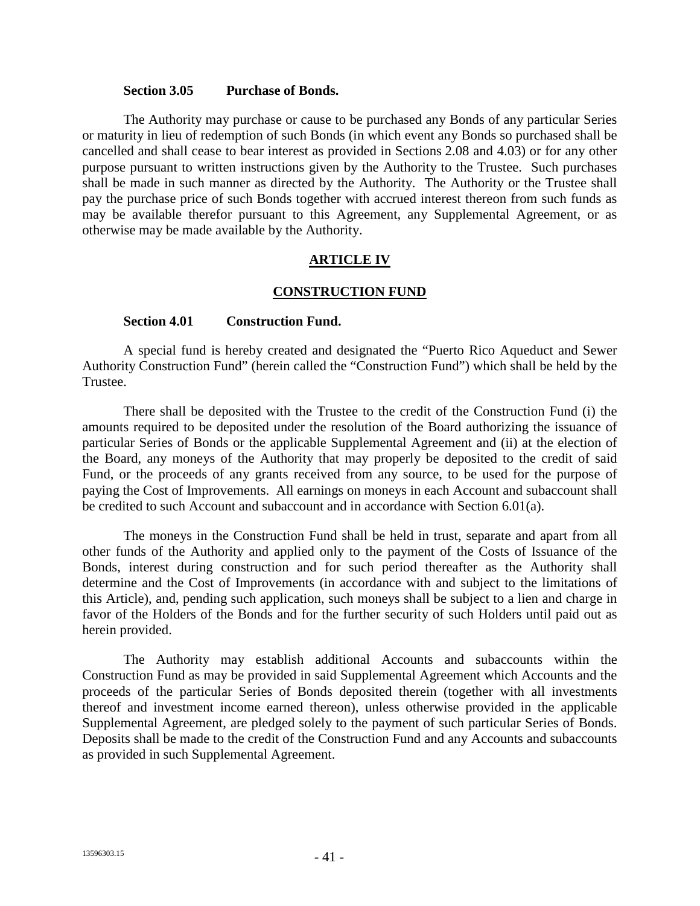#### **Section 3.05 Purchase of Bonds.**

The Authority may purchase or cause to be purchased any Bonds of any particular Series or maturity in lieu of redemption of such Bonds (in which event any Bonds so purchased shall be cancelled and shall cease to bear interest as provided in Sections 2.08 and 4.03) or for any other purpose pursuant to written instructions given by the Authority to the Trustee. Such purchases shall be made in such manner as directed by the Authority. The Authority or the Trustee shall pay the purchase price of such Bonds together with accrued interest thereon from such funds as may be available therefor pursuant to this Agreement, any Supplemental Agreement, or as otherwise may be made available by the Authority.

#### **ARTICLE IV**

#### **CONSTRUCTION FUND**

#### **Section 4.01 Construction Fund.**

A special fund is hereby created and designated the "Puerto Rico Aqueduct and Sewer Authority Construction Fund" (herein called the "Construction Fund") which shall be held by the Trustee.

There shall be deposited with the Trustee to the credit of the Construction Fund (i) the amounts required to be deposited under the resolution of the Board authorizing the issuance of particular Series of Bonds or the applicable Supplemental Agreement and (ii) at the election of the Board, any moneys of the Authority that may properly be deposited to the credit of said Fund, or the proceeds of any grants received from any source, to be used for the purpose of paying the Cost of Improvements. All earnings on moneys in each Account and subaccount shall be credited to such Account and subaccount and in accordance with Section 6.01(a).

The moneys in the Construction Fund shall be held in trust, separate and apart from all other funds of the Authority and applied only to the payment of the Costs of Issuance of the Bonds, interest during construction and for such period thereafter as the Authority shall determine and the Cost of Improvements (in accordance with and subject to the limitations of this Article), and, pending such application, such moneys shall be subject to a lien and charge in favor of the Holders of the Bonds and for the further security of such Holders until paid out as herein provided.

The Authority may establish additional Accounts and subaccounts within the Construction Fund as may be provided in said Supplemental Agreement which Accounts and the proceeds of the particular Series of Bonds deposited therein (together with all investments thereof and investment income earned thereon), unless otherwise provided in the applicable Supplemental Agreement, are pledged solely to the payment of such particular Series of Bonds. Deposits shall be made to the credit of the Construction Fund and any Accounts and subaccounts as provided in such Supplemental Agreement.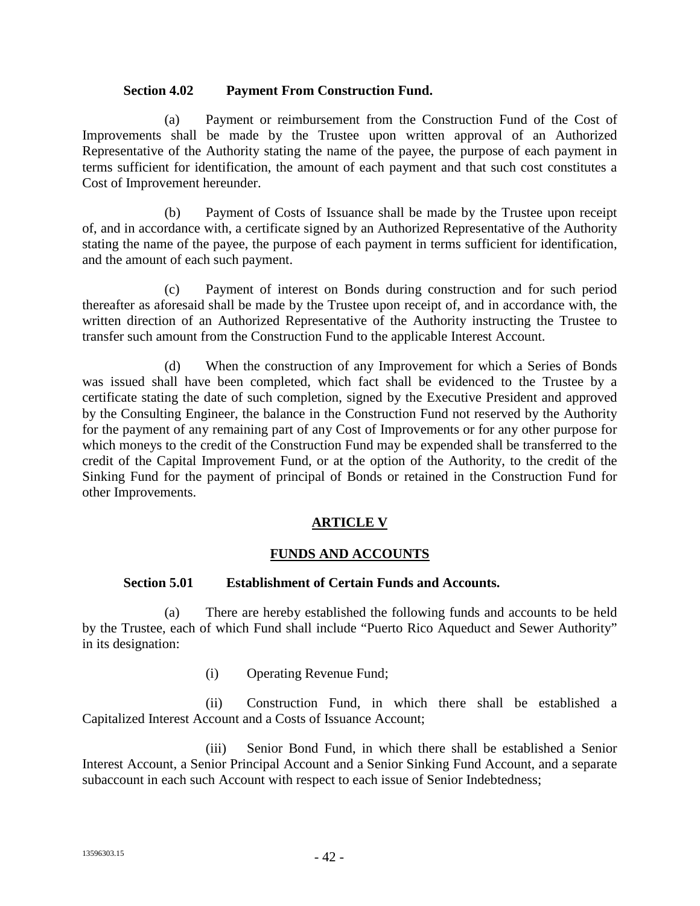#### **Section 4.02 Payment From Construction Fund.**

(a) Payment or reimbursement from the Construction Fund of the Cost of Improvements shall be made by the Trustee upon written approval of an Authorized Representative of the Authority stating the name of the payee, the purpose of each payment in terms sufficient for identification, the amount of each payment and that such cost constitutes a Cost of Improvement hereunder.

(b) Payment of Costs of Issuance shall be made by the Trustee upon receipt of, and in accordance with, a certificate signed by an Authorized Representative of the Authority stating the name of the payee, the purpose of each payment in terms sufficient for identification, and the amount of each such payment.

(c) Payment of interest on Bonds during construction and for such period thereafter as aforesaid shall be made by the Trustee upon receipt of, and in accordance with, the written direction of an Authorized Representative of the Authority instructing the Trustee to transfer such amount from the Construction Fund to the applicable Interest Account.

(d) When the construction of any Improvement for which a Series of Bonds was issued shall have been completed, which fact shall be evidenced to the Trustee by a certificate stating the date of such completion, signed by the Executive President and approved by the Consulting Engineer, the balance in the Construction Fund not reserved by the Authority for the payment of any remaining part of any Cost of Improvements or for any other purpose for which moneys to the credit of the Construction Fund may be expended shall be transferred to the credit of the Capital Improvement Fund, or at the option of the Authority, to the credit of the Sinking Fund for the payment of principal of Bonds or retained in the Construction Fund for other Improvements.

## **ARTICLE V**

## **FUNDS AND ACCOUNTS**

# **Section 5.01 Establishment of Certain Funds and Accounts.**

(a) There are hereby established the following funds and accounts to be held by the Trustee, each of which Fund shall include "Puerto Rico Aqueduct and Sewer Authority" in its designation:

(i) Operating Revenue Fund;

(ii) Construction Fund, in which there shall be established a Capitalized Interest Account and a Costs of Issuance Account;

(iii) Senior Bond Fund, in which there shall be established a Senior Interest Account, a Senior Principal Account and a Senior Sinking Fund Account, and a separate subaccount in each such Account with respect to each issue of Senior Indebtedness;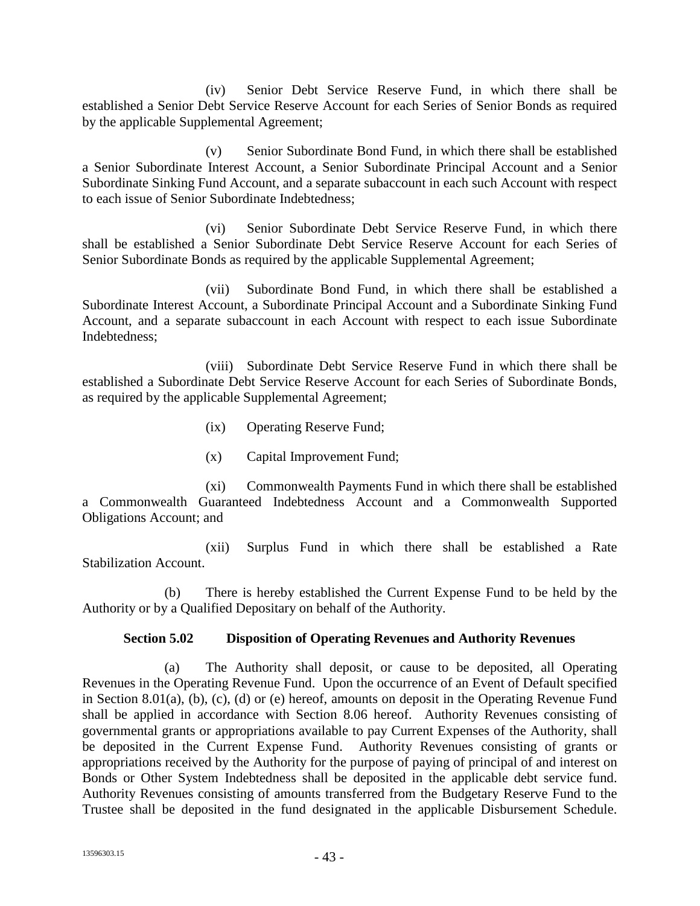(iv) Senior Debt Service Reserve Fund, in which there shall be established a Senior Debt Service Reserve Account for each Series of Senior Bonds as required by the applicable Supplemental Agreement;

(v) Senior Subordinate Bond Fund, in which there shall be established a Senior Subordinate Interest Account, a Senior Subordinate Principal Account and a Senior Subordinate Sinking Fund Account, and a separate subaccount in each such Account with respect to each issue of Senior Subordinate Indebtedness;

(vi) Senior Subordinate Debt Service Reserve Fund, in which there shall be established a Senior Subordinate Debt Service Reserve Account for each Series of Senior Subordinate Bonds as required by the applicable Supplemental Agreement;

(vii) Subordinate Bond Fund, in which there shall be established a Subordinate Interest Account, a Subordinate Principal Account and a Subordinate Sinking Fund Account, and a separate subaccount in each Account with respect to each issue Subordinate Indebtedness;

(viii) Subordinate Debt Service Reserve Fund in which there shall be established a Subordinate Debt Service Reserve Account for each Series of Subordinate Bonds, as required by the applicable Supplemental Agreement;

- (ix) Operating Reserve Fund;
- (x) Capital Improvement Fund;

(xi) Commonwealth Payments Fund in which there shall be established a Commonwealth Guaranteed Indebtedness Account and a Commonwealth Supported Obligations Account; and

(xii) Surplus Fund in which there shall be established a Rate Stabilization Account.

(b) There is hereby established the Current Expense Fund to be held by the Authority or by a Qualified Depositary on behalf of the Authority.

## **Section 5.02 Disposition of Operating Revenues and Authority Revenues**

(a) The Authority shall deposit, or cause to be deposited, all Operating Revenues in the Operating Revenue Fund. Upon the occurrence of an Event of Default specified in Section 8.01(a), (b), (c), (d) or (e) hereof, amounts on deposit in the Operating Revenue Fund shall be applied in accordance with Section 8.06 hereof. Authority Revenues consisting of governmental grants or appropriations available to pay Current Expenses of the Authority, shall be deposited in the Current Expense Fund. Authority Revenues consisting of grants or appropriations received by the Authority for the purpose of paying of principal of and interest on Bonds or Other System Indebtedness shall be deposited in the applicable debt service fund. Authority Revenues consisting of amounts transferred from the Budgetary Reserve Fund to the Trustee shall be deposited in the fund designated in the applicable Disbursement Schedule.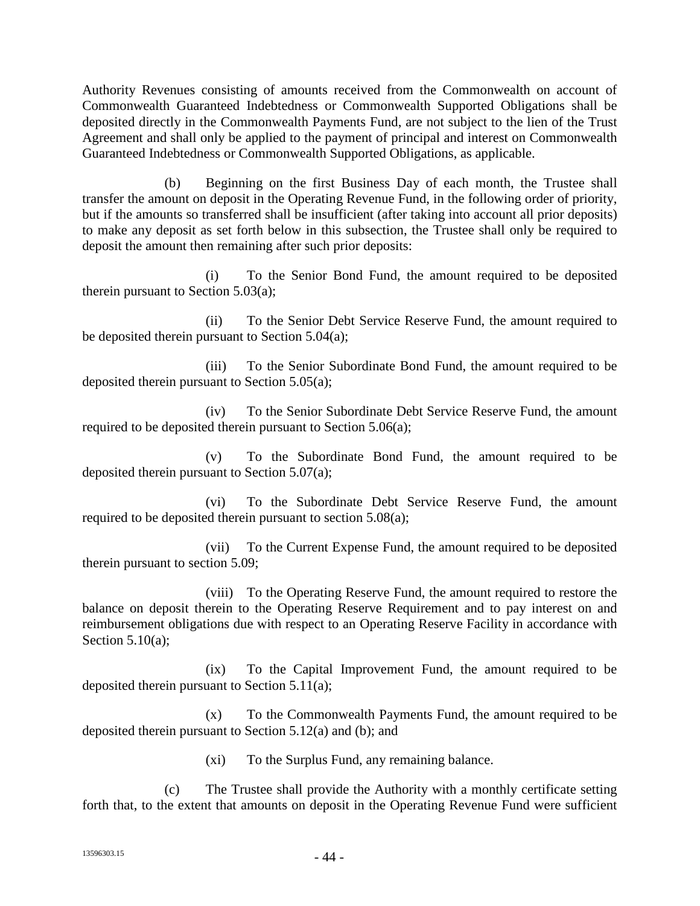Authority Revenues consisting of amounts received from the Commonwealth on account of Commonwealth Guaranteed Indebtedness or Commonwealth Supported Obligations shall be deposited directly in the Commonwealth Payments Fund, are not subject to the lien of the Trust Agreement and shall only be applied to the payment of principal and interest on Commonwealth Guaranteed Indebtedness or Commonwealth Supported Obligations, as applicable.

(b) Beginning on the first Business Day of each month, the Trustee shall transfer the amount on deposit in the Operating Revenue Fund, in the following order of priority, but if the amounts so transferred shall be insufficient (after taking into account all prior deposits) to make any deposit as set forth below in this subsection, the Trustee shall only be required to deposit the amount then remaining after such prior deposits:

(i) To the Senior Bond Fund, the amount required to be deposited therein pursuant to Section 5.03(a);

(ii) To the Senior Debt Service Reserve Fund, the amount required to be deposited therein pursuant to Section 5.04(a);

(iii) To the Senior Subordinate Bond Fund, the amount required to be deposited therein pursuant to Section 5.05(a);

(iv) To the Senior Subordinate Debt Service Reserve Fund, the amount required to be deposited therein pursuant to Section 5.06(a);

(v) To the Subordinate Bond Fund, the amount required to be deposited therein pursuant to Section 5.07(a);

(vi) To the Subordinate Debt Service Reserve Fund, the amount required to be deposited therein pursuant to section 5.08(a);

(vii) To the Current Expense Fund, the amount required to be deposited therein pursuant to section 5.09;

(viii) To the Operating Reserve Fund, the amount required to restore the balance on deposit therein to the Operating Reserve Requirement and to pay interest on and reimbursement obligations due with respect to an Operating Reserve Facility in accordance with Section 5.10(a):

(ix) To the Capital Improvement Fund, the amount required to be deposited therein pursuant to Section 5.11(a);

(x) To the Commonwealth Payments Fund, the amount required to be deposited therein pursuant to Section 5.12(a) and (b); and

(xi) To the Surplus Fund, any remaining balance.

(c) The Trustee shall provide the Authority with a monthly certificate setting forth that, to the extent that amounts on deposit in the Operating Revenue Fund were sufficient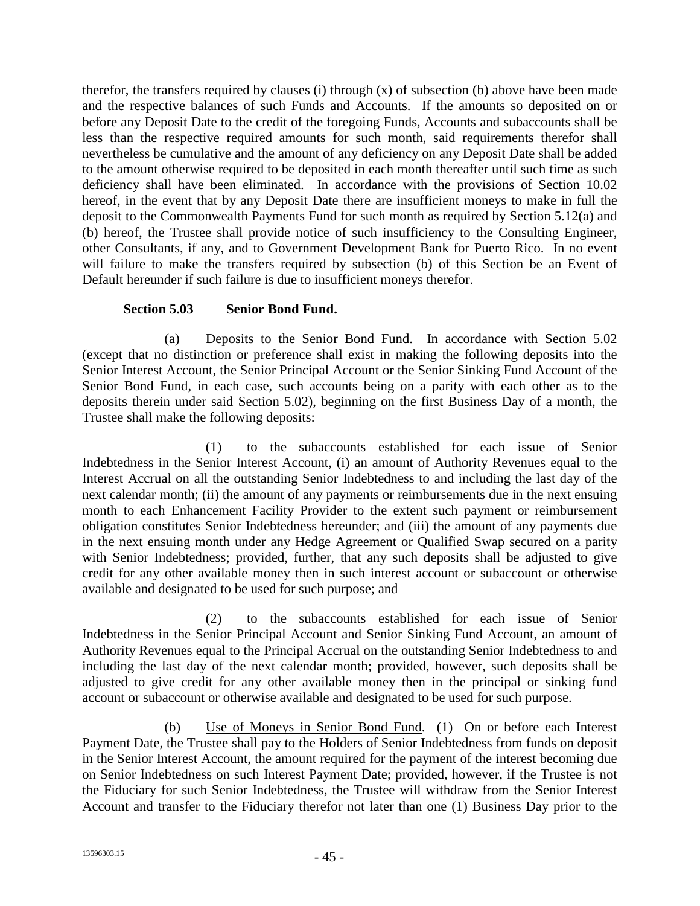therefor, the transfers required by clauses (i) through  $(x)$  of subsection (b) above have been made and the respective balances of such Funds and Accounts. If the amounts so deposited on or before any Deposit Date to the credit of the foregoing Funds, Accounts and subaccounts shall be less than the respective required amounts for such month, said requirements therefor shall nevertheless be cumulative and the amount of any deficiency on any Deposit Date shall be added to the amount otherwise required to be deposited in each month thereafter until such time as such deficiency shall have been eliminated. In accordance with the provisions of Section 10.02 hereof, in the event that by any Deposit Date there are insufficient moneys to make in full the deposit to the Commonwealth Payments Fund for such month as required by Section 5.12(a) and (b) hereof, the Trustee shall provide notice of such insufficiency to the Consulting Engineer, other Consultants, if any, and to Government Development Bank for Puerto Rico. In no event will failure to make the transfers required by subsection (b) of this Section be an Event of Default hereunder if such failure is due to insufficient moneys therefor.

## **Section 5.03 Senior Bond Fund.**

(a) Deposits to the Senior Bond Fund. In accordance with Section 5.02 (except that no distinction or preference shall exist in making the following deposits into the Senior Interest Account, the Senior Principal Account or the Senior Sinking Fund Account of the Senior Bond Fund, in each case, such accounts being on a parity with each other as to the deposits therein under said Section 5.02), beginning on the first Business Day of a month, the Trustee shall make the following deposits:

(1) to the subaccounts established for each issue of Senior Indebtedness in the Senior Interest Account, (i) an amount of Authority Revenues equal to the Interest Accrual on all the outstanding Senior Indebtedness to and including the last day of the next calendar month; (ii) the amount of any payments or reimbursements due in the next ensuing month to each Enhancement Facility Provider to the extent such payment or reimbursement obligation constitutes Senior Indebtedness hereunder; and (iii) the amount of any payments due in the next ensuing month under any Hedge Agreement or Qualified Swap secured on a parity with Senior Indebtedness; provided, further, that any such deposits shall be adjusted to give credit for any other available money then in such interest account or subaccount or otherwise available and designated to be used for such purpose; and

(2) to the subaccounts established for each issue of Senior Indebtedness in the Senior Principal Account and Senior Sinking Fund Account, an amount of Authority Revenues equal to the Principal Accrual on the outstanding Senior Indebtedness to and including the last day of the next calendar month; provided, however, such deposits shall be adjusted to give credit for any other available money then in the principal or sinking fund account or subaccount or otherwise available and designated to be used for such purpose.

(b) Use of Moneys in Senior Bond Fund. (1) On or before each Interest Payment Date, the Trustee shall pay to the Holders of Senior Indebtedness from funds on deposit in the Senior Interest Account, the amount required for the payment of the interest becoming due on Senior Indebtedness on such Interest Payment Date; provided, however, if the Trustee is not the Fiduciary for such Senior Indebtedness, the Trustee will withdraw from the Senior Interest Account and transfer to the Fiduciary therefor not later than one (1) Business Day prior to the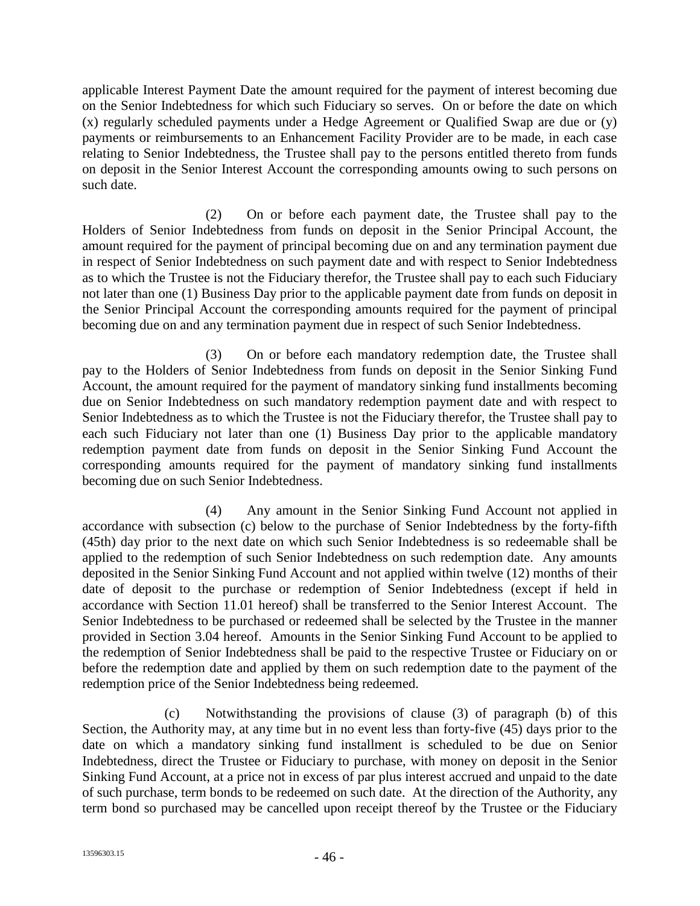applicable Interest Payment Date the amount required for the payment of interest becoming due on the Senior Indebtedness for which such Fiduciary so serves. On or before the date on which (x) regularly scheduled payments under a Hedge Agreement or Qualified Swap are due or (y) payments or reimbursements to an Enhancement Facility Provider are to be made, in each case relating to Senior Indebtedness, the Trustee shall pay to the persons entitled thereto from funds on deposit in the Senior Interest Account the corresponding amounts owing to such persons on such date.

(2) On or before each payment date, the Trustee shall pay to the Holders of Senior Indebtedness from funds on deposit in the Senior Principal Account, the amount required for the payment of principal becoming due on and any termination payment due in respect of Senior Indebtedness on such payment date and with respect to Senior Indebtedness as to which the Trustee is not the Fiduciary therefor, the Trustee shall pay to each such Fiduciary not later than one (1) Business Day prior to the applicable payment date from funds on deposit in the Senior Principal Account the corresponding amounts required for the payment of principal becoming due on and any termination payment due in respect of such Senior Indebtedness.

(3) On or before each mandatory redemption date, the Trustee shall pay to the Holders of Senior Indebtedness from funds on deposit in the Senior Sinking Fund Account, the amount required for the payment of mandatory sinking fund installments becoming due on Senior Indebtedness on such mandatory redemption payment date and with respect to Senior Indebtedness as to which the Trustee is not the Fiduciary therefor, the Trustee shall pay to each such Fiduciary not later than one (1) Business Day prior to the applicable mandatory redemption payment date from funds on deposit in the Senior Sinking Fund Account the corresponding amounts required for the payment of mandatory sinking fund installments becoming due on such Senior Indebtedness.

(4) Any amount in the Senior Sinking Fund Account not applied in accordance with subsection (c) below to the purchase of Senior Indebtedness by the forty-fifth (45th) day prior to the next date on which such Senior Indebtedness is so redeemable shall be applied to the redemption of such Senior Indebtedness on such redemption date. Any amounts deposited in the Senior Sinking Fund Account and not applied within twelve (12) months of their date of deposit to the purchase or redemption of Senior Indebtedness (except if held in accordance with Section 11.01 hereof) shall be transferred to the Senior Interest Account. The Senior Indebtedness to be purchased or redeemed shall be selected by the Trustee in the manner provided in Section 3.04 hereof. Amounts in the Senior Sinking Fund Account to be applied to the redemption of Senior Indebtedness shall be paid to the respective Trustee or Fiduciary on or before the redemption date and applied by them on such redemption date to the payment of the redemption price of the Senior Indebtedness being redeemed.

(c) Notwithstanding the provisions of clause (3) of paragraph (b) of this Section, the Authority may, at any time but in no event less than forty-five (45) days prior to the date on which a mandatory sinking fund installment is scheduled to be due on Senior Indebtedness, direct the Trustee or Fiduciary to purchase, with money on deposit in the Senior Sinking Fund Account, at a price not in excess of par plus interest accrued and unpaid to the date of such purchase, term bonds to be redeemed on such date. At the direction of the Authority, any term bond so purchased may be cancelled upon receipt thereof by the Trustee or the Fiduciary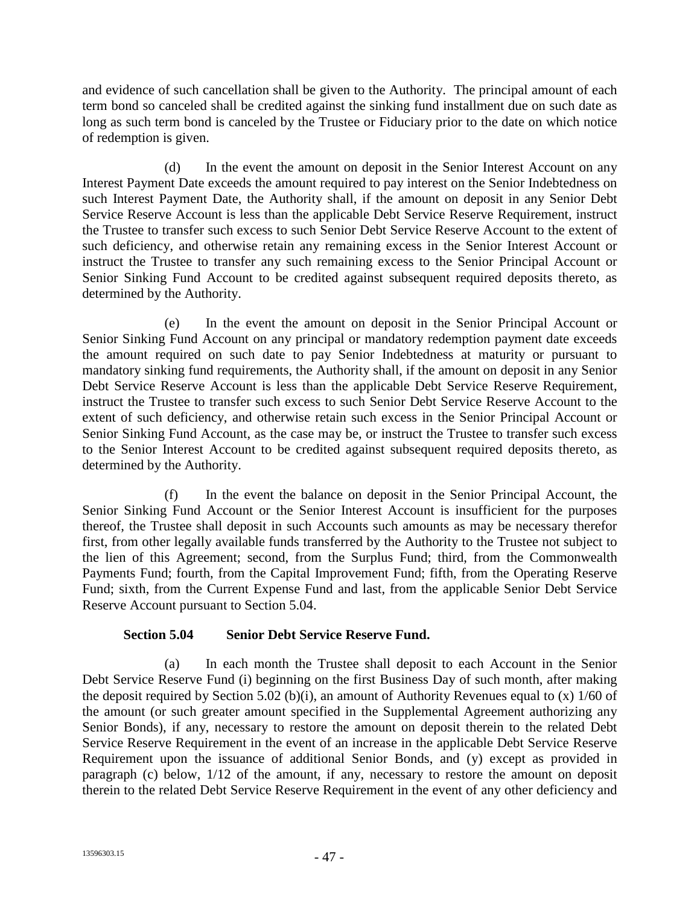and evidence of such cancellation shall be given to the Authority. The principal amount of each term bond so canceled shall be credited against the sinking fund installment due on such date as long as such term bond is canceled by the Trustee or Fiduciary prior to the date on which notice of redemption is given.

(d) In the event the amount on deposit in the Senior Interest Account on any Interest Payment Date exceeds the amount required to pay interest on the Senior Indebtedness on such Interest Payment Date, the Authority shall, if the amount on deposit in any Senior Debt Service Reserve Account is less than the applicable Debt Service Reserve Requirement, instruct the Trustee to transfer such excess to such Senior Debt Service Reserve Account to the extent of such deficiency, and otherwise retain any remaining excess in the Senior Interest Account or instruct the Trustee to transfer any such remaining excess to the Senior Principal Account or Senior Sinking Fund Account to be credited against subsequent required deposits thereto, as determined by the Authority.

(e) In the event the amount on deposit in the Senior Principal Account or Senior Sinking Fund Account on any principal or mandatory redemption payment date exceeds the amount required on such date to pay Senior Indebtedness at maturity or pursuant to mandatory sinking fund requirements, the Authority shall, if the amount on deposit in any Senior Debt Service Reserve Account is less than the applicable Debt Service Reserve Requirement, instruct the Trustee to transfer such excess to such Senior Debt Service Reserve Account to the extent of such deficiency, and otherwise retain such excess in the Senior Principal Account or Senior Sinking Fund Account, as the case may be, or instruct the Trustee to transfer such excess to the Senior Interest Account to be credited against subsequent required deposits thereto, as determined by the Authority.

(f) In the event the balance on deposit in the Senior Principal Account, the Senior Sinking Fund Account or the Senior Interest Account is insufficient for the purposes thereof, the Trustee shall deposit in such Accounts such amounts as may be necessary therefor first, from other legally available funds transferred by the Authority to the Trustee not subject to the lien of this Agreement; second, from the Surplus Fund; third, from the Commonwealth Payments Fund; fourth, from the Capital Improvement Fund; fifth, from the Operating Reserve Fund; sixth, from the Current Expense Fund and last, from the applicable Senior Debt Service Reserve Account pursuant to Section 5.04.

## **Section 5.04 Senior Debt Service Reserve Fund.**

(a) In each month the Trustee shall deposit to each Account in the Senior Debt Service Reserve Fund (i) beginning on the first Business Day of such month, after making the deposit required by Section 5.02 (b)(i), an amount of Authority Revenues equal to (x)  $1/60$  of the amount (or such greater amount specified in the Supplemental Agreement authorizing any Senior Bonds), if any, necessary to restore the amount on deposit therein to the related Debt Service Reserve Requirement in the event of an increase in the applicable Debt Service Reserve Requirement upon the issuance of additional Senior Bonds, and (y) except as provided in paragraph (c) below, 1/12 of the amount, if any, necessary to restore the amount on deposit therein to the related Debt Service Reserve Requirement in the event of any other deficiency and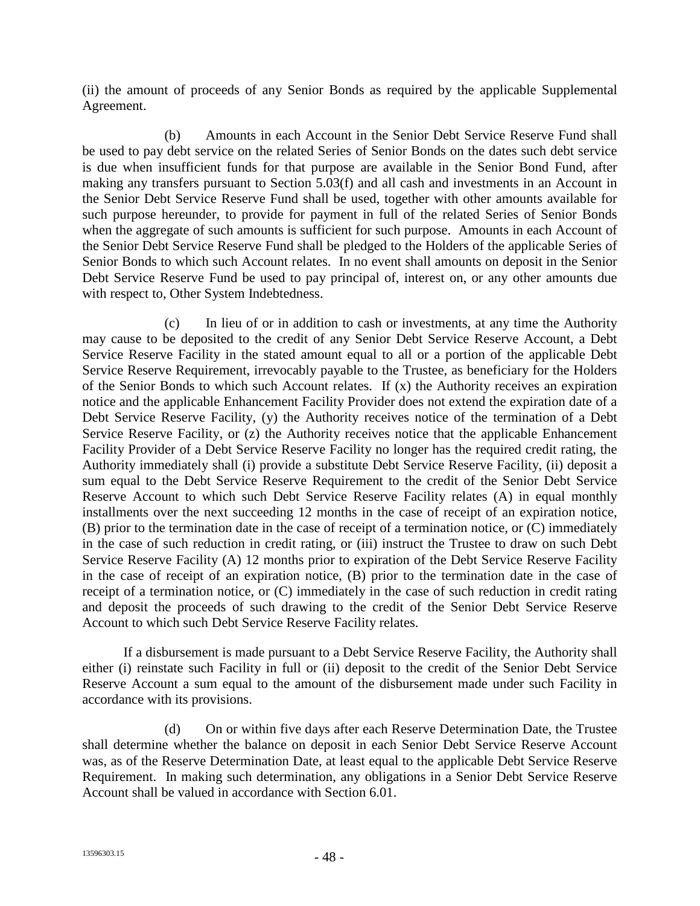(ii) the amount of proceeds of any Senior Bonds as required by the applicable Supplemental Agreement.

(b) Amounts in each Account in the Senior Debt Service Reserve Fund shall be used to pay debt service on the related Series of Senior Bonds on the dates such debt service is due when insufficient funds for that purpose are available in the Senior Bond Fund, after making any transfers pursuant to Section 5.03(f) and all cash and investments in an Account in the Senior Debt Service Reserve Fund shall be used, together with other amounts available for such purpose hereunder, to provide for payment in full of the related Series of Senior Bonds when the aggregate of such amounts is sufficient for such purpose. Amounts in each Account of the Senior Debt Service Reserve Fund shall be pledged to the Holders of the applicable Series of Senior Bonds to which such Account relates. In no event shall amounts on deposit in the Senior Debt Service Reserve Fund be used to pay principal of, interest on, or any other amounts due with respect to, Other System Indebtedness.

(c) In lieu of or in addition to cash or investments, at any time the Authority may cause to be deposited to the credit of any Senior Debt Service Reserve Account, a Debt Service Reserve Facility in the stated amount equal to all or a portion of the applicable Debt Service Reserve Requirement, irrevocably payable to the Trustee, as beneficiary for the Holders of the Senior Bonds to which such Account relates. If (x) the Authority receives an expiration notice and the applicable Enhancement Facility Provider does not extend the expiration date of a Debt Service Reserve Facility, (y) the Authority receives notice of the termination of a Debt Service Reserve Facility, or (z) the Authority receives notice that the applicable Enhancement Facility Provider of a Debt Service Reserve Facility no longer has the required credit rating, the Authority immediately shall (i) provide a substitute Debt Service Reserve Facility, (ii) deposit a sum equal to the Debt Service Reserve Requirement to the credit of the Senior Debt Service Reserve Account to which such Debt Service Reserve Facility relates (A) in equal monthly installments over the next succeeding 12 months in the case of receipt of an expiration notice, (B) prior to the termination date in the case of receipt of a termination notice, or (C) immediately in the case of such reduction in credit rating, or (iii) instruct the Trustee to draw on such Debt Service Reserve Facility (A) 12 months prior to expiration of the Debt Service Reserve Facility in the case of receipt of an expiration notice, (B) prior to the termination date in the case of receipt of a termination notice, or (C) immediately in the case of such reduction in credit rating and deposit the proceeds of such drawing to the credit of the Senior Debt Service Reserve Account to which such Debt Service Reserve Facility relates.

If a disbursement is made pursuant to a Debt Service Reserve Facility, the Authority shall either (i) reinstate such Facility in full or (ii) deposit to the credit of the Senior Debt Service Reserve Account a sum equal to the amount of the disbursement made under such Facility in accordance with its provisions.

(d) On or within five days after each Reserve Determination Date, the Trustee shall determine whether the balance on deposit in each Senior Debt Service Reserve Account was, as of the Reserve Determination Date, at least equal to the applicable Debt Service Reserve Requirement. In making such determination, any obligations in a Senior Debt Service Reserve Account shall be valued in accordance with Section 6.01.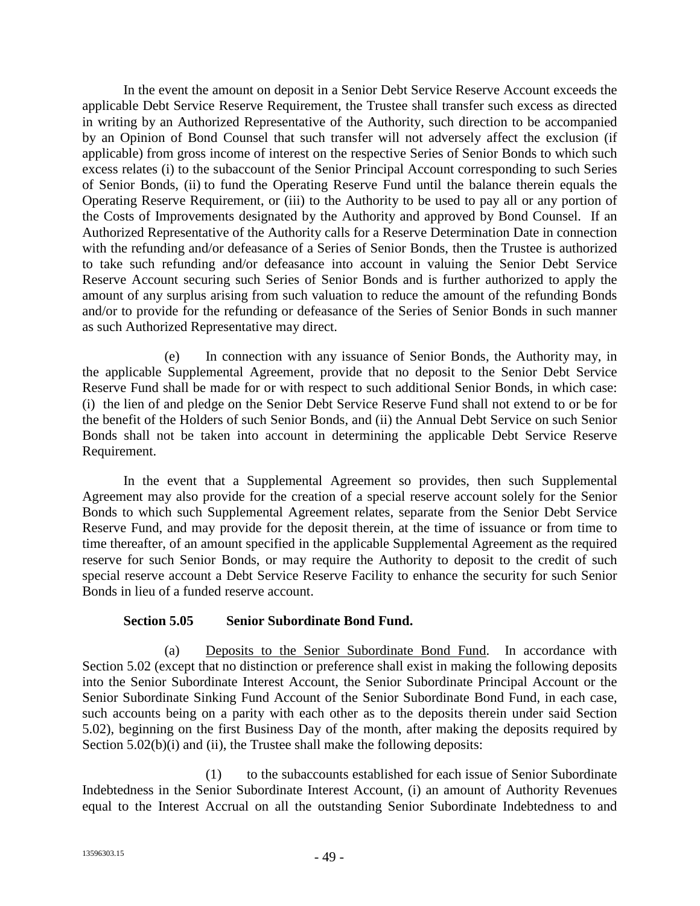In the event the amount on deposit in a Senior Debt Service Reserve Account exceeds the applicable Debt Service Reserve Requirement, the Trustee shall transfer such excess as directed in writing by an Authorized Representative of the Authority, such direction to be accompanied by an Opinion of Bond Counsel that such transfer will not adversely affect the exclusion (if applicable) from gross income of interest on the respective Series of Senior Bonds to which such excess relates (i) to the subaccount of the Senior Principal Account corresponding to such Series of Senior Bonds, (ii) to fund the Operating Reserve Fund until the balance therein equals the Operating Reserve Requirement, or (iii) to the Authority to be used to pay all or any portion of the Costs of Improvements designated by the Authority and approved by Bond Counsel. If an Authorized Representative of the Authority calls for a Reserve Determination Date in connection with the refunding and/or defeasance of a Series of Senior Bonds, then the Trustee is authorized to take such refunding and/or defeasance into account in valuing the Senior Debt Service Reserve Account securing such Series of Senior Bonds and is further authorized to apply the amount of any surplus arising from such valuation to reduce the amount of the refunding Bonds and/or to provide for the refunding or defeasance of the Series of Senior Bonds in such manner as such Authorized Representative may direct.

(e) In connection with any issuance of Senior Bonds, the Authority may, in the applicable Supplemental Agreement, provide that no deposit to the Senior Debt Service Reserve Fund shall be made for or with respect to such additional Senior Bonds, in which case: (i) the lien of and pledge on the Senior Debt Service Reserve Fund shall not extend to or be for the benefit of the Holders of such Senior Bonds, and (ii) the Annual Debt Service on such Senior Bonds shall not be taken into account in determining the applicable Debt Service Reserve Requirement.

In the event that a Supplemental Agreement so provides, then such Supplemental Agreement may also provide for the creation of a special reserve account solely for the Senior Bonds to which such Supplemental Agreement relates, separate from the Senior Debt Service Reserve Fund, and may provide for the deposit therein, at the time of issuance or from time to time thereafter, of an amount specified in the applicable Supplemental Agreement as the required reserve for such Senior Bonds, or may require the Authority to deposit to the credit of such special reserve account a Debt Service Reserve Facility to enhance the security for such Senior Bonds in lieu of a funded reserve account.

## **Section 5.05 Senior Subordinate Bond Fund.**

(a) Deposits to the Senior Subordinate Bond Fund. In accordance with Section 5.02 (except that no distinction or preference shall exist in making the following deposits into the Senior Subordinate Interest Account, the Senior Subordinate Principal Account or the Senior Subordinate Sinking Fund Account of the Senior Subordinate Bond Fund, in each case, such accounts being on a parity with each other as to the deposits therein under said Section 5.02), beginning on the first Business Day of the month, after making the deposits required by Section 5.02(b)(i) and (ii), the Trustee shall make the following deposits:

(1) to the subaccounts established for each issue of Senior Subordinate Indebtedness in the Senior Subordinate Interest Account, (i) an amount of Authority Revenues equal to the Interest Accrual on all the outstanding Senior Subordinate Indebtedness to and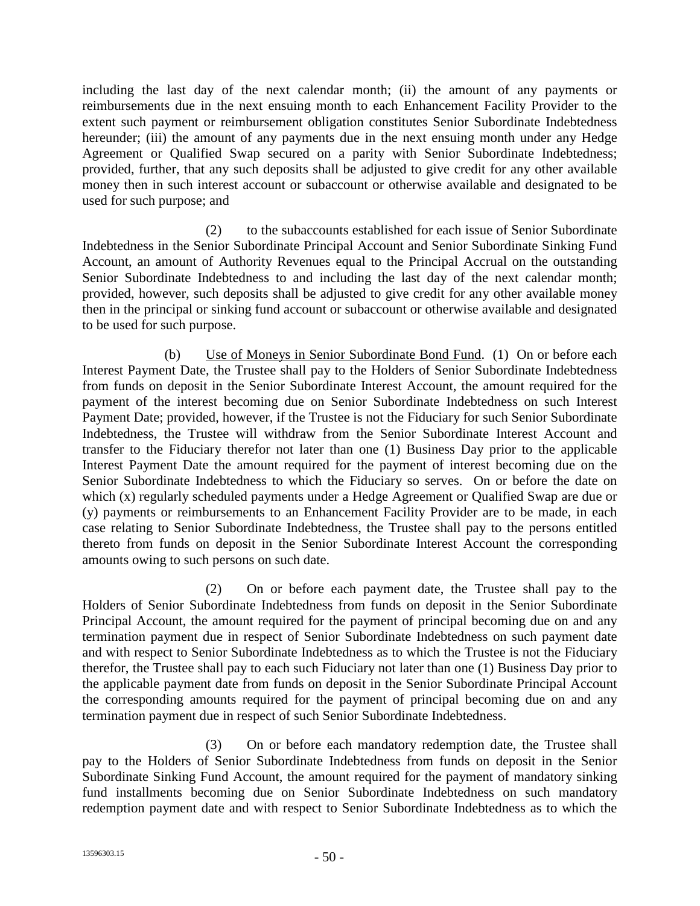including the last day of the next calendar month; (ii) the amount of any payments or reimbursements due in the next ensuing month to each Enhancement Facility Provider to the extent such payment or reimbursement obligation constitutes Senior Subordinate Indebtedness hereunder; (iii) the amount of any payments due in the next ensuing month under any Hedge Agreement or Qualified Swap secured on a parity with Senior Subordinate Indebtedness; provided, further, that any such deposits shall be adjusted to give credit for any other available money then in such interest account or subaccount or otherwise available and designated to be used for such purpose; and

(2) to the subaccounts established for each issue of Senior Subordinate Indebtedness in the Senior Subordinate Principal Account and Senior Subordinate Sinking Fund Account, an amount of Authority Revenues equal to the Principal Accrual on the outstanding Senior Subordinate Indebtedness to and including the last day of the next calendar month; provided, however, such deposits shall be adjusted to give credit for any other available money then in the principal or sinking fund account or subaccount or otherwise available and designated to be used for such purpose.

(b) Use of Moneys in Senior Subordinate Bond Fund. (1) On or before each Interest Payment Date, the Trustee shall pay to the Holders of Senior Subordinate Indebtedness from funds on deposit in the Senior Subordinate Interest Account, the amount required for the payment of the interest becoming due on Senior Subordinate Indebtedness on such Interest Payment Date; provided, however, if the Trustee is not the Fiduciary for such Senior Subordinate Indebtedness, the Trustee will withdraw from the Senior Subordinate Interest Account and transfer to the Fiduciary therefor not later than one (1) Business Day prior to the applicable Interest Payment Date the amount required for the payment of interest becoming due on the Senior Subordinate Indebtedness to which the Fiduciary so serves. On or before the date on which (x) regularly scheduled payments under a Hedge Agreement or Qualified Swap are due or (y) payments or reimbursements to an Enhancement Facility Provider are to be made, in each case relating to Senior Subordinate Indebtedness, the Trustee shall pay to the persons entitled thereto from funds on deposit in the Senior Subordinate Interest Account the corresponding amounts owing to such persons on such date.

(2) On or before each payment date, the Trustee shall pay to the Holders of Senior Subordinate Indebtedness from funds on deposit in the Senior Subordinate Principal Account, the amount required for the payment of principal becoming due on and any termination payment due in respect of Senior Subordinate Indebtedness on such payment date and with respect to Senior Subordinate Indebtedness as to which the Trustee is not the Fiduciary therefor, the Trustee shall pay to each such Fiduciary not later than one (1) Business Day prior to the applicable payment date from funds on deposit in the Senior Subordinate Principal Account the corresponding amounts required for the payment of principal becoming due on and any termination payment due in respect of such Senior Subordinate Indebtedness.

(3) On or before each mandatory redemption date, the Trustee shall pay to the Holders of Senior Subordinate Indebtedness from funds on deposit in the Senior Subordinate Sinking Fund Account, the amount required for the payment of mandatory sinking fund installments becoming due on Senior Subordinate Indebtedness on such mandatory redemption payment date and with respect to Senior Subordinate Indebtedness as to which the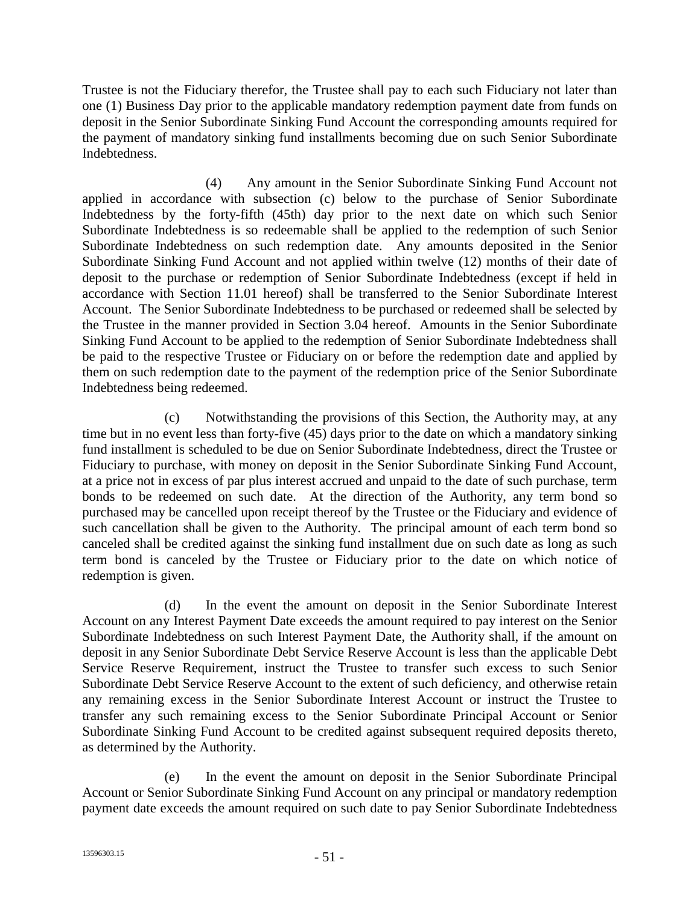Trustee is not the Fiduciary therefor, the Trustee shall pay to each such Fiduciary not later than one (1) Business Day prior to the applicable mandatory redemption payment date from funds on deposit in the Senior Subordinate Sinking Fund Account the corresponding amounts required for the payment of mandatory sinking fund installments becoming due on such Senior Subordinate Indebtedness.

(4) Any amount in the Senior Subordinate Sinking Fund Account not applied in accordance with subsection (c) below to the purchase of Senior Subordinate Indebtedness by the forty-fifth (45th) day prior to the next date on which such Senior Subordinate Indebtedness is so redeemable shall be applied to the redemption of such Senior Subordinate Indebtedness on such redemption date. Any amounts deposited in the Senior Subordinate Sinking Fund Account and not applied within twelve (12) months of their date of deposit to the purchase or redemption of Senior Subordinate Indebtedness (except if held in accordance with Section 11.01 hereof) shall be transferred to the Senior Subordinate Interest Account. The Senior Subordinate Indebtedness to be purchased or redeemed shall be selected by the Trustee in the manner provided in Section 3.04 hereof. Amounts in the Senior Subordinate Sinking Fund Account to be applied to the redemption of Senior Subordinate Indebtedness shall be paid to the respective Trustee or Fiduciary on or before the redemption date and applied by them on such redemption date to the payment of the redemption price of the Senior Subordinate Indebtedness being redeemed.

(c) Notwithstanding the provisions of this Section, the Authority may, at any time but in no event less than forty-five (45) days prior to the date on which a mandatory sinking fund installment is scheduled to be due on Senior Subordinate Indebtedness, direct the Trustee or Fiduciary to purchase, with money on deposit in the Senior Subordinate Sinking Fund Account, at a price not in excess of par plus interest accrued and unpaid to the date of such purchase, term bonds to be redeemed on such date. At the direction of the Authority, any term bond so purchased may be cancelled upon receipt thereof by the Trustee or the Fiduciary and evidence of such cancellation shall be given to the Authority. The principal amount of each term bond so canceled shall be credited against the sinking fund installment due on such date as long as such term bond is canceled by the Trustee or Fiduciary prior to the date on which notice of redemption is given.

(d) In the event the amount on deposit in the Senior Subordinate Interest Account on any Interest Payment Date exceeds the amount required to pay interest on the Senior Subordinate Indebtedness on such Interest Payment Date, the Authority shall, if the amount on deposit in any Senior Subordinate Debt Service Reserve Account is less than the applicable Debt Service Reserve Requirement, instruct the Trustee to transfer such excess to such Senior Subordinate Debt Service Reserve Account to the extent of such deficiency, and otherwise retain any remaining excess in the Senior Subordinate Interest Account or instruct the Trustee to transfer any such remaining excess to the Senior Subordinate Principal Account or Senior Subordinate Sinking Fund Account to be credited against subsequent required deposits thereto, as determined by the Authority.

(e) In the event the amount on deposit in the Senior Subordinate Principal Account or Senior Subordinate Sinking Fund Account on any principal or mandatory redemption payment date exceeds the amount required on such date to pay Senior Subordinate Indebtedness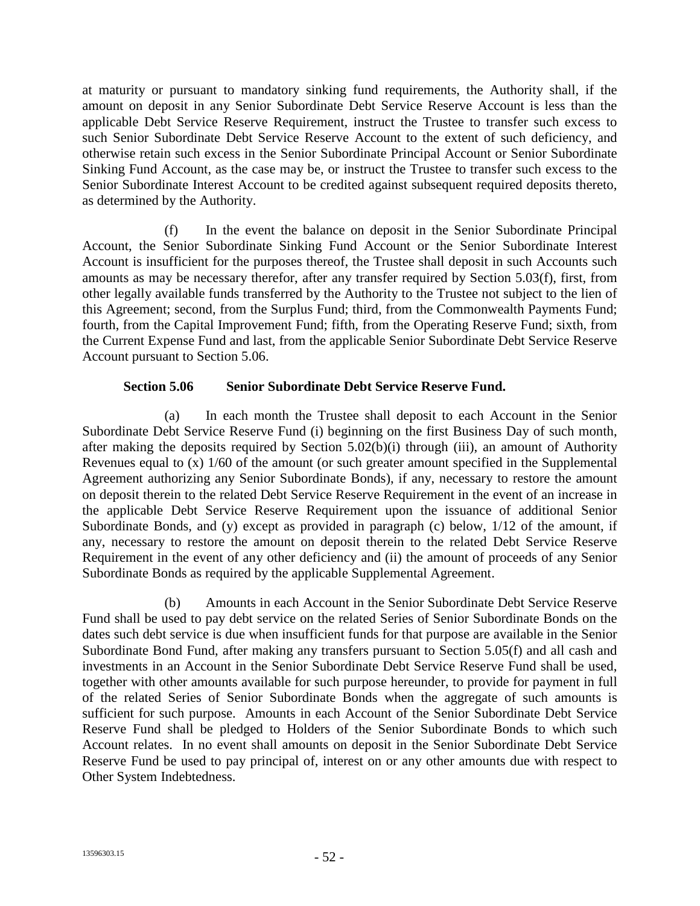at maturity or pursuant to mandatory sinking fund requirements, the Authority shall, if the amount on deposit in any Senior Subordinate Debt Service Reserve Account is less than the applicable Debt Service Reserve Requirement, instruct the Trustee to transfer such excess to such Senior Subordinate Debt Service Reserve Account to the extent of such deficiency, and otherwise retain such excess in the Senior Subordinate Principal Account or Senior Subordinate Sinking Fund Account, as the case may be, or instruct the Trustee to transfer such excess to the Senior Subordinate Interest Account to be credited against subsequent required deposits thereto, as determined by the Authority.

(f) In the event the balance on deposit in the Senior Subordinate Principal Account, the Senior Subordinate Sinking Fund Account or the Senior Subordinate Interest Account is insufficient for the purposes thereof, the Trustee shall deposit in such Accounts such amounts as may be necessary therefor, after any transfer required by Section 5.03(f), first, from other legally available funds transferred by the Authority to the Trustee not subject to the lien of this Agreement; second, from the Surplus Fund; third, from the Commonwealth Payments Fund; fourth, from the Capital Improvement Fund; fifth, from the Operating Reserve Fund; sixth, from the Current Expense Fund and last, from the applicable Senior Subordinate Debt Service Reserve Account pursuant to Section 5.06.

## **Section 5.06 Senior Subordinate Debt Service Reserve Fund.**

(a) In each month the Trustee shall deposit to each Account in the Senior Subordinate Debt Service Reserve Fund (i) beginning on the first Business Day of such month, after making the deposits required by Section 5.02(b)(i) through (iii), an amount of Authority Revenues equal to (x) 1/60 of the amount (or such greater amount specified in the Supplemental Agreement authorizing any Senior Subordinate Bonds), if any, necessary to restore the amount on deposit therein to the related Debt Service Reserve Requirement in the event of an increase in the applicable Debt Service Reserve Requirement upon the issuance of additional Senior Subordinate Bonds, and (y) except as provided in paragraph (c) below, 1/12 of the amount, if any, necessary to restore the amount on deposit therein to the related Debt Service Reserve Requirement in the event of any other deficiency and (ii) the amount of proceeds of any Senior Subordinate Bonds as required by the applicable Supplemental Agreement.

(b) Amounts in each Account in the Senior Subordinate Debt Service Reserve Fund shall be used to pay debt service on the related Series of Senior Subordinate Bonds on the dates such debt service is due when insufficient funds for that purpose are available in the Senior Subordinate Bond Fund, after making any transfers pursuant to Section 5.05(f) and all cash and investments in an Account in the Senior Subordinate Debt Service Reserve Fund shall be used, together with other amounts available for such purpose hereunder, to provide for payment in full of the related Series of Senior Subordinate Bonds when the aggregate of such amounts is sufficient for such purpose. Amounts in each Account of the Senior Subordinate Debt Service Reserve Fund shall be pledged to Holders of the Senior Subordinate Bonds to which such Account relates. In no event shall amounts on deposit in the Senior Subordinate Debt Service Reserve Fund be used to pay principal of, interest on or any other amounts due with respect to Other System Indebtedness.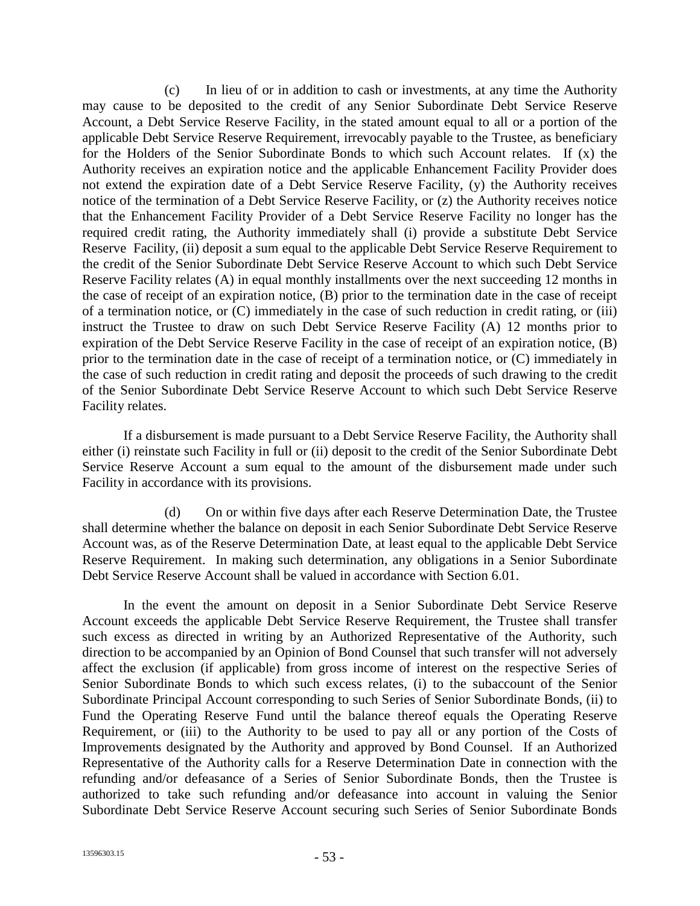(c) In lieu of or in addition to cash or investments, at any time the Authority may cause to be deposited to the credit of any Senior Subordinate Debt Service Reserve Account, a Debt Service Reserve Facility, in the stated amount equal to all or a portion of the applicable Debt Service Reserve Requirement, irrevocably payable to the Trustee, as beneficiary for the Holders of the Senior Subordinate Bonds to which such Account relates. If (x) the Authority receives an expiration notice and the applicable Enhancement Facility Provider does not extend the expiration date of a Debt Service Reserve Facility, (y) the Authority receives notice of the termination of a Debt Service Reserve Facility, or (z) the Authority receives notice that the Enhancement Facility Provider of a Debt Service Reserve Facility no longer has the required credit rating, the Authority immediately shall (i) provide a substitute Debt Service Reserve Facility, (ii) deposit a sum equal to the applicable Debt Service Reserve Requirement to the credit of the Senior Subordinate Debt Service Reserve Account to which such Debt Service Reserve Facility relates (A) in equal monthly installments over the next succeeding 12 months in the case of receipt of an expiration notice, (B) prior to the termination date in the case of receipt of a termination notice, or (C) immediately in the case of such reduction in credit rating, or (iii) instruct the Trustee to draw on such Debt Service Reserve Facility (A) 12 months prior to expiration of the Debt Service Reserve Facility in the case of receipt of an expiration notice, (B) prior to the termination date in the case of receipt of a termination notice, or (C) immediately in the case of such reduction in credit rating and deposit the proceeds of such drawing to the credit of the Senior Subordinate Debt Service Reserve Account to which such Debt Service Reserve Facility relates.

If a disbursement is made pursuant to a Debt Service Reserve Facility, the Authority shall either (i) reinstate such Facility in full or (ii) deposit to the credit of the Senior Subordinate Debt Service Reserve Account a sum equal to the amount of the disbursement made under such Facility in accordance with its provisions.

(d) On or within five days after each Reserve Determination Date, the Trustee shall determine whether the balance on deposit in each Senior Subordinate Debt Service Reserve Account was, as of the Reserve Determination Date, at least equal to the applicable Debt Service Reserve Requirement. In making such determination, any obligations in a Senior Subordinate Debt Service Reserve Account shall be valued in accordance with Section 6.01.

In the event the amount on deposit in a Senior Subordinate Debt Service Reserve Account exceeds the applicable Debt Service Reserve Requirement, the Trustee shall transfer such excess as directed in writing by an Authorized Representative of the Authority, such direction to be accompanied by an Opinion of Bond Counsel that such transfer will not adversely affect the exclusion (if applicable) from gross income of interest on the respective Series of Senior Subordinate Bonds to which such excess relates, (i) to the subaccount of the Senior Subordinate Principal Account corresponding to such Series of Senior Subordinate Bonds, (ii) to Fund the Operating Reserve Fund until the balance thereof equals the Operating Reserve Requirement, or (iii) to the Authority to be used to pay all or any portion of the Costs of Improvements designated by the Authority and approved by Bond Counsel. If an Authorized Representative of the Authority calls for a Reserve Determination Date in connection with the refunding and/or defeasance of a Series of Senior Subordinate Bonds, then the Trustee is authorized to take such refunding and/or defeasance into account in valuing the Senior Subordinate Debt Service Reserve Account securing such Series of Senior Subordinate Bonds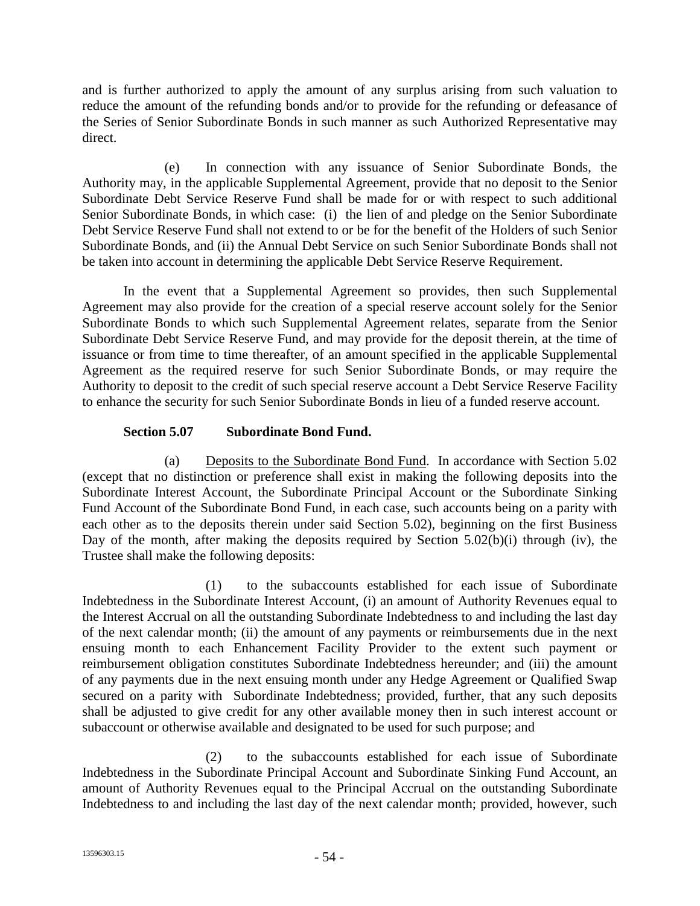and is further authorized to apply the amount of any surplus arising from such valuation to reduce the amount of the refunding bonds and/or to provide for the refunding or defeasance of the Series of Senior Subordinate Bonds in such manner as such Authorized Representative may direct.

(e) In connection with any issuance of Senior Subordinate Bonds, the Authority may, in the applicable Supplemental Agreement, provide that no deposit to the Senior Subordinate Debt Service Reserve Fund shall be made for or with respect to such additional Senior Subordinate Bonds, in which case: (i) the lien of and pledge on the Senior Subordinate Debt Service Reserve Fund shall not extend to or be for the benefit of the Holders of such Senior Subordinate Bonds, and (ii) the Annual Debt Service on such Senior Subordinate Bonds shall not be taken into account in determining the applicable Debt Service Reserve Requirement.

In the event that a Supplemental Agreement so provides, then such Supplemental Agreement may also provide for the creation of a special reserve account solely for the Senior Subordinate Bonds to which such Supplemental Agreement relates, separate from the Senior Subordinate Debt Service Reserve Fund, and may provide for the deposit therein, at the time of issuance or from time to time thereafter, of an amount specified in the applicable Supplemental Agreement as the required reserve for such Senior Subordinate Bonds, or may require the Authority to deposit to the credit of such special reserve account a Debt Service Reserve Facility to enhance the security for such Senior Subordinate Bonds in lieu of a funded reserve account.

## **Section 5.07 Subordinate Bond Fund.**

(a) Deposits to the Subordinate Bond Fund. In accordance with Section 5.02 (except that no distinction or preference shall exist in making the following deposits into the Subordinate Interest Account, the Subordinate Principal Account or the Subordinate Sinking Fund Account of the Subordinate Bond Fund, in each case, such accounts being on a parity with each other as to the deposits therein under said Section 5.02), beginning on the first Business Day of the month, after making the deposits required by Section 5.02(b)(i) through (iv), the Trustee shall make the following deposits:

(1) to the subaccounts established for each issue of Subordinate Indebtedness in the Subordinate Interest Account, (i) an amount of Authority Revenues equal to the Interest Accrual on all the outstanding Subordinate Indebtedness to and including the last day of the next calendar month; (ii) the amount of any payments or reimbursements due in the next ensuing month to each Enhancement Facility Provider to the extent such payment or reimbursement obligation constitutes Subordinate Indebtedness hereunder; and (iii) the amount of any payments due in the next ensuing month under any Hedge Agreement or Qualified Swap secured on a parity with Subordinate Indebtedness; provided, further, that any such deposits shall be adjusted to give credit for any other available money then in such interest account or subaccount or otherwise available and designated to be used for such purpose; and

(2) to the subaccounts established for each issue of Subordinate Indebtedness in the Subordinate Principal Account and Subordinate Sinking Fund Account, an amount of Authority Revenues equal to the Principal Accrual on the outstanding Subordinate Indebtedness to and including the last day of the next calendar month; provided, however, such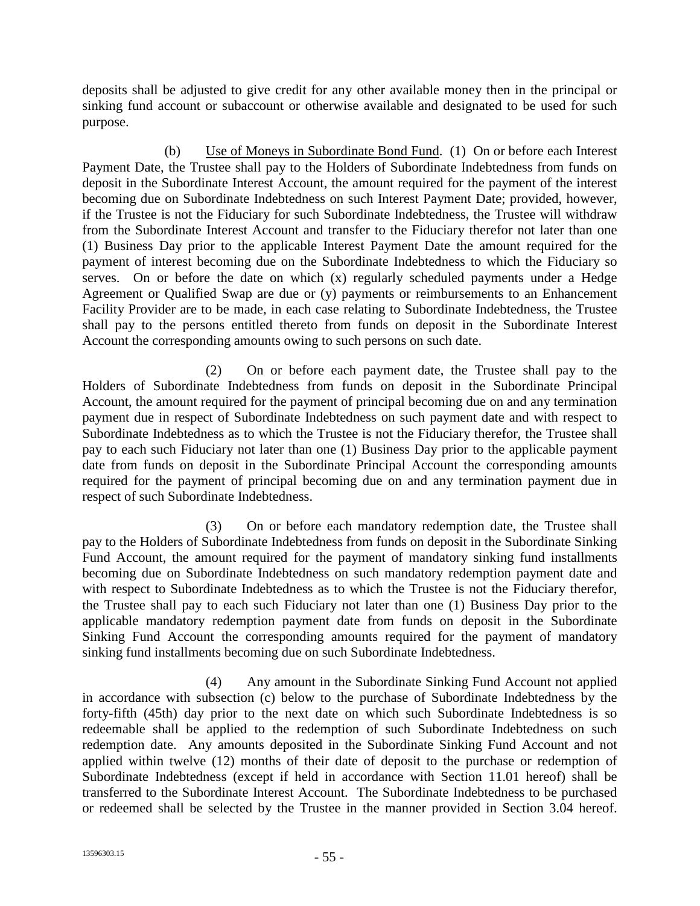deposits shall be adjusted to give credit for any other available money then in the principal or sinking fund account or subaccount or otherwise available and designated to be used for such purpose.

(b) Use of Moneys in Subordinate Bond Fund. (1) On or before each Interest Payment Date, the Trustee shall pay to the Holders of Subordinate Indebtedness from funds on deposit in the Subordinate Interest Account, the amount required for the payment of the interest becoming due on Subordinate Indebtedness on such Interest Payment Date; provided, however, if the Trustee is not the Fiduciary for such Subordinate Indebtedness, the Trustee will withdraw from the Subordinate Interest Account and transfer to the Fiduciary therefor not later than one (1) Business Day prior to the applicable Interest Payment Date the amount required for the payment of interest becoming due on the Subordinate Indebtedness to which the Fiduciary so serves. On or before the date on which (x) regularly scheduled payments under a Hedge Agreement or Qualified Swap are due or (y) payments or reimbursements to an Enhancement Facility Provider are to be made, in each case relating to Subordinate Indebtedness, the Trustee shall pay to the persons entitled thereto from funds on deposit in the Subordinate Interest Account the corresponding amounts owing to such persons on such date.

(2) On or before each payment date, the Trustee shall pay to the Holders of Subordinate Indebtedness from funds on deposit in the Subordinate Principal Account, the amount required for the payment of principal becoming due on and any termination payment due in respect of Subordinate Indebtedness on such payment date and with respect to Subordinate Indebtedness as to which the Trustee is not the Fiduciary therefor, the Trustee shall pay to each such Fiduciary not later than one (1) Business Day prior to the applicable payment date from funds on deposit in the Subordinate Principal Account the corresponding amounts required for the payment of principal becoming due on and any termination payment due in respect of such Subordinate Indebtedness.

(3) On or before each mandatory redemption date, the Trustee shall pay to the Holders of Subordinate Indebtedness from funds on deposit in the Subordinate Sinking Fund Account, the amount required for the payment of mandatory sinking fund installments becoming due on Subordinate Indebtedness on such mandatory redemption payment date and with respect to Subordinate Indebtedness as to which the Trustee is not the Fiduciary therefor, the Trustee shall pay to each such Fiduciary not later than one (1) Business Day prior to the applicable mandatory redemption payment date from funds on deposit in the Subordinate Sinking Fund Account the corresponding amounts required for the payment of mandatory sinking fund installments becoming due on such Subordinate Indebtedness.

(4) Any amount in the Subordinate Sinking Fund Account not applied in accordance with subsection (c) below to the purchase of Subordinate Indebtedness by the forty-fifth (45th) day prior to the next date on which such Subordinate Indebtedness is so redeemable shall be applied to the redemption of such Subordinate Indebtedness on such redemption date. Any amounts deposited in the Subordinate Sinking Fund Account and not applied within twelve (12) months of their date of deposit to the purchase or redemption of Subordinate Indebtedness (except if held in accordance with Section 11.01 hereof) shall be transferred to the Subordinate Interest Account. The Subordinate Indebtedness to be purchased or redeemed shall be selected by the Trustee in the manner provided in Section 3.04 hereof.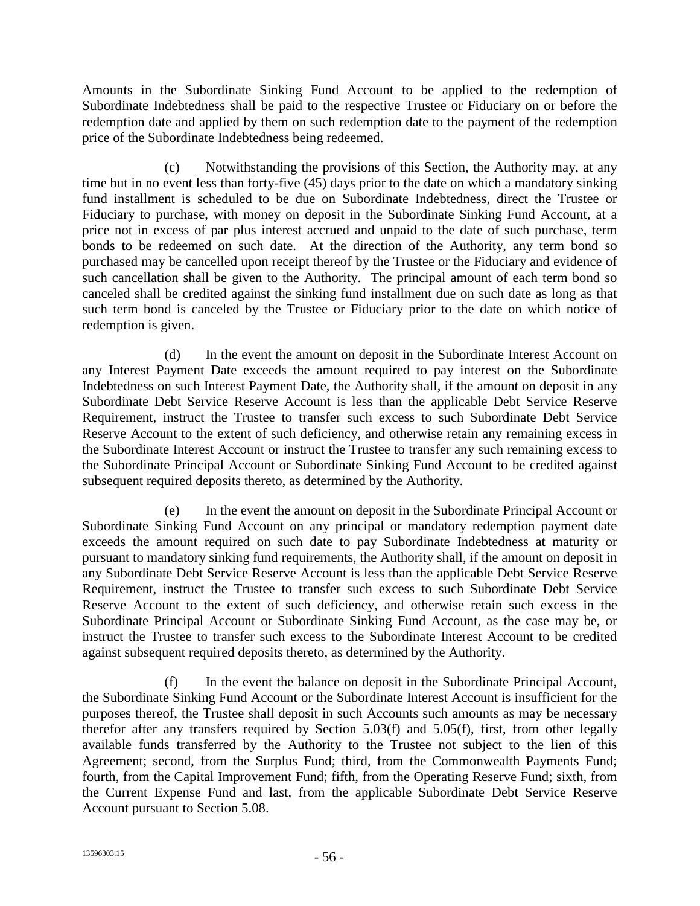Amounts in the Subordinate Sinking Fund Account to be applied to the redemption of Subordinate Indebtedness shall be paid to the respective Trustee or Fiduciary on or before the redemption date and applied by them on such redemption date to the payment of the redemption price of the Subordinate Indebtedness being redeemed.

(c) Notwithstanding the provisions of this Section, the Authority may, at any time but in no event less than forty-five (45) days prior to the date on which a mandatory sinking fund installment is scheduled to be due on Subordinate Indebtedness, direct the Trustee or Fiduciary to purchase, with money on deposit in the Subordinate Sinking Fund Account, at a price not in excess of par plus interest accrued and unpaid to the date of such purchase, term bonds to be redeemed on such date. At the direction of the Authority, any term bond so purchased may be cancelled upon receipt thereof by the Trustee or the Fiduciary and evidence of such cancellation shall be given to the Authority. The principal amount of each term bond so canceled shall be credited against the sinking fund installment due on such date as long as that such term bond is canceled by the Trustee or Fiduciary prior to the date on which notice of redemption is given.

(d) In the event the amount on deposit in the Subordinate Interest Account on any Interest Payment Date exceeds the amount required to pay interest on the Subordinate Indebtedness on such Interest Payment Date, the Authority shall, if the amount on deposit in any Subordinate Debt Service Reserve Account is less than the applicable Debt Service Reserve Requirement, instruct the Trustee to transfer such excess to such Subordinate Debt Service Reserve Account to the extent of such deficiency, and otherwise retain any remaining excess in the Subordinate Interest Account or instruct the Trustee to transfer any such remaining excess to the Subordinate Principal Account or Subordinate Sinking Fund Account to be credited against subsequent required deposits thereto, as determined by the Authority.

(e) In the event the amount on deposit in the Subordinate Principal Account or Subordinate Sinking Fund Account on any principal or mandatory redemption payment date exceeds the amount required on such date to pay Subordinate Indebtedness at maturity or pursuant to mandatory sinking fund requirements, the Authority shall, if the amount on deposit in any Subordinate Debt Service Reserve Account is less than the applicable Debt Service Reserve Requirement, instruct the Trustee to transfer such excess to such Subordinate Debt Service Reserve Account to the extent of such deficiency, and otherwise retain such excess in the Subordinate Principal Account or Subordinate Sinking Fund Account, as the case may be, or instruct the Trustee to transfer such excess to the Subordinate Interest Account to be credited against subsequent required deposits thereto, as determined by the Authority.

(f) In the event the balance on deposit in the Subordinate Principal Account, the Subordinate Sinking Fund Account or the Subordinate Interest Account is insufficient for the purposes thereof, the Trustee shall deposit in such Accounts such amounts as may be necessary therefor after any transfers required by Section 5.03(f) and 5.05(f), first, from other legally available funds transferred by the Authority to the Trustee not subject to the lien of this Agreement; second, from the Surplus Fund; third, from the Commonwealth Payments Fund; fourth, from the Capital Improvement Fund; fifth, from the Operating Reserve Fund; sixth, from the Current Expense Fund and last, from the applicable Subordinate Debt Service Reserve Account pursuant to Section 5.08.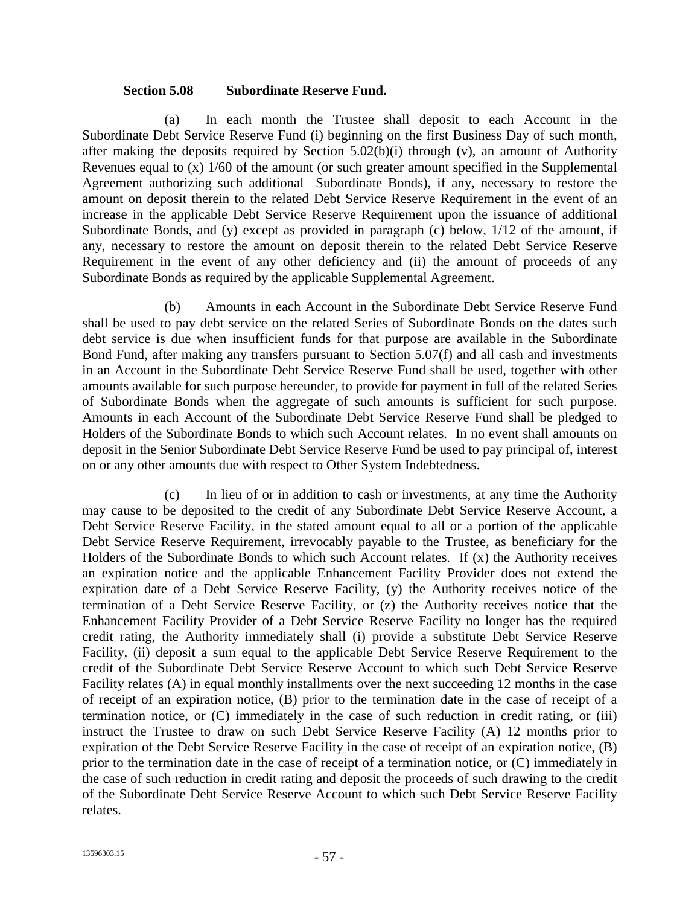#### **Section 5.08 Subordinate Reserve Fund.**

(a) In each month the Trustee shall deposit to each Account in the Subordinate Debt Service Reserve Fund (i) beginning on the first Business Day of such month, after making the deposits required by Section  $5.02(b)(i)$  through (v), an amount of Authority Revenues equal to (x) 1/60 of the amount (or such greater amount specified in the Supplemental Agreement authorizing such additional Subordinate Bonds), if any, necessary to restore the amount on deposit therein to the related Debt Service Reserve Requirement in the event of an increase in the applicable Debt Service Reserve Requirement upon the issuance of additional Subordinate Bonds, and (y) except as provided in paragraph (c) below,  $1/12$  of the amount, if any, necessary to restore the amount on deposit therein to the related Debt Service Reserve Requirement in the event of any other deficiency and (ii) the amount of proceeds of any Subordinate Bonds as required by the applicable Supplemental Agreement.

(b) Amounts in each Account in the Subordinate Debt Service Reserve Fund shall be used to pay debt service on the related Series of Subordinate Bonds on the dates such debt service is due when insufficient funds for that purpose are available in the Subordinate Bond Fund, after making any transfers pursuant to Section 5.07(f) and all cash and investments in an Account in the Subordinate Debt Service Reserve Fund shall be used, together with other amounts available for such purpose hereunder, to provide for payment in full of the related Series of Subordinate Bonds when the aggregate of such amounts is sufficient for such purpose. Amounts in each Account of the Subordinate Debt Service Reserve Fund shall be pledged to Holders of the Subordinate Bonds to which such Account relates. In no event shall amounts on deposit in the Senior Subordinate Debt Service Reserve Fund be used to pay principal of, interest on or any other amounts due with respect to Other System Indebtedness.

(c) In lieu of or in addition to cash or investments, at any time the Authority may cause to be deposited to the credit of any Subordinate Debt Service Reserve Account, a Debt Service Reserve Facility, in the stated amount equal to all or a portion of the applicable Debt Service Reserve Requirement, irrevocably payable to the Trustee, as beneficiary for the Holders of the Subordinate Bonds to which such Account relates. If (x) the Authority receives an expiration notice and the applicable Enhancement Facility Provider does not extend the expiration date of a Debt Service Reserve Facility, (y) the Authority receives notice of the termination of a Debt Service Reserve Facility, or (z) the Authority receives notice that the Enhancement Facility Provider of a Debt Service Reserve Facility no longer has the required credit rating, the Authority immediately shall (i) provide a substitute Debt Service Reserve Facility, (ii) deposit a sum equal to the applicable Debt Service Reserve Requirement to the credit of the Subordinate Debt Service Reserve Account to which such Debt Service Reserve Facility relates (A) in equal monthly installments over the next succeeding 12 months in the case of receipt of an expiration notice, (B) prior to the termination date in the case of receipt of a termination notice, or (C) immediately in the case of such reduction in credit rating, or (iii) instruct the Trustee to draw on such Debt Service Reserve Facility (A) 12 months prior to expiration of the Debt Service Reserve Facility in the case of receipt of an expiration notice, (B) prior to the termination date in the case of receipt of a termination notice, or (C) immediately in the case of such reduction in credit rating and deposit the proceeds of such drawing to the credit of the Subordinate Debt Service Reserve Account to which such Debt Service Reserve Facility relates.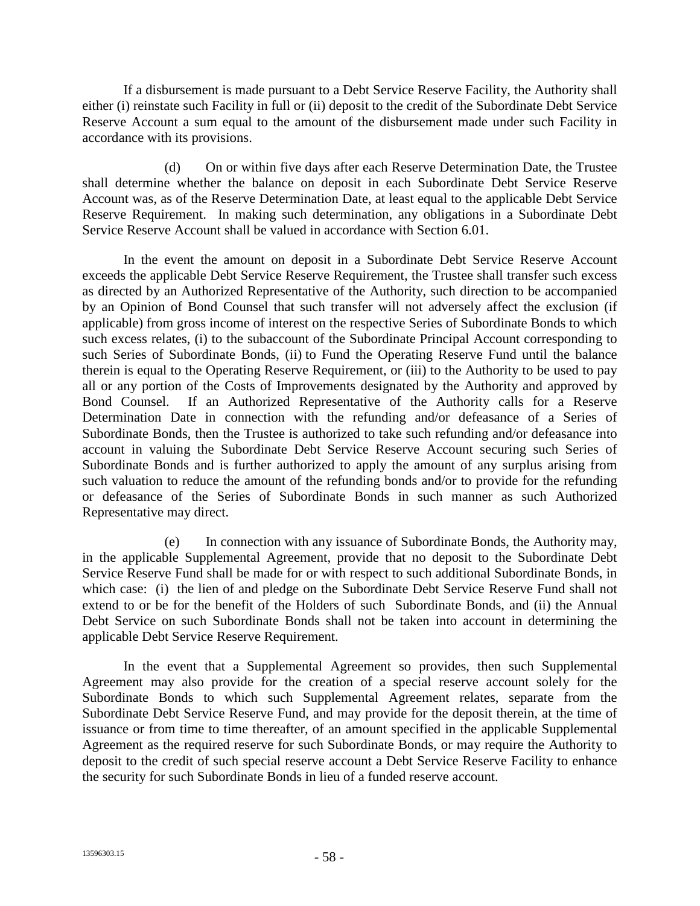If a disbursement is made pursuant to a Debt Service Reserve Facility, the Authority shall either (i) reinstate such Facility in full or (ii) deposit to the credit of the Subordinate Debt Service Reserve Account a sum equal to the amount of the disbursement made under such Facility in accordance with its provisions.

(d) On or within five days after each Reserve Determination Date, the Trustee shall determine whether the balance on deposit in each Subordinate Debt Service Reserve Account was, as of the Reserve Determination Date, at least equal to the applicable Debt Service Reserve Requirement. In making such determination, any obligations in a Subordinate Debt Service Reserve Account shall be valued in accordance with Section 6.01.

In the event the amount on deposit in a Subordinate Debt Service Reserve Account exceeds the applicable Debt Service Reserve Requirement, the Trustee shall transfer such excess as directed by an Authorized Representative of the Authority, such direction to be accompanied by an Opinion of Bond Counsel that such transfer will not adversely affect the exclusion (if applicable) from gross income of interest on the respective Series of Subordinate Bonds to which such excess relates, (i) to the subaccount of the Subordinate Principal Account corresponding to such Series of Subordinate Bonds, (ii) to Fund the Operating Reserve Fund until the balance therein is equal to the Operating Reserve Requirement, or (iii) to the Authority to be used to pay all or any portion of the Costs of Improvements designated by the Authority and approved by Bond Counsel. If an Authorized Representative of the Authority calls for a Reserve Determination Date in connection with the refunding and/or defeasance of a Series of Subordinate Bonds, then the Trustee is authorized to take such refunding and/or defeasance into account in valuing the Subordinate Debt Service Reserve Account securing such Series of Subordinate Bonds and is further authorized to apply the amount of any surplus arising from such valuation to reduce the amount of the refunding bonds and/or to provide for the refunding or defeasance of the Series of Subordinate Bonds in such manner as such Authorized Representative may direct.

(e) In connection with any issuance of Subordinate Bonds, the Authority may, in the applicable Supplemental Agreement, provide that no deposit to the Subordinate Debt Service Reserve Fund shall be made for or with respect to such additional Subordinate Bonds, in which case: (i) the lien of and pledge on the Subordinate Debt Service Reserve Fund shall not extend to or be for the benefit of the Holders of such Subordinate Bonds, and (ii) the Annual Debt Service on such Subordinate Bonds shall not be taken into account in determining the applicable Debt Service Reserve Requirement.

In the event that a Supplemental Agreement so provides, then such Supplemental Agreement may also provide for the creation of a special reserve account solely for the Subordinate Bonds to which such Supplemental Agreement relates, separate from the Subordinate Debt Service Reserve Fund, and may provide for the deposit therein, at the time of issuance or from time to time thereafter, of an amount specified in the applicable Supplemental Agreement as the required reserve for such Subordinate Bonds, or may require the Authority to deposit to the credit of such special reserve account a Debt Service Reserve Facility to enhance the security for such Subordinate Bonds in lieu of a funded reserve account.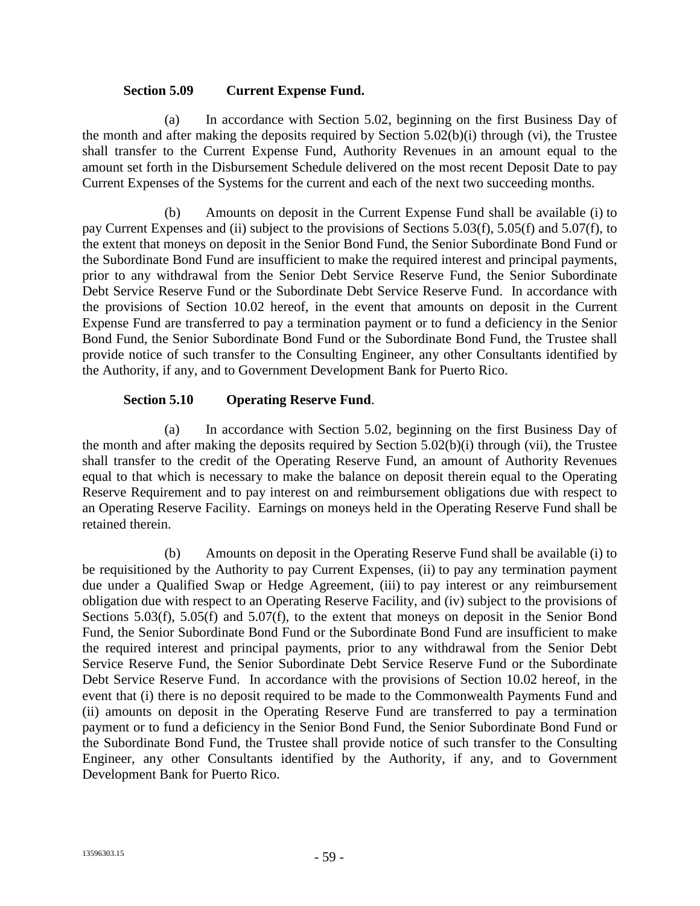#### **Section 5.09 Current Expense Fund.**

(a) In accordance with Section 5.02, beginning on the first Business Day of the month and after making the deposits required by Section 5.02(b)(i) through (vi), the Trustee shall transfer to the Current Expense Fund, Authority Revenues in an amount equal to the amount set forth in the Disbursement Schedule delivered on the most recent Deposit Date to pay Current Expenses of the Systems for the current and each of the next two succeeding months.

(b) Amounts on deposit in the Current Expense Fund shall be available (i) to pay Current Expenses and (ii) subject to the provisions of Sections 5.03(f), 5.05(f) and 5.07(f), to the extent that moneys on deposit in the Senior Bond Fund, the Senior Subordinate Bond Fund or the Subordinate Bond Fund are insufficient to make the required interest and principal payments, prior to any withdrawal from the Senior Debt Service Reserve Fund, the Senior Subordinate Debt Service Reserve Fund or the Subordinate Debt Service Reserve Fund. In accordance with the provisions of Section 10.02 hereof, in the event that amounts on deposit in the Current Expense Fund are transferred to pay a termination payment or to fund a deficiency in the Senior Bond Fund, the Senior Subordinate Bond Fund or the Subordinate Bond Fund, the Trustee shall provide notice of such transfer to the Consulting Engineer, any other Consultants identified by the Authority, if any, and to Government Development Bank for Puerto Rico.

## **Section 5.10 Operating Reserve Fund**.

(a) In accordance with Section 5.02, beginning on the first Business Day of the month and after making the deposits required by Section 5.02(b)(i) through (vii), the Trustee shall transfer to the credit of the Operating Reserve Fund, an amount of Authority Revenues equal to that which is necessary to make the balance on deposit therein equal to the Operating Reserve Requirement and to pay interest on and reimbursement obligations due with respect to an Operating Reserve Facility. Earnings on moneys held in the Operating Reserve Fund shall be retained therein.

(b) Amounts on deposit in the Operating Reserve Fund shall be available (i) to be requisitioned by the Authority to pay Current Expenses, (ii) to pay any termination payment due under a Qualified Swap or Hedge Agreement, (iii) to pay interest or any reimbursement obligation due with respect to an Operating Reserve Facility, and (iv) subject to the provisions of Sections 5.03(f), 5.05(f) and 5.07(f), to the extent that moneys on deposit in the Senior Bond Fund, the Senior Subordinate Bond Fund or the Subordinate Bond Fund are insufficient to make the required interest and principal payments, prior to any withdrawal from the Senior Debt Service Reserve Fund, the Senior Subordinate Debt Service Reserve Fund or the Subordinate Debt Service Reserve Fund. In accordance with the provisions of Section 10.02 hereof, in the event that (i) there is no deposit required to be made to the Commonwealth Payments Fund and (ii) amounts on deposit in the Operating Reserve Fund are transferred to pay a termination payment or to fund a deficiency in the Senior Bond Fund, the Senior Subordinate Bond Fund or the Subordinate Bond Fund, the Trustee shall provide notice of such transfer to the Consulting Engineer, any other Consultants identified by the Authority, if any, and to Government Development Bank for Puerto Rico.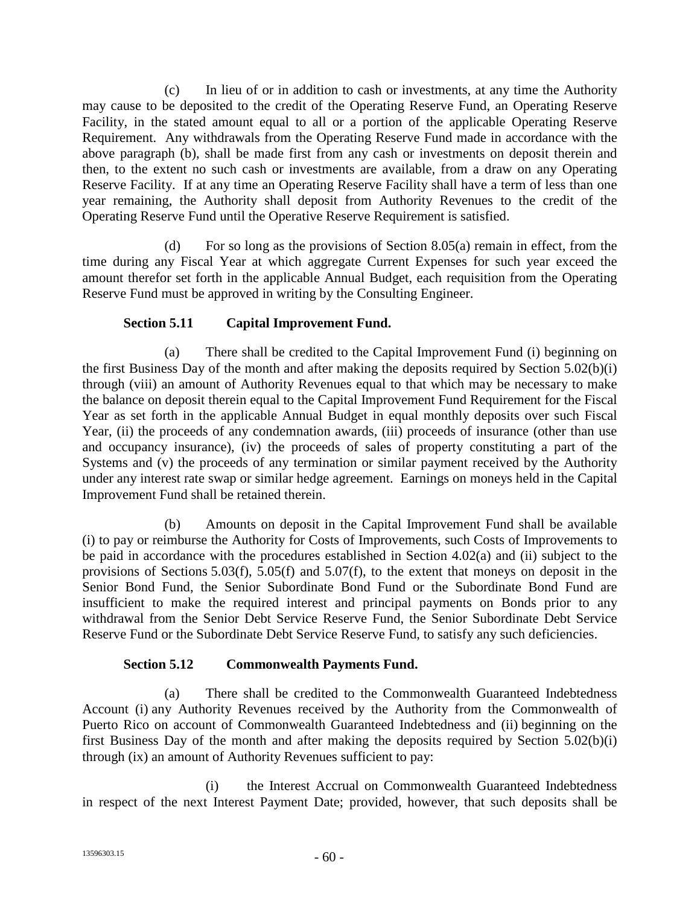(c) In lieu of or in addition to cash or investments, at any time the Authority may cause to be deposited to the credit of the Operating Reserve Fund, an Operating Reserve Facility, in the stated amount equal to all or a portion of the applicable Operating Reserve Requirement. Any withdrawals from the Operating Reserve Fund made in accordance with the above paragraph (b), shall be made first from any cash or investments on deposit therein and then, to the extent no such cash or investments are available, from a draw on any Operating Reserve Facility. If at any time an Operating Reserve Facility shall have a term of less than one year remaining, the Authority shall deposit from Authority Revenues to the credit of the Operating Reserve Fund until the Operative Reserve Requirement is satisfied.

(d) For so long as the provisions of Section 8.05(a) remain in effect, from the time during any Fiscal Year at which aggregate Current Expenses for such year exceed the amount therefor set forth in the applicable Annual Budget, each requisition from the Operating Reserve Fund must be approved in writing by the Consulting Engineer.

# **Section 5.11 Capital Improvement Fund.**

(a) There shall be credited to the Capital Improvement Fund (i) beginning on the first Business Day of the month and after making the deposits required by Section 5.02(b)(i) through (viii) an amount of Authority Revenues equal to that which may be necessary to make the balance on deposit therein equal to the Capital Improvement Fund Requirement for the Fiscal Year as set forth in the applicable Annual Budget in equal monthly deposits over such Fiscal Year, (ii) the proceeds of any condemnation awards, (iii) proceeds of insurance (other than use and occupancy insurance), (iv) the proceeds of sales of property constituting a part of the Systems and (v) the proceeds of any termination or similar payment received by the Authority under any interest rate swap or similar hedge agreement. Earnings on moneys held in the Capital Improvement Fund shall be retained therein.

(b) Amounts on deposit in the Capital Improvement Fund shall be available (i) to pay or reimburse the Authority for Costs of Improvements, such Costs of Improvements to be paid in accordance with the procedures established in Section 4.02(a) and (ii) subject to the provisions of Sections 5.03(f), 5.05(f) and 5.07(f), to the extent that moneys on deposit in the Senior Bond Fund, the Senior Subordinate Bond Fund or the Subordinate Bond Fund are insufficient to make the required interest and principal payments on Bonds prior to any withdrawal from the Senior Debt Service Reserve Fund, the Senior Subordinate Debt Service Reserve Fund or the Subordinate Debt Service Reserve Fund, to satisfy any such deficiencies.

# **Section 5.12 Commonwealth Payments Fund.**

(a) There shall be credited to the Commonwealth Guaranteed Indebtedness Account (i) any Authority Revenues received by the Authority from the Commonwealth of Puerto Rico on account of Commonwealth Guaranteed Indebtedness and (ii) beginning on the first Business Day of the month and after making the deposits required by Section 5.02(b)(i) through (ix) an amount of Authority Revenues sufficient to pay:

(i) the Interest Accrual on Commonwealth Guaranteed Indebtedness in respect of the next Interest Payment Date; provided, however, that such deposits shall be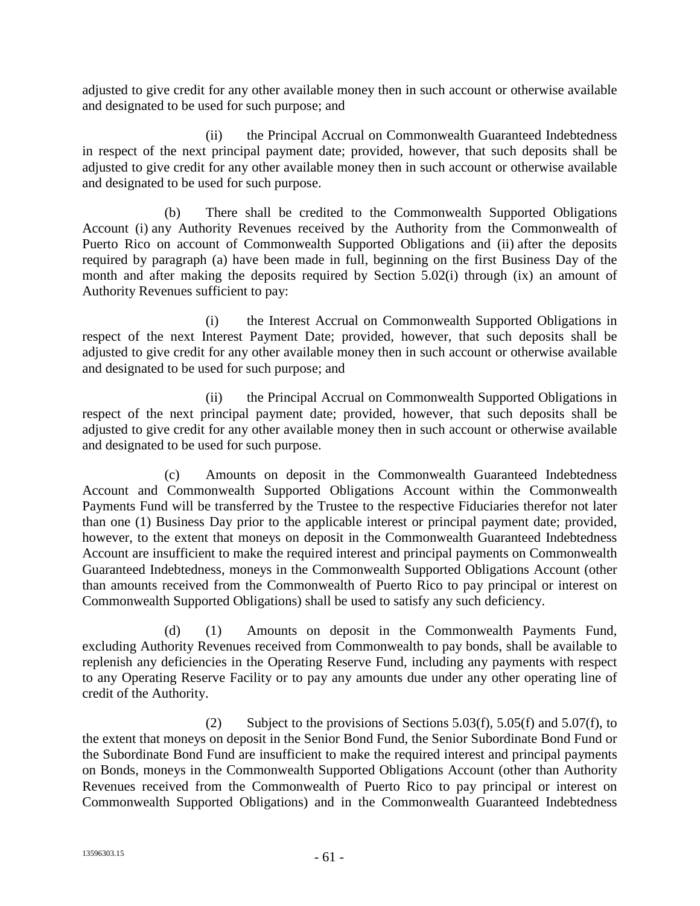adjusted to give credit for any other available money then in such account or otherwise available and designated to be used for such purpose; and

(ii) the Principal Accrual on Commonwealth Guaranteed Indebtedness in respect of the next principal payment date; provided, however, that such deposits shall be adjusted to give credit for any other available money then in such account or otherwise available and designated to be used for such purpose.

(b) There shall be credited to the Commonwealth Supported Obligations Account (i) any Authority Revenues received by the Authority from the Commonwealth of Puerto Rico on account of Commonwealth Supported Obligations and (ii) after the deposits required by paragraph (a) have been made in full, beginning on the first Business Day of the month and after making the deposits required by Section 5.02(i) through (ix) an amount of Authority Revenues sufficient to pay:

(i) the Interest Accrual on Commonwealth Supported Obligations in respect of the next Interest Payment Date; provided, however, that such deposits shall be adjusted to give credit for any other available money then in such account or otherwise available and designated to be used for such purpose; and

(ii) the Principal Accrual on Commonwealth Supported Obligations in respect of the next principal payment date; provided, however, that such deposits shall be adjusted to give credit for any other available money then in such account or otherwise available and designated to be used for such purpose.

(c) Amounts on deposit in the Commonwealth Guaranteed Indebtedness Account and Commonwealth Supported Obligations Account within the Commonwealth Payments Fund will be transferred by the Trustee to the respective Fiduciaries therefor not later than one (1) Business Day prior to the applicable interest or principal payment date; provided, however, to the extent that moneys on deposit in the Commonwealth Guaranteed Indebtedness Account are insufficient to make the required interest and principal payments on Commonwealth Guaranteed Indebtedness, moneys in the Commonwealth Supported Obligations Account (other than amounts received from the Commonwealth of Puerto Rico to pay principal or interest on Commonwealth Supported Obligations) shall be used to satisfy any such deficiency.

(d) (1) Amounts on deposit in the Commonwealth Payments Fund, excluding Authority Revenues received from Commonwealth to pay bonds, shall be available to replenish any deficiencies in the Operating Reserve Fund, including any payments with respect to any Operating Reserve Facility or to pay any amounts due under any other operating line of credit of the Authority.

(2) Subject to the provisions of Sections  $5.03(f)$ ,  $5.05(f)$  and  $5.07(f)$ , to the extent that moneys on deposit in the Senior Bond Fund, the Senior Subordinate Bond Fund or the Subordinate Bond Fund are insufficient to make the required interest and principal payments on Bonds, moneys in the Commonwealth Supported Obligations Account (other than Authority Revenues received from the Commonwealth of Puerto Rico to pay principal or interest on Commonwealth Supported Obligations) and in the Commonwealth Guaranteed Indebtedness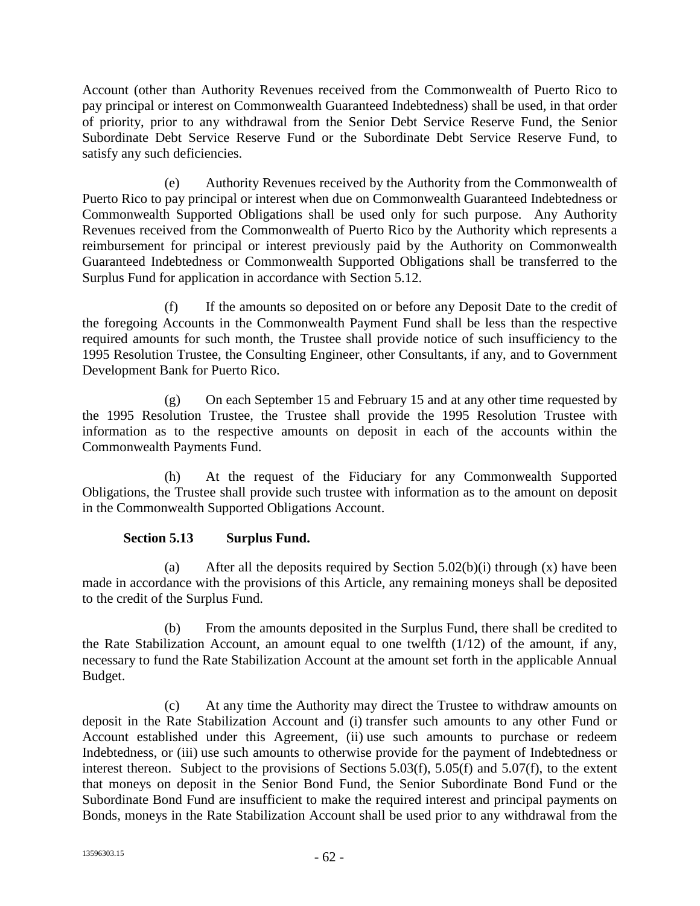Account (other than Authority Revenues received from the Commonwealth of Puerto Rico to pay principal or interest on Commonwealth Guaranteed Indebtedness) shall be used, in that order of priority, prior to any withdrawal from the Senior Debt Service Reserve Fund, the Senior Subordinate Debt Service Reserve Fund or the Subordinate Debt Service Reserve Fund, to satisfy any such deficiencies.

(e) Authority Revenues received by the Authority from the Commonwealth of Puerto Rico to pay principal or interest when due on Commonwealth Guaranteed Indebtedness or Commonwealth Supported Obligations shall be used only for such purpose. Any Authority Revenues received from the Commonwealth of Puerto Rico by the Authority which represents a reimbursement for principal or interest previously paid by the Authority on Commonwealth Guaranteed Indebtedness or Commonwealth Supported Obligations shall be transferred to the Surplus Fund for application in accordance with Section 5.12.

(f) If the amounts so deposited on or before any Deposit Date to the credit of the foregoing Accounts in the Commonwealth Payment Fund shall be less than the respective required amounts for such month, the Trustee shall provide notice of such insufficiency to the 1995 Resolution Trustee, the Consulting Engineer, other Consultants, if any, and to Government Development Bank for Puerto Rico.

(g) On each September 15 and February 15 and at any other time requested by the 1995 Resolution Trustee, the Trustee shall provide the 1995 Resolution Trustee with information as to the respective amounts on deposit in each of the accounts within the Commonwealth Payments Fund.

(h) At the request of the Fiduciary for any Commonwealth Supported Obligations, the Trustee shall provide such trustee with information as to the amount on deposit in the Commonwealth Supported Obligations Account.

# **Section 5.13 Surplus Fund.**

(a) After all the deposits required by Section  $5.02(b)(i)$  through (x) have been made in accordance with the provisions of this Article, any remaining moneys shall be deposited to the credit of the Surplus Fund.

(b) From the amounts deposited in the Surplus Fund, there shall be credited to the Rate Stabilization Account, an amount equal to one twelfth (1/12) of the amount, if any, necessary to fund the Rate Stabilization Account at the amount set forth in the applicable Annual Budget.

(c) At any time the Authority may direct the Trustee to withdraw amounts on deposit in the Rate Stabilization Account and (i) transfer such amounts to any other Fund or Account established under this Agreement, (ii) use such amounts to purchase or redeem Indebtedness, or (iii) use such amounts to otherwise provide for the payment of Indebtedness or interest thereon. Subject to the provisions of Sections 5.03(f), 5.05(f) and 5.07(f), to the extent that moneys on deposit in the Senior Bond Fund, the Senior Subordinate Bond Fund or the Subordinate Bond Fund are insufficient to make the required interest and principal payments on Bonds, moneys in the Rate Stabilization Account shall be used prior to any withdrawal from the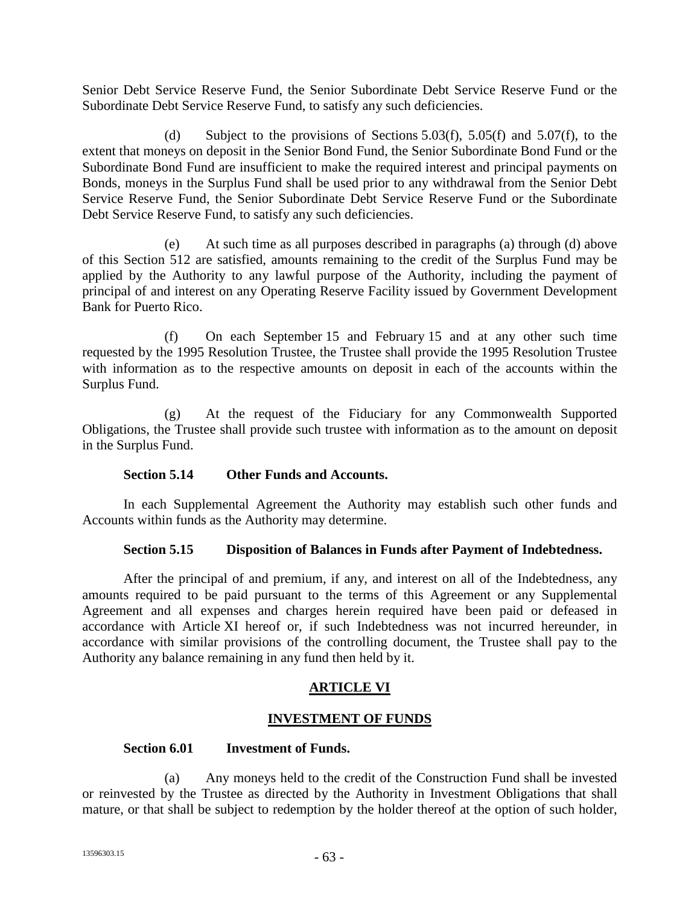Senior Debt Service Reserve Fund, the Senior Subordinate Debt Service Reserve Fund or the Subordinate Debt Service Reserve Fund, to satisfy any such deficiencies.

(d) Subject to the provisions of Sections 5.03(f), 5.05(f) and 5.07(f), to the extent that moneys on deposit in the Senior Bond Fund, the Senior Subordinate Bond Fund or the Subordinate Bond Fund are insufficient to make the required interest and principal payments on Bonds, moneys in the Surplus Fund shall be used prior to any withdrawal from the Senior Debt Service Reserve Fund, the Senior Subordinate Debt Service Reserve Fund or the Subordinate Debt Service Reserve Fund, to satisfy any such deficiencies.

(e) At such time as all purposes described in paragraphs (a) through (d) above of this Section 512 are satisfied, amounts remaining to the credit of the Surplus Fund may be applied by the Authority to any lawful purpose of the Authority, including the payment of principal of and interest on any Operating Reserve Facility issued by Government Development Bank for Puerto Rico.

(f) On each September 15 and February 15 and at any other such time requested by the 1995 Resolution Trustee, the Trustee shall provide the 1995 Resolution Trustee with information as to the respective amounts on deposit in each of the accounts within the Surplus Fund.

(g) At the request of the Fiduciary for any Commonwealth Supported Obligations, the Trustee shall provide such trustee with information as to the amount on deposit in the Surplus Fund.

### **Section 5.14 Other Funds and Accounts.**

In each Supplemental Agreement the Authority may establish such other funds and Accounts within funds as the Authority may determine.

### **Section 5.15 Disposition of Balances in Funds after Payment of Indebtedness.**

After the principal of and premium, if any, and interest on all of the Indebtedness, any amounts required to be paid pursuant to the terms of this Agreement or any Supplemental Agreement and all expenses and charges herein required have been paid or defeased in accordance with Article XI hereof or, if such Indebtedness was not incurred hereunder, in accordance with similar provisions of the controlling document, the Trustee shall pay to the Authority any balance remaining in any fund then held by it.

## **ARTICLE VI**

## **INVESTMENT OF FUNDS**

### **Section 6.01 Investment of Funds.**

(a) Any moneys held to the credit of the Construction Fund shall be invested or reinvested by the Trustee as directed by the Authority in Investment Obligations that shall mature, or that shall be subject to redemption by the holder thereof at the option of such holder,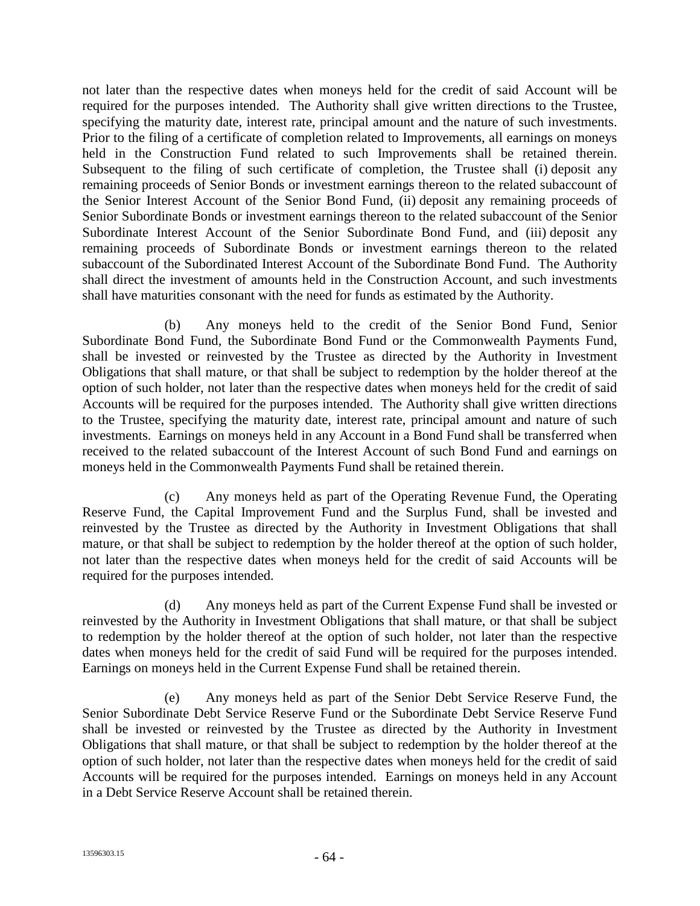not later than the respective dates when moneys held for the credit of said Account will be required for the purposes intended. The Authority shall give written directions to the Trustee, specifying the maturity date, interest rate, principal amount and the nature of such investments. Prior to the filing of a certificate of completion related to Improvements, all earnings on moneys held in the Construction Fund related to such Improvements shall be retained therein. Subsequent to the filing of such certificate of completion, the Trustee shall (i) deposit any remaining proceeds of Senior Bonds or investment earnings thereon to the related subaccount of the Senior Interest Account of the Senior Bond Fund, (ii) deposit any remaining proceeds of Senior Subordinate Bonds or investment earnings thereon to the related subaccount of the Senior Subordinate Interest Account of the Senior Subordinate Bond Fund, and (iii) deposit any remaining proceeds of Subordinate Bonds or investment earnings thereon to the related subaccount of the Subordinated Interest Account of the Subordinate Bond Fund. The Authority shall direct the investment of amounts held in the Construction Account, and such investments shall have maturities consonant with the need for funds as estimated by the Authority.

(b) Any moneys held to the credit of the Senior Bond Fund, Senior Subordinate Bond Fund, the Subordinate Bond Fund or the Commonwealth Payments Fund, shall be invested or reinvested by the Trustee as directed by the Authority in Investment Obligations that shall mature, or that shall be subject to redemption by the holder thereof at the option of such holder, not later than the respective dates when moneys held for the credit of said Accounts will be required for the purposes intended. The Authority shall give written directions to the Trustee, specifying the maturity date, interest rate, principal amount and nature of such investments. Earnings on moneys held in any Account in a Bond Fund shall be transferred when received to the related subaccount of the Interest Account of such Bond Fund and earnings on moneys held in the Commonwealth Payments Fund shall be retained therein.

(c) Any moneys held as part of the Operating Revenue Fund, the Operating Reserve Fund, the Capital Improvement Fund and the Surplus Fund, shall be invested and reinvested by the Trustee as directed by the Authority in Investment Obligations that shall mature, or that shall be subject to redemption by the holder thereof at the option of such holder, not later than the respective dates when moneys held for the credit of said Accounts will be required for the purposes intended.

(d) Any moneys held as part of the Current Expense Fund shall be invested or reinvested by the Authority in Investment Obligations that shall mature, or that shall be subject to redemption by the holder thereof at the option of such holder, not later than the respective dates when moneys held for the credit of said Fund will be required for the purposes intended. Earnings on moneys held in the Current Expense Fund shall be retained therein.

(e) Any moneys held as part of the Senior Debt Service Reserve Fund, the Senior Subordinate Debt Service Reserve Fund or the Subordinate Debt Service Reserve Fund shall be invested or reinvested by the Trustee as directed by the Authority in Investment Obligations that shall mature, or that shall be subject to redemption by the holder thereof at the option of such holder, not later than the respective dates when moneys held for the credit of said Accounts will be required for the purposes intended. Earnings on moneys held in any Account in a Debt Service Reserve Account shall be retained therein.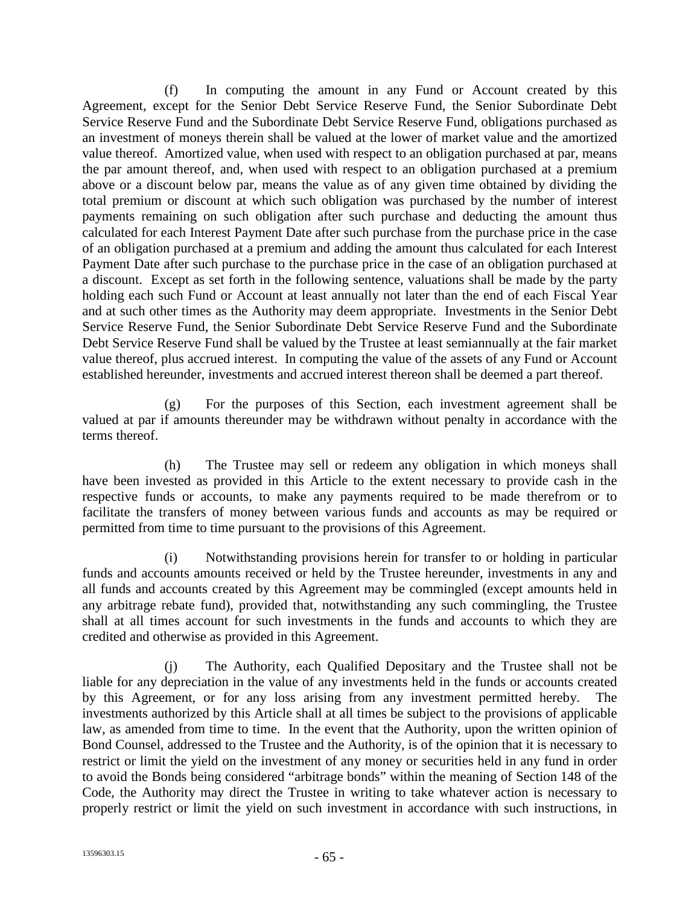(f) In computing the amount in any Fund or Account created by this Agreement, except for the Senior Debt Service Reserve Fund, the Senior Subordinate Debt Service Reserve Fund and the Subordinate Debt Service Reserve Fund, obligations purchased as an investment of moneys therein shall be valued at the lower of market value and the amortized value thereof. Amortized value, when used with respect to an obligation purchased at par, means the par amount thereof, and, when used with respect to an obligation purchased at a premium above or a discount below par, means the value as of any given time obtained by dividing the total premium or discount at which such obligation was purchased by the number of interest payments remaining on such obligation after such purchase and deducting the amount thus calculated for each Interest Payment Date after such purchase from the purchase price in the case of an obligation purchased at a premium and adding the amount thus calculated for each Interest Payment Date after such purchase to the purchase price in the case of an obligation purchased at a discount. Except as set forth in the following sentence, valuations shall be made by the party holding each such Fund or Account at least annually not later than the end of each Fiscal Year and at such other times as the Authority may deem appropriate. Investments in the Senior Debt Service Reserve Fund, the Senior Subordinate Debt Service Reserve Fund and the Subordinate Debt Service Reserve Fund shall be valued by the Trustee at least semiannually at the fair market value thereof, plus accrued interest. In computing the value of the assets of any Fund or Account established hereunder, investments and accrued interest thereon shall be deemed a part thereof.

(g) For the purposes of this Section, each investment agreement shall be valued at par if amounts thereunder may be withdrawn without penalty in accordance with the terms thereof.

(h) The Trustee may sell or redeem any obligation in which moneys shall have been invested as provided in this Article to the extent necessary to provide cash in the respective funds or accounts, to make any payments required to be made therefrom or to facilitate the transfers of money between various funds and accounts as may be required or permitted from time to time pursuant to the provisions of this Agreement.

(i) Notwithstanding provisions herein for transfer to or holding in particular funds and accounts amounts received or held by the Trustee hereunder, investments in any and all funds and accounts created by this Agreement may be commingled (except amounts held in any arbitrage rebate fund), provided that, notwithstanding any such commingling, the Trustee shall at all times account for such investments in the funds and accounts to which they are credited and otherwise as provided in this Agreement.

(j) The Authority, each Qualified Depositary and the Trustee shall not be liable for any depreciation in the value of any investments held in the funds or accounts created by this Agreement, or for any loss arising from any investment permitted hereby. The investments authorized by this Article shall at all times be subject to the provisions of applicable law, as amended from time to time. In the event that the Authority, upon the written opinion of Bond Counsel, addressed to the Trustee and the Authority, is of the opinion that it is necessary to restrict or limit the yield on the investment of any money or securities held in any fund in order to avoid the Bonds being considered "arbitrage bonds" within the meaning of Section 148 of the Code, the Authority may direct the Trustee in writing to take whatever action is necessary to properly restrict or limit the yield on such investment in accordance with such instructions, in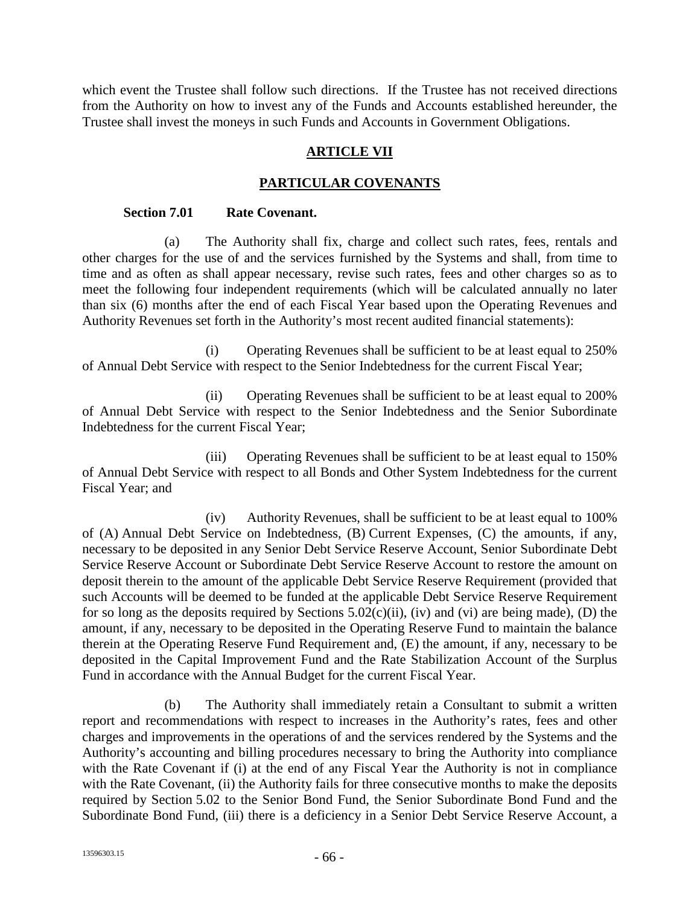which event the Trustee shall follow such directions. If the Trustee has not received directions from the Authority on how to invest any of the Funds and Accounts established hereunder, the Trustee shall invest the moneys in such Funds and Accounts in Government Obligations.

## **ARTICLE VII**

# **PARTICULAR COVENANTS**

### **Section 7.01 Rate Covenant.**

(a) The Authority shall fix, charge and collect such rates, fees, rentals and other charges for the use of and the services furnished by the Systems and shall, from time to time and as often as shall appear necessary, revise such rates, fees and other charges so as to meet the following four independent requirements (which will be calculated annually no later than six (6) months after the end of each Fiscal Year based upon the Operating Revenues and Authority Revenues set forth in the Authority's most recent audited financial statements):

(i) Operating Revenues shall be sufficient to be at least equal to 250% of Annual Debt Service with respect to the Senior Indebtedness for the current Fiscal Year;

(ii) Operating Revenues shall be sufficient to be at least equal to 200% of Annual Debt Service with respect to the Senior Indebtedness and the Senior Subordinate Indebtedness for the current Fiscal Year;

(iii) Operating Revenues shall be sufficient to be at least equal to 150% of Annual Debt Service with respect to all Bonds and Other System Indebtedness for the current Fiscal Year; and

(iv) Authority Revenues, shall be sufficient to be at least equal to 100% of (A) Annual Debt Service on Indebtedness, (B) Current Expenses, (C) the amounts, if any, necessary to be deposited in any Senior Debt Service Reserve Account, Senior Subordinate Debt Service Reserve Account or Subordinate Debt Service Reserve Account to restore the amount on deposit therein to the amount of the applicable Debt Service Reserve Requirement (provided that such Accounts will be deemed to be funded at the applicable Debt Service Reserve Requirement for so long as the deposits required by Sections  $5.02(c)(ii)$ , (iv) and (vi) are being made), (D) the amount, if any, necessary to be deposited in the Operating Reserve Fund to maintain the balance therein at the Operating Reserve Fund Requirement and, (E) the amount, if any, necessary to be deposited in the Capital Improvement Fund and the Rate Stabilization Account of the Surplus Fund in accordance with the Annual Budget for the current Fiscal Year.

(b) The Authority shall immediately retain a Consultant to submit a written report and recommendations with respect to increases in the Authority's rates, fees and other charges and improvements in the operations of and the services rendered by the Systems and the Authority's accounting and billing procedures necessary to bring the Authority into compliance with the Rate Covenant if (i) at the end of any Fiscal Year the Authority is not in compliance with the Rate Covenant, (ii) the Authority fails for three consecutive months to make the deposits required by Section 5.02 to the Senior Bond Fund, the Senior Subordinate Bond Fund and the Subordinate Bond Fund, (iii) there is a deficiency in a Senior Debt Service Reserve Account, a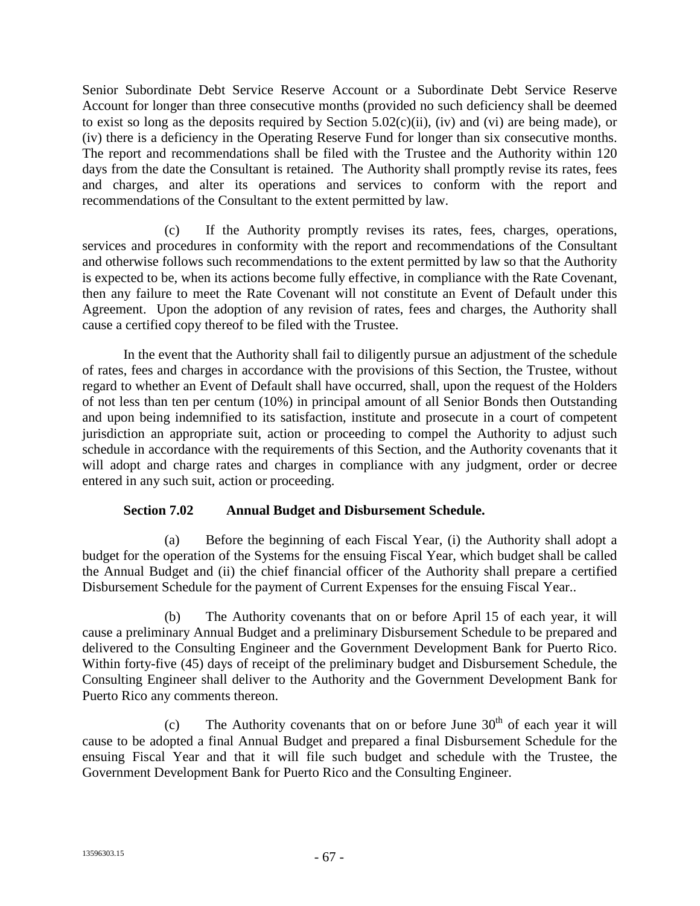Senior Subordinate Debt Service Reserve Account or a Subordinate Debt Service Reserve Account for longer than three consecutive months (provided no such deficiency shall be deemed to exist so long as the deposits required by Section 5.02(c)(ii), (iv) and (vi) are being made), or (iv) there is a deficiency in the Operating Reserve Fund for longer than six consecutive months. The report and recommendations shall be filed with the Trustee and the Authority within 120 days from the date the Consultant is retained. The Authority shall promptly revise its rates, fees and charges, and alter its operations and services to conform with the report and recommendations of the Consultant to the extent permitted by law.

(c) If the Authority promptly revises its rates, fees, charges, operations, services and procedures in conformity with the report and recommendations of the Consultant and otherwise follows such recommendations to the extent permitted by law so that the Authority is expected to be, when its actions become fully effective, in compliance with the Rate Covenant, then any failure to meet the Rate Covenant will not constitute an Event of Default under this Agreement. Upon the adoption of any revision of rates, fees and charges, the Authority shall cause a certified copy thereof to be filed with the Trustee.

In the event that the Authority shall fail to diligently pursue an adjustment of the schedule of rates, fees and charges in accordance with the provisions of this Section, the Trustee, without regard to whether an Event of Default shall have occurred, shall, upon the request of the Holders of not less than ten per centum (10%) in principal amount of all Senior Bonds then Outstanding and upon being indemnified to its satisfaction, institute and prosecute in a court of competent jurisdiction an appropriate suit, action or proceeding to compel the Authority to adjust such schedule in accordance with the requirements of this Section, and the Authority covenants that it will adopt and charge rates and charges in compliance with any judgment, order or decree entered in any such suit, action or proceeding.

## **Section 7.02 Annual Budget and Disbursement Schedule.**

(a) Before the beginning of each Fiscal Year, (i) the Authority shall adopt a budget for the operation of the Systems for the ensuing Fiscal Year, which budget shall be called the Annual Budget and (ii) the chief financial officer of the Authority shall prepare a certified Disbursement Schedule for the payment of Current Expenses for the ensuing Fiscal Year..

(b) The Authority covenants that on or before April 15 of each year, it will cause a preliminary Annual Budget and a preliminary Disbursement Schedule to be prepared and delivered to the Consulting Engineer and the Government Development Bank for Puerto Rico. Within forty-five (45) days of receipt of the preliminary budget and Disbursement Schedule, the Consulting Engineer shall deliver to the Authority and the Government Development Bank for Puerto Rico any comments thereon.

(c) The Authority covenants that on or before June  $30<sup>th</sup>$  of each year it will cause to be adopted a final Annual Budget and prepared a final Disbursement Schedule for the ensuing Fiscal Year and that it will file such budget and schedule with the Trustee, the Government Development Bank for Puerto Rico and the Consulting Engineer.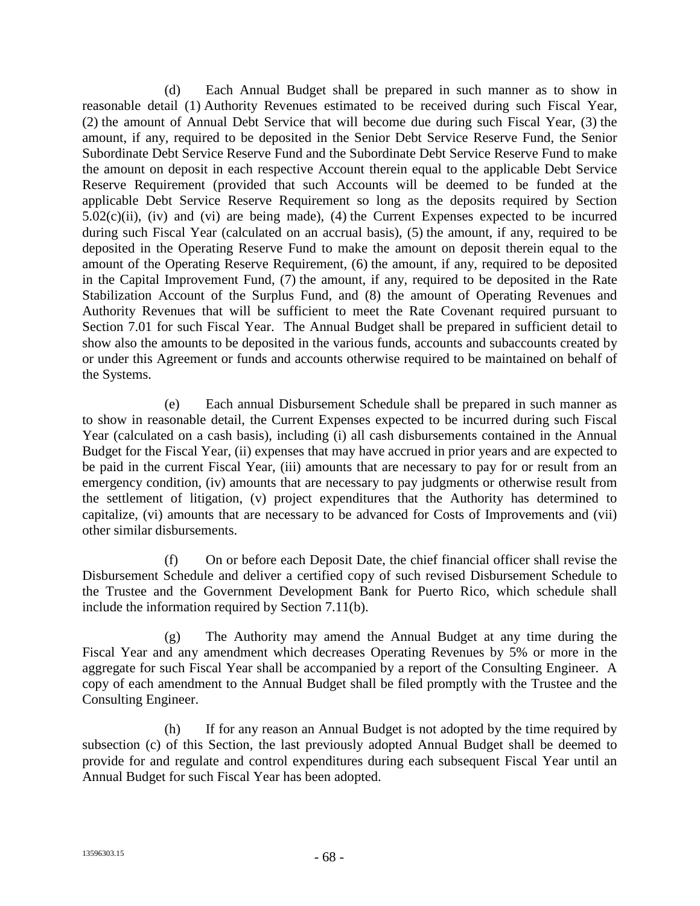(d) Each Annual Budget shall be prepared in such manner as to show in reasonable detail (1) Authority Revenues estimated to be received during such Fiscal Year, (2) the amount of Annual Debt Service that will become due during such Fiscal Year, (3) the amount, if any, required to be deposited in the Senior Debt Service Reserve Fund, the Senior Subordinate Debt Service Reserve Fund and the Subordinate Debt Service Reserve Fund to make the amount on deposit in each respective Account therein equal to the applicable Debt Service Reserve Requirement (provided that such Accounts will be deemed to be funded at the applicable Debt Service Reserve Requirement so long as the deposits required by Section  $5.02(c)(ii)$ , (iv) and (vi) are being made), (4) the Current Expenses expected to be incurred during such Fiscal Year (calculated on an accrual basis), (5) the amount, if any, required to be deposited in the Operating Reserve Fund to make the amount on deposit therein equal to the amount of the Operating Reserve Requirement, (6) the amount, if any, required to be deposited in the Capital Improvement Fund, (7) the amount, if any, required to be deposited in the Rate Stabilization Account of the Surplus Fund, and (8) the amount of Operating Revenues and Authority Revenues that will be sufficient to meet the Rate Covenant required pursuant to Section 7.01 for such Fiscal Year. The Annual Budget shall be prepared in sufficient detail to show also the amounts to be deposited in the various funds, accounts and subaccounts created by or under this Agreement or funds and accounts otherwise required to be maintained on behalf of the Systems.

(e) Each annual Disbursement Schedule shall be prepared in such manner as to show in reasonable detail, the Current Expenses expected to be incurred during such Fiscal Year (calculated on a cash basis), including (i) all cash disbursements contained in the Annual Budget for the Fiscal Year, (ii) expenses that may have accrued in prior years and are expected to be paid in the current Fiscal Year, (iii) amounts that are necessary to pay for or result from an emergency condition, (iv) amounts that are necessary to pay judgments or otherwise result from the settlement of litigation, (v) project expenditures that the Authority has determined to capitalize, (vi) amounts that are necessary to be advanced for Costs of Improvements and (vii) other similar disbursements.

(f) On or before each Deposit Date, the chief financial officer shall revise the Disbursement Schedule and deliver a certified copy of such revised Disbursement Schedule to the Trustee and the Government Development Bank for Puerto Rico, which schedule shall include the information required by Section 7.11(b).

(g) The Authority may amend the Annual Budget at any time during the Fiscal Year and any amendment which decreases Operating Revenues by 5% or more in the aggregate for such Fiscal Year shall be accompanied by a report of the Consulting Engineer. A copy of each amendment to the Annual Budget shall be filed promptly with the Trustee and the Consulting Engineer.

(h) If for any reason an Annual Budget is not adopted by the time required by subsection (c) of this Section, the last previously adopted Annual Budget shall be deemed to provide for and regulate and control expenditures during each subsequent Fiscal Year until an Annual Budget for such Fiscal Year has been adopted.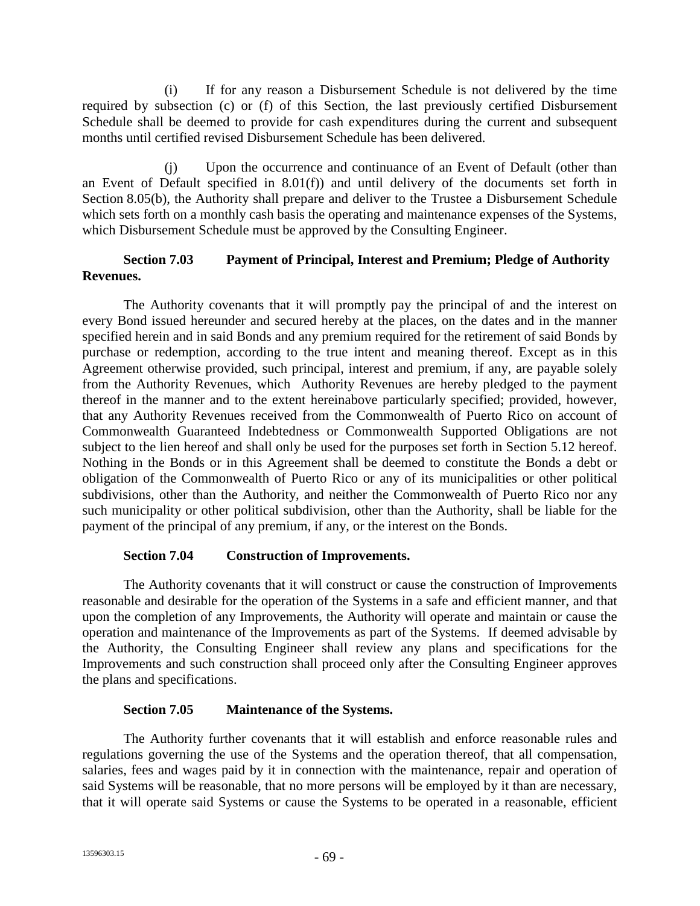(i) If for any reason a Disbursement Schedule is not delivered by the time required by subsection (c) or (f) of this Section, the last previously certified Disbursement Schedule shall be deemed to provide for cash expenditures during the current and subsequent months until certified revised Disbursement Schedule has been delivered.

(j) Upon the occurrence and continuance of an Event of Default (other than an Event of Default specified in 8.01(f)) and until delivery of the documents set forth in Section 8.05(b), the Authority shall prepare and deliver to the Trustee a Disbursement Schedule which sets forth on a monthly cash basis the operating and maintenance expenses of the Systems, which Disbursement Schedule must be approved by the Consulting Engineer.

# **Section 7.03 Payment of Principal, Interest and Premium; Pledge of Authority Revenues.**

The Authority covenants that it will promptly pay the principal of and the interest on every Bond issued hereunder and secured hereby at the places, on the dates and in the manner specified herein and in said Bonds and any premium required for the retirement of said Bonds by purchase or redemption, according to the true intent and meaning thereof. Except as in this Agreement otherwise provided, such principal, interest and premium, if any, are payable solely from the Authority Revenues, which Authority Revenues are hereby pledged to the payment thereof in the manner and to the extent hereinabove particularly specified; provided, however, that any Authority Revenues received from the Commonwealth of Puerto Rico on account of Commonwealth Guaranteed Indebtedness or Commonwealth Supported Obligations are not subject to the lien hereof and shall only be used for the purposes set forth in Section 5.12 hereof. Nothing in the Bonds or in this Agreement shall be deemed to constitute the Bonds a debt or obligation of the Commonwealth of Puerto Rico or any of its municipalities or other political subdivisions, other than the Authority, and neither the Commonwealth of Puerto Rico nor any such municipality or other political subdivision, other than the Authority, shall be liable for the payment of the principal of any premium, if any, or the interest on the Bonds.

# **Section 7.04 Construction of Improvements.**

The Authority covenants that it will construct or cause the construction of Improvements reasonable and desirable for the operation of the Systems in a safe and efficient manner, and that upon the completion of any Improvements, the Authority will operate and maintain or cause the operation and maintenance of the Improvements as part of the Systems. If deemed advisable by the Authority, the Consulting Engineer shall review any plans and specifications for the Improvements and such construction shall proceed only after the Consulting Engineer approves the plans and specifications.

### **Section 7.05 Maintenance of the Systems.**

The Authority further covenants that it will establish and enforce reasonable rules and regulations governing the use of the Systems and the operation thereof, that all compensation, salaries, fees and wages paid by it in connection with the maintenance, repair and operation of said Systems will be reasonable, that no more persons will be employed by it than are necessary, that it will operate said Systems or cause the Systems to be operated in a reasonable, efficient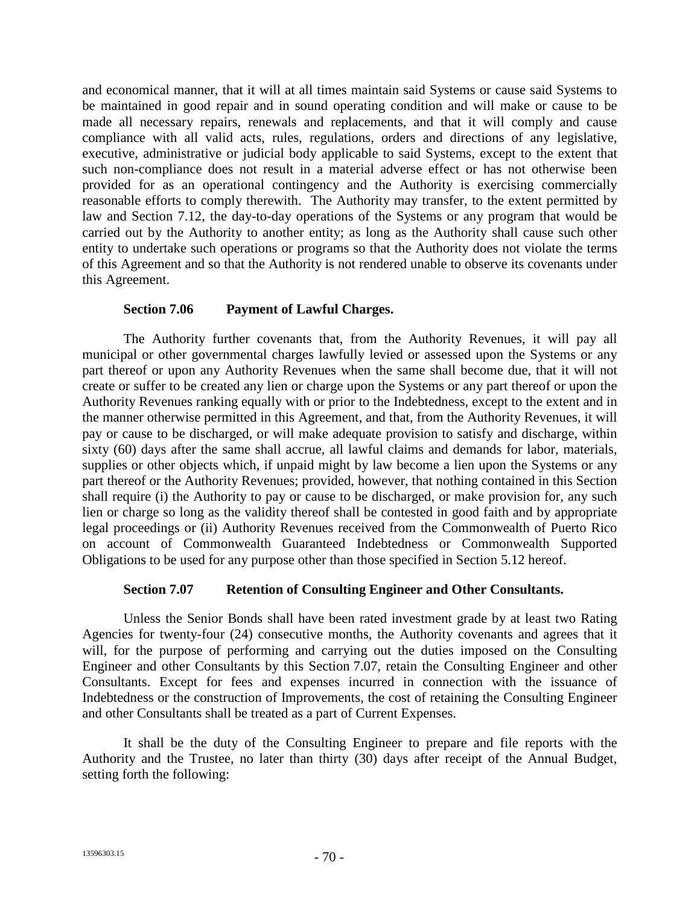and economical manner, that it will at all times maintain said Systems or cause said Systems to be maintained in good repair and in sound operating condition and will make or cause to be made all necessary repairs, renewals and replacements, and that it will comply and cause compliance with all valid acts, rules, regulations, orders and directions of any legislative, executive, administrative or judicial body applicable to said Systems, except to the extent that such non-compliance does not result in a material adverse effect or has not otherwise been provided for as an operational contingency and the Authority is exercising commercially reasonable efforts to comply therewith. The Authority may transfer, to the extent permitted by law and Section 7.12, the day-to-day operations of the Systems or any program that would be carried out by the Authority to another entity; as long as the Authority shall cause such other entity to undertake such operations or programs so that the Authority does not violate the terms of this Agreement and so that the Authority is not rendered unable to observe its covenants under this Agreement.

### **Section 7.06 Payment of Lawful Charges.**

The Authority further covenants that, from the Authority Revenues, it will pay all municipal or other governmental charges lawfully levied or assessed upon the Systems or any part thereof or upon any Authority Revenues when the same shall become due, that it will not create or suffer to be created any lien or charge upon the Systems or any part thereof or upon the Authority Revenues ranking equally with or prior to the Indebtedness, except to the extent and in the manner otherwise permitted in this Agreement, and that, from the Authority Revenues, it will pay or cause to be discharged, or will make adequate provision to satisfy and discharge, within sixty (60) days after the same shall accrue, all lawful claims and demands for labor, materials, supplies or other objects which, if unpaid might by law become a lien upon the Systems or any part thereof or the Authority Revenues; provided, however, that nothing contained in this Section shall require (i) the Authority to pay or cause to be discharged, or make provision for, any such lien or charge so long as the validity thereof shall be contested in good faith and by appropriate legal proceedings or (ii) Authority Revenues received from the Commonwealth of Puerto Rico on account of Commonwealth Guaranteed Indebtedness or Commonwealth Supported Obligations to be used for any purpose other than those specified in Section 5.12 hereof.

# **Section 7.07 Retention of Consulting Engineer and Other Consultants.**

Unless the Senior Bonds shall have been rated investment grade by at least two Rating Agencies for twenty-four (24) consecutive months, the Authority covenants and agrees that it will, for the purpose of performing and carrying out the duties imposed on the Consulting Engineer and other Consultants by this Section 7.07, retain the Consulting Engineer and other Consultants. Except for fees and expenses incurred in connection with the issuance of Indebtedness or the construction of Improvements, the cost of retaining the Consulting Engineer and other Consultants shall be treated as a part of Current Expenses.

It shall be the duty of the Consulting Engineer to prepare and file reports with the Authority and the Trustee, no later than thirty (30) days after receipt of the Annual Budget, setting forth the following: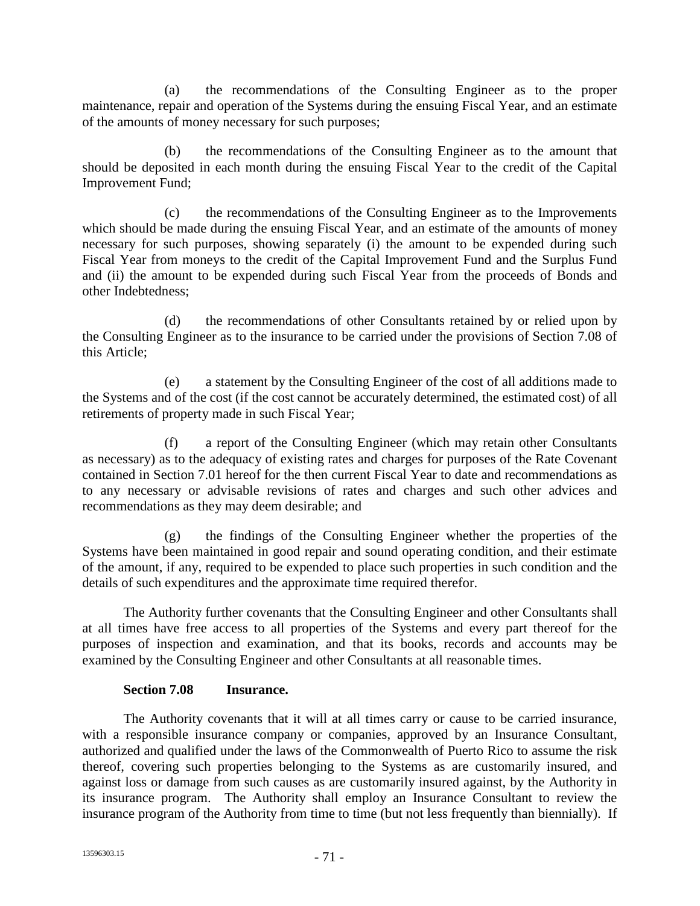(a) the recommendations of the Consulting Engineer as to the proper maintenance, repair and operation of the Systems during the ensuing Fiscal Year, and an estimate of the amounts of money necessary for such purposes;

(b) the recommendations of the Consulting Engineer as to the amount that should be deposited in each month during the ensuing Fiscal Year to the credit of the Capital Improvement Fund;

(c) the recommendations of the Consulting Engineer as to the Improvements which should be made during the ensuing Fiscal Year, and an estimate of the amounts of money necessary for such purposes, showing separately (i) the amount to be expended during such Fiscal Year from moneys to the credit of the Capital Improvement Fund and the Surplus Fund and (ii) the amount to be expended during such Fiscal Year from the proceeds of Bonds and other Indebtedness;

(d) the recommendations of other Consultants retained by or relied upon by the Consulting Engineer as to the insurance to be carried under the provisions of Section 7.08 of this Article;

(e) a statement by the Consulting Engineer of the cost of all additions made to the Systems and of the cost (if the cost cannot be accurately determined, the estimated cost) of all retirements of property made in such Fiscal Year;

(f) a report of the Consulting Engineer (which may retain other Consultants as necessary) as to the adequacy of existing rates and charges for purposes of the Rate Covenant contained in Section 7.01 hereof for the then current Fiscal Year to date and recommendations as to any necessary or advisable revisions of rates and charges and such other advices and recommendations as they may deem desirable; and

(g) the findings of the Consulting Engineer whether the properties of the Systems have been maintained in good repair and sound operating condition, and their estimate of the amount, if any, required to be expended to place such properties in such condition and the details of such expenditures and the approximate time required therefor.

The Authority further covenants that the Consulting Engineer and other Consultants shall at all times have free access to all properties of the Systems and every part thereof for the purposes of inspection and examination, and that its books, records and accounts may be examined by the Consulting Engineer and other Consultants at all reasonable times.

# **Section 7.08 Insurance.**

The Authority covenants that it will at all times carry or cause to be carried insurance, with a responsible insurance company or companies, approved by an Insurance Consultant, authorized and qualified under the laws of the Commonwealth of Puerto Rico to assume the risk thereof, covering such properties belonging to the Systems as are customarily insured, and against loss or damage from such causes as are customarily insured against, by the Authority in its insurance program. The Authority shall employ an Insurance Consultant to review the insurance program of the Authority from time to time (but not less frequently than biennially). If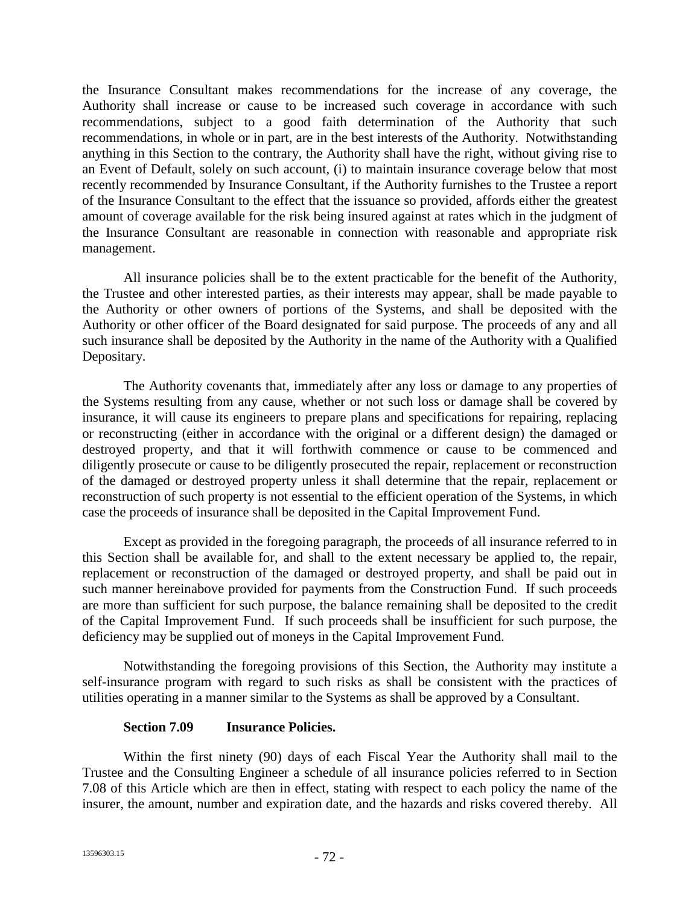the Insurance Consultant makes recommendations for the increase of any coverage, the Authority shall increase or cause to be increased such coverage in accordance with such recommendations, subject to a good faith determination of the Authority that such recommendations, in whole or in part, are in the best interests of the Authority. Notwithstanding anything in this Section to the contrary, the Authority shall have the right, without giving rise to an Event of Default, solely on such account, (i) to maintain insurance coverage below that most recently recommended by Insurance Consultant, if the Authority furnishes to the Trustee a report of the Insurance Consultant to the effect that the issuance so provided, affords either the greatest amount of coverage available for the risk being insured against at rates which in the judgment of the Insurance Consultant are reasonable in connection with reasonable and appropriate risk management.

All insurance policies shall be to the extent practicable for the benefit of the Authority, the Trustee and other interested parties, as their interests may appear, shall be made payable to the Authority or other owners of portions of the Systems, and shall be deposited with the Authority or other officer of the Board designated for said purpose. The proceeds of any and all such insurance shall be deposited by the Authority in the name of the Authority with a Qualified Depositary.

The Authority covenants that, immediately after any loss or damage to any properties of the Systems resulting from any cause, whether or not such loss or damage shall be covered by insurance, it will cause its engineers to prepare plans and specifications for repairing, replacing or reconstructing (either in accordance with the original or a different design) the damaged or destroyed property, and that it will forthwith commence or cause to be commenced and diligently prosecute or cause to be diligently prosecuted the repair, replacement or reconstruction of the damaged or destroyed property unless it shall determine that the repair, replacement or reconstruction of such property is not essential to the efficient operation of the Systems, in which case the proceeds of insurance shall be deposited in the Capital Improvement Fund.

Except as provided in the foregoing paragraph, the proceeds of all insurance referred to in this Section shall be available for, and shall to the extent necessary be applied to, the repair, replacement or reconstruction of the damaged or destroyed property, and shall be paid out in such manner hereinabove provided for payments from the Construction Fund. If such proceeds are more than sufficient for such purpose, the balance remaining shall be deposited to the credit of the Capital Improvement Fund. If such proceeds shall be insufficient for such purpose, the deficiency may be supplied out of moneys in the Capital Improvement Fund.

Notwithstanding the foregoing provisions of this Section, the Authority may institute a self-insurance program with regard to such risks as shall be consistent with the practices of utilities operating in a manner similar to the Systems as shall be approved by a Consultant.

### **Section 7.09 Insurance Policies.**

Within the first ninety (90) days of each Fiscal Year the Authority shall mail to the Trustee and the Consulting Engineer a schedule of all insurance policies referred to in Section 7.08 of this Article which are then in effect, stating with respect to each policy the name of the insurer, the amount, number and expiration date, and the hazards and risks covered thereby. All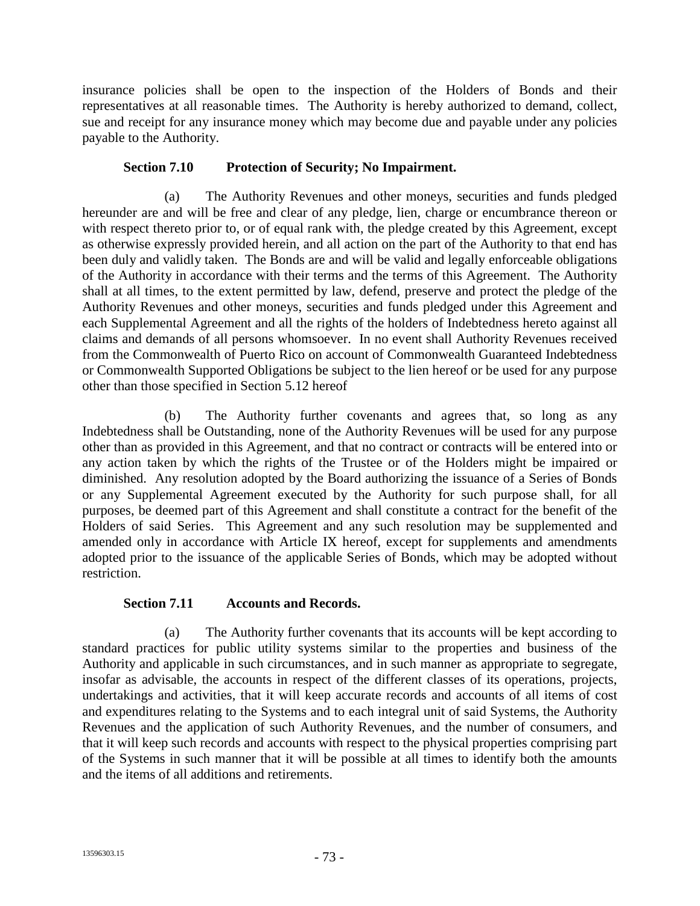insurance policies shall be open to the inspection of the Holders of Bonds and their representatives at all reasonable times. The Authority is hereby authorized to demand, collect, sue and receipt for any insurance money which may become due and payable under any policies payable to the Authority.

# **Section 7.10 Protection of Security; No Impairment.**

(a) The Authority Revenues and other moneys, securities and funds pledged hereunder are and will be free and clear of any pledge, lien, charge or encumbrance thereon or with respect thereto prior to, or of equal rank with, the pledge created by this Agreement, except as otherwise expressly provided herein, and all action on the part of the Authority to that end has been duly and validly taken. The Bonds are and will be valid and legally enforceable obligations of the Authority in accordance with their terms and the terms of this Agreement. The Authority shall at all times, to the extent permitted by law, defend, preserve and protect the pledge of the Authority Revenues and other moneys, securities and funds pledged under this Agreement and each Supplemental Agreement and all the rights of the holders of Indebtedness hereto against all claims and demands of all persons whomsoever. In no event shall Authority Revenues received from the Commonwealth of Puerto Rico on account of Commonwealth Guaranteed Indebtedness or Commonwealth Supported Obligations be subject to the lien hereof or be used for any purpose other than those specified in Section 5.12 hereof

(b) The Authority further covenants and agrees that, so long as any Indebtedness shall be Outstanding, none of the Authority Revenues will be used for any purpose other than as provided in this Agreement, and that no contract or contracts will be entered into or any action taken by which the rights of the Trustee or of the Holders might be impaired or diminished. Any resolution adopted by the Board authorizing the issuance of a Series of Bonds or any Supplemental Agreement executed by the Authority for such purpose shall, for all purposes, be deemed part of this Agreement and shall constitute a contract for the benefit of the Holders of said Series. This Agreement and any such resolution may be supplemented and amended only in accordance with Article IX hereof, except for supplements and amendments adopted prior to the issuance of the applicable Series of Bonds, which may be adopted without restriction.

# **Section 7.11 Accounts and Records.**

(a) The Authority further covenants that its accounts will be kept according to standard practices for public utility systems similar to the properties and business of the Authority and applicable in such circumstances, and in such manner as appropriate to segregate, insofar as advisable, the accounts in respect of the different classes of its operations, projects, undertakings and activities, that it will keep accurate records and accounts of all items of cost and expenditures relating to the Systems and to each integral unit of said Systems, the Authority Revenues and the application of such Authority Revenues, and the number of consumers, and that it will keep such records and accounts with respect to the physical properties comprising part of the Systems in such manner that it will be possible at all times to identify both the amounts and the items of all additions and retirements.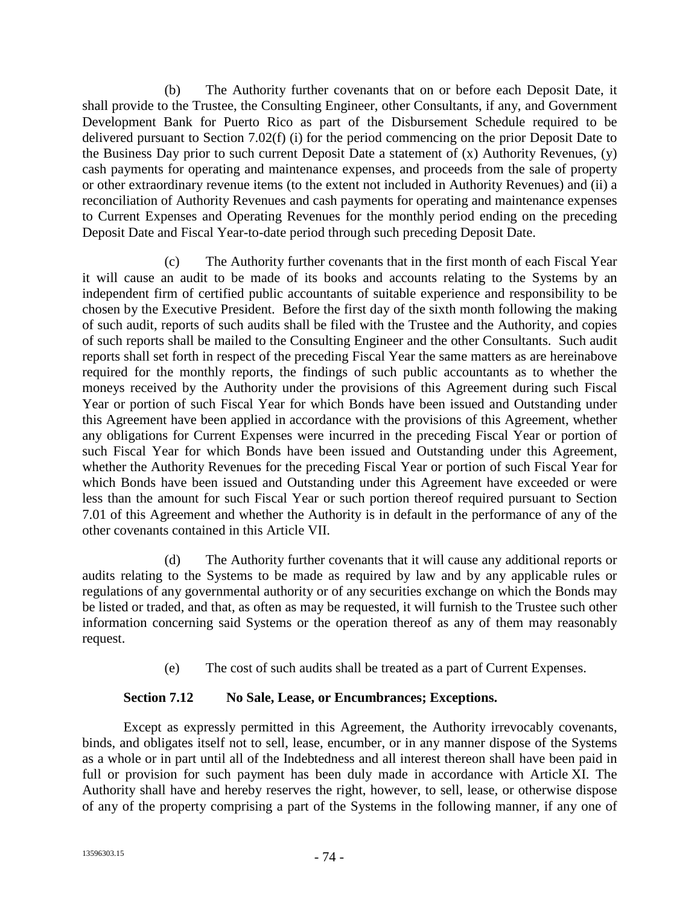(b) The Authority further covenants that on or before each Deposit Date, it shall provide to the Trustee, the Consulting Engineer, other Consultants, if any, and Government Development Bank for Puerto Rico as part of the Disbursement Schedule required to be delivered pursuant to Section 7.02(f) (i) for the period commencing on the prior Deposit Date to the Business Day prior to such current Deposit Date a statement of  $(x)$  Authority Revenues,  $(y)$ cash payments for operating and maintenance expenses, and proceeds from the sale of property or other extraordinary revenue items (to the extent not included in Authority Revenues) and (ii) a reconciliation of Authority Revenues and cash payments for operating and maintenance expenses to Current Expenses and Operating Revenues for the monthly period ending on the preceding Deposit Date and Fiscal Year-to-date period through such preceding Deposit Date.

(c) The Authority further covenants that in the first month of each Fiscal Year it will cause an audit to be made of its books and accounts relating to the Systems by an independent firm of certified public accountants of suitable experience and responsibility to be chosen by the Executive President. Before the first day of the sixth month following the making of such audit, reports of such audits shall be filed with the Trustee and the Authority, and copies of such reports shall be mailed to the Consulting Engineer and the other Consultants. Such audit reports shall set forth in respect of the preceding Fiscal Year the same matters as are hereinabove required for the monthly reports, the findings of such public accountants as to whether the moneys received by the Authority under the provisions of this Agreement during such Fiscal Year or portion of such Fiscal Year for which Bonds have been issued and Outstanding under this Agreement have been applied in accordance with the provisions of this Agreement, whether any obligations for Current Expenses were incurred in the preceding Fiscal Year or portion of such Fiscal Year for which Bonds have been issued and Outstanding under this Agreement, whether the Authority Revenues for the preceding Fiscal Year or portion of such Fiscal Year for which Bonds have been issued and Outstanding under this Agreement have exceeded or were less than the amount for such Fiscal Year or such portion thereof required pursuant to Section 7.01 of this Agreement and whether the Authority is in default in the performance of any of the other covenants contained in this Article VII.

(d) The Authority further covenants that it will cause any additional reports or audits relating to the Systems to be made as required by law and by any applicable rules or regulations of any governmental authority or of any securities exchange on which the Bonds may be listed or traded, and that, as often as may be requested, it will furnish to the Trustee such other information concerning said Systems or the operation thereof as any of them may reasonably request.

(e) The cost of such audits shall be treated as a part of Current Expenses.

# **Section 7.12 No Sale, Lease, or Encumbrances; Exceptions.**

Except as expressly permitted in this Agreement, the Authority irrevocably covenants, binds, and obligates itself not to sell, lease, encumber, or in any manner dispose of the Systems as a whole or in part until all of the Indebtedness and all interest thereon shall have been paid in full or provision for such payment has been duly made in accordance with Article XI. The Authority shall have and hereby reserves the right, however, to sell, lease, or otherwise dispose of any of the property comprising a part of the Systems in the following manner, if any one of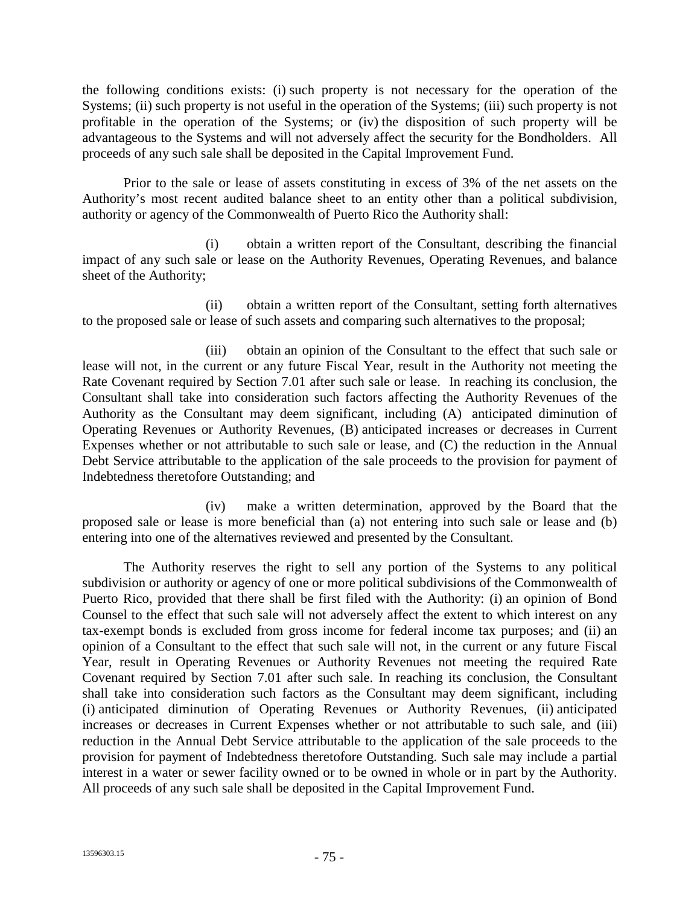the following conditions exists: (i) such property is not necessary for the operation of the Systems; (ii) such property is not useful in the operation of the Systems; (iii) such property is not profitable in the operation of the Systems; or (iv) the disposition of such property will be advantageous to the Systems and will not adversely affect the security for the Bondholders. All proceeds of any such sale shall be deposited in the Capital Improvement Fund.

Prior to the sale or lease of assets constituting in excess of 3% of the net assets on the Authority's most recent audited balance sheet to an entity other than a political subdivision, authority or agency of the Commonwealth of Puerto Rico the Authority shall:

(i) obtain a written report of the Consultant, describing the financial impact of any such sale or lease on the Authority Revenues, Operating Revenues, and balance sheet of the Authority;

(ii) obtain a written report of the Consultant, setting forth alternatives to the proposed sale or lease of such assets and comparing such alternatives to the proposal;

(iii) obtain an opinion of the Consultant to the effect that such sale or lease will not, in the current or any future Fiscal Year, result in the Authority not meeting the Rate Covenant required by Section 7.01 after such sale or lease. In reaching its conclusion, the Consultant shall take into consideration such factors affecting the Authority Revenues of the Authority as the Consultant may deem significant, including (A) anticipated diminution of Operating Revenues or Authority Revenues, (B) anticipated increases or decreases in Current Expenses whether or not attributable to such sale or lease, and (C) the reduction in the Annual Debt Service attributable to the application of the sale proceeds to the provision for payment of Indebtedness theretofore Outstanding; and

(iv) make a written determination, approved by the Board that the proposed sale or lease is more beneficial than (a) not entering into such sale or lease and (b) entering into one of the alternatives reviewed and presented by the Consultant.

The Authority reserves the right to sell any portion of the Systems to any political subdivision or authority or agency of one or more political subdivisions of the Commonwealth of Puerto Rico, provided that there shall be first filed with the Authority: (i) an opinion of Bond Counsel to the effect that such sale will not adversely affect the extent to which interest on any tax-exempt bonds is excluded from gross income for federal income tax purposes; and (ii) an opinion of a Consultant to the effect that such sale will not, in the current or any future Fiscal Year, result in Operating Revenues or Authority Revenues not meeting the required Rate Covenant required by Section 7.01 after such sale. In reaching its conclusion, the Consultant shall take into consideration such factors as the Consultant may deem significant, including (i) anticipated diminution of Operating Revenues or Authority Revenues, (ii) anticipated increases or decreases in Current Expenses whether or not attributable to such sale, and (iii) reduction in the Annual Debt Service attributable to the application of the sale proceeds to the provision for payment of Indebtedness theretofore Outstanding. Such sale may include a partial interest in a water or sewer facility owned or to be owned in whole or in part by the Authority. All proceeds of any such sale shall be deposited in the Capital Improvement Fund.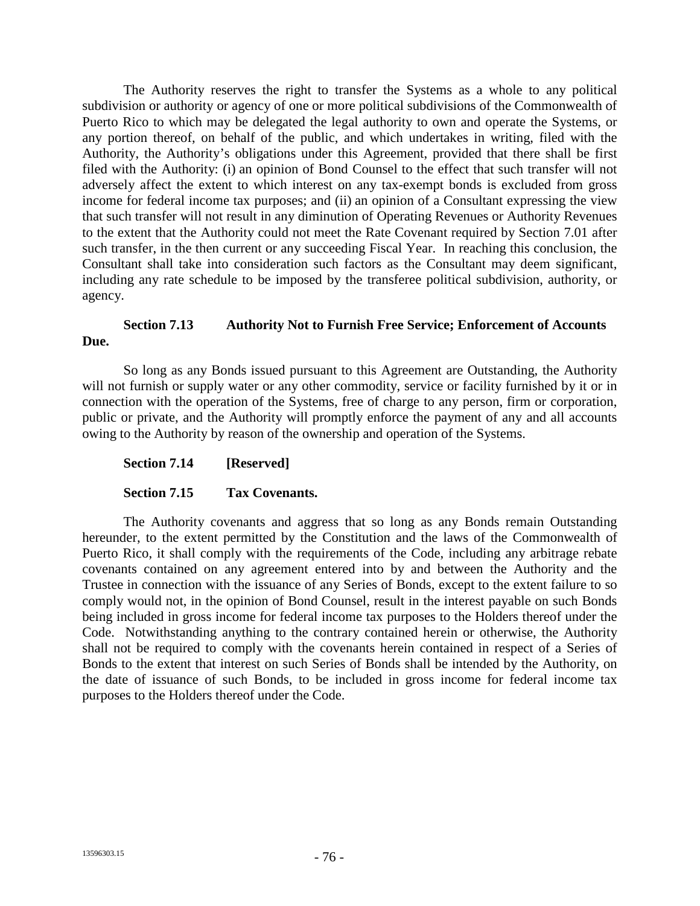The Authority reserves the right to transfer the Systems as a whole to any political subdivision or authority or agency of one or more political subdivisions of the Commonwealth of Puerto Rico to which may be delegated the legal authority to own and operate the Systems, or any portion thereof, on behalf of the public, and which undertakes in writing, filed with the Authority, the Authority's obligations under this Agreement, provided that there shall be first filed with the Authority: (i) an opinion of Bond Counsel to the effect that such transfer will not adversely affect the extent to which interest on any tax-exempt bonds is excluded from gross income for federal income tax purposes; and (ii) an opinion of a Consultant expressing the view that such transfer will not result in any diminution of Operating Revenues or Authority Revenues to the extent that the Authority could not meet the Rate Covenant required by Section 7.01 after such transfer, in the then current or any succeeding Fiscal Year. In reaching this conclusion, the Consultant shall take into consideration such factors as the Consultant may deem significant, including any rate schedule to be imposed by the transferee political subdivision, authority, or agency.

# **Section 7.13 Authority Not to Furnish Free Service; Enforcement of Accounts Due.**

So long as any Bonds issued pursuant to this Agreement are Outstanding, the Authority will not furnish or supply water or any other commodity, service or facility furnished by it or in connection with the operation of the Systems, free of charge to any person, firm or corporation, public or private, and the Authority will promptly enforce the payment of any and all accounts owing to the Authority by reason of the ownership and operation of the Systems.

# **Section 7.14 [Reserved]**

### **Section 7.15 Tax Covenants.**

The Authority covenants and aggress that so long as any Bonds remain Outstanding hereunder, to the extent permitted by the Constitution and the laws of the Commonwealth of Puerto Rico, it shall comply with the requirements of the Code, including any arbitrage rebate covenants contained on any agreement entered into by and between the Authority and the Trustee in connection with the issuance of any Series of Bonds, except to the extent failure to so comply would not, in the opinion of Bond Counsel, result in the interest payable on such Bonds being included in gross income for federal income tax purposes to the Holders thereof under the Code. Notwithstanding anything to the contrary contained herein or otherwise, the Authority shall not be required to comply with the covenants herein contained in respect of a Series of Bonds to the extent that interest on such Series of Bonds shall be intended by the Authority, on the date of issuance of such Bonds, to be included in gross income for federal income tax purposes to the Holders thereof under the Code.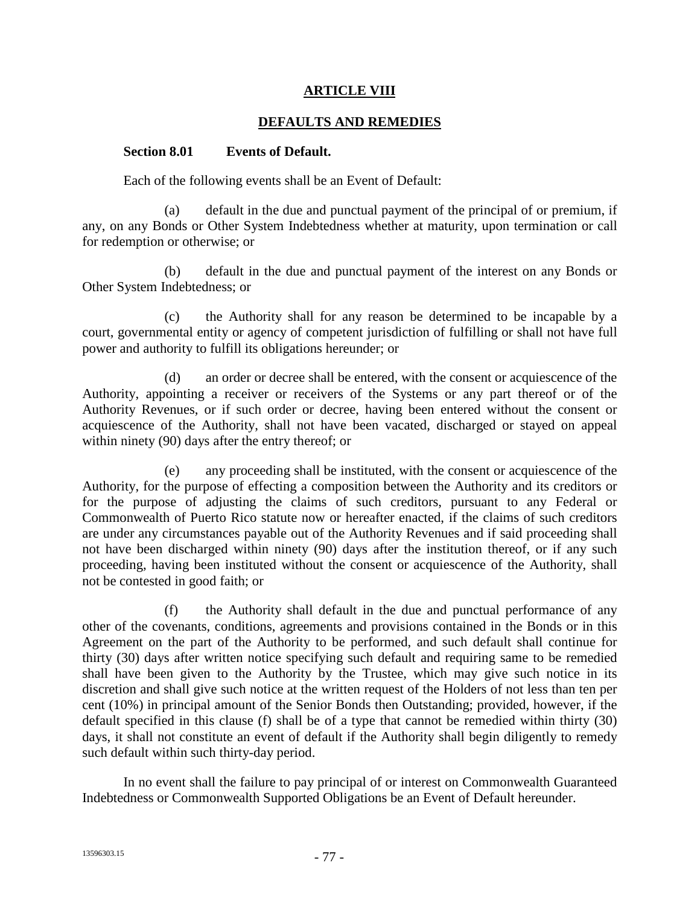### **ARTICLE VIII**

### **DEFAULTS AND REMEDIES**

#### **Section 8.01 Events of Default.**

Each of the following events shall be an Event of Default:

(a) default in the due and punctual payment of the principal of or premium, if any, on any Bonds or Other System Indebtedness whether at maturity, upon termination or call for redemption or otherwise; or

(b) default in the due and punctual payment of the interest on any Bonds or Other System Indebtedness; or

(c) the Authority shall for any reason be determined to be incapable by a court, governmental entity or agency of competent jurisdiction of fulfilling or shall not have full power and authority to fulfill its obligations hereunder; or

(d) an order or decree shall be entered, with the consent or acquiescence of the Authority, appointing a receiver or receivers of the Systems or any part thereof or of the Authority Revenues, or if such order or decree, having been entered without the consent or acquiescence of the Authority, shall not have been vacated, discharged or stayed on appeal within ninety (90) days after the entry thereof; or

(e) any proceeding shall be instituted, with the consent or acquiescence of the Authority, for the purpose of effecting a composition between the Authority and its creditors or for the purpose of adjusting the claims of such creditors, pursuant to any Federal or Commonwealth of Puerto Rico statute now or hereafter enacted, if the claims of such creditors are under any circumstances payable out of the Authority Revenues and if said proceeding shall not have been discharged within ninety (90) days after the institution thereof, or if any such proceeding, having been instituted without the consent or acquiescence of the Authority, shall not be contested in good faith; or

(f) the Authority shall default in the due and punctual performance of any other of the covenants, conditions, agreements and provisions contained in the Bonds or in this Agreement on the part of the Authority to be performed, and such default shall continue for thirty (30) days after written notice specifying such default and requiring same to be remedied shall have been given to the Authority by the Trustee, which may give such notice in its discretion and shall give such notice at the written request of the Holders of not less than ten per cent (10%) in principal amount of the Senior Bonds then Outstanding; provided, however, if the default specified in this clause (f) shall be of a type that cannot be remedied within thirty (30) days, it shall not constitute an event of default if the Authority shall begin diligently to remedy such default within such thirty-day period.

In no event shall the failure to pay principal of or interest on Commonwealth Guaranteed Indebtedness or Commonwealth Supported Obligations be an Event of Default hereunder.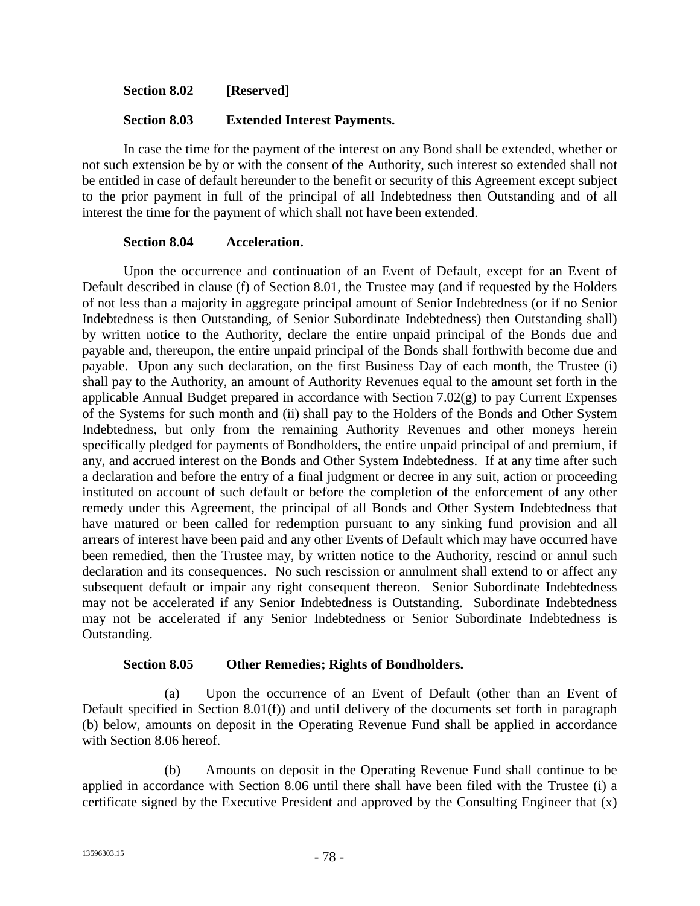**Section 8.02 [Reserved]**

### **Section 8.03 Extended Interest Payments.**

In case the time for the payment of the interest on any Bond shall be extended, whether or not such extension be by or with the consent of the Authority, such interest so extended shall not be entitled in case of default hereunder to the benefit or security of this Agreement except subject to the prior payment in full of the principal of all Indebtedness then Outstanding and of all interest the time for the payment of which shall not have been extended.

#### **Section 8.04 Acceleration.**

Upon the occurrence and continuation of an Event of Default, except for an Event of Default described in clause (f) of Section 8.01, the Trustee may (and if requested by the Holders of not less than a majority in aggregate principal amount of Senior Indebtedness (or if no Senior Indebtedness is then Outstanding, of Senior Subordinate Indebtedness) then Outstanding shall) by written notice to the Authority, declare the entire unpaid principal of the Bonds due and payable and, thereupon, the entire unpaid principal of the Bonds shall forthwith become due and payable. Upon any such declaration, on the first Business Day of each month, the Trustee (i) shall pay to the Authority, an amount of Authority Revenues equal to the amount set forth in the applicable Annual Budget prepared in accordance with Section 7.02(g) to pay Current Expenses of the Systems for such month and (ii) shall pay to the Holders of the Bonds and Other System Indebtedness, but only from the remaining Authority Revenues and other moneys herein specifically pledged for payments of Bondholders, the entire unpaid principal of and premium, if any, and accrued interest on the Bonds and Other System Indebtedness. If at any time after such a declaration and before the entry of a final judgment or decree in any suit, action or proceeding instituted on account of such default or before the completion of the enforcement of any other remedy under this Agreement, the principal of all Bonds and Other System Indebtedness that have matured or been called for redemption pursuant to any sinking fund provision and all arrears of interest have been paid and any other Events of Default which may have occurred have been remedied, then the Trustee may, by written notice to the Authority, rescind or annul such declaration and its consequences. No such rescission or annulment shall extend to or affect any subsequent default or impair any right consequent thereon. Senior Subordinate Indebtedness may not be accelerated if any Senior Indebtedness is Outstanding. Subordinate Indebtedness may not be accelerated if any Senior Indebtedness or Senior Subordinate Indebtedness is Outstanding.

### **Section 8.05 Other Remedies; Rights of Bondholders.**

(a) Upon the occurrence of an Event of Default (other than an Event of Default specified in Section 8.01(f)) and until delivery of the documents set forth in paragraph (b) below, amounts on deposit in the Operating Revenue Fund shall be applied in accordance with Section 8.06 hereof.

(b) Amounts on deposit in the Operating Revenue Fund shall continue to be applied in accordance with Section 8.06 until there shall have been filed with the Trustee (i) a certificate signed by the Executive President and approved by the Consulting Engineer that (x)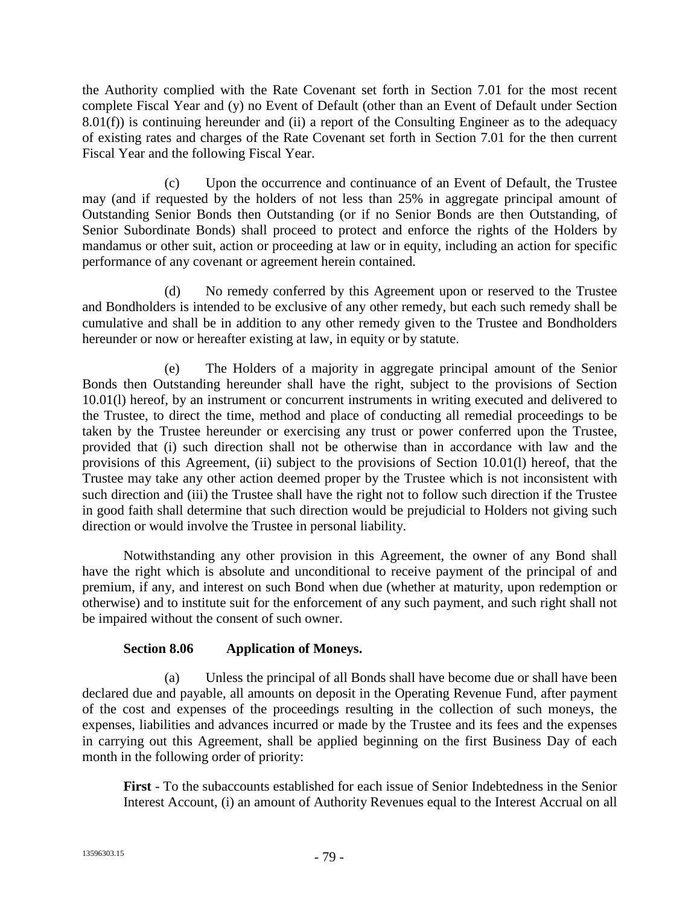the Authority complied with the Rate Covenant set forth in Section 7.01 for the most recent complete Fiscal Year and (y) no Event of Default (other than an Event of Default under Section  $8.01(f)$ ) is continuing hereunder and (ii) a report of the Consulting Engineer as to the adequacy of existing rates and charges of the Rate Covenant set forth in Section 7.01 for the then current Fiscal Year and the following Fiscal Year.

(c) Upon the occurrence and continuance of an Event of Default, the Trustee may (and if requested by the holders of not less than 25% in aggregate principal amount of Outstanding Senior Bonds then Outstanding (or if no Senior Bonds are then Outstanding, of Senior Subordinate Bonds) shall proceed to protect and enforce the rights of the Holders by mandamus or other suit, action or proceeding at law or in equity, including an action for specific performance of any covenant or agreement herein contained.

(d) No remedy conferred by this Agreement upon or reserved to the Trustee and Bondholders is intended to be exclusive of any other remedy, but each such remedy shall be cumulative and shall be in addition to any other remedy given to the Trustee and Bondholders hereunder or now or hereafter existing at law, in equity or by statute.

(e) The Holders of a majority in aggregate principal amount of the Senior Bonds then Outstanding hereunder shall have the right, subject to the provisions of Section 10.01(l) hereof, by an instrument or concurrent instruments in writing executed and delivered to the Trustee, to direct the time, method and place of conducting all remedial proceedings to be taken by the Trustee hereunder or exercising any trust or power conferred upon the Trustee, provided that (i) such direction shall not be otherwise than in accordance with law and the provisions of this Agreement, (ii) subject to the provisions of Section 10.01(l) hereof, that the Trustee may take any other action deemed proper by the Trustee which is not inconsistent with such direction and (iii) the Trustee shall have the right not to follow such direction if the Trustee in good faith shall determine that such direction would be prejudicial to Holders not giving such direction or would involve the Trustee in personal liability.

Notwithstanding any other provision in this Agreement, the owner of any Bond shall have the right which is absolute and unconditional to receive payment of the principal of and premium, if any, and interest on such Bond when due (whether at maturity, upon redemption or otherwise) and to institute suit for the enforcement of any such payment, and such right shall not be impaired without the consent of such owner.

# **Section 8.06 Application of Moneys.**

(a) Unless the principal of all Bonds shall have become due or shall have been declared due and payable, all amounts on deposit in the Operating Revenue Fund, after payment of the cost and expenses of the proceedings resulting in the collection of such moneys, the expenses, liabilities and advances incurred or made by the Trustee and its fees and the expenses in carrying out this Agreement, shall be applied beginning on the first Business Day of each month in the following order of priority:

**First** - To the subaccounts established for each issue of Senior Indebtedness in the Senior Interest Account, (i) an amount of Authority Revenues equal to the Interest Accrual on all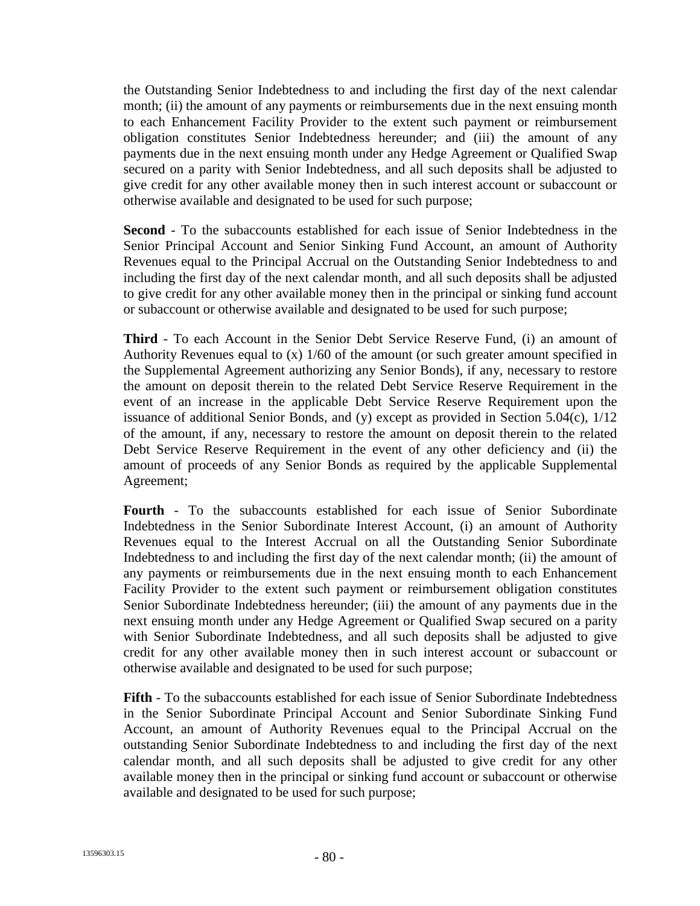the Outstanding Senior Indebtedness to and including the first day of the next calendar month; (ii) the amount of any payments or reimbursements due in the next ensuing month to each Enhancement Facility Provider to the extent such payment or reimbursement obligation constitutes Senior Indebtedness hereunder; and (iii) the amount of any payments due in the next ensuing month under any Hedge Agreement or Qualified Swap secured on a parity with Senior Indebtedness, and all such deposits shall be adjusted to give credit for any other available money then in such interest account or subaccount or otherwise available and designated to be used for such purpose;

**Second** - To the subaccounts established for each issue of Senior Indebtedness in the Senior Principal Account and Senior Sinking Fund Account, an amount of Authority Revenues equal to the Principal Accrual on the Outstanding Senior Indebtedness to and including the first day of the next calendar month, and all such deposits shall be adjusted to give credit for any other available money then in the principal or sinking fund account or subaccount or otherwise available and designated to be used for such purpose;

**Third** - To each Account in the Senior Debt Service Reserve Fund, (i) an amount of Authority Revenues equal to  $(x)$  1/60 of the amount (or such greater amount specified in the Supplemental Agreement authorizing any Senior Bonds), if any, necessary to restore the amount on deposit therein to the related Debt Service Reserve Requirement in the event of an increase in the applicable Debt Service Reserve Requirement upon the issuance of additional Senior Bonds, and (y) except as provided in Section 5.04(c), 1/12 of the amount, if any, necessary to restore the amount on deposit therein to the related Debt Service Reserve Requirement in the event of any other deficiency and (ii) the amount of proceeds of any Senior Bonds as required by the applicable Supplemental Agreement;

**Fourth** - To the subaccounts established for each issue of Senior Subordinate Indebtedness in the Senior Subordinate Interest Account, (i) an amount of Authority Revenues equal to the Interest Accrual on all the Outstanding Senior Subordinate Indebtedness to and including the first day of the next calendar month; (ii) the amount of any payments or reimbursements due in the next ensuing month to each Enhancement Facility Provider to the extent such payment or reimbursement obligation constitutes Senior Subordinate Indebtedness hereunder; (iii) the amount of any payments due in the next ensuing month under any Hedge Agreement or Qualified Swap secured on a parity with Senior Subordinate Indebtedness, and all such deposits shall be adjusted to give credit for any other available money then in such interest account or subaccount or otherwise available and designated to be used for such purpose;

**Fifth** - To the subaccounts established for each issue of Senior Subordinate Indebtedness in the Senior Subordinate Principal Account and Senior Subordinate Sinking Fund Account, an amount of Authority Revenues equal to the Principal Accrual on the outstanding Senior Subordinate Indebtedness to and including the first day of the next calendar month, and all such deposits shall be adjusted to give credit for any other available money then in the principal or sinking fund account or subaccount or otherwise available and designated to be used for such purpose;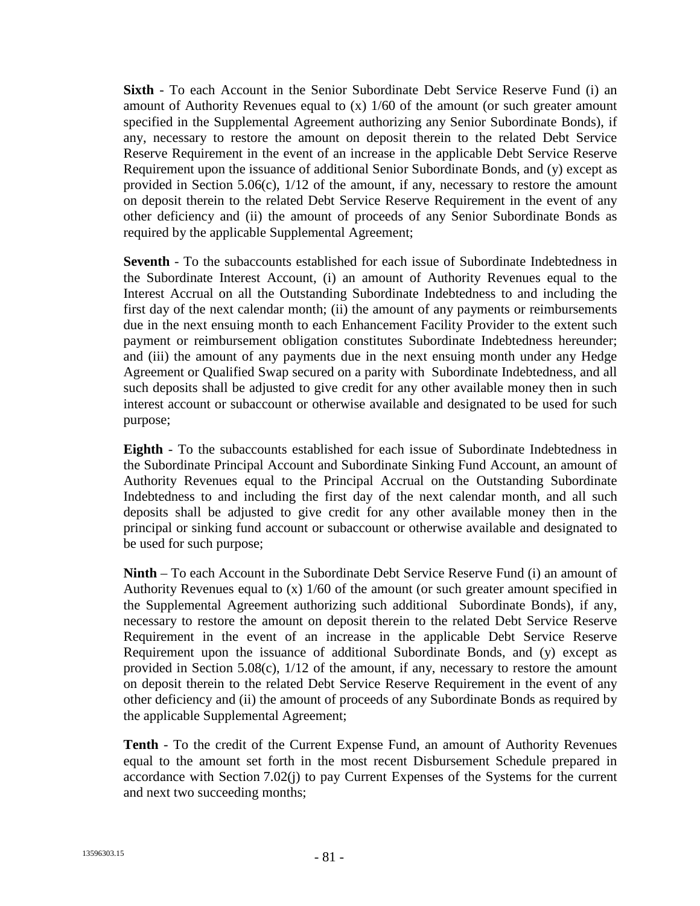**Sixth** - To each Account in the Senior Subordinate Debt Service Reserve Fund (i) an amount of Authority Revenues equal to (x) 1/60 of the amount (or such greater amount specified in the Supplemental Agreement authorizing any Senior Subordinate Bonds), if any, necessary to restore the amount on deposit therein to the related Debt Service Reserve Requirement in the event of an increase in the applicable Debt Service Reserve Requirement upon the issuance of additional Senior Subordinate Bonds, and (y) except as provided in Section 5.06(c), 1/12 of the amount, if any, necessary to restore the amount on deposit therein to the related Debt Service Reserve Requirement in the event of any other deficiency and (ii) the amount of proceeds of any Senior Subordinate Bonds as required by the applicable Supplemental Agreement;

**Seventh** - To the subaccounts established for each issue of Subordinate Indebtedness in the Subordinate Interest Account, (i) an amount of Authority Revenues equal to the Interest Accrual on all the Outstanding Subordinate Indebtedness to and including the first day of the next calendar month; (ii) the amount of any payments or reimbursements due in the next ensuing month to each Enhancement Facility Provider to the extent such payment or reimbursement obligation constitutes Subordinate Indebtedness hereunder; and (iii) the amount of any payments due in the next ensuing month under any Hedge Agreement or Qualified Swap secured on a parity with Subordinate Indebtedness, and all such deposits shall be adjusted to give credit for any other available money then in such interest account or subaccount or otherwise available and designated to be used for such purpose;

**Eighth** - To the subaccounts established for each issue of Subordinate Indebtedness in the Subordinate Principal Account and Subordinate Sinking Fund Account, an amount of Authority Revenues equal to the Principal Accrual on the Outstanding Subordinate Indebtedness to and including the first day of the next calendar month, and all such deposits shall be adjusted to give credit for any other available money then in the principal or sinking fund account or subaccount or otherwise available and designated to be used for such purpose;

**Ninth** – To each Account in the Subordinate Debt Service Reserve Fund (i) an amount of Authority Revenues equal to (x) 1/60 of the amount (or such greater amount specified in the Supplemental Agreement authorizing such additional Subordinate Bonds), if any, necessary to restore the amount on deposit therein to the related Debt Service Reserve Requirement in the event of an increase in the applicable Debt Service Reserve Requirement upon the issuance of additional Subordinate Bonds, and (y) except as provided in Section 5.08(c), 1/12 of the amount, if any, necessary to restore the amount on deposit therein to the related Debt Service Reserve Requirement in the event of any other deficiency and (ii) the amount of proceeds of any Subordinate Bonds as required by the applicable Supplemental Agreement;

**Tenth** - To the credit of the Current Expense Fund, an amount of Authority Revenues equal to the amount set forth in the most recent Disbursement Schedule prepared in accordance with Section 7.02(j) to pay Current Expenses of the Systems for the current and next two succeeding months;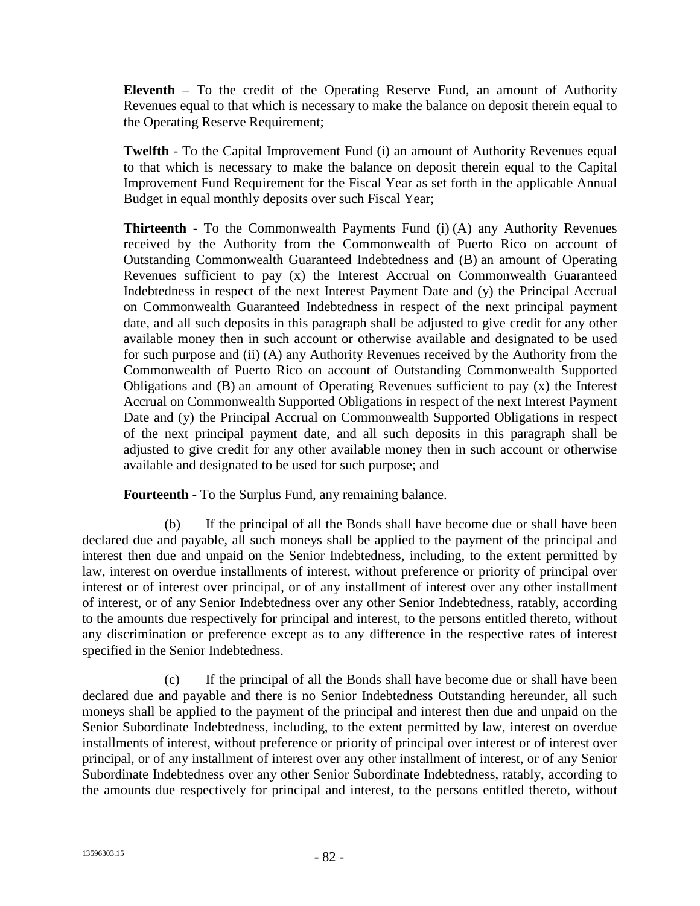**Eleventh** – To the credit of the Operating Reserve Fund, an amount of Authority Revenues equal to that which is necessary to make the balance on deposit therein equal to the Operating Reserve Requirement;

**Twelfth** - To the Capital Improvement Fund (i) an amount of Authority Revenues equal to that which is necessary to make the balance on deposit therein equal to the Capital Improvement Fund Requirement for the Fiscal Year as set forth in the applicable Annual Budget in equal monthly deposits over such Fiscal Year;

**Thirteenth** - To the Commonwealth Payments Fund (i) (A) any Authority Revenues received by the Authority from the Commonwealth of Puerto Rico on account of Outstanding Commonwealth Guaranteed Indebtedness and (B) an amount of Operating Revenues sufficient to pay (x) the Interest Accrual on Commonwealth Guaranteed Indebtedness in respect of the next Interest Payment Date and (y) the Principal Accrual on Commonwealth Guaranteed Indebtedness in respect of the next principal payment date, and all such deposits in this paragraph shall be adjusted to give credit for any other available money then in such account or otherwise available and designated to be used for such purpose and (ii) (A) any Authority Revenues received by the Authority from the Commonwealth of Puerto Rico on account of Outstanding Commonwealth Supported Obligations and (B) an amount of Operating Revenues sufficient to pay (x) the Interest Accrual on Commonwealth Supported Obligations in respect of the next Interest Payment Date and (y) the Principal Accrual on Commonwealth Supported Obligations in respect of the next principal payment date, and all such deposits in this paragraph shall be adjusted to give credit for any other available money then in such account or otherwise available and designated to be used for such purpose; and

**Fourteenth** - To the Surplus Fund, any remaining balance.

(b) If the principal of all the Bonds shall have become due or shall have been declared due and payable, all such moneys shall be applied to the payment of the principal and interest then due and unpaid on the Senior Indebtedness, including, to the extent permitted by law, interest on overdue installments of interest, without preference or priority of principal over interest or of interest over principal, or of any installment of interest over any other installment of interest, or of any Senior Indebtedness over any other Senior Indebtedness, ratably, according to the amounts due respectively for principal and interest, to the persons entitled thereto, without any discrimination or preference except as to any difference in the respective rates of interest specified in the Senior Indebtedness.

(c) If the principal of all the Bonds shall have become due or shall have been declared due and payable and there is no Senior Indebtedness Outstanding hereunder, all such moneys shall be applied to the payment of the principal and interest then due and unpaid on the Senior Subordinate Indebtedness, including, to the extent permitted by law, interest on overdue installments of interest, without preference or priority of principal over interest or of interest over principal, or of any installment of interest over any other installment of interest, or of any Senior Subordinate Indebtedness over any other Senior Subordinate Indebtedness, ratably, according to the amounts due respectively for principal and interest, to the persons entitled thereto, without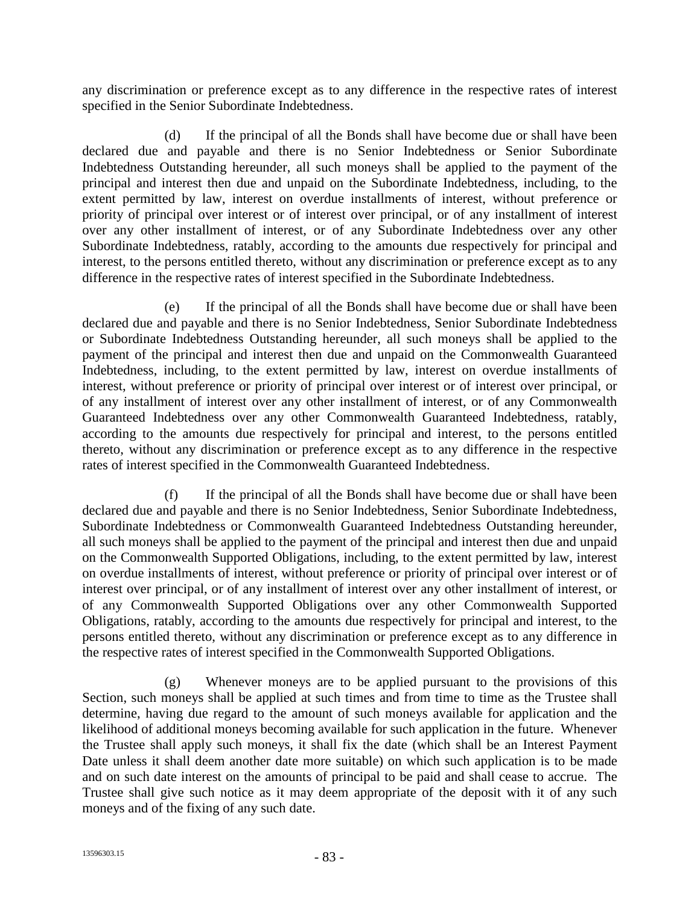any discrimination or preference except as to any difference in the respective rates of interest specified in the Senior Subordinate Indebtedness.

(d) If the principal of all the Bonds shall have become due or shall have been declared due and payable and there is no Senior Indebtedness or Senior Subordinate Indebtedness Outstanding hereunder, all such moneys shall be applied to the payment of the principal and interest then due and unpaid on the Subordinate Indebtedness, including, to the extent permitted by law, interest on overdue installments of interest, without preference or priority of principal over interest or of interest over principal, or of any installment of interest over any other installment of interest, or of any Subordinate Indebtedness over any other Subordinate Indebtedness, ratably, according to the amounts due respectively for principal and interest, to the persons entitled thereto, without any discrimination or preference except as to any difference in the respective rates of interest specified in the Subordinate Indebtedness.

(e) If the principal of all the Bonds shall have become due or shall have been declared due and payable and there is no Senior Indebtedness, Senior Subordinate Indebtedness or Subordinate Indebtedness Outstanding hereunder, all such moneys shall be applied to the payment of the principal and interest then due and unpaid on the Commonwealth Guaranteed Indebtedness, including, to the extent permitted by law, interest on overdue installments of interest, without preference or priority of principal over interest or of interest over principal, or of any installment of interest over any other installment of interest, or of any Commonwealth Guaranteed Indebtedness over any other Commonwealth Guaranteed Indebtedness, ratably, according to the amounts due respectively for principal and interest, to the persons entitled thereto, without any discrimination or preference except as to any difference in the respective rates of interest specified in the Commonwealth Guaranteed Indebtedness.

(f) If the principal of all the Bonds shall have become due or shall have been declared due and payable and there is no Senior Indebtedness, Senior Subordinate Indebtedness, Subordinate Indebtedness or Commonwealth Guaranteed Indebtedness Outstanding hereunder, all such moneys shall be applied to the payment of the principal and interest then due and unpaid on the Commonwealth Supported Obligations, including, to the extent permitted by law, interest on overdue installments of interest, without preference or priority of principal over interest or of interest over principal, or of any installment of interest over any other installment of interest, or of any Commonwealth Supported Obligations over any other Commonwealth Supported Obligations, ratably, according to the amounts due respectively for principal and interest, to the persons entitled thereto, without any discrimination or preference except as to any difference in the respective rates of interest specified in the Commonwealth Supported Obligations.

(g) Whenever moneys are to be applied pursuant to the provisions of this Section, such moneys shall be applied at such times and from time to time as the Trustee shall determine, having due regard to the amount of such moneys available for application and the likelihood of additional moneys becoming available for such application in the future. Whenever the Trustee shall apply such moneys, it shall fix the date (which shall be an Interest Payment Date unless it shall deem another date more suitable) on which such application is to be made and on such date interest on the amounts of principal to be paid and shall cease to accrue. The Trustee shall give such notice as it may deem appropriate of the deposit with it of any such moneys and of the fixing of any such date.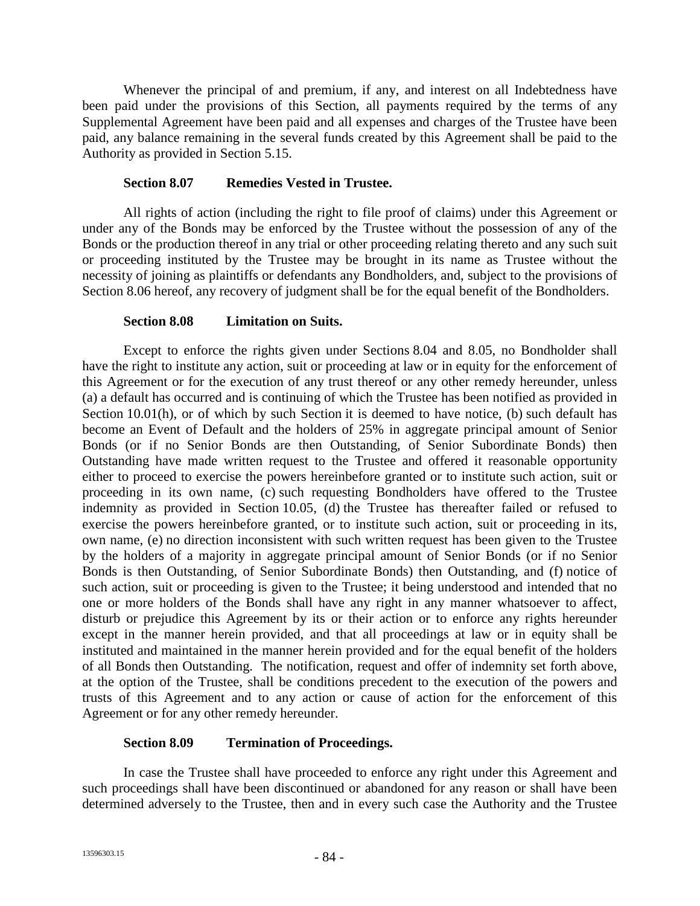Whenever the principal of and premium, if any, and interest on all Indebtedness have been paid under the provisions of this Section, all payments required by the terms of any Supplemental Agreement have been paid and all expenses and charges of the Trustee have been paid, any balance remaining in the several funds created by this Agreement shall be paid to the Authority as provided in Section 5.15.

### **Section 8.07 Remedies Vested in Trustee.**

All rights of action (including the right to file proof of claims) under this Agreement or under any of the Bonds may be enforced by the Trustee without the possession of any of the Bonds or the production thereof in any trial or other proceeding relating thereto and any such suit or proceeding instituted by the Trustee may be brought in its name as Trustee without the necessity of joining as plaintiffs or defendants any Bondholders, and, subject to the provisions of Section 8.06 hereof, any recovery of judgment shall be for the equal benefit of the Bondholders.

### **Section 8.08 Limitation on Suits.**

Except to enforce the rights given under Sections 8.04 and 8.05, no Bondholder shall have the right to institute any action, suit or proceeding at law or in equity for the enforcement of this Agreement or for the execution of any trust thereof or any other remedy hereunder, unless (a) a default has occurred and is continuing of which the Trustee has been notified as provided in Section 10.01(h), or of which by such Section it is deemed to have notice, (b) such default has become an Event of Default and the holders of 25% in aggregate principal amount of Senior Bonds (or if no Senior Bonds are then Outstanding, of Senior Subordinate Bonds) then Outstanding have made written request to the Trustee and offered it reasonable opportunity either to proceed to exercise the powers hereinbefore granted or to institute such action, suit or proceeding in its own name, (c) such requesting Bondholders have offered to the Trustee indemnity as provided in Section 10.05, (d) the Trustee has thereafter failed or refused to exercise the powers hereinbefore granted, or to institute such action, suit or proceeding in its, own name, (e) no direction inconsistent with such written request has been given to the Trustee by the holders of a majority in aggregate principal amount of Senior Bonds (or if no Senior Bonds is then Outstanding, of Senior Subordinate Bonds) then Outstanding, and (f) notice of such action, suit or proceeding is given to the Trustee; it being understood and intended that no one or more holders of the Bonds shall have any right in any manner whatsoever to affect, disturb or prejudice this Agreement by its or their action or to enforce any rights hereunder except in the manner herein provided, and that all proceedings at law or in equity shall be instituted and maintained in the manner herein provided and for the equal benefit of the holders of all Bonds then Outstanding. The notification, request and offer of indemnity set forth above, at the option of the Trustee, shall be conditions precedent to the execution of the powers and trusts of this Agreement and to any action or cause of action for the enforcement of this Agreement or for any other remedy hereunder.

# **Section 8.09 Termination of Proceedings.**

In case the Trustee shall have proceeded to enforce any right under this Agreement and such proceedings shall have been discontinued or abandoned for any reason or shall have been determined adversely to the Trustee, then and in every such case the Authority and the Trustee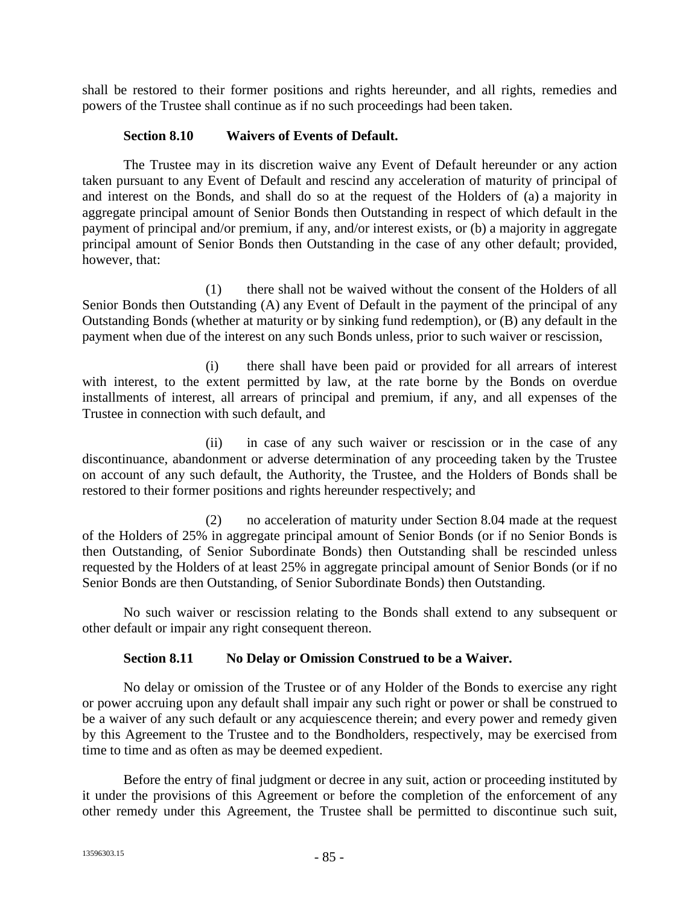shall be restored to their former positions and rights hereunder, and all rights, remedies and powers of the Trustee shall continue as if no such proceedings had been taken.

### **Section 8.10 Waivers of Events of Default.**

The Trustee may in its discretion waive any Event of Default hereunder or any action taken pursuant to any Event of Default and rescind any acceleration of maturity of principal of and interest on the Bonds, and shall do so at the request of the Holders of (a) a majority in aggregate principal amount of Senior Bonds then Outstanding in respect of which default in the payment of principal and/or premium, if any, and/or interest exists, or (b) a majority in aggregate principal amount of Senior Bonds then Outstanding in the case of any other default; provided, however, that:

(1) there shall not be waived without the consent of the Holders of all Senior Bonds then Outstanding (A) any Event of Default in the payment of the principal of any Outstanding Bonds (whether at maturity or by sinking fund redemption), or (B) any default in the payment when due of the interest on any such Bonds unless, prior to such waiver or rescission,

(i) there shall have been paid or provided for all arrears of interest with interest, to the extent permitted by law, at the rate borne by the Bonds on overdue installments of interest, all arrears of principal and premium, if any, and all expenses of the Trustee in connection with such default, and

(ii) in case of any such waiver or rescission or in the case of any discontinuance, abandonment or adverse determination of any proceeding taken by the Trustee on account of any such default, the Authority, the Trustee, and the Holders of Bonds shall be restored to their former positions and rights hereunder respectively; and

(2) no acceleration of maturity under Section 8.04 made at the request of the Holders of 25% in aggregate principal amount of Senior Bonds (or if no Senior Bonds is then Outstanding, of Senior Subordinate Bonds) then Outstanding shall be rescinded unless requested by the Holders of at least 25% in aggregate principal amount of Senior Bonds (or if no Senior Bonds are then Outstanding, of Senior Subordinate Bonds) then Outstanding.

No such waiver or rescission relating to the Bonds shall extend to any subsequent or other default or impair any right consequent thereon.

# **Section 8.11 No Delay or Omission Construed to be a Waiver.**

No delay or omission of the Trustee or of any Holder of the Bonds to exercise any right or power accruing upon any default shall impair any such right or power or shall be construed to be a waiver of any such default or any acquiescence therein; and every power and remedy given by this Agreement to the Trustee and to the Bondholders, respectively, may be exercised from time to time and as often as may be deemed expedient.

Before the entry of final judgment or decree in any suit, action or proceeding instituted by it under the provisions of this Agreement or before the completion of the enforcement of any other remedy under this Agreement, the Trustee shall be permitted to discontinue such suit,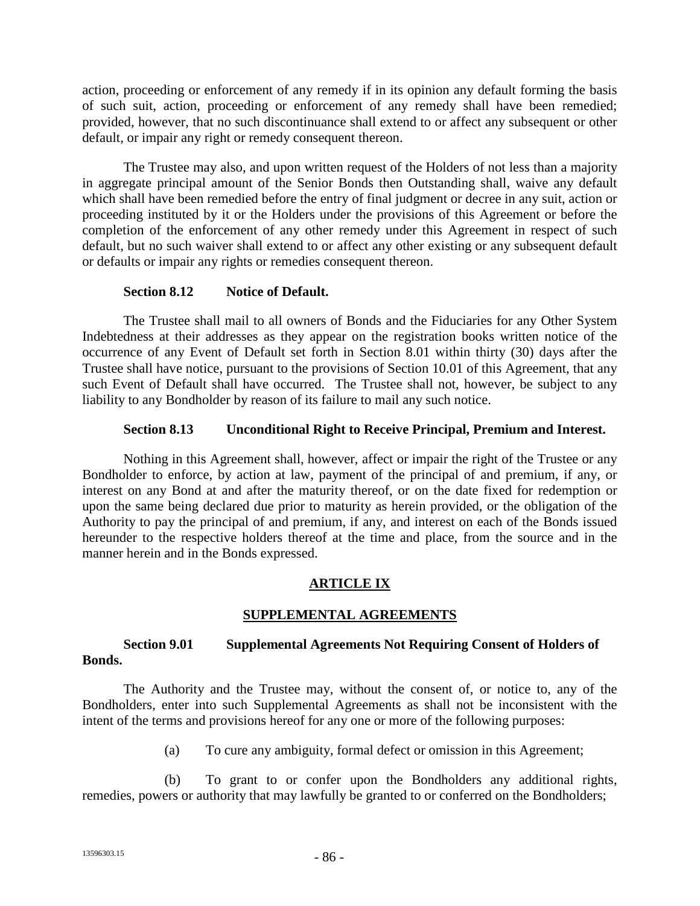action, proceeding or enforcement of any remedy if in its opinion any default forming the basis of such suit, action, proceeding or enforcement of any remedy shall have been remedied; provided, however, that no such discontinuance shall extend to or affect any subsequent or other default, or impair any right or remedy consequent thereon.

The Trustee may also, and upon written request of the Holders of not less than a majority in aggregate principal amount of the Senior Bonds then Outstanding shall, waive any default which shall have been remedied before the entry of final judgment or decree in any suit, action or proceeding instituted by it or the Holders under the provisions of this Agreement or before the completion of the enforcement of any other remedy under this Agreement in respect of such default, but no such waiver shall extend to or affect any other existing or any subsequent default or defaults or impair any rights or remedies consequent thereon.

### **Section 8.12 Notice of Default.**

The Trustee shall mail to all owners of Bonds and the Fiduciaries for any Other System Indebtedness at their addresses as they appear on the registration books written notice of the occurrence of any Event of Default set forth in Section 8.01 within thirty (30) days after the Trustee shall have notice, pursuant to the provisions of Section 10.01 of this Agreement, that any such Event of Default shall have occurred. The Trustee shall not, however, be subject to any liability to any Bondholder by reason of its failure to mail any such notice.

### **Section 8.13 Unconditional Right to Receive Principal, Premium and Interest.**

Nothing in this Agreement shall, however, affect or impair the right of the Trustee or any Bondholder to enforce, by action at law, payment of the principal of and premium, if any, or interest on any Bond at and after the maturity thereof, or on the date fixed for redemption or upon the same being declared due prior to maturity as herein provided, or the obligation of the Authority to pay the principal of and premium, if any, and interest on each of the Bonds issued hereunder to the respective holders thereof at the time and place, from the source and in the manner herein and in the Bonds expressed.

# **ARTICLE IX**

# **SUPPLEMENTAL AGREEMENTS**

### **Section 9.01 Supplemental Agreements Not Requiring Consent of Holders of Bonds.**

The Authority and the Trustee may, without the consent of, or notice to, any of the Bondholders, enter into such Supplemental Agreements as shall not be inconsistent with the intent of the terms and provisions hereof for any one or more of the following purposes:

(a) To cure any ambiguity, formal defect or omission in this Agreement;

(b) To grant to or confer upon the Bondholders any additional rights, remedies, powers or authority that may lawfully be granted to or conferred on the Bondholders;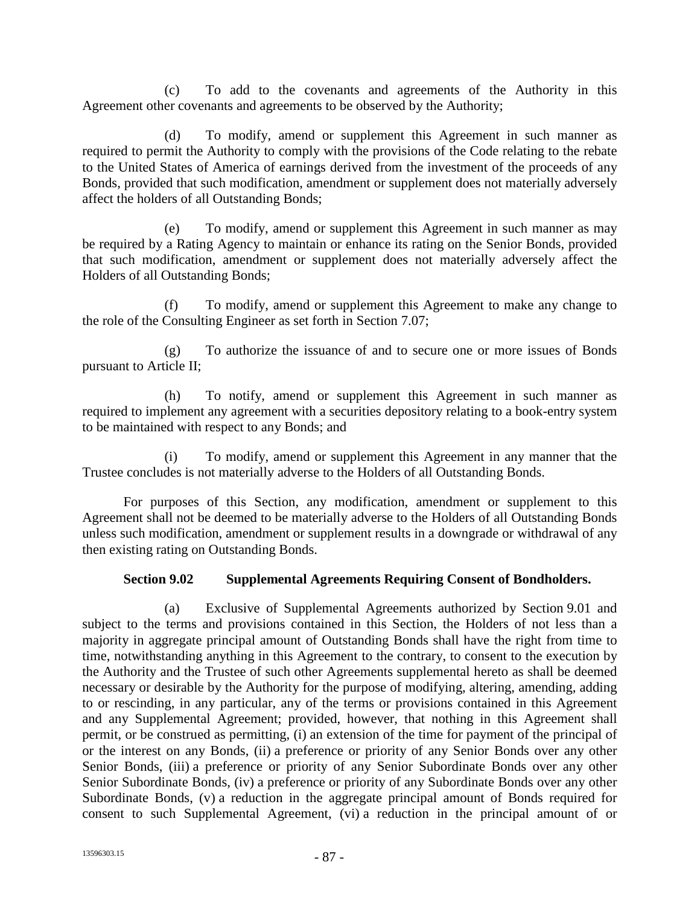(c) To add to the covenants and agreements of the Authority in this Agreement other covenants and agreements to be observed by the Authority;

(d) To modify, amend or supplement this Agreement in such manner as required to permit the Authority to comply with the provisions of the Code relating to the rebate to the United States of America of earnings derived from the investment of the proceeds of any Bonds, provided that such modification, amendment or supplement does not materially adversely affect the holders of all Outstanding Bonds;

(e) To modify, amend or supplement this Agreement in such manner as may be required by a Rating Agency to maintain or enhance its rating on the Senior Bonds, provided that such modification, amendment or supplement does not materially adversely affect the Holders of all Outstanding Bonds;

(f) To modify, amend or supplement this Agreement to make any change to the role of the Consulting Engineer as set forth in Section 7.07;

(g) To authorize the issuance of and to secure one or more issues of Bonds pursuant to Article II;

(h) To notify, amend or supplement this Agreement in such manner as required to implement any agreement with a securities depository relating to a book-entry system to be maintained with respect to any Bonds; and

(i) To modify, amend or supplement this Agreement in any manner that the Trustee concludes is not materially adverse to the Holders of all Outstanding Bonds.

For purposes of this Section, any modification, amendment or supplement to this Agreement shall not be deemed to be materially adverse to the Holders of all Outstanding Bonds unless such modification, amendment or supplement results in a downgrade or withdrawal of any then existing rating on Outstanding Bonds.

### **Section 9.02 Supplemental Agreements Requiring Consent of Bondholders.**

(a) Exclusive of Supplemental Agreements authorized by Section 9.01 and subject to the terms and provisions contained in this Section, the Holders of not less than a majority in aggregate principal amount of Outstanding Bonds shall have the right from time to time, notwithstanding anything in this Agreement to the contrary, to consent to the execution by the Authority and the Trustee of such other Agreements supplemental hereto as shall be deemed necessary or desirable by the Authority for the purpose of modifying, altering, amending, adding to or rescinding, in any particular, any of the terms or provisions contained in this Agreement and any Supplemental Agreement; provided, however, that nothing in this Agreement shall permit, or be construed as permitting, (i) an extension of the time for payment of the principal of or the interest on any Bonds, (ii) a preference or priority of any Senior Bonds over any other Senior Bonds, (iii) a preference or priority of any Senior Subordinate Bonds over any other Senior Subordinate Bonds, (iv) a preference or priority of any Subordinate Bonds over any other Subordinate Bonds, (v) a reduction in the aggregate principal amount of Bonds required for consent to such Supplemental Agreement, (vi) a reduction in the principal amount of or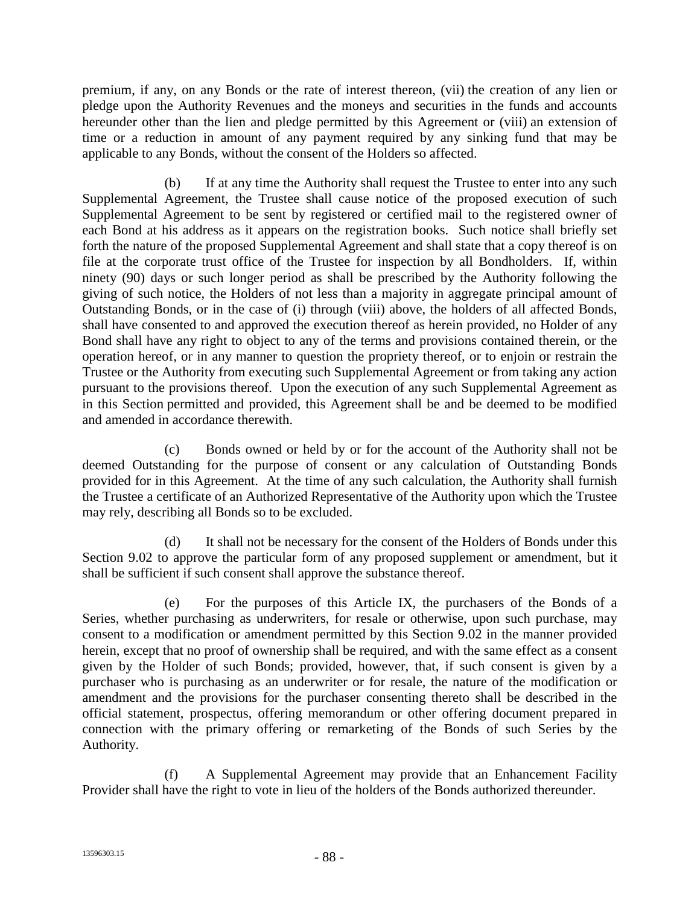premium, if any, on any Bonds or the rate of interest thereon, (vii) the creation of any lien or pledge upon the Authority Revenues and the moneys and securities in the funds and accounts hereunder other than the lien and pledge permitted by this Agreement or (viii) an extension of time or a reduction in amount of any payment required by any sinking fund that may be applicable to any Bonds, without the consent of the Holders so affected.

(b) If at any time the Authority shall request the Trustee to enter into any such Supplemental Agreement, the Trustee shall cause notice of the proposed execution of such Supplemental Agreement to be sent by registered or certified mail to the registered owner of each Bond at his address as it appears on the registration books. Such notice shall briefly set forth the nature of the proposed Supplemental Agreement and shall state that a copy thereof is on file at the corporate trust office of the Trustee for inspection by all Bondholders. If, within ninety (90) days or such longer period as shall be prescribed by the Authority following the giving of such notice, the Holders of not less than a majority in aggregate principal amount of Outstanding Bonds, or in the case of (i) through (viii) above, the holders of all affected Bonds, shall have consented to and approved the execution thereof as herein provided, no Holder of any Bond shall have any right to object to any of the terms and provisions contained therein, or the operation hereof, or in any manner to question the propriety thereof, or to enjoin or restrain the Trustee or the Authority from executing such Supplemental Agreement or from taking any action pursuant to the provisions thereof. Upon the execution of any such Supplemental Agreement as in this Section permitted and provided, this Agreement shall be and be deemed to be modified and amended in accordance therewith.

(c) Bonds owned or held by or for the account of the Authority shall not be deemed Outstanding for the purpose of consent or any calculation of Outstanding Bonds provided for in this Agreement. At the time of any such calculation, the Authority shall furnish the Trustee a certificate of an Authorized Representative of the Authority upon which the Trustee may rely, describing all Bonds so to be excluded.

(d) It shall not be necessary for the consent of the Holders of Bonds under this Section 9.02 to approve the particular form of any proposed supplement or amendment, but it shall be sufficient if such consent shall approve the substance thereof.

(e) For the purposes of this Article IX, the purchasers of the Bonds of a Series, whether purchasing as underwriters, for resale or otherwise, upon such purchase, may consent to a modification or amendment permitted by this Section 9.02 in the manner provided herein, except that no proof of ownership shall be required, and with the same effect as a consent given by the Holder of such Bonds; provided, however, that, if such consent is given by a purchaser who is purchasing as an underwriter or for resale, the nature of the modification or amendment and the provisions for the purchaser consenting thereto shall be described in the official statement, prospectus, offering memorandum or other offering document prepared in connection with the primary offering or remarketing of the Bonds of such Series by the Authority.

(f) A Supplemental Agreement may provide that an Enhancement Facility Provider shall have the right to vote in lieu of the holders of the Bonds authorized thereunder.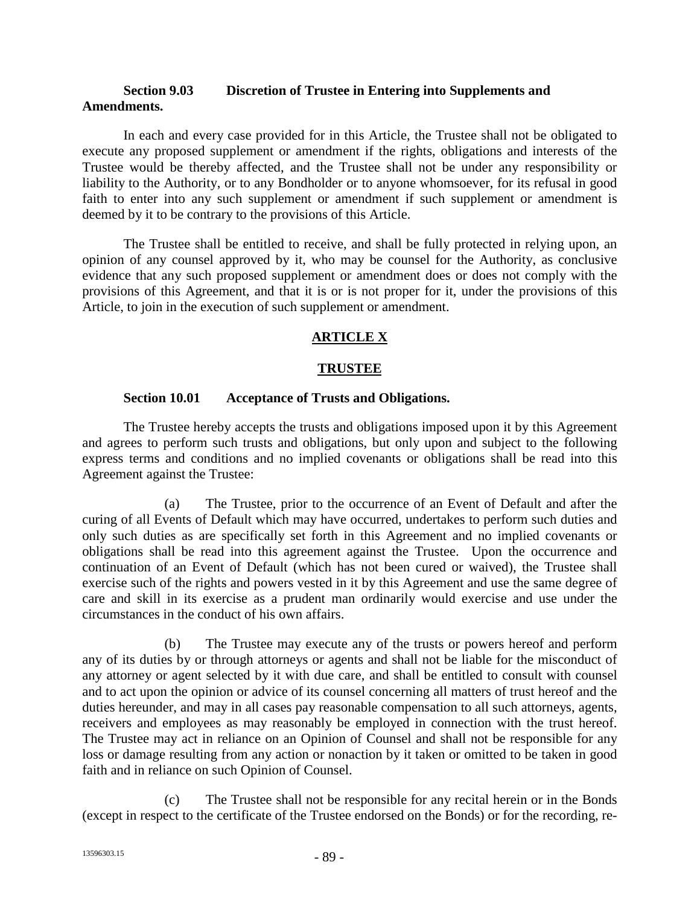### **Section 9.03 Discretion of Trustee in Entering into Supplements and Amendments.**

In each and every case provided for in this Article, the Trustee shall not be obligated to execute any proposed supplement or amendment if the rights, obligations and interests of the Trustee would be thereby affected, and the Trustee shall not be under any responsibility or liability to the Authority, or to any Bondholder or to anyone whomsoever, for its refusal in good faith to enter into any such supplement or amendment if such supplement or amendment is deemed by it to be contrary to the provisions of this Article.

The Trustee shall be entitled to receive, and shall be fully protected in relying upon, an opinion of any counsel approved by it, who may be counsel for the Authority, as conclusive evidence that any such proposed supplement or amendment does or does not comply with the provisions of this Agreement, and that it is or is not proper for it, under the provisions of this Article, to join in the execution of such supplement or amendment.

# **ARTICLE X**

### **TRUSTEE**

### **Section 10.01 Acceptance of Trusts and Obligations.**

The Trustee hereby accepts the trusts and obligations imposed upon it by this Agreement and agrees to perform such trusts and obligations, but only upon and subject to the following express terms and conditions and no implied covenants or obligations shall be read into this Agreement against the Trustee:

(a) The Trustee, prior to the occurrence of an Event of Default and after the curing of all Events of Default which may have occurred, undertakes to perform such duties and only such duties as are specifically set forth in this Agreement and no implied covenants or obligations shall be read into this agreement against the Trustee. Upon the occurrence and continuation of an Event of Default (which has not been cured or waived), the Trustee shall exercise such of the rights and powers vested in it by this Agreement and use the same degree of care and skill in its exercise as a prudent man ordinarily would exercise and use under the circumstances in the conduct of his own affairs.

(b) The Trustee may execute any of the trusts or powers hereof and perform any of its duties by or through attorneys or agents and shall not be liable for the misconduct of any attorney or agent selected by it with due care, and shall be entitled to consult with counsel and to act upon the opinion or advice of its counsel concerning all matters of trust hereof and the duties hereunder, and may in all cases pay reasonable compensation to all such attorneys, agents, receivers and employees as may reasonably be employed in connection with the trust hereof. The Trustee may act in reliance on an Opinion of Counsel and shall not be responsible for any loss or damage resulting from any action or nonaction by it taken or omitted to be taken in good faith and in reliance on such Opinion of Counsel.

(c) The Trustee shall not be responsible for any recital herein or in the Bonds (except in respect to the certificate of the Trustee endorsed on the Bonds) or for the recording, re-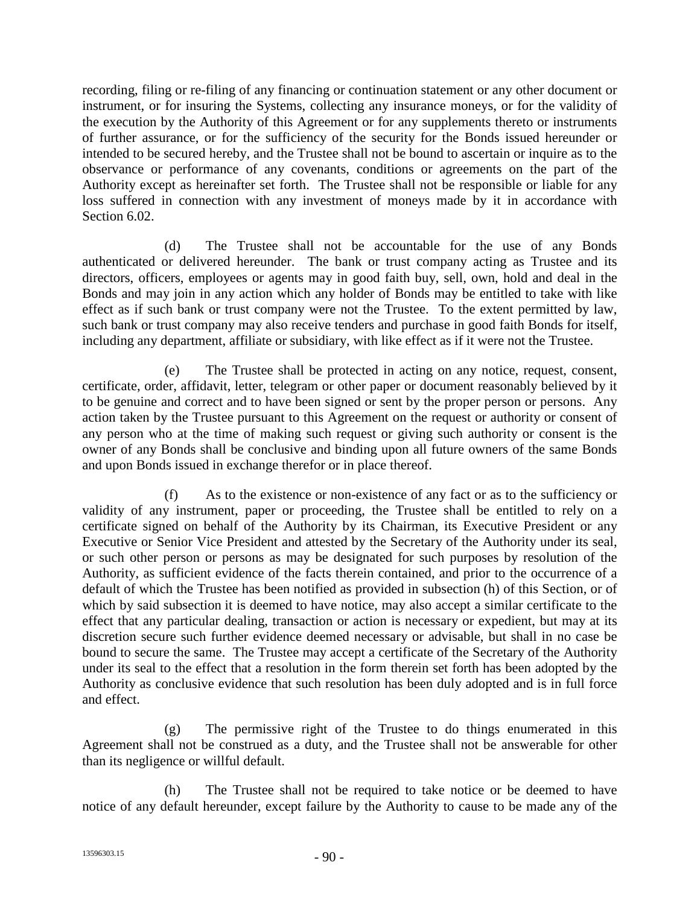recording, filing or re-filing of any financing or continuation statement or any other document or instrument, or for insuring the Systems, collecting any insurance moneys, or for the validity of the execution by the Authority of this Agreement or for any supplements thereto or instruments of further assurance, or for the sufficiency of the security for the Bonds issued hereunder or intended to be secured hereby, and the Trustee shall not be bound to ascertain or inquire as to the observance or performance of any covenants, conditions or agreements on the part of the Authority except as hereinafter set forth. The Trustee shall not be responsible or liable for any loss suffered in connection with any investment of moneys made by it in accordance with Section 6.02.

(d) The Trustee shall not be accountable for the use of any Bonds authenticated or delivered hereunder. The bank or trust company acting as Trustee and its directors, officers, employees or agents may in good faith buy, sell, own, hold and deal in the Bonds and may join in any action which any holder of Bonds may be entitled to take with like effect as if such bank or trust company were not the Trustee. To the extent permitted by law, such bank or trust company may also receive tenders and purchase in good faith Bonds for itself, including any department, affiliate or subsidiary, with like effect as if it were not the Trustee.

(e) The Trustee shall be protected in acting on any notice, request, consent, certificate, order, affidavit, letter, telegram or other paper or document reasonably believed by it to be genuine and correct and to have been signed or sent by the proper person or persons. Any action taken by the Trustee pursuant to this Agreement on the request or authority or consent of any person who at the time of making such request or giving such authority or consent is the owner of any Bonds shall be conclusive and binding upon all future owners of the same Bonds and upon Bonds issued in exchange therefor or in place thereof.

(f) As to the existence or non-existence of any fact or as to the sufficiency or validity of any instrument, paper or proceeding, the Trustee shall be entitled to rely on a certificate signed on behalf of the Authority by its Chairman, its Executive President or any Executive or Senior Vice President and attested by the Secretary of the Authority under its seal, or such other person or persons as may be designated for such purposes by resolution of the Authority, as sufficient evidence of the facts therein contained, and prior to the occurrence of a default of which the Trustee has been notified as provided in subsection (h) of this Section, or of which by said subsection it is deemed to have notice, may also accept a similar certificate to the effect that any particular dealing, transaction or action is necessary or expedient, but may at its discretion secure such further evidence deemed necessary or advisable, but shall in no case be bound to secure the same. The Trustee may accept a certificate of the Secretary of the Authority under its seal to the effect that a resolution in the form therein set forth has been adopted by the Authority as conclusive evidence that such resolution has been duly adopted and is in full force and effect.

(g) The permissive right of the Trustee to do things enumerated in this Agreement shall not be construed as a duty, and the Trustee shall not be answerable for other than its negligence or willful default.

(h) The Trustee shall not be required to take notice or be deemed to have notice of any default hereunder, except failure by the Authority to cause to be made any of the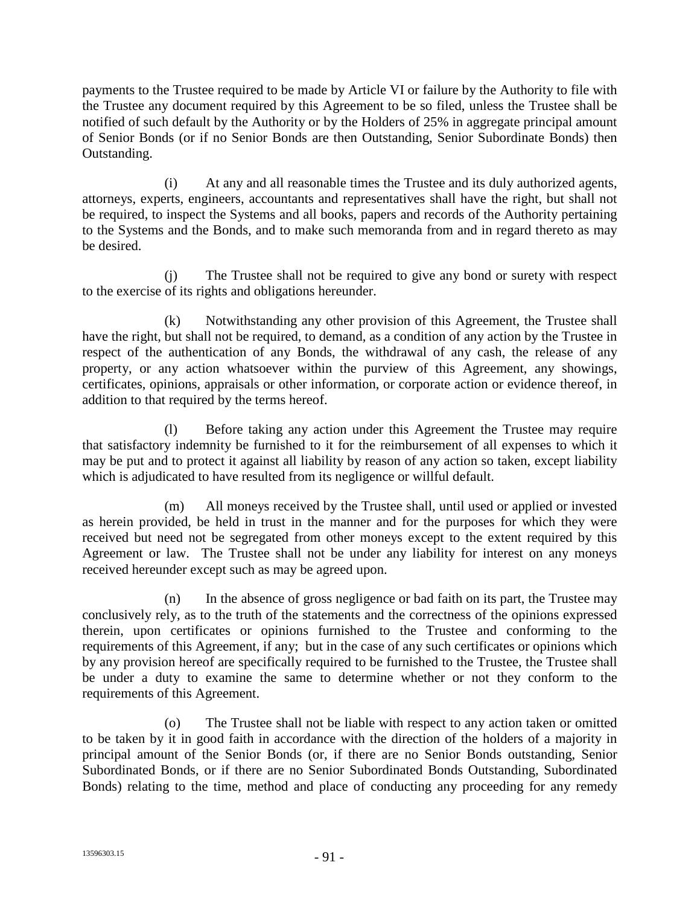payments to the Trustee required to be made by Article VI or failure by the Authority to file with the Trustee any document required by this Agreement to be so filed, unless the Trustee shall be notified of such default by the Authority or by the Holders of 25% in aggregate principal amount of Senior Bonds (or if no Senior Bonds are then Outstanding, Senior Subordinate Bonds) then Outstanding.

(i) At any and all reasonable times the Trustee and its duly authorized agents, attorneys, experts, engineers, accountants and representatives shall have the right, but shall not be required, to inspect the Systems and all books, papers and records of the Authority pertaining to the Systems and the Bonds, and to make such memoranda from and in regard thereto as may be desired.

(j) The Trustee shall not be required to give any bond or surety with respect to the exercise of its rights and obligations hereunder.

(k) Notwithstanding any other provision of this Agreement, the Trustee shall have the right, but shall not be required, to demand, as a condition of any action by the Trustee in respect of the authentication of any Bonds, the withdrawal of any cash, the release of any property, or any action whatsoever within the purview of this Agreement, any showings, certificates, opinions, appraisals or other information, or corporate action or evidence thereof, in addition to that required by the terms hereof.

(l) Before taking any action under this Agreement the Trustee may require that satisfactory indemnity be furnished to it for the reimbursement of all expenses to which it may be put and to protect it against all liability by reason of any action so taken, except liability which is adjudicated to have resulted from its negligence or willful default.

(m) All moneys received by the Trustee shall, until used or applied or invested as herein provided, be held in trust in the manner and for the purposes for which they were received but need not be segregated from other moneys except to the extent required by this Agreement or law. The Trustee shall not be under any liability for interest on any moneys received hereunder except such as may be agreed upon.

(n) In the absence of gross negligence or bad faith on its part, the Trustee may conclusively rely, as to the truth of the statements and the correctness of the opinions expressed therein, upon certificates or opinions furnished to the Trustee and conforming to the requirements of this Agreement, if any; but in the case of any such certificates or opinions which by any provision hereof are specifically required to be furnished to the Trustee, the Trustee shall be under a duty to examine the same to determine whether or not they conform to the requirements of this Agreement.

(o) The Trustee shall not be liable with respect to any action taken or omitted to be taken by it in good faith in accordance with the direction of the holders of a majority in principal amount of the Senior Bonds (or, if there are no Senior Bonds outstanding, Senior Subordinated Bonds, or if there are no Senior Subordinated Bonds Outstanding, Subordinated Bonds) relating to the time, method and place of conducting any proceeding for any remedy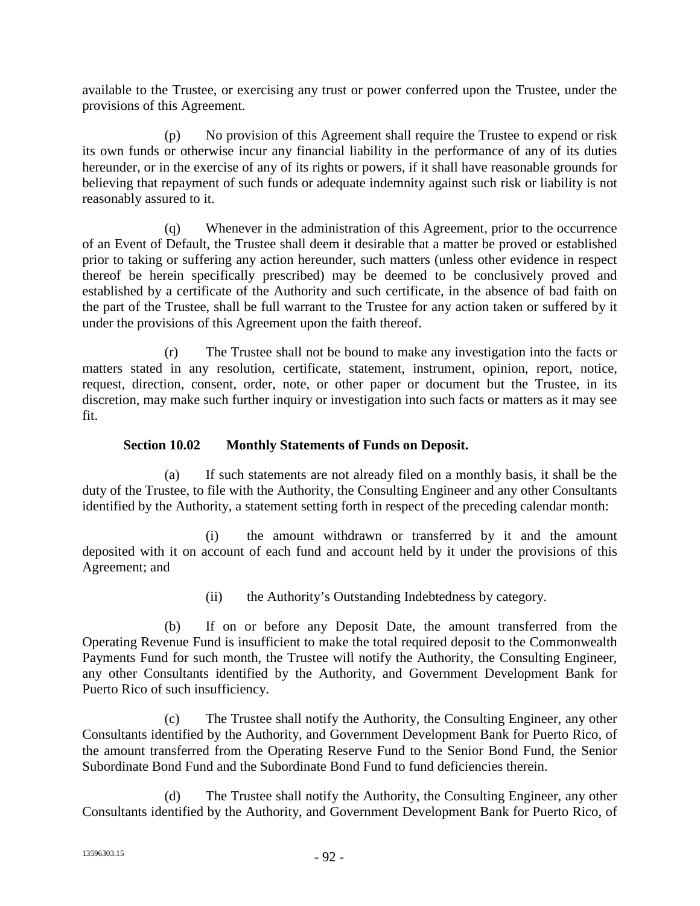available to the Trustee, or exercising any trust or power conferred upon the Trustee, under the provisions of this Agreement.

(p) No provision of this Agreement shall require the Trustee to expend or risk its own funds or otherwise incur any financial liability in the performance of any of its duties hereunder, or in the exercise of any of its rights or powers, if it shall have reasonable grounds for believing that repayment of such funds or adequate indemnity against such risk or liability is not reasonably assured to it.

(q) Whenever in the administration of this Agreement, prior to the occurrence of an Event of Default, the Trustee shall deem it desirable that a matter be proved or established prior to taking or suffering any action hereunder, such matters (unless other evidence in respect thereof be herein specifically prescribed) may be deemed to be conclusively proved and established by a certificate of the Authority and such certificate, in the absence of bad faith on the part of the Trustee, shall be full warrant to the Trustee for any action taken or suffered by it under the provisions of this Agreement upon the faith thereof.

(r) The Trustee shall not be bound to make any investigation into the facts or matters stated in any resolution, certificate, statement, instrument, opinion, report, notice, request, direction, consent, order, note, or other paper or document but the Trustee, in its discretion, may make such further inquiry or investigation into such facts or matters as it may see fit.

### **Section 10.02 Monthly Statements of Funds on Deposit.**

(a) If such statements are not already filed on a monthly basis, it shall be the duty of the Trustee, to file with the Authority, the Consulting Engineer and any other Consultants identified by the Authority, a statement setting forth in respect of the preceding calendar month:

(i) the amount withdrawn or transferred by it and the amount deposited with it on account of each fund and account held by it under the provisions of this Agreement; and

(ii) the Authority's Outstanding Indebtedness by category.

(b) If on or before any Deposit Date, the amount transferred from the Operating Revenue Fund is insufficient to make the total required deposit to the Commonwealth Payments Fund for such month, the Trustee will notify the Authority, the Consulting Engineer, any other Consultants identified by the Authority, and Government Development Bank for Puerto Rico of such insufficiency.

(c) The Trustee shall notify the Authority, the Consulting Engineer, any other Consultants identified by the Authority, and Government Development Bank for Puerto Rico, of the amount transferred from the Operating Reserve Fund to the Senior Bond Fund, the Senior Subordinate Bond Fund and the Subordinate Bond Fund to fund deficiencies therein.

(d) The Trustee shall notify the Authority, the Consulting Engineer, any other Consultants identified by the Authority, and Government Development Bank for Puerto Rico, of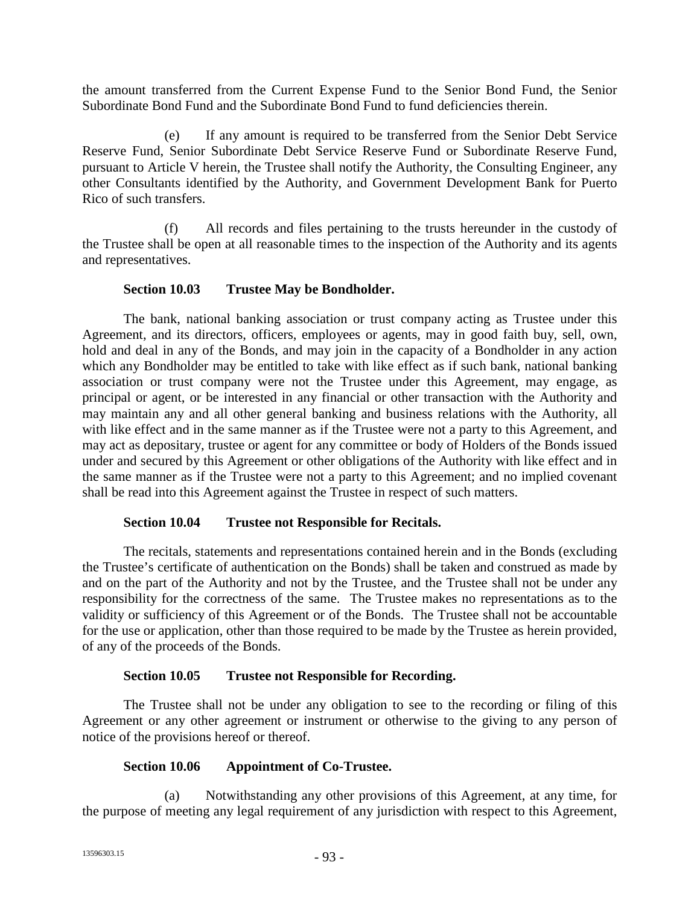the amount transferred from the Current Expense Fund to the Senior Bond Fund, the Senior Subordinate Bond Fund and the Subordinate Bond Fund to fund deficiencies therein.

(e) If any amount is required to be transferred from the Senior Debt Service Reserve Fund, Senior Subordinate Debt Service Reserve Fund or Subordinate Reserve Fund, pursuant to Article V herein, the Trustee shall notify the Authority, the Consulting Engineer, any other Consultants identified by the Authority, and Government Development Bank for Puerto Rico of such transfers.

(f) All records and files pertaining to the trusts hereunder in the custody of the Trustee shall be open at all reasonable times to the inspection of the Authority and its agents and representatives.

### **Section 10.03 Trustee May be Bondholder.**

The bank, national banking association or trust company acting as Trustee under this Agreement, and its directors, officers, employees or agents, may in good faith buy, sell, own, hold and deal in any of the Bonds, and may join in the capacity of a Bondholder in any action which any Bondholder may be entitled to take with like effect as if such bank, national banking association or trust company were not the Trustee under this Agreement, may engage, as principal or agent, or be interested in any financial or other transaction with the Authority and may maintain any and all other general banking and business relations with the Authority, all with like effect and in the same manner as if the Trustee were not a party to this Agreement, and may act as depositary, trustee or agent for any committee or body of Holders of the Bonds issued under and secured by this Agreement or other obligations of the Authority with like effect and in the same manner as if the Trustee were not a party to this Agreement; and no implied covenant shall be read into this Agreement against the Trustee in respect of such matters.

### **Section 10.04 Trustee not Responsible for Recitals.**

The recitals, statements and representations contained herein and in the Bonds (excluding the Trustee's certificate of authentication on the Bonds) shall be taken and construed as made by and on the part of the Authority and not by the Trustee, and the Trustee shall not be under any responsibility for the correctness of the same. The Trustee makes no representations as to the validity or sufficiency of this Agreement or of the Bonds. The Trustee shall not be accountable for the use or application, other than those required to be made by the Trustee as herein provided, of any of the proceeds of the Bonds.

# **Section 10.05 Trustee not Responsible for Recording.**

The Trustee shall not be under any obligation to see to the recording or filing of this Agreement or any other agreement or instrument or otherwise to the giving to any person of notice of the provisions hereof or thereof.

# **Section 10.06 Appointment of Co-Trustee.**

(a) Notwithstanding any other provisions of this Agreement, at any time, for the purpose of meeting any legal requirement of any jurisdiction with respect to this Agreement,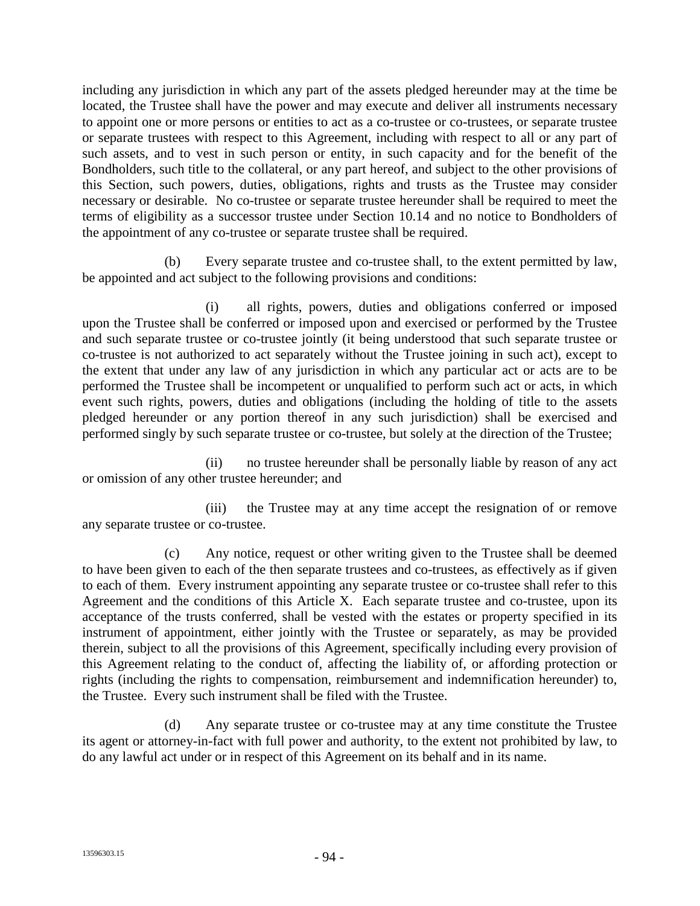including any jurisdiction in which any part of the assets pledged hereunder may at the time be located, the Trustee shall have the power and may execute and deliver all instruments necessary to appoint one or more persons or entities to act as a co-trustee or co-trustees, or separate trustee or separate trustees with respect to this Agreement, including with respect to all or any part of such assets, and to vest in such person or entity, in such capacity and for the benefit of the Bondholders, such title to the collateral, or any part hereof, and subject to the other provisions of this Section, such powers, duties, obligations, rights and trusts as the Trustee may consider necessary or desirable. No co-trustee or separate trustee hereunder shall be required to meet the terms of eligibility as a successor trustee under Section 10.14 and no notice to Bondholders of the appointment of any co-trustee or separate trustee shall be required.

(b) Every separate trustee and co-trustee shall, to the extent permitted by law, be appointed and act subject to the following provisions and conditions:

(i) all rights, powers, duties and obligations conferred or imposed upon the Trustee shall be conferred or imposed upon and exercised or performed by the Trustee and such separate trustee or co-trustee jointly (it being understood that such separate trustee or co-trustee is not authorized to act separately without the Trustee joining in such act), except to the extent that under any law of any jurisdiction in which any particular act or acts are to be performed the Trustee shall be incompetent or unqualified to perform such act or acts, in which event such rights, powers, duties and obligations (including the holding of title to the assets pledged hereunder or any portion thereof in any such jurisdiction) shall be exercised and performed singly by such separate trustee or co-trustee, but solely at the direction of the Trustee;

(ii) no trustee hereunder shall be personally liable by reason of any act or omission of any other trustee hereunder; and

(iii) the Trustee may at any time accept the resignation of or remove any separate trustee or co-trustee.

(c) Any notice, request or other writing given to the Trustee shall be deemed to have been given to each of the then separate trustees and co-trustees, as effectively as if given to each of them. Every instrument appointing any separate trustee or co-trustee shall refer to this Agreement and the conditions of this Article X. Each separate trustee and co-trustee, upon its acceptance of the trusts conferred, shall be vested with the estates or property specified in its instrument of appointment, either jointly with the Trustee or separately, as may be provided therein, subject to all the provisions of this Agreement, specifically including every provision of this Agreement relating to the conduct of, affecting the liability of, or affording protection or rights (including the rights to compensation, reimbursement and indemnification hereunder) to, the Trustee. Every such instrument shall be filed with the Trustee.

(d) Any separate trustee or co-trustee may at any time constitute the Trustee its agent or attorney-in-fact with full power and authority, to the extent not prohibited by law, to do any lawful act under or in respect of this Agreement on its behalf and in its name.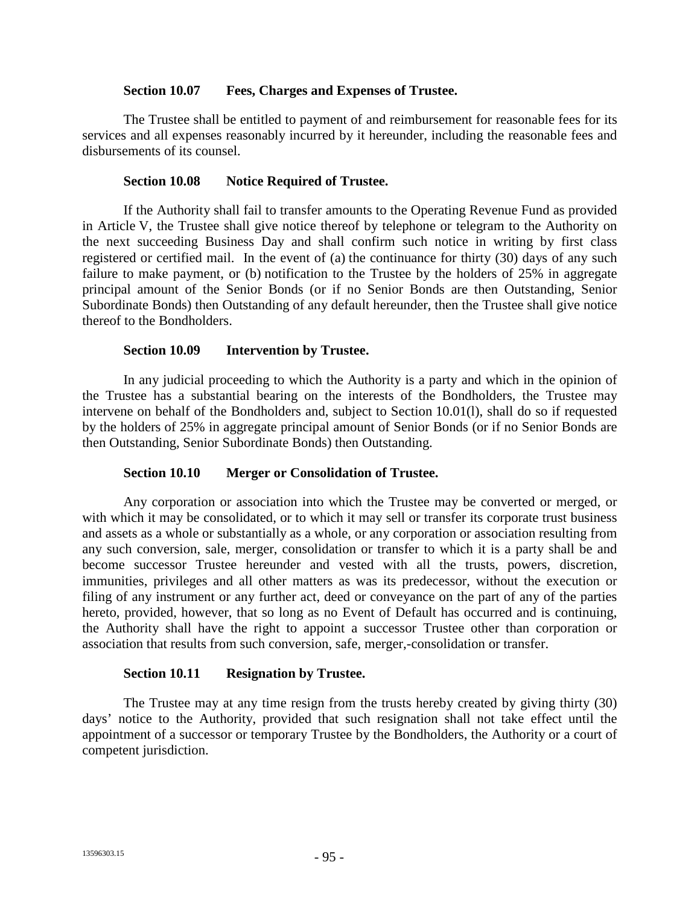#### **Section 10.07 Fees, Charges and Expenses of Trustee.**

The Trustee shall be entitled to payment of and reimbursement for reasonable fees for its services and all expenses reasonably incurred by it hereunder, including the reasonable fees and disbursements of its counsel.

### **Section 10.08 Notice Required of Trustee.**

If the Authority shall fail to transfer amounts to the Operating Revenue Fund as provided in Article V, the Trustee shall give notice thereof by telephone or telegram to the Authority on the next succeeding Business Day and shall confirm such notice in writing by first class registered or certified mail. In the event of (a) the continuance for thirty (30) days of any such failure to make payment, or (b) notification to the Trustee by the holders of 25% in aggregate principal amount of the Senior Bonds (or if no Senior Bonds are then Outstanding, Senior Subordinate Bonds) then Outstanding of any default hereunder, then the Trustee shall give notice thereof to the Bondholders.

#### **Section 10.09 Intervention by Trustee.**

In any judicial proceeding to which the Authority is a party and which in the opinion of the Trustee has a substantial bearing on the interests of the Bondholders, the Trustee may intervene on behalf of the Bondholders and, subject to Section 10.01(l), shall do so if requested by the holders of 25% in aggregate principal amount of Senior Bonds (or if no Senior Bonds are then Outstanding, Senior Subordinate Bonds) then Outstanding.

### **Section 10.10 Merger or Consolidation of Trustee.**

Any corporation or association into which the Trustee may be converted or merged, or with which it may be consolidated, or to which it may sell or transfer its corporate trust business and assets as a whole or substantially as a whole, or any corporation or association resulting from any such conversion, sale, merger, consolidation or transfer to which it is a party shall be and become successor Trustee hereunder and vested with all the trusts, powers, discretion, immunities, privileges and all other matters as was its predecessor, without the execution or filing of any instrument or any further act, deed or conveyance on the part of any of the parties hereto, provided, however, that so long as no Event of Default has occurred and is continuing, the Authority shall have the right to appoint a successor Trustee other than corporation or association that results from such conversion, safe, merger,-consolidation or transfer.

### **Section 10.11 Resignation by Trustee.**

The Trustee may at any time resign from the trusts hereby created by giving thirty (30) days' notice to the Authority, provided that such resignation shall not take effect until the appointment of a successor or temporary Trustee by the Bondholders, the Authority or a court of competent jurisdiction.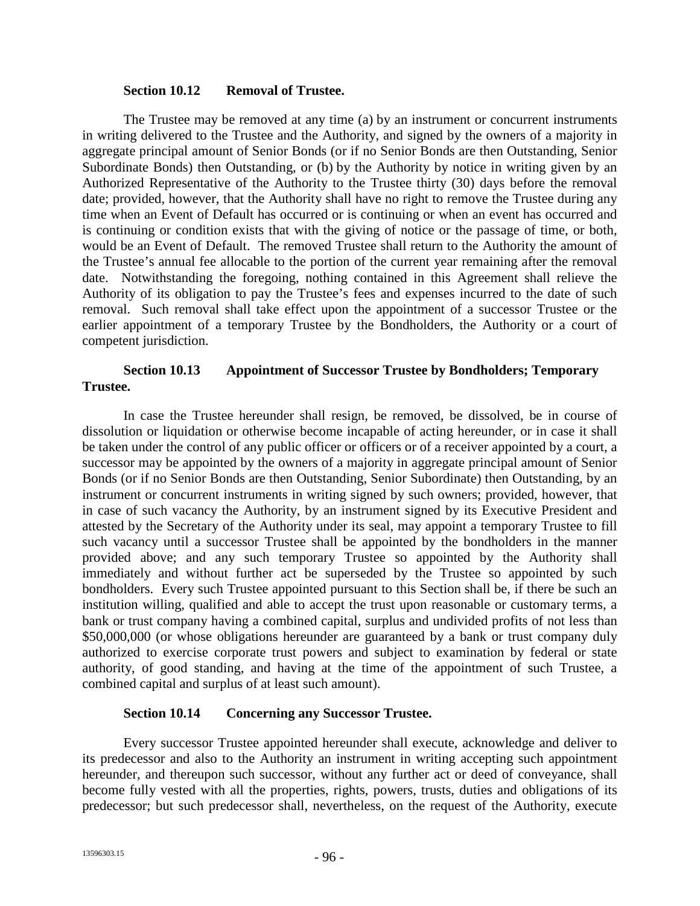#### **Section 10.12 Removal of Trustee.**

The Trustee may be removed at any time (a) by an instrument or concurrent instruments in writing delivered to the Trustee and the Authority, and signed by the owners of a majority in aggregate principal amount of Senior Bonds (or if no Senior Bonds are then Outstanding, Senior Subordinate Bonds) then Outstanding, or (b) by the Authority by notice in writing given by an Authorized Representative of the Authority to the Trustee thirty (30) days before the removal date; provided, however, that the Authority shall have no right to remove the Trustee during any time when an Event of Default has occurred or is continuing or when an event has occurred and is continuing or condition exists that with the giving of notice or the passage of time, or both, would be an Event of Default. The removed Trustee shall return to the Authority the amount of the Trustee's annual fee allocable to the portion of the current year remaining after the removal date. Notwithstanding the foregoing, nothing contained in this Agreement shall relieve the Authority of its obligation to pay the Trustee's fees and expenses incurred to the date of such removal. Such removal shall take effect upon the appointment of a successor Trustee or the earlier appointment of a temporary Trustee by the Bondholders, the Authority or a court of competent jurisdiction.

### **Section 10.13 Appointment of Successor Trustee by Bondholders; Temporary Trustee.**

In case the Trustee hereunder shall resign, be removed, be dissolved, be in course of dissolution or liquidation or otherwise become incapable of acting hereunder, or in case it shall be taken under the control of any public officer or officers or of a receiver appointed by a court, a successor may be appointed by the owners of a majority in aggregate principal amount of Senior Bonds (or if no Senior Bonds are then Outstanding, Senior Subordinate) then Outstanding, by an instrument or concurrent instruments in writing signed by such owners; provided, however, that in case of such vacancy the Authority, by an instrument signed by its Executive President and attested by the Secretary of the Authority under its seal, may appoint a temporary Trustee to fill such vacancy until a successor Trustee shall be appointed by the bondholders in the manner provided above; and any such temporary Trustee so appointed by the Authority shall immediately and without further act be superseded by the Trustee so appointed by such bondholders. Every such Trustee appointed pursuant to this Section shall be, if there be such an institution willing, qualified and able to accept the trust upon reasonable or customary terms, a bank or trust company having a combined capital, surplus and undivided profits of not less than \$50,000,000 (or whose obligations hereunder are guaranteed by a bank or trust company duly authorized to exercise corporate trust powers and subject to examination by federal or state authority, of good standing, and having at the time of the appointment of such Trustee, a combined capital and surplus of at least such amount).

### **Section 10.14 Concerning any Successor Trustee.**

Every successor Trustee appointed hereunder shall execute, acknowledge and deliver to its predecessor and also to the Authority an instrument in writing accepting such appointment hereunder, and thereupon such successor, without any further act or deed of conveyance, shall become fully vested with all the properties, rights, powers, trusts, duties and obligations of its predecessor; but such predecessor shall, nevertheless, on the request of the Authority, execute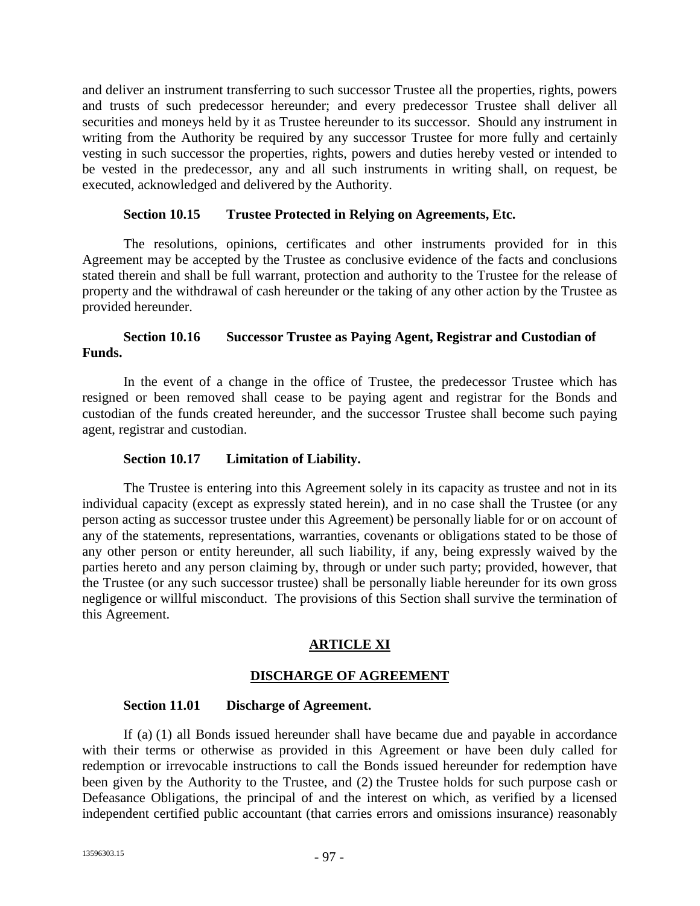and deliver an instrument transferring to such successor Trustee all the properties, rights, powers and trusts of such predecessor hereunder; and every predecessor Trustee shall deliver all securities and moneys held by it as Trustee hereunder to its successor. Should any instrument in writing from the Authority be required by any successor Trustee for more fully and certainly vesting in such successor the properties, rights, powers and duties hereby vested or intended to be vested in the predecessor, any and all such instruments in writing shall, on request, be executed, acknowledged and delivered by the Authority.

### **Section 10.15 Trustee Protected in Relying on Agreements, Etc.**

The resolutions, opinions, certificates and other instruments provided for in this Agreement may be accepted by the Trustee as conclusive evidence of the facts and conclusions stated therein and shall be full warrant, protection and authority to the Trustee for the release of property and the withdrawal of cash hereunder or the taking of any other action by the Trustee as provided hereunder.

### **Section 10.16 Successor Trustee as Paying Agent, Registrar and Custodian of Funds.**

In the event of a change in the office of Trustee, the predecessor Trustee which has resigned or been removed shall cease to be paying agent and registrar for the Bonds and custodian of the funds created hereunder, and the successor Trustee shall become such paying agent, registrar and custodian.

#### **Section 10.17 Limitation of Liability.**

The Trustee is entering into this Agreement solely in its capacity as trustee and not in its individual capacity (except as expressly stated herein), and in no case shall the Trustee (or any person acting as successor trustee under this Agreement) be personally liable for or on account of any of the statements, representations, warranties, covenants or obligations stated to be those of any other person or entity hereunder, all such liability, if any, being expressly waived by the parties hereto and any person claiming by, through or under such party; provided, however, that the Trustee (or any such successor trustee) shall be personally liable hereunder for its own gross negligence or willful misconduct. The provisions of this Section shall survive the termination of this Agreement.

# **ARTICLE XI**

### **DISCHARGE OF AGREEMENT**

#### **Section 11.01 Discharge of Agreement.**

If (a) (1) all Bonds issued hereunder shall have became due and payable in accordance with their terms or otherwise as provided in this Agreement or have been duly called for redemption or irrevocable instructions to call the Bonds issued hereunder for redemption have been given by the Authority to the Trustee, and (2) the Trustee holds for such purpose cash or Defeasance Obligations, the principal of and the interest on which, as verified by a licensed independent certified public accountant (that carries errors and omissions insurance) reasonably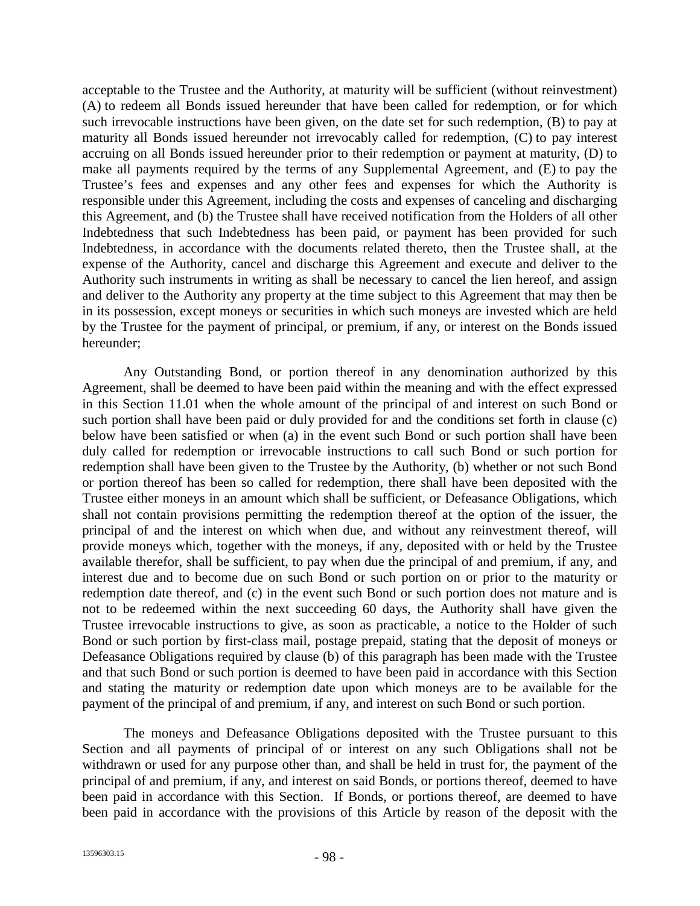acceptable to the Trustee and the Authority, at maturity will be sufficient (without reinvestment) (A) to redeem all Bonds issued hereunder that have been called for redemption, or for which such irrevocable instructions have been given, on the date set for such redemption, (B) to pay at maturity all Bonds issued hereunder not irrevocably called for redemption, (C) to pay interest accruing on all Bonds issued hereunder prior to their redemption or payment at maturity, (D) to make all payments required by the terms of any Supplemental Agreement, and (E) to pay the Trustee's fees and expenses and any other fees and expenses for which the Authority is responsible under this Agreement, including the costs and expenses of canceling and discharging this Agreement, and (b) the Trustee shall have received notification from the Holders of all other Indebtedness that such Indebtedness has been paid, or payment has been provided for such Indebtedness, in accordance with the documents related thereto, then the Trustee shall, at the expense of the Authority, cancel and discharge this Agreement and execute and deliver to the Authority such instruments in writing as shall be necessary to cancel the lien hereof, and assign and deliver to the Authority any property at the time subject to this Agreement that may then be in its possession, except moneys or securities in which such moneys are invested which are held by the Trustee for the payment of principal, or premium, if any, or interest on the Bonds issued hereunder;

Any Outstanding Bond, or portion thereof in any denomination authorized by this Agreement, shall be deemed to have been paid within the meaning and with the effect expressed in this Section 11.01 when the whole amount of the principal of and interest on such Bond or such portion shall have been paid or duly provided for and the conditions set forth in clause (c) below have been satisfied or when (a) in the event such Bond or such portion shall have been duly called for redemption or irrevocable instructions to call such Bond or such portion for redemption shall have been given to the Trustee by the Authority, (b) whether or not such Bond or portion thereof has been so called for redemption, there shall have been deposited with the Trustee either moneys in an amount which shall be sufficient, or Defeasance Obligations, which shall not contain provisions permitting the redemption thereof at the option of the issuer, the principal of and the interest on which when due, and without any reinvestment thereof, will provide moneys which, together with the moneys, if any, deposited with or held by the Trustee available therefor, shall be sufficient, to pay when due the principal of and premium, if any, and interest due and to become due on such Bond or such portion on or prior to the maturity or redemption date thereof, and (c) in the event such Bond or such portion does not mature and is not to be redeemed within the next succeeding 60 days, the Authority shall have given the Trustee irrevocable instructions to give, as soon as practicable, a notice to the Holder of such Bond or such portion by first-class mail, postage prepaid, stating that the deposit of moneys or Defeasance Obligations required by clause (b) of this paragraph has been made with the Trustee and that such Bond or such portion is deemed to have been paid in accordance with this Section and stating the maturity or redemption date upon which moneys are to be available for the payment of the principal of and premium, if any, and interest on such Bond or such portion.

The moneys and Defeasance Obligations deposited with the Trustee pursuant to this Section and all payments of principal of or interest on any such Obligations shall not be withdrawn or used for any purpose other than, and shall be held in trust for, the payment of the principal of and premium, if any, and interest on said Bonds, or portions thereof, deemed to have been paid in accordance with this Section. If Bonds, or portions thereof, are deemed to have been paid in accordance with the provisions of this Article by reason of the deposit with the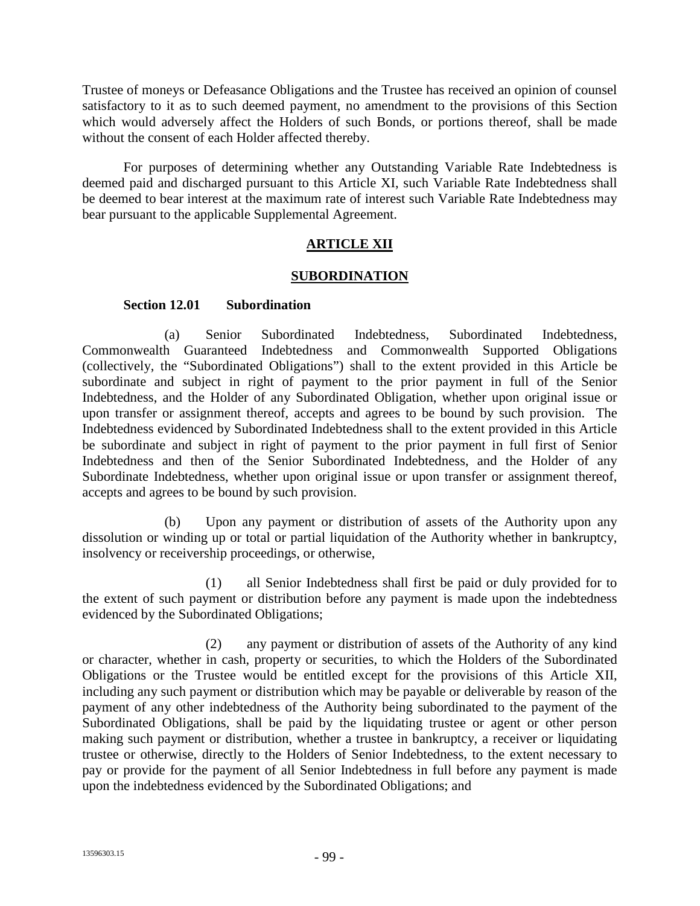Trustee of moneys or Defeasance Obligations and the Trustee has received an opinion of counsel satisfactory to it as to such deemed payment, no amendment to the provisions of this Section which would adversely affect the Holders of such Bonds, or portions thereof, shall be made without the consent of each Holder affected thereby.

For purposes of determining whether any Outstanding Variable Rate Indebtedness is deemed paid and discharged pursuant to this Article XI, such Variable Rate Indebtedness shall be deemed to bear interest at the maximum rate of interest such Variable Rate Indebtedness may bear pursuant to the applicable Supplemental Agreement.

# **ARTICLE XII**

### **SUBORDINATION**

### **Section 12.01 Subordination**

(a) Senior Subordinated Indebtedness, Subordinated Indebtedness, Commonwealth Guaranteed Indebtedness and Commonwealth Supported Obligations (collectively, the "Subordinated Obligations") shall to the extent provided in this Article be subordinate and subject in right of payment to the prior payment in full of the Senior Indebtedness, and the Holder of any Subordinated Obligation, whether upon original issue or upon transfer or assignment thereof, accepts and agrees to be bound by such provision. The Indebtedness evidenced by Subordinated Indebtedness shall to the extent provided in this Article be subordinate and subject in right of payment to the prior payment in full first of Senior Indebtedness and then of the Senior Subordinated Indebtedness, and the Holder of any Subordinate Indebtedness, whether upon original issue or upon transfer or assignment thereof, accepts and agrees to be bound by such provision.

(b) Upon any payment or distribution of assets of the Authority upon any dissolution or winding up or total or partial liquidation of the Authority whether in bankruptcy, insolvency or receivership proceedings, or otherwise,

(1) all Senior Indebtedness shall first be paid or duly provided for to the extent of such payment or distribution before any payment is made upon the indebtedness evidenced by the Subordinated Obligations;

(2) any payment or distribution of assets of the Authority of any kind or character, whether in cash, property or securities, to which the Holders of the Subordinated Obligations or the Trustee would be entitled except for the provisions of this Article XII, including any such payment or distribution which may be payable or deliverable by reason of the payment of any other indebtedness of the Authority being subordinated to the payment of the Subordinated Obligations, shall be paid by the liquidating trustee or agent or other person making such payment or distribution, whether a trustee in bankruptcy, a receiver or liquidating trustee or otherwise, directly to the Holders of Senior Indebtedness, to the extent necessary to pay or provide for the payment of all Senior Indebtedness in full before any payment is made upon the indebtedness evidenced by the Subordinated Obligations; and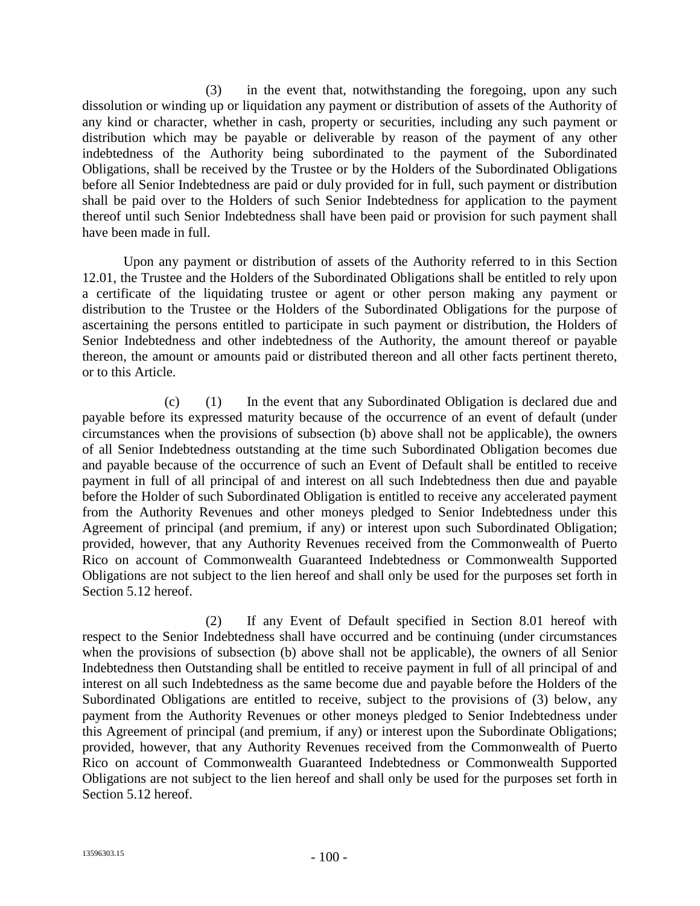(3) in the event that, notwithstanding the foregoing, upon any such dissolution or winding up or liquidation any payment or distribution of assets of the Authority of any kind or character, whether in cash, property or securities, including any such payment or distribution which may be payable or deliverable by reason of the payment of any other indebtedness of the Authority being subordinated to the payment of the Subordinated Obligations, shall be received by the Trustee or by the Holders of the Subordinated Obligations before all Senior Indebtedness are paid or duly provided for in full, such payment or distribution shall be paid over to the Holders of such Senior Indebtedness for application to the payment thereof until such Senior Indebtedness shall have been paid or provision for such payment shall have been made in full.

Upon any payment or distribution of assets of the Authority referred to in this Section 12.01, the Trustee and the Holders of the Subordinated Obligations shall be entitled to rely upon a certificate of the liquidating trustee or agent or other person making any payment or distribution to the Trustee or the Holders of the Subordinated Obligations for the purpose of ascertaining the persons entitled to participate in such payment or distribution, the Holders of Senior Indebtedness and other indebtedness of the Authority, the amount thereof or payable thereon, the amount or amounts paid or distributed thereon and all other facts pertinent thereto, or to this Article.

(c) (1) In the event that any Subordinated Obligation is declared due and payable before its expressed maturity because of the occurrence of an event of default (under circumstances when the provisions of subsection (b) above shall not be applicable), the owners of all Senior Indebtedness outstanding at the time such Subordinated Obligation becomes due and payable because of the occurrence of such an Event of Default shall be entitled to receive payment in full of all principal of and interest on all such Indebtedness then due and payable before the Holder of such Subordinated Obligation is entitled to receive any accelerated payment from the Authority Revenues and other moneys pledged to Senior Indebtedness under this Agreement of principal (and premium, if any) or interest upon such Subordinated Obligation; provided, however, that any Authority Revenues received from the Commonwealth of Puerto Rico on account of Commonwealth Guaranteed Indebtedness or Commonwealth Supported Obligations are not subject to the lien hereof and shall only be used for the purposes set forth in Section 5.12 hereof.

(2) If any Event of Default specified in Section 8.01 hereof with respect to the Senior Indebtedness shall have occurred and be continuing (under circumstances when the provisions of subsection (b) above shall not be applicable), the owners of all Senior Indebtedness then Outstanding shall be entitled to receive payment in full of all principal of and interest on all such Indebtedness as the same become due and payable before the Holders of the Subordinated Obligations are entitled to receive, subject to the provisions of (3) below, any payment from the Authority Revenues or other moneys pledged to Senior Indebtedness under this Agreement of principal (and premium, if any) or interest upon the Subordinate Obligations; provided, however, that any Authority Revenues received from the Commonwealth of Puerto Rico on account of Commonwealth Guaranteed Indebtedness or Commonwealth Supported Obligations are not subject to the lien hereof and shall only be used for the purposes set forth in Section 5.12 hereof.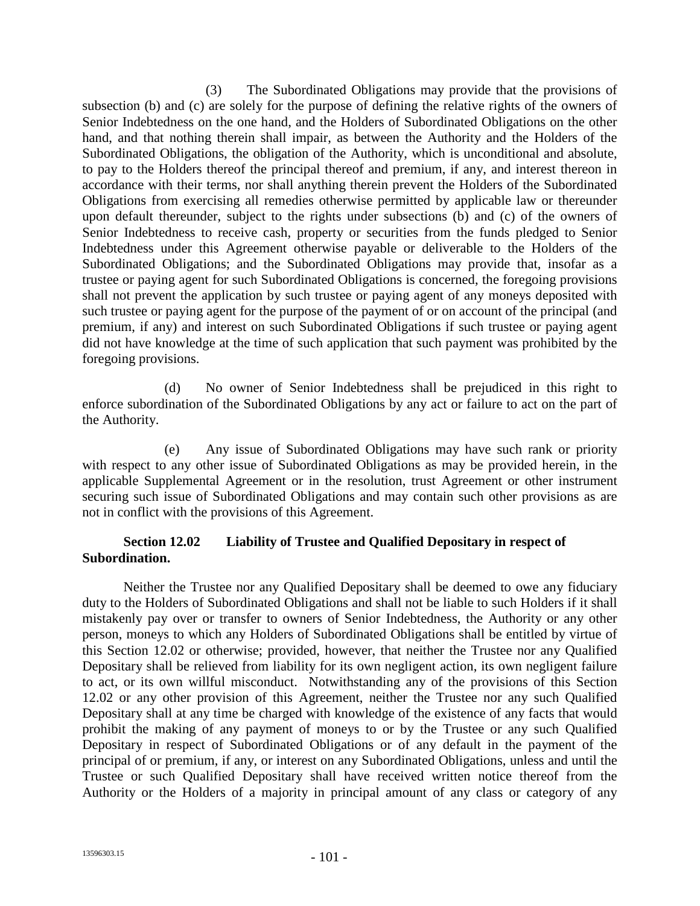(3) The Subordinated Obligations may provide that the provisions of subsection (b) and (c) are solely for the purpose of defining the relative rights of the owners of Senior Indebtedness on the one hand, and the Holders of Subordinated Obligations on the other hand, and that nothing therein shall impair, as between the Authority and the Holders of the Subordinated Obligations, the obligation of the Authority, which is unconditional and absolute, to pay to the Holders thereof the principal thereof and premium, if any, and interest thereon in accordance with their terms, nor shall anything therein prevent the Holders of the Subordinated Obligations from exercising all remedies otherwise permitted by applicable law or thereunder upon default thereunder, subject to the rights under subsections (b) and (c) of the owners of Senior Indebtedness to receive cash, property or securities from the funds pledged to Senior Indebtedness under this Agreement otherwise payable or deliverable to the Holders of the Subordinated Obligations; and the Subordinated Obligations may provide that, insofar as a trustee or paying agent for such Subordinated Obligations is concerned, the foregoing provisions shall not prevent the application by such trustee or paying agent of any moneys deposited with such trustee or paying agent for the purpose of the payment of or on account of the principal (and premium, if any) and interest on such Subordinated Obligations if such trustee or paying agent did not have knowledge at the time of such application that such payment was prohibited by the foregoing provisions.

(d) No owner of Senior Indebtedness shall be prejudiced in this right to enforce subordination of the Subordinated Obligations by any act or failure to act on the part of the Authority.

(e) Any issue of Subordinated Obligations may have such rank or priority with respect to any other issue of Subordinated Obligations as may be provided herein, in the applicable Supplemental Agreement or in the resolution, trust Agreement or other instrument securing such issue of Subordinated Obligations and may contain such other provisions as are not in conflict with the provisions of this Agreement.

# **Section 12.02 Liability of Trustee and Qualified Depositary in respect of Subordination.**

Neither the Trustee nor any Qualified Depositary shall be deemed to owe any fiduciary duty to the Holders of Subordinated Obligations and shall not be liable to such Holders if it shall mistakenly pay over or transfer to owners of Senior Indebtedness, the Authority or any other person, moneys to which any Holders of Subordinated Obligations shall be entitled by virtue of this Section 12.02 or otherwise; provided, however, that neither the Trustee nor any Qualified Depositary shall be relieved from liability for its own negligent action, its own negligent failure to act, or its own willful misconduct. Notwithstanding any of the provisions of this Section 12.02 or any other provision of this Agreement, neither the Trustee nor any such Qualified Depositary shall at any time be charged with knowledge of the existence of any facts that would prohibit the making of any payment of moneys to or by the Trustee or any such Qualified Depositary in respect of Subordinated Obligations or of any default in the payment of the principal of or premium, if any, or interest on any Subordinated Obligations, unless and until the Trustee or such Qualified Depositary shall have received written notice thereof from the Authority or the Holders of a majority in principal amount of any class or category of any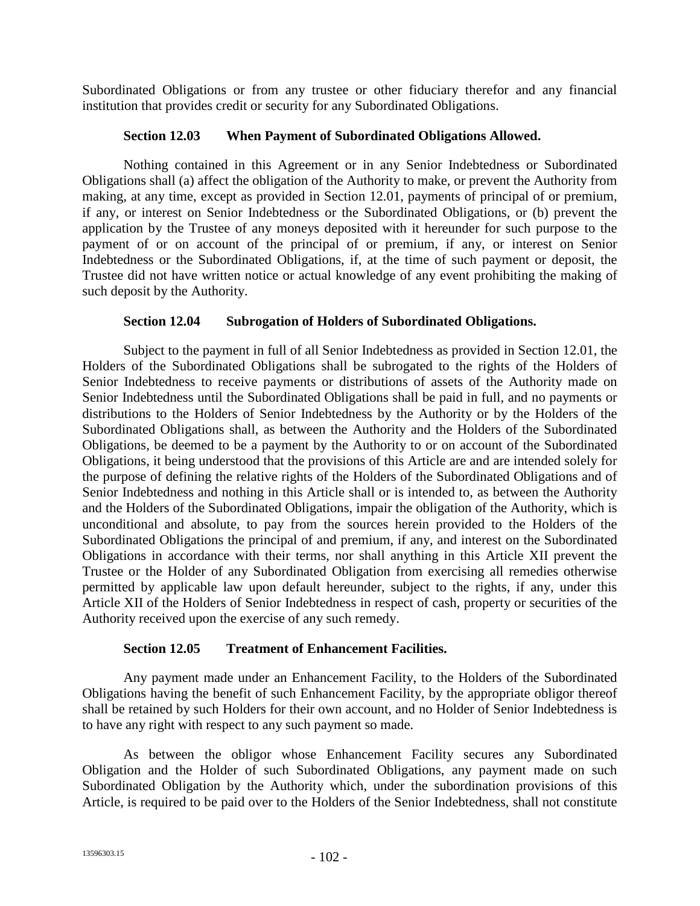Subordinated Obligations or from any trustee or other fiduciary therefor and any financial institution that provides credit or security for any Subordinated Obligations.

### **Section 12.03 When Payment of Subordinated Obligations Allowed.**

Nothing contained in this Agreement or in any Senior Indebtedness or Subordinated Obligations shall (a) affect the obligation of the Authority to make, or prevent the Authority from making, at any time, except as provided in Section 12.01, payments of principal of or premium, if any, or interest on Senior Indebtedness or the Subordinated Obligations, or (b) prevent the application by the Trustee of any moneys deposited with it hereunder for such purpose to the payment of or on account of the principal of or premium, if any, or interest on Senior Indebtedness or the Subordinated Obligations, if, at the time of such payment or deposit, the Trustee did not have written notice or actual knowledge of any event prohibiting the making of such deposit by the Authority.

### **Section 12.04 Subrogation of Holders of Subordinated Obligations.**

Subject to the payment in full of all Senior Indebtedness as provided in Section 12.01, the Holders of the Subordinated Obligations shall be subrogated to the rights of the Holders of Senior Indebtedness to receive payments or distributions of assets of the Authority made on Senior Indebtedness until the Subordinated Obligations shall be paid in full, and no payments or distributions to the Holders of Senior Indebtedness by the Authority or by the Holders of the Subordinated Obligations shall, as between the Authority and the Holders of the Subordinated Obligations, be deemed to be a payment by the Authority to or on account of the Subordinated Obligations, it being understood that the provisions of this Article are and are intended solely for the purpose of defining the relative rights of the Holders of the Subordinated Obligations and of Senior Indebtedness and nothing in this Article shall or is intended to, as between the Authority and the Holders of the Subordinated Obligations, impair the obligation of the Authority, which is unconditional and absolute, to pay from the sources herein provided to the Holders of the Subordinated Obligations the principal of and premium, if any, and interest on the Subordinated Obligations in accordance with their terms, nor shall anything in this Article XII prevent the Trustee or the Holder of any Subordinated Obligation from exercising all remedies otherwise permitted by applicable law upon default hereunder, subject to the rights, if any, under this Article XII of the Holders of Senior Indebtedness in respect of cash, property or securities of the Authority received upon the exercise of any such remedy.

# **Section 12.05 Treatment of Enhancement Facilities.**

Any payment made under an Enhancement Facility, to the Holders of the Subordinated Obligations having the benefit of such Enhancement Facility, by the appropriate obligor thereof shall be retained by such Holders for their own account, and no Holder of Senior Indebtedness is to have any right with respect to any such payment so made.

As between the obligor whose Enhancement Facility secures any Subordinated Obligation and the Holder of such Subordinated Obligations, any payment made on such Subordinated Obligation by the Authority which, under the subordination provisions of this Article, is required to be paid over to the Holders of the Senior Indebtedness, shall not constitute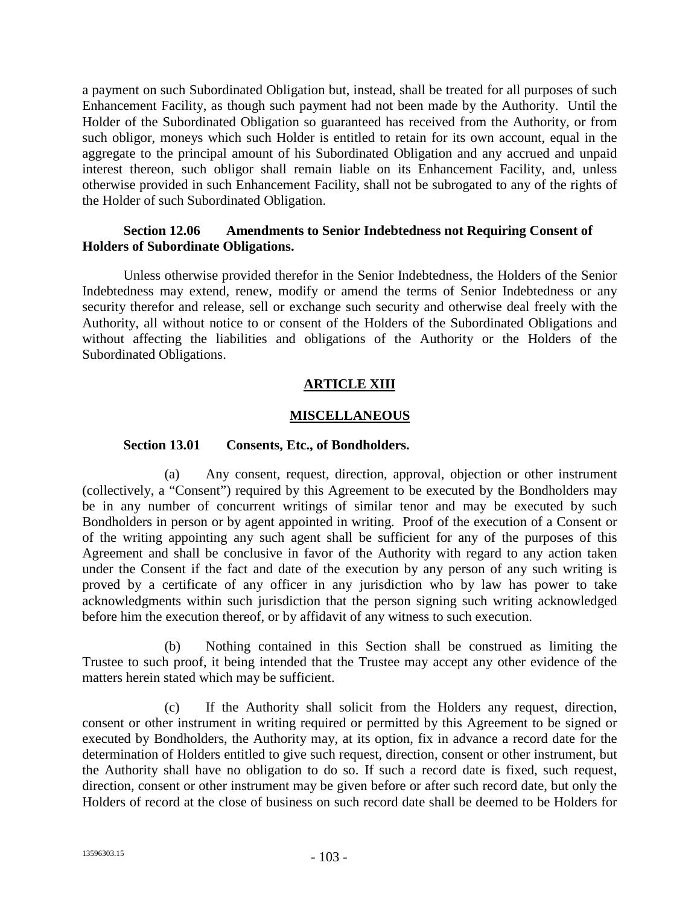a payment on such Subordinated Obligation but, instead, shall be treated for all purposes of such Enhancement Facility, as though such payment had not been made by the Authority. Until the Holder of the Subordinated Obligation so guaranteed has received from the Authority, or from such obligor, moneys which such Holder is entitled to retain for its own account, equal in the aggregate to the principal amount of his Subordinated Obligation and any accrued and unpaid interest thereon, such obligor shall remain liable on its Enhancement Facility, and, unless otherwise provided in such Enhancement Facility, shall not be subrogated to any of the rights of the Holder of such Subordinated Obligation.

### **Section 12.06 Amendments to Senior Indebtedness not Requiring Consent of Holders of Subordinate Obligations.**

Unless otherwise provided therefor in the Senior Indebtedness, the Holders of the Senior Indebtedness may extend, renew, modify or amend the terms of Senior Indebtedness or any security therefor and release, sell or exchange such security and otherwise deal freely with the Authority, all without notice to or consent of the Holders of the Subordinated Obligations and without affecting the liabilities and obligations of the Authority or the Holders of the Subordinated Obligations.

# **ARTICLE XIII**

### **MISCELLANEOUS**

### **Section 13.01 Consents, Etc., of Bondholders.**

(a) Any consent, request, direction, approval, objection or other instrument (collectively, a "Consent") required by this Agreement to be executed by the Bondholders may be in any number of concurrent writings of similar tenor and may be executed by such Bondholders in person or by agent appointed in writing. Proof of the execution of a Consent or of the writing appointing any such agent shall be sufficient for any of the purposes of this Agreement and shall be conclusive in favor of the Authority with regard to any action taken under the Consent if the fact and date of the execution by any person of any such writing is proved by a certificate of any officer in any jurisdiction who by law has power to take acknowledgments within such jurisdiction that the person signing such writing acknowledged before him the execution thereof, or by affidavit of any witness to such execution.

Nothing contained in this Section shall be construed as limiting the Trustee to such proof, it being intended that the Trustee may accept any other evidence of the matters herein stated which may be sufficient.

(c) If the Authority shall solicit from the Holders any request, direction, consent or other instrument in writing required or permitted by this Agreement to be signed or executed by Bondholders, the Authority may, at its option, fix in advance a record date for the determination of Holders entitled to give such request, direction, consent or other instrument, but the Authority shall have no obligation to do so. If such a record date is fixed, such request, direction, consent or other instrument may be given before or after such record date, but only the Holders of record at the close of business on such record date shall be deemed to be Holders for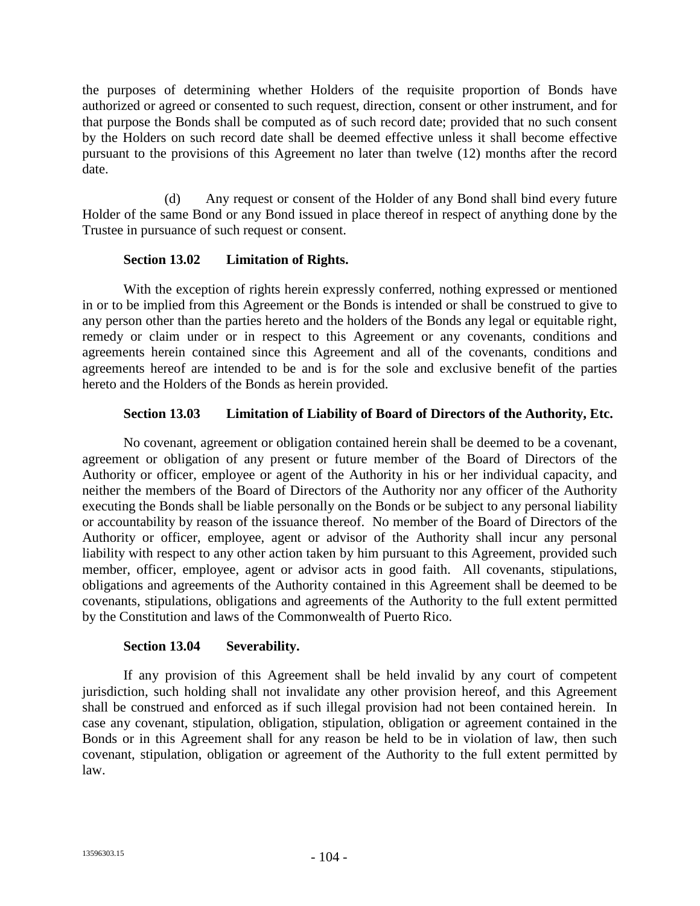the purposes of determining whether Holders of the requisite proportion of Bonds have authorized or agreed or consented to such request, direction, consent or other instrument, and for that purpose the Bonds shall be computed as of such record date; provided that no such consent by the Holders on such record date shall be deemed effective unless it shall become effective pursuant to the provisions of this Agreement no later than twelve (12) months after the record date.

(d) Any request or consent of the Holder of any Bond shall bind every future Holder of the same Bond or any Bond issued in place thereof in respect of anything done by the Trustee in pursuance of such request or consent.

### **Section 13.02 Limitation of Rights.**

With the exception of rights herein expressly conferred, nothing expressed or mentioned in or to be implied from this Agreement or the Bonds is intended or shall be construed to give to any person other than the parties hereto and the holders of the Bonds any legal or equitable right, remedy or claim under or in respect to this Agreement or any covenants, conditions and agreements herein contained since this Agreement and all of the covenants, conditions and agreements hereof are intended to be and is for the sole and exclusive benefit of the parties hereto and the Holders of the Bonds as herein provided.

### **Section 13.03 Limitation of Liability of Board of Directors of the Authority, Etc.**

No covenant, agreement or obligation contained herein shall be deemed to be a covenant, agreement or obligation of any present or future member of the Board of Directors of the Authority or officer, employee or agent of the Authority in his or her individual capacity, and neither the members of the Board of Directors of the Authority nor any officer of the Authority executing the Bonds shall be liable personally on the Bonds or be subject to any personal liability or accountability by reason of the issuance thereof. No member of the Board of Directors of the Authority or officer, employee, agent or advisor of the Authority shall incur any personal liability with respect to any other action taken by him pursuant to this Agreement, provided such member, officer, employee, agent or advisor acts in good faith. All covenants, stipulations, obligations and agreements of the Authority contained in this Agreement shall be deemed to be covenants, stipulations, obligations and agreements of the Authority to the full extent permitted by the Constitution and laws of the Commonwealth of Puerto Rico.

### **Section 13.04 Severability.**

If any provision of this Agreement shall be held invalid by any court of competent jurisdiction, such holding shall not invalidate any other provision hereof, and this Agreement shall be construed and enforced as if such illegal provision had not been contained herein. In case any covenant, stipulation, obligation, stipulation, obligation or agreement contained in the Bonds or in this Agreement shall for any reason be held to be in violation of law, then such covenant, stipulation, obligation or agreement of the Authority to the full extent permitted by law.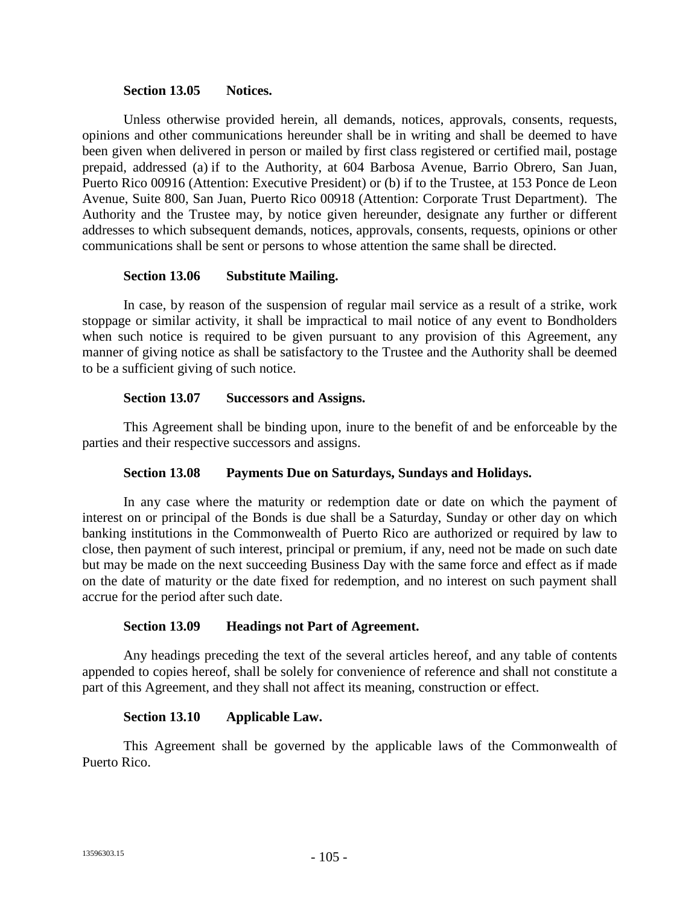#### **Section 13.05 Notices.**

Unless otherwise provided herein, all demands, notices, approvals, consents, requests, opinions and other communications hereunder shall be in writing and shall be deemed to have been given when delivered in person or mailed by first class registered or certified mail, postage prepaid, addressed (a) if to the Authority, at 604 Barbosa Avenue, Barrio Obrero, San Juan, Puerto Rico 00916 (Attention: Executive President) or (b) if to the Trustee, at 153 Ponce de Leon Avenue, Suite 800, San Juan, Puerto Rico 00918 (Attention: Corporate Trust Department). The Authority and the Trustee may, by notice given hereunder, designate any further or different addresses to which subsequent demands, notices, approvals, consents, requests, opinions or other communications shall be sent or persons to whose attention the same shall be directed.

### **Section 13.06 Substitute Mailing.**

In case, by reason of the suspension of regular mail service as a result of a strike, work stoppage or similar activity, it shall be impractical to mail notice of any event to Bondholders when such notice is required to be given pursuant to any provision of this Agreement, any manner of giving notice as shall be satisfactory to the Trustee and the Authority shall be deemed to be a sufficient giving of such notice.

### **Section 13.07 Successors and Assigns.**

This Agreement shall be binding upon, inure to the benefit of and be enforceable by the parties and their respective successors and assigns.

## **Section 13.08 Payments Due on Saturdays, Sundays and Holidays.**

In any case where the maturity or redemption date or date on which the payment of interest on or principal of the Bonds is due shall be a Saturday, Sunday or other day on which banking institutions in the Commonwealth of Puerto Rico are authorized or required by law to close, then payment of such interest, principal or premium, if any, need not be made on such date but may be made on the next succeeding Business Day with the same force and effect as if made on the date of maturity or the date fixed for redemption, and no interest on such payment shall accrue for the period after such date.

### **Section 13.09 Headings not Part of Agreement.**

Any headings preceding the text of the several articles hereof, and any table of contents appended to copies hereof, shall be solely for convenience of reference and shall not constitute a part of this Agreement, and they shall not affect its meaning, construction or effect.

### **Section 13.10 Applicable Law.**

This Agreement shall be governed by the applicable laws of the Commonwealth of Puerto Rico.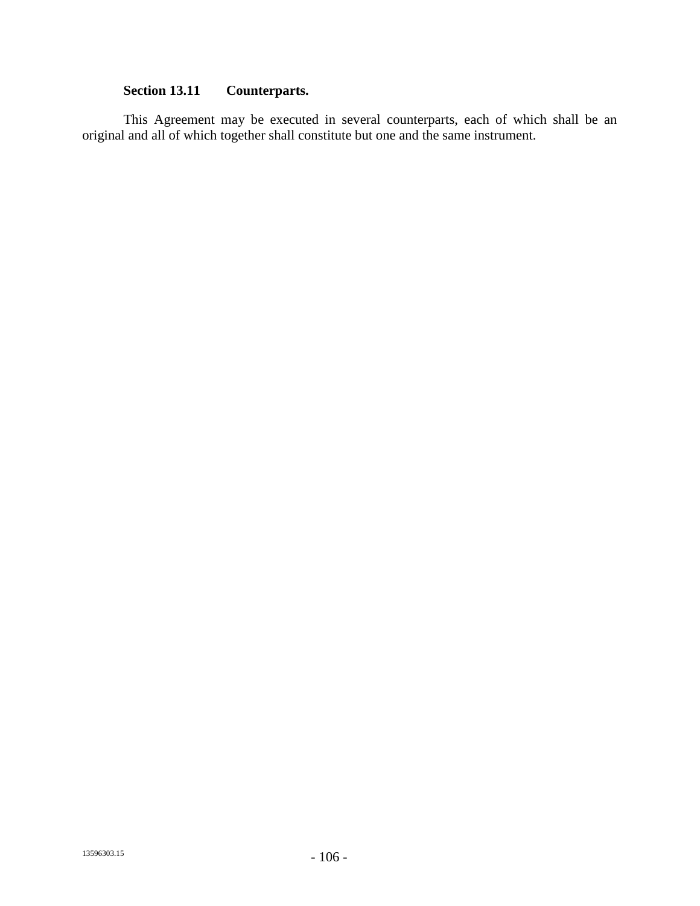# **Section 13.11 Counterparts.**

This Agreement may be executed in several counterparts, each of which shall be an original and all of which together shall constitute but one and the same instrument.